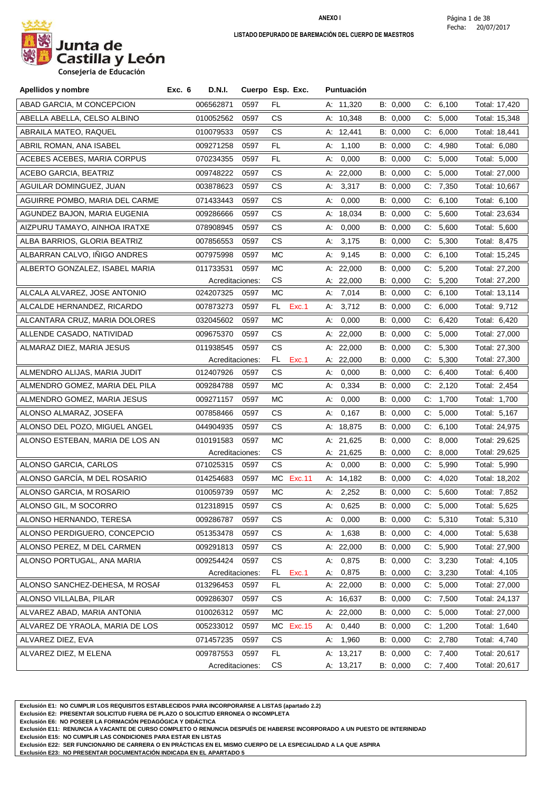

| Apellidos y nombre              | Exc. 6<br><b>D.N.I.</b> |                 | Cuerpo Esp. Exc. | Puntuación  |          |                |               |
|---------------------------------|-------------------------|-----------------|------------------|-------------|----------|----------------|---------------|
| ABAD GARCIA, M CONCEPCION       | 006562871               | 0597            | FL               | A: 11,320   | B: 0,000 | C: 6,100       | Total: 17,420 |
| ABELLA ABELLA. CELSO ALBINO     | 010052562               | 0597            | CS.              | A: 10,348   | B: 0,000 | C: 5,000       | Total: 15,348 |
| ABRAILA MATEO, RAQUEL           | 010079533               | 0597            | CS.              | A: 12,441   | B: 0,000 | C: 6,000       | Total: 18,441 |
| ABRIL ROMAN, ANA ISABEL         | 009271258               | 0597            | FL.              | A: 1,100    | B: 0,000 | C.<br>4,980    | Total: 6,080  |
| ACEBES ACEBES, MARIA CORPUS     | 070234355               | 0597            | FL               | 0,000<br>А. | B: 0,000 | C:<br>5,000    | Total: 5,000  |
| <b>ACEBO GARCIA, BEATRIZ</b>    | 009748222               | 0597            | CS.              | A: 22,000   | B: 0,000 | C: 5,000       | Total: 27,000 |
| AGUILAR DOMINGUEZ, JUAN         | 003878623               | 0597            | CS.              | 3,317<br>А. | B: 0,000 | 7,350<br>C:    | Total: 10,667 |
| AGUIRRE POMBO, MARIA DEL CARME  | 071433443               | 0597            | CS.              | 0,000<br>А. | B: 0,000 | C: 6,100       | Total: 6,100  |
| AGUNDEZ BAJON, MARIA EUGENIA    | 009286666               | 0597            | CS.              | A: 18,034   | B: 0,000 | 5,600<br>C.    | Total: 23,634 |
| AIZPURU TAMAYO, AINHOA IRATXE   | 078908945               | 0597            | CS.              | 0,000<br>A: | B: 0,000 | C: 5,600       | Total: 5,600  |
| ALBA BARRIOS, GLORIA BEATRIZ    | 007856553               | 0597            | CS.              | A: 3,175    | B: 0,000 | C: 5,300       | Total: 8,475  |
| ALBARRAN CALVO, IÑIGO ANDRES    | 007975998               | 0597            | МC               | 9,145<br>А. | B: 0,000 | $C$ .<br>6,100 | Total: 15,245 |
| ALBERTO GONZALEZ, ISABEL MARIA  | 011733531               | 0597            | МC               | A: 22,000   | B: 0,000 | C: 5,200       | Total: 27,200 |
|                                 |                         | Acreditaciones: | СS               | A: 22,000   | B: 0,000 | C: 5,200       | Total: 27,200 |
| ALCALA ALVAREZ, JOSE ANTONIO    | 024207325               | 0597            | МC               | A: 7,014    | B: 0,000 | C:<br>6,100    | Total: 13,114 |
| ALCALDE HERNANDEZ, RICARDO      | 007873273               | 0597            | Exc.1<br>FL.     | A: 3,712    | B: 0,000 | C: 6,000       | Total: 9,712  |
| ALCANTARA CRUZ, MARIA DOLORES   | 032045602               | 0597            | МC               | 0,000<br>А: | B: 0,000 | C: 6,420       | Total: 6,420  |
| ALLENDE CASADO, NATIVIDAD       | 009675370               | 0597            | CS               | A: 22,000   | B: 0,000 | 5,000<br>C:    | Total: 27,000 |
| ALMARAZ DIEZ, MARIA JESUS       | 011938545               | 0597            | CS.              | A: 22,000   | B: 0,000 | C: 5,300       | Total: 27,300 |
|                                 |                         | Acreditaciones: | FL.<br>Exc.1     | A: $22,000$ | B: 0,000 | 5,300<br>C.    | Total: 27,300 |
| ALMENDRO ALIJAS, MARIA JUDIT    | 012407926               | 0597            | СS               | 0,000<br>А. | B: 0,000 | 6,400<br>C.    | Total: 6,400  |
| ALMENDRO GOMEZ, MARIA DEL PILA  | 009284788               | 0597            | МC               | 0,334<br>А. | B: 0,000 | C: 2,120       | Total: 2,454  |
| ALMENDRO GOMEZ, MARIA JESUS     | 009271157               | 0597            | МC               | 0,000<br>A: | B: 0,000 | 1,700<br>C:    | Total: 1,700  |
| ALONSO ALMARAZ, JOSEFA          | 007858466               | 0597            | CS.              | 0,167<br>А: | B: 0,000 | C: 5,000       | Total: 5,167  |
| ALONSO DEL POZO, MIGUEL ANGEL   | 044904935               | 0597            | CS.              | A: 18,875   | B: 0,000 | C: 6,100       | Total: 24,975 |
| ALONSO ESTEBAN, MARIA DE LOS AN | 010191583               | 0597            | МC               | A: 21,625   | B: 0,000 | 8,000<br>C.    | Total: 29,625 |
|                                 |                         | Acreditaciones: | CS.              | A: 21,625   | B: 0,000 | C:<br>8,000    | Total: 29,625 |
| ALONSO GARCIA, CARLOS           | 071025315               | 0597            | СS               | A: 0,000    | B: 0,000 | C: 5,990       | Total: 5,990  |
| ALONSO GARCÍA, M DEL ROSARIO    | 014254683               | 0597            | MC Exc.11        | A: 14,182   | B: 0,000 | 4,020<br>C.    | Total: 18,202 |
| ALONSO GARCIA, M ROSARIO        | 010059739               | 0597            | МC               | A: 2,252    | B: 0,000 | C: 5,600       | Total: 7,852  |
| ALONSO GIL, M SOCORRO           | 012318915               | 0597            | СS               | A: 0.625    | B: 0,000 | C: 5,000       | Total: 5,625  |
| ALONSO HERNANDO, TERESA         | 009286787               | 0597            | СS               | A: 0,000    | B: 0,000 | C: 5,310       | Total: 5,310  |
| ALONSO PERDIGUERO, CONCEPCIO    | 051353478               | 0597            | CS.              | A: 1,638    | B: 0,000 | C: 4,000       | Total: 5,638  |
| ALONSO PEREZ, M DEL CARMEN      | 009291813               | 0597            | CS.              | A: 22,000   | B: 0,000 | C: 5,900       | Total: 27,900 |
| ALONSO PORTUGAL, ANA MARIA      | 009254424               | 0597            | CS.              | A: 0,875    | B: 0,000 | C: 3,230       | Total: 4,105  |
|                                 |                         | Acreditaciones: | FL.<br>Exc.1     | A: 0,875    | B: 0,000 | C: 3,230       | Total: 4,105  |
| ALONSO SANCHEZ-DEHESA, M ROSAF  | 013296453               | 0597            | FL.              | A: 22,000   | B: 0,000 | C: 5,000       | Total: 27,000 |
| ALONSO VILLALBA, PILAR          | 009286307               | 0597            | СS               | A: 16,637   | B: 0,000 | C: 7,500       | Total: 24,137 |
| ALVAREZ ABAD, MARIA ANTONIA     | 010026312               | 0597            | МC               | A: 22,000   | B: 0,000 | C: 5,000       | Total: 27,000 |
| ALVAREZ DE YRAOLA, MARIA DE LOS | 005233012               | 0597            | МC<br>Exc. 15    | A: 0,440    | B: 0,000 | C: 1,200       | Total: 1,640  |
| ALVAREZ DIEZ, EVA               | 071457235               | 0597            | СS               | A: 1,960    | B: 0,000 | C: 2,780       | Total: 4,740  |
| ALVAREZ DIEZ, M ELENA           | 009787553               | 0597            | FL.              | A: 13,217   | B: 0,000 | C: 7,400       | Total: 20,617 |
|                                 |                         | Acreditaciones: | СS               | A: 13,217   | B: 0,000 | C: 7,400       | Total: 20,617 |

**Exclusión E1: NO CUMPLIR LOS REQUISITOS ESTABLECIDOS PARA INCORPORARSE A LISTAS (apartado 2.2)**

**Exclusión E2: PRESENTAR SOLICITUD FUERA DE PLAZO O SOLICITUD ERRONEA O INCOMPLETA**

**Exclusión E6: NO POSEER LA FORMACIÓN PEDAGÓGICA Y DIDÁCTICA**

**Exclusión E11: RENUNCIA A VACANTE DE CURSO COMPLETO O RENUNCIA DESPUÉS DE HABERSE INCORPORADO A UN PUESTO DE INTERINIDAD**

**Exclusión E15: NO CUMPLIR LAS CONDICIONES PARA ESTAR EN LISTAS**

**Exclusión E22: SER FUNCIONARIO DE CARRERA O EN PRÁCTICAS EN EL MISMO CUERPO DE LA ESPECIALIDAD A LA QUE ASPIRA**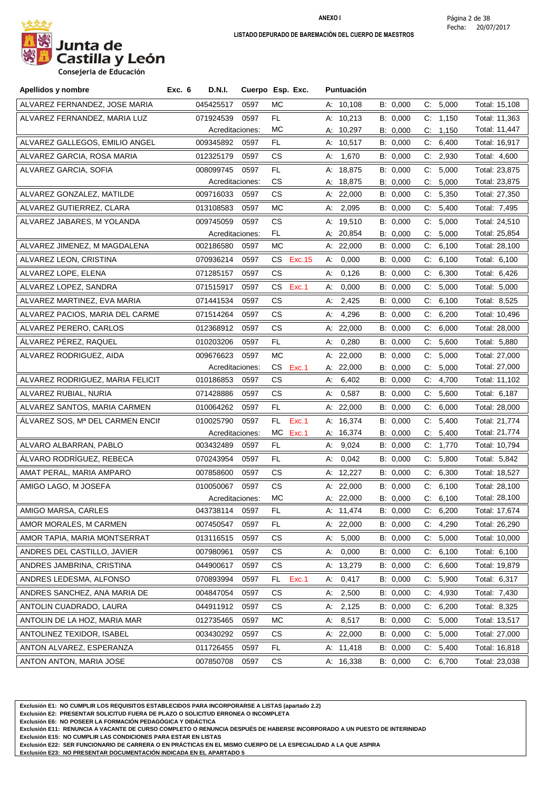

**Consejeria de Educación**

| ALVAREZ FERNANDEZ, JOSE MARIA<br>045425517<br>0597<br>MC.<br>A: 10,108<br>B: 0,000<br>C: 5,000<br>Total: 15,108<br>ALVAREZ FERNANDEZ, MARIA LUZ<br>FL<br>A: 10,213<br>B: 0,000<br>C: 1,150<br>071924539<br>0597<br>Total: 11,363<br>MC<br>A: 10,297<br>B: 0,000<br>C: 1,150<br>Total: 11,447<br>Acreditaciones:<br>ALVAREZ GALLEGOS, EMILIO ANGEL<br>FL<br>6,400<br>009345892<br>0597<br>A: 10,517<br>B: 0,000<br>C.<br>Total: 16,917<br>ALVAREZ GARCIA, ROSA MARIA<br>СS<br>B: 0,000<br>$\mathsf{C}$<br>2,930<br>012325179<br>0597<br>1,670<br>Total: 4,600<br>А:<br>C: 5,000<br>008099745<br>0597<br>FL<br>A: 18,875<br>B: 0,000<br>ALVAREZ GARCIA, SOFIA<br>Total: 23,875<br>CS<br>A: 18,875<br>B: 0,000<br>5,000<br>Total: 23,875<br>Acreditaciones:<br>C.<br>ALVAREZ GONZALEZ, MATILDE<br>009716033<br>СS<br>5,350<br>0597<br>A: $22,000$<br>B: 0,000<br>C.<br>Total: 27,350<br>MC<br>A: 2,095<br>C: 5,400<br>ALVAREZ GUTIERREZ, CLARA<br>013108583<br>0597<br>B: 0,000<br>Total: 7,495<br>5,000<br>ALVAREZ JABARES, M YOLANDA<br>009745059<br>0597<br><b>CS</b><br>A: 19,510<br>B: 0,000<br>Total: 24,510<br>C:<br>Total: 25,854<br>FL.<br>A: 20,854<br>B: 0,000<br>5,000<br>Acreditaciones:<br>C.<br>ALVAREZ JIMENEZ, M MAGDALENA<br>002186580<br>0597<br>МC<br>A: 22,000<br>B: 0,000<br>$\mathsf{C}$<br>6,100<br>Total: 28,100<br>ALVAREZ LEON, CRISTINA<br>070936214<br>0597<br>CS Exc.15<br>A: 0,000<br>B: 0,000<br>C: 6,100<br>Total: 6,100<br>ALVAREZ LOPE, ELENA<br>071285157<br>0597<br>CS<br>0,126<br>B: 0,000<br>C:<br>6,300<br>Total: 6,426<br>А.<br>CS.<br>Exc.1<br>0,000<br>C: 5,000<br>ALVAREZ LOPEZ, SANDRA<br>071515917<br>0597<br>А.<br>B: 0,000<br>Total: 5,000<br>ALVAREZ MARTINEZ, EVA MARIA<br>CS<br>071441534<br>0597<br>A: $2,425$<br>B: 0,000<br>C: 6,100<br>Total: 8,525<br>ALVAREZ PACIOS, MARIA DEL CARME<br>071514264<br>0597<br>CS<br>4,296<br>B: 0,000<br>$\mathsf{C}$<br>6,200<br>А:<br>Total: 10,496<br>B: 0,000<br>6,000<br>ALVAREZ PERERO, CARLOS<br>012368912<br>0597<br>СS<br>A: $22,000$<br>C.<br>Total: 28,000<br>ÁLVAREZ PÉREZ, RAQUEL<br>C: 5,600<br>010203206<br>FL<br>0,280<br>B: 0,000<br>Total: 5,880<br>0597<br>A:<br>C: 5,000<br>ALVAREZ RODRIGUEZ, AIDA<br>009676623<br>МC<br>A: 22,000<br>B: 0,000<br>0597<br>Total: 27,000<br>CS<br>A: 22,000<br>B: 0,000<br>5,000<br>Total: 27,000<br>Acreditaciones:<br>Exc.1<br>C.<br>ALVAREZ RODRIGUEZ, MARIA FELICIT<br>CS<br>010186853<br>0597<br>A: $6,402$<br>B: 0,000<br>4,700<br>Total: 11,102<br>C:<br>ALVAREZ RUBIAL, NURIA<br>0597<br>CS<br>0,587<br>B: 0,000<br>$C_{\cdot}$<br>5,600<br>Total: 6,187<br>071428886<br>А:<br>ALVAREZ SANTOS, MARIA CARMEN<br>010064262<br>0597<br>A: 22,000<br>B: 0,000<br>6,000<br>Total: 28,000<br>FL<br>C.<br>5,400<br>B: 0,000<br>ALVAREZ SOS, Mª DEL CARMEN ENCII<br>010025790<br>0597<br>FL<br>Exc.1<br>A: 16,374<br>C.<br>Total: 21,774<br>МC<br>A: 16,374<br>5,400<br>Total: 21,774<br>Acreditaciones:<br>Exc.1<br>B: 0,000<br>C.<br>ALVARO ALBARRAN, PABLO<br>FL<br>9,024<br>C: 1,770<br>003432489<br>0597<br>B: 0,000<br>Total: 10,794<br>А.<br>ÁLVARO RODRÍGUEZ. REBECA<br>070243954<br>5,800<br>0597<br>FL.<br>0,042<br>B: 0,000<br>C.<br>Total: 5,842<br>А:<br>0597<br>CS<br>B: 0,000<br>C: 6,300<br>AMAT PERAL, MARIA AMPARO<br>007858600<br>A: 12,227<br>Total: 18,527<br>010050067<br>0597<br><b>CS</b><br>A: 22,000<br>B: 0,000<br>6,100<br>AMIGO LAGO, M JOSEFA<br>C.<br>Total: 28,100<br>MC<br>Total: 28,100<br>A: 22,000<br>B: 0,000<br>Acreditaciones:<br>C: 6,100<br>AMIGO MARSA, CARLES<br>FL.<br>B: 0,000<br>6,200<br>Total: 17,674<br>043738114<br>0597<br>A: 11,474<br>C.<br>AMOR MORALES, M CARMEN<br>007450547<br>B: 0,000<br>4,290<br>Total: 26,290<br>0597<br>FL<br>A: 22,000<br>C.<br>5,000<br>5,000<br>AMOR TAPIA, MARIA MONTSERRAT<br>013116515<br>0597<br>СS<br>B: 0,000<br>C.<br>Total: 10,000<br>А.<br>6,100<br>ANDRES DEL CASTILLO, JAVIER<br>007980961<br>0597<br>СS<br>0,000<br>B: 0,000<br>C.<br>Total: 6,100<br>А:<br>6,600<br>ANDRES JAMBRINA, CRISTINA<br>044900617<br>0597<br>СS<br>A: 13,279<br>B: 0,000<br>C.<br>Total: 19,879<br>5,900<br>ANDRES LEDESMA, ALFONSO<br>070893994<br>FL.<br>Exc.1<br>0,417<br>B: 0,000<br>C.<br>Total: 6,317<br>0597<br>А:<br>4,930<br>ANDRES SANCHEZ, ANA MARIA DE<br>004847054<br>0597<br>СS<br>2,500<br>B: 0,000<br>C.<br>Total: 7,430<br>A:<br>6,200<br>ANTOLIN CUADRADO, LAURA<br><b>CS</b><br>2,125<br>B: 0,000<br>C:<br>Total: 8,325<br>044911912<br>0597<br>А:<br>ANTOLIN DE LA HOZ, MARIA MAR<br>A: 8,517<br>C: 5,000<br>012735465<br>0597<br>МC<br>B: 0,000<br>Total: 13,517<br>5,000<br>ANTOLINEZ TEXIDOR, ISABEL<br>003430292<br>CS<br>A: 22,000<br>B: 0,000<br>C.<br>Total: 27,000<br>0597<br>C: 5,400<br>ANTON ALVAREZ, ESPERANZA<br>011726455<br>0597<br>FL<br>A: 11,418<br>B: 0,000<br>Total: 16,818 | Apellidos y nombre | Exc. 6<br>D.N.I. | Cuerpo Esp. Exc. | Puntuación |  |  |
|-------------------------------------------------------------------------------------------------------------------------------------------------------------------------------------------------------------------------------------------------------------------------------------------------------------------------------------------------------------------------------------------------------------------------------------------------------------------------------------------------------------------------------------------------------------------------------------------------------------------------------------------------------------------------------------------------------------------------------------------------------------------------------------------------------------------------------------------------------------------------------------------------------------------------------------------------------------------------------------------------------------------------------------------------------------------------------------------------------------------------------------------------------------------------------------------------------------------------------------------------------------------------------------------------------------------------------------------------------------------------------------------------------------------------------------------------------------------------------------------------------------------------------------------------------------------------------------------------------------------------------------------------------------------------------------------------------------------------------------------------------------------------------------------------------------------------------------------------------------------------------------------------------------------------------------------------------------------------------------------------------------------------------------------------------------------------------------------------------------------------------------------------------------------------------------------------------------------------------------------------------------------------------------------------------------------------------------------------------------------------------------------------------------------------------------------------------------------------------------------------------------------------------------------------------------------------------------------------------------------------------------------------------------------------------------------------------------------------------------------------------------------------------------------------------------------------------------------------------------------------------------------------------------------------------------------------------------------------------------------------------------------------------------------------------------------------------------------------------------------------------------------------------------------------------------------------------------------------------------------------------------------------------------------------------------------------------------------------------------------------------------------------------------------------------------------------------------------------------------------------------------------------------------------------------------------------------------------------------------------------------------------------------------------------------------------------------------------------------------------------------------------------------------------------------------------------------------------------------------------------------------------------------------------------------------------------------------------------------------------------------------------------------------------------------------------------------------------------------------------------------------------------------------------------------------------------------------------------------------------------------------------------------------------------------------------------------------------------------------------------------------------------------------------------------------------------------------------------------------------------------------------------------------------------------------------------------------------------------------------------------------------------------------------------------------------------------------------------------------------------------------------------------------------------------------------------------------|--------------------|------------------|------------------|------------|--|--|
|                                                                                                                                                                                                                                                                                                                                                                                                                                                                                                                                                                                                                                                                                                                                                                                                                                                                                                                                                                                                                                                                                                                                                                                                                                                                                                                                                                                                                                                                                                                                                                                                                                                                                                                                                                                                                                                                                                                                                                                                                                                                                                                                                                                                                                                                                                                                                                                                                                                                                                                                                                                                                                                                                                                                                                                                                                                                                                                                                                                                                                                                                                                                                                                                                                                                                                                                                                                                                                                                                                                                                                                                                                                                                                                                                                                                                                                                                                                                                                                                                                                                                                                                                                                                                                                                                                                                                                                                                                                                                                                                                                                                                                                                                                                                                                                                                                     |                    |                  |                  |            |  |  |
|                                                                                                                                                                                                                                                                                                                                                                                                                                                                                                                                                                                                                                                                                                                                                                                                                                                                                                                                                                                                                                                                                                                                                                                                                                                                                                                                                                                                                                                                                                                                                                                                                                                                                                                                                                                                                                                                                                                                                                                                                                                                                                                                                                                                                                                                                                                                                                                                                                                                                                                                                                                                                                                                                                                                                                                                                                                                                                                                                                                                                                                                                                                                                                                                                                                                                                                                                                                                                                                                                                                                                                                                                                                                                                                                                                                                                                                                                                                                                                                                                                                                                                                                                                                                                                                                                                                                                                                                                                                                                                                                                                                                                                                                                                                                                                                                                                     |                    |                  |                  |            |  |  |
|                                                                                                                                                                                                                                                                                                                                                                                                                                                                                                                                                                                                                                                                                                                                                                                                                                                                                                                                                                                                                                                                                                                                                                                                                                                                                                                                                                                                                                                                                                                                                                                                                                                                                                                                                                                                                                                                                                                                                                                                                                                                                                                                                                                                                                                                                                                                                                                                                                                                                                                                                                                                                                                                                                                                                                                                                                                                                                                                                                                                                                                                                                                                                                                                                                                                                                                                                                                                                                                                                                                                                                                                                                                                                                                                                                                                                                                                                                                                                                                                                                                                                                                                                                                                                                                                                                                                                                                                                                                                                                                                                                                                                                                                                                                                                                                                                                     |                    |                  |                  |            |  |  |
|                                                                                                                                                                                                                                                                                                                                                                                                                                                                                                                                                                                                                                                                                                                                                                                                                                                                                                                                                                                                                                                                                                                                                                                                                                                                                                                                                                                                                                                                                                                                                                                                                                                                                                                                                                                                                                                                                                                                                                                                                                                                                                                                                                                                                                                                                                                                                                                                                                                                                                                                                                                                                                                                                                                                                                                                                                                                                                                                                                                                                                                                                                                                                                                                                                                                                                                                                                                                                                                                                                                                                                                                                                                                                                                                                                                                                                                                                                                                                                                                                                                                                                                                                                                                                                                                                                                                                                                                                                                                                                                                                                                                                                                                                                                                                                                                                                     |                    |                  |                  |            |  |  |
|                                                                                                                                                                                                                                                                                                                                                                                                                                                                                                                                                                                                                                                                                                                                                                                                                                                                                                                                                                                                                                                                                                                                                                                                                                                                                                                                                                                                                                                                                                                                                                                                                                                                                                                                                                                                                                                                                                                                                                                                                                                                                                                                                                                                                                                                                                                                                                                                                                                                                                                                                                                                                                                                                                                                                                                                                                                                                                                                                                                                                                                                                                                                                                                                                                                                                                                                                                                                                                                                                                                                                                                                                                                                                                                                                                                                                                                                                                                                                                                                                                                                                                                                                                                                                                                                                                                                                                                                                                                                                                                                                                                                                                                                                                                                                                                                                                     |                    |                  |                  |            |  |  |
|                                                                                                                                                                                                                                                                                                                                                                                                                                                                                                                                                                                                                                                                                                                                                                                                                                                                                                                                                                                                                                                                                                                                                                                                                                                                                                                                                                                                                                                                                                                                                                                                                                                                                                                                                                                                                                                                                                                                                                                                                                                                                                                                                                                                                                                                                                                                                                                                                                                                                                                                                                                                                                                                                                                                                                                                                                                                                                                                                                                                                                                                                                                                                                                                                                                                                                                                                                                                                                                                                                                                                                                                                                                                                                                                                                                                                                                                                                                                                                                                                                                                                                                                                                                                                                                                                                                                                                                                                                                                                                                                                                                                                                                                                                                                                                                                                                     |                    |                  |                  |            |  |  |
|                                                                                                                                                                                                                                                                                                                                                                                                                                                                                                                                                                                                                                                                                                                                                                                                                                                                                                                                                                                                                                                                                                                                                                                                                                                                                                                                                                                                                                                                                                                                                                                                                                                                                                                                                                                                                                                                                                                                                                                                                                                                                                                                                                                                                                                                                                                                                                                                                                                                                                                                                                                                                                                                                                                                                                                                                                                                                                                                                                                                                                                                                                                                                                                                                                                                                                                                                                                                                                                                                                                                                                                                                                                                                                                                                                                                                                                                                                                                                                                                                                                                                                                                                                                                                                                                                                                                                                                                                                                                                                                                                                                                                                                                                                                                                                                                                                     |                    |                  |                  |            |  |  |
|                                                                                                                                                                                                                                                                                                                                                                                                                                                                                                                                                                                                                                                                                                                                                                                                                                                                                                                                                                                                                                                                                                                                                                                                                                                                                                                                                                                                                                                                                                                                                                                                                                                                                                                                                                                                                                                                                                                                                                                                                                                                                                                                                                                                                                                                                                                                                                                                                                                                                                                                                                                                                                                                                                                                                                                                                                                                                                                                                                                                                                                                                                                                                                                                                                                                                                                                                                                                                                                                                                                                                                                                                                                                                                                                                                                                                                                                                                                                                                                                                                                                                                                                                                                                                                                                                                                                                                                                                                                                                                                                                                                                                                                                                                                                                                                                                                     |                    |                  |                  |            |  |  |
|                                                                                                                                                                                                                                                                                                                                                                                                                                                                                                                                                                                                                                                                                                                                                                                                                                                                                                                                                                                                                                                                                                                                                                                                                                                                                                                                                                                                                                                                                                                                                                                                                                                                                                                                                                                                                                                                                                                                                                                                                                                                                                                                                                                                                                                                                                                                                                                                                                                                                                                                                                                                                                                                                                                                                                                                                                                                                                                                                                                                                                                                                                                                                                                                                                                                                                                                                                                                                                                                                                                                                                                                                                                                                                                                                                                                                                                                                                                                                                                                                                                                                                                                                                                                                                                                                                                                                                                                                                                                                                                                                                                                                                                                                                                                                                                                                                     |                    |                  |                  |            |  |  |
|                                                                                                                                                                                                                                                                                                                                                                                                                                                                                                                                                                                                                                                                                                                                                                                                                                                                                                                                                                                                                                                                                                                                                                                                                                                                                                                                                                                                                                                                                                                                                                                                                                                                                                                                                                                                                                                                                                                                                                                                                                                                                                                                                                                                                                                                                                                                                                                                                                                                                                                                                                                                                                                                                                                                                                                                                                                                                                                                                                                                                                                                                                                                                                                                                                                                                                                                                                                                                                                                                                                                                                                                                                                                                                                                                                                                                                                                                                                                                                                                                                                                                                                                                                                                                                                                                                                                                                                                                                                                                                                                                                                                                                                                                                                                                                                                                                     |                    |                  |                  |            |  |  |
|                                                                                                                                                                                                                                                                                                                                                                                                                                                                                                                                                                                                                                                                                                                                                                                                                                                                                                                                                                                                                                                                                                                                                                                                                                                                                                                                                                                                                                                                                                                                                                                                                                                                                                                                                                                                                                                                                                                                                                                                                                                                                                                                                                                                                                                                                                                                                                                                                                                                                                                                                                                                                                                                                                                                                                                                                                                                                                                                                                                                                                                                                                                                                                                                                                                                                                                                                                                                                                                                                                                                                                                                                                                                                                                                                                                                                                                                                                                                                                                                                                                                                                                                                                                                                                                                                                                                                                                                                                                                                                                                                                                                                                                                                                                                                                                                                                     |                    |                  |                  |            |  |  |
|                                                                                                                                                                                                                                                                                                                                                                                                                                                                                                                                                                                                                                                                                                                                                                                                                                                                                                                                                                                                                                                                                                                                                                                                                                                                                                                                                                                                                                                                                                                                                                                                                                                                                                                                                                                                                                                                                                                                                                                                                                                                                                                                                                                                                                                                                                                                                                                                                                                                                                                                                                                                                                                                                                                                                                                                                                                                                                                                                                                                                                                                                                                                                                                                                                                                                                                                                                                                                                                                                                                                                                                                                                                                                                                                                                                                                                                                                                                                                                                                                                                                                                                                                                                                                                                                                                                                                                                                                                                                                                                                                                                                                                                                                                                                                                                                                                     |                    |                  |                  |            |  |  |
|                                                                                                                                                                                                                                                                                                                                                                                                                                                                                                                                                                                                                                                                                                                                                                                                                                                                                                                                                                                                                                                                                                                                                                                                                                                                                                                                                                                                                                                                                                                                                                                                                                                                                                                                                                                                                                                                                                                                                                                                                                                                                                                                                                                                                                                                                                                                                                                                                                                                                                                                                                                                                                                                                                                                                                                                                                                                                                                                                                                                                                                                                                                                                                                                                                                                                                                                                                                                                                                                                                                                                                                                                                                                                                                                                                                                                                                                                                                                                                                                                                                                                                                                                                                                                                                                                                                                                                                                                                                                                                                                                                                                                                                                                                                                                                                                                                     |                    |                  |                  |            |  |  |
|                                                                                                                                                                                                                                                                                                                                                                                                                                                                                                                                                                                                                                                                                                                                                                                                                                                                                                                                                                                                                                                                                                                                                                                                                                                                                                                                                                                                                                                                                                                                                                                                                                                                                                                                                                                                                                                                                                                                                                                                                                                                                                                                                                                                                                                                                                                                                                                                                                                                                                                                                                                                                                                                                                                                                                                                                                                                                                                                                                                                                                                                                                                                                                                                                                                                                                                                                                                                                                                                                                                                                                                                                                                                                                                                                                                                                                                                                                                                                                                                                                                                                                                                                                                                                                                                                                                                                                                                                                                                                                                                                                                                                                                                                                                                                                                                                                     |                    |                  |                  |            |  |  |
|                                                                                                                                                                                                                                                                                                                                                                                                                                                                                                                                                                                                                                                                                                                                                                                                                                                                                                                                                                                                                                                                                                                                                                                                                                                                                                                                                                                                                                                                                                                                                                                                                                                                                                                                                                                                                                                                                                                                                                                                                                                                                                                                                                                                                                                                                                                                                                                                                                                                                                                                                                                                                                                                                                                                                                                                                                                                                                                                                                                                                                                                                                                                                                                                                                                                                                                                                                                                                                                                                                                                                                                                                                                                                                                                                                                                                                                                                                                                                                                                                                                                                                                                                                                                                                                                                                                                                                                                                                                                                                                                                                                                                                                                                                                                                                                                                                     |                    |                  |                  |            |  |  |
|                                                                                                                                                                                                                                                                                                                                                                                                                                                                                                                                                                                                                                                                                                                                                                                                                                                                                                                                                                                                                                                                                                                                                                                                                                                                                                                                                                                                                                                                                                                                                                                                                                                                                                                                                                                                                                                                                                                                                                                                                                                                                                                                                                                                                                                                                                                                                                                                                                                                                                                                                                                                                                                                                                                                                                                                                                                                                                                                                                                                                                                                                                                                                                                                                                                                                                                                                                                                                                                                                                                                                                                                                                                                                                                                                                                                                                                                                                                                                                                                                                                                                                                                                                                                                                                                                                                                                                                                                                                                                                                                                                                                                                                                                                                                                                                                                                     |                    |                  |                  |            |  |  |
|                                                                                                                                                                                                                                                                                                                                                                                                                                                                                                                                                                                                                                                                                                                                                                                                                                                                                                                                                                                                                                                                                                                                                                                                                                                                                                                                                                                                                                                                                                                                                                                                                                                                                                                                                                                                                                                                                                                                                                                                                                                                                                                                                                                                                                                                                                                                                                                                                                                                                                                                                                                                                                                                                                                                                                                                                                                                                                                                                                                                                                                                                                                                                                                                                                                                                                                                                                                                                                                                                                                                                                                                                                                                                                                                                                                                                                                                                                                                                                                                                                                                                                                                                                                                                                                                                                                                                                                                                                                                                                                                                                                                                                                                                                                                                                                                                                     |                    |                  |                  |            |  |  |
|                                                                                                                                                                                                                                                                                                                                                                                                                                                                                                                                                                                                                                                                                                                                                                                                                                                                                                                                                                                                                                                                                                                                                                                                                                                                                                                                                                                                                                                                                                                                                                                                                                                                                                                                                                                                                                                                                                                                                                                                                                                                                                                                                                                                                                                                                                                                                                                                                                                                                                                                                                                                                                                                                                                                                                                                                                                                                                                                                                                                                                                                                                                                                                                                                                                                                                                                                                                                                                                                                                                                                                                                                                                                                                                                                                                                                                                                                                                                                                                                                                                                                                                                                                                                                                                                                                                                                                                                                                                                                                                                                                                                                                                                                                                                                                                                                                     |                    |                  |                  |            |  |  |
|                                                                                                                                                                                                                                                                                                                                                                                                                                                                                                                                                                                                                                                                                                                                                                                                                                                                                                                                                                                                                                                                                                                                                                                                                                                                                                                                                                                                                                                                                                                                                                                                                                                                                                                                                                                                                                                                                                                                                                                                                                                                                                                                                                                                                                                                                                                                                                                                                                                                                                                                                                                                                                                                                                                                                                                                                                                                                                                                                                                                                                                                                                                                                                                                                                                                                                                                                                                                                                                                                                                                                                                                                                                                                                                                                                                                                                                                                                                                                                                                                                                                                                                                                                                                                                                                                                                                                                                                                                                                                                                                                                                                                                                                                                                                                                                                                                     |                    |                  |                  |            |  |  |
|                                                                                                                                                                                                                                                                                                                                                                                                                                                                                                                                                                                                                                                                                                                                                                                                                                                                                                                                                                                                                                                                                                                                                                                                                                                                                                                                                                                                                                                                                                                                                                                                                                                                                                                                                                                                                                                                                                                                                                                                                                                                                                                                                                                                                                                                                                                                                                                                                                                                                                                                                                                                                                                                                                                                                                                                                                                                                                                                                                                                                                                                                                                                                                                                                                                                                                                                                                                                                                                                                                                                                                                                                                                                                                                                                                                                                                                                                                                                                                                                                                                                                                                                                                                                                                                                                                                                                                                                                                                                                                                                                                                                                                                                                                                                                                                                                                     |                    |                  |                  |            |  |  |
|                                                                                                                                                                                                                                                                                                                                                                                                                                                                                                                                                                                                                                                                                                                                                                                                                                                                                                                                                                                                                                                                                                                                                                                                                                                                                                                                                                                                                                                                                                                                                                                                                                                                                                                                                                                                                                                                                                                                                                                                                                                                                                                                                                                                                                                                                                                                                                                                                                                                                                                                                                                                                                                                                                                                                                                                                                                                                                                                                                                                                                                                                                                                                                                                                                                                                                                                                                                                                                                                                                                                                                                                                                                                                                                                                                                                                                                                                                                                                                                                                                                                                                                                                                                                                                                                                                                                                                                                                                                                                                                                                                                                                                                                                                                                                                                                                                     |                    |                  |                  |            |  |  |
|                                                                                                                                                                                                                                                                                                                                                                                                                                                                                                                                                                                                                                                                                                                                                                                                                                                                                                                                                                                                                                                                                                                                                                                                                                                                                                                                                                                                                                                                                                                                                                                                                                                                                                                                                                                                                                                                                                                                                                                                                                                                                                                                                                                                                                                                                                                                                                                                                                                                                                                                                                                                                                                                                                                                                                                                                                                                                                                                                                                                                                                                                                                                                                                                                                                                                                                                                                                                                                                                                                                                                                                                                                                                                                                                                                                                                                                                                                                                                                                                                                                                                                                                                                                                                                                                                                                                                                                                                                                                                                                                                                                                                                                                                                                                                                                                                                     |                    |                  |                  |            |  |  |
|                                                                                                                                                                                                                                                                                                                                                                                                                                                                                                                                                                                                                                                                                                                                                                                                                                                                                                                                                                                                                                                                                                                                                                                                                                                                                                                                                                                                                                                                                                                                                                                                                                                                                                                                                                                                                                                                                                                                                                                                                                                                                                                                                                                                                                                                                                                                                                                                                                                                                                                                                                                                                                                                                                                                                                                                                                                                                                                                                                                                                                                                                                                                                                                                                                                                                                                                                                                                                                                                                                                                                                                                                                                                                                                                                                                                                                                                                                                                                                                                                                                                                                                                                                                                                                                                                                                                                                                                                                                                                                                                                                                                                                                                                                                                                                                                                                     |                    |                  |                  |            |  |  |
|                                                                                                                                                                                                                                                                                                                                                                                                                                                                                                                                                                                                                                                                                                                                                                                                                                                                                                                                                                                                                                                                                                                                                                                                                                                                                                                                                                                                                                                                                                                                                                                                                                                                                                                                                                                                                                                                                                                                                                                                                                                                                                                                                                                                                                                                                                                                                                                                                                                                                                                                                                                                                                                                                                                                                                                                                                                                                                                                                                                                                                                                                                                                                                                                                                                                                                                                                                                                                                                                                                                                                                                                                                                                                                                                                                                                                                                                                                                                                                                                                                                                                                                                                                                                                                                                                                                                                                                                                                                                                                                                                                                                                                                                                                                                                                                                                                     |                    |                  |                  |            |  |  |
|                                                                                                                                                                                                                                                                                                                                                                                                                                                                                                                                                                                                                                                                                                                                                                                                                                                                                                                                                                                                                                                                                                                                                                                                                                                                                                                                                                                                                                                                                                                                                                                                                                                                                                                                                                                                                                                                                                                                                                                                                                                                                                                                                                                                                                                                                                                                                                                                                                                                                                                                                                                                                                                                                                                                                                                                                                                                                                                                                                                                                                                                                                                                                                                                                                                                                                                                                                                                                                                                                                                                                                                                                                                                                                                                                                                                                                                                                                                                                                                                                                                                                                                                                                                                                                                                                                                                                                                                                                                                                                                                                                                                                                                                                                                                                                                                                                     |                    |                  |                  |            |  |  |
|                                                                                                                                                                                                                                                                                                                                                                                                                                                                                                                                                                                                                                                                                                                                                                                                                                                                                                                                                                                                                                                                                                                                                                                                                                                                                                                                                                                                                                                                                                                                                                                                                                                                                                                                                                                                                                                                                                                                                                                                                                                                                                                                                                                                                                                                                                                                                                                                                                                                                                                                                                                                                                                                                                                                                                                                                                                                                                                                                                                                                                                                                                                                                                                                                                                                                                                                                                                                                                                                                                                                                                                                                                                                                                                                                                                                                                                                                                                                                                                                                                                                                                                                                                                                                                                                                                                                                                                                                                                                                                                                                                                                                                                                                                                                                                                                                                     |                    |                  |                  |            |  |  |
|                                                                                                                                                                                                                                                                                                                                                                                                                                                                                                                                                                                                                                                                                                                                                                                                                                                                                                                                                                                                                                                                                                                                                                                                                                                                                                                                                                                                                                                                                                                                                                                                                                                                                                                                                                                                                                                                                                                                                                                                                                                                                                                                                                                                                                                                                                                                                                                                                                                                                                                                                                                                                                                                                                                                                                                                                                                                                                                                                                                                                                                                                                                                                                                                                                                                                                                                                                                                                                                                                                                                                                                                                                                                                                                                                                                                                                                                                                                                                                                                                                                                                                                                                                                                                                                                                                                                                                                                                                                                                                                                                                                                                                                                                                                                                                                                                                     |                    |                  |                  |            |  |  |
|                                                                                                                                                                                                                                                                                                                                                                                                                                                                                                                                                                                                                                                                                                                                                                                                                                                                                                                                                                                                                                                                                                                                                                                                                                                                                                                                                                                                                                                                                                                                                                                                                                                                                                                                                                                                                                                                                                                                                                                                                                                                                                                                                                                                                                                                                                                                                                                                                                                                                                                                                                                                                                                                                                                                                                                                                                                                                                                                                                                                                                                                                                                                                                                                                                                                                                                                                                                                                                                                                                                                                                                                                                                                                                                                                                                                                                                                                                                                                                                                                                                                                                                                                                                                                                                                                                                                                                                                                                                                                                                                                                                                                                                                                                                                                                                                                                     |                    |                  |                  |            |  |  |
|                                                                                                                                                                                                                                                                                                                                                                                                                                                                                                                                                                                                                                                                                                                                                                                                                                                                                                                                                                                                                                                                                                                                                                                                                                                                                                                                                                                                                                                                                                                                                                                                                                                                                                                                                                                                                                                                                                                                                                                                                                                                                                                                                                                                                                                                                                                                                                                                                                                                                                                                                                                                                                                                                                                                                                                                                                                                                                                                                                                                                                                                                                                                                                                                                                                                                                                                                                                                                                                                                                                                                                                                                                                                                                                                                                                                                                                                                                                                                                                                                                                                                                                                                                                                                                                                                                                                                                                                                                                                                                                                                                                                                                                                                                                                                                                                                                     |                    |                  |                  |            |  |  |
|                                                                                                                                                                                                                                                                                                                                                                                                                                                                                                                                                                                                                                                                                                                                                                                                                                                                                                                                                                                                                                                                                                                                                                                                                                                                                                                                                                                                                                                                                                                                                                                                                                                                                                                                                                                                                                                                                                                                                                                                                                                                                                                                                                                                                                                                                                                                                                                                                                                                                                                                                                                                                                                                                                                                                                                                                                                                                                                                                                                                                                                                                                                                                                                                                                                                                                                                                                                                                                                                                                                                                                                                                                                                                                                                                                                                                                                                                                                                                                                                                                                                                                                                                                                                                                                                                                                                                                                                                                                                                                                                                                                                                                                                                                                                                                                                                                     |                    |                  |                  |            |  |  |
|                                                                                                                                                                                                                                                                                                                                                                                                                                                                                                                                                                                                                                                                                                                                                                                                                                                                                                                                                                                                                                                                                                                                                                                                                                                                                                                                                                                                                                                                                                                                                                                                                                                                                                                                                                                                                                                                                                                                                                                                                                                                                                                                                                                                                                                                                                                                                                                                                                                                                                                                                                                                                                                                                                                                                                                                                                                                                                                                                                                                                                                                                                                                                                                                                                                                                                                                                                                                                                                                                                                                                                                                                                                                                                                                                                                                                                                                                                                                                                                                                                                                                                                                                                                                                                                                                                                                                                                                                                                                                                                                                                                                                                                                                                                                                                                                                                     |                    |                  |                  |            |  |  |
|                                                                                                                                                                                                                                                                                                                                                                                                                                                                                                                                                                                                                                                                                                                                                                                                                                                                                                                                                                                                                                                                                                                                                                                                                                                                                                                                                                                                                                                                                                                                                                                                                                                                                                                                                                                                                                                                                                                                                                                                                                                                                                                                                                                                                                                                                                                                                                                                                                                                                                                                                                                                                                                                                                                                                                                                                                                                                                                                                                                                                                                                                                                                                                                                                                                                                                                                                                                                                                                                                                                                                                                                                                                                                                                                                                                                                                                                                                                                                                                                                                                                                                                                                                                                                                                                                                                                                                                                                                                                                                                                                                                                                                                                                                                                                                                                                                     |                    |                  |                  |            |  |  |
|                                                                                                                                                                                                                                                                                                                                                                                                                                                                                                                                                                                                                                                                                                                                                                                                                                                                                                                                                                                                                                                                                                                                                                                                                                                                                                                                                                                                                                                                                                                                                                                                                                                                                                                                                                                                                                                                                                                                                                                                                                                                                                                                                                                                                                                                                                                                                                                                                                                                                                                                                                                                                                                                                                                                                                                                                                                                                                                                                                                                                                                                                                                                                                                                                                                                                                                                                                                                                                                                                                                                                                                                                                                                                                                                                                                                                                                                                                                                                                                                                                                                                                                                                                                                                                                                                                                                                                                                                                                                                                                                                                                                                                                                                                                                                                                                                                     |                    |                  |                  |            |  |  |
|                                                                                                                                                                                                                                                                                                                                                                                                                                                                                                                                                                                                                                                                                                                                                                                                                                                                                                                                                                                                                                                                                                                                                                                                                                                                                                                                                                                                                                                                                                                                                                                                                                                                                                                                                                                                                                                                                                                                                                                                                                                                                                                                                                                                                                                                                                                                                                                                                                                                                                                                                                                                                                                                                                                                                                                                                                                                                                                                                                                                                                                                                                                                                                                                                                                                                                                                                                                                                                                                                                                                                                                                                                                                                                                                                                                                                                                                                                                                                                                                                                                                                                                                                                                                                                                                                                                                                                                                                                                                                                                                                                                                                                                                                                                                                                                                                                     |                    |                  |                  |            |  |  |
|                                                                                                                                                                                                                                                                                                                                                                                                                                                                                                                                                                                                                                                                                                                                                                                                                                                                                                                                                                                                                                                                                                                                                                                                                                                                                                                                                                                                                                                                                                                                                                                                                                                                                                                                                                                                                                                                                                                                                                                                                                                                                                                                                                                                                                                                                                                                                                                                                                                                                                                                                                                                                                                                                                                                                                                                                                                                                                                                                                                                                                                                                                                                                                                                                                                                                                                                                                                                                                                                                                                                                                                                                                                                                                                                                                                                                                                                                                                                                                                                                                                                                                                                                                                                                                                                                                                                                                                                                                                                                                                                                                                                                                                                                                                                                                                                                                     |                    |                  |                  |            |  |  |
|                                                                                                                                                                                                                                                                                                                                                                                                                                                                                                                                                                                                                                                                                                                                                                                                                                                                                                                                                                                                                                                                                                                                                                                                                                                                                                                                                                                                                                                                                                                                                                                                                                                                                                                                                                                                                                                                                                                                                                                                                                                                                                                                                                                                                                                                                                                                                                                                                                                                                                                                                                                                                                                                                                                                                                                                                                                                                                                                                                                                                                                                                                                                                                                                                                                                                                                                                                                                                                                                                                                                                                                                                                                                                                                                                                                                                                                                                                                                                                                                                                                                                                                                                                                                                                                                                                                                                                                                                                                                                                                                                                                                                                                                                                                                                                                                                                     |                    |                  |                  |            |  |  |
|                                                                                                                                                                                                                                                                                                                                                                                                                                                                                                                                                                                                                                                                                                                                                                                                                                                                                                                                                                                                                                                                                                                                                                                                                                                                                                                                                                                                                                                                                                                                                                                                                                                                                                                                                                                                                                                                                                                                                                                                                                                                                                                                                                                                                                                                                                                                                                                                                                                                                                                                                                                                                                                                                                                                                                                                                                                                                                                                                                                                                                                                                                                                                                                                                                                                                                                                                                                                                                                                                                                                                                                                                                                                                                                                                                                                                                                                                                                                                                                                                                                                                                                                                                                                                                                                                                                                                                                                                                                                                                                                                                                                                                                                                                                                                                                                                                     |                    |                  |                  |            |  |  |
|                                                                                                                                                                                                                                                                                                                                                                                                                                                                                                                                                                                                                                                                                                                                                                                                                                                                                                                                                                                                                                                                                                                                                                                                                                                                                                                                                                                                                                                                                                                                                                                                                                                                                                                                                                                                                                                                                                                                                                                                                                                                                                                                                                                                                                                                                                                                                                                                                                                                                                                                                                                                                                                                                                                                                                                                                                                                                                                                                                                                                                                                                                                                                                                                                                                                                                                                                                                                                                                                                                                                                                                                                                                                                                                                                                                                                                                                                                                                                                                                                                                                                                                                                                                                                                                                                                                                                                                                                                                                                                                                                                                                                                                                                                                                                                                                                                     |                    |                  |                  |            |  |  |
|                                                                                                                                                                                                                                                                                                                                                                                                                                                                                                                                                                                                                                                                                                                                                                                                                                                                                                                                                                                                                                                                                                                                                                                                                                                                                                                                                                                                                                                                                                                                                                                                                                                                                                                                                                                                                                                                                                                                                                                                                                                                                                                                                                                                                                                                                                                                                                                                                                                                                                                                                                                                                                                                                                                                                                                                                                                                                                                                                                                                                                                                                                                                                                                                                                                                                                                                                                                                                                                                                                                                                                                                                                                                                                                                                                                                                                                                                                                                                                                                                                                                                                                                                                                                                                                                                                                                                                                                                                                                                                                                                                                                                                                                                                                                                                                                                                     |                    |                  |                  |            |  |  |
|                                                                                                                                                                                                                                                                                                                                                                                                                                                                                                                                                                                                                                                                                                                                                                                                                                                                                                                                                                                                                                                                                                                                                                                                                                                                                                                                                                                                                                                                                                                                                                                                                                                                                                                                                                                                                                                                                                                                                                                                                                                                                                                                                                                                                                                                                                                                                                                                                                                                                                                                                                                                                                                                                                                                                                                                                                                                                                                                                                                                                                                                                                                                                                                                                                                                                                                                                                                                                                                                                                                                                                                                                                                                                                                                                                                                                                                                                                                                                                                                                                                                                                                                                                                                                                                                                                                                                                                                                                                                                                                                                                                                                                                                                                                                                                                                                                     |                    |                  |                  |            |  |  |
|                                                                                                                                                                                                                                                                                                                                                                                                                                                                                                                                                                                                                                                                                                                                                                                                                                                                                                                                                                                                                                                                                                                                                                                                                                                                                                                                                                                                                                                                                                                                                                                                                                                                                                                                                                                                                                                                                                                                                                                                                                                                                                                                                                                                                                                                                                                                                                                                                                                                                                                                                                                                                                                                                                                                                                                                                                                                                                                                                                                                                                                                                                                                                                                                                                                                                                                                                                                                                                                                                                                                                                                                                                                                                                                                                                                                                                                                                                                                                                                                                                                                                                                                                                                                                                                                                                                                                                                                                                                                                                                                                                                                                                                                                                                                                                                                                                     |                    |                  |                  |            |  |  |
|                                                                                                                                                                                                                                                                                                                                                                                                                                                                                                                                                                                                                                                                                                                                                                                                                                                                                                                                                                                                                                                                                                                                                                                                                                                                                                                                                                                                                                                                                                                                                                                                                                                                                                                                                                                                                                                                                                                                                                                                                                                                                                                                                                                                                                                                                                                                                                                                                                                                                                                                                                                                                                                                                                                                                                                                                                                                                                                                                                                                                                                                                                                                                                                                                                                                                                                                                                                                                                                                                                                                                                                                                                                                                                                                                                                                                                                                                                                                                                                                                                                                                                                                                                                                                                                                                                                                                                                                                                                                                                                                                                                                                                                                                                                                                                                                                                     |                    |                  |                  |            |  |  |
| C: 6,700<br>ANTON ANTON, MARIA JOSE<br>007850708<br>0597<br>CS<br>A: 16,338<br>B: 0,000<br>Total: 23,038                                                                                                                                                                                                                                                                                                                                                                                                                                                                                                                                                                                                                                                                                                                                                                                                                                                                                                                                                                                                                                                                                                                                                                                                                                                                                                                                                                                                                                                                                                                                                                                                                                                                                                                                                                                                                                                                                                                                                                                                                                                                                                                                                                                                                                                                                                                                                                                                                                                                                                                                                                                                                                                                                                                                                                                                                                                                                                                                                                                                                                                                                                                                                                                                                                                                                                                                                                                                                                                                                                                                                                                                                                                                                                                                                                                                                                                                                                                                                                                                                                                                                                                                                                                                                                                                                                                                                                                                                                                                                                                                                                                                                                                                                                                            |                    |                  |                  |            |  |  |

**Exclusión E1: NO CUMPLIR LOS REQUISITOS ESTABLECIDOS PARA INCORPORARSE A LISTAS (apartado 2.2)**

**Exclusión E2: PRESENTAR SOLICITUD FUERA DE PLAZO O SOLICITUD ERRONEA O INCOMPLETA**

**Exclusión E6: NO POSEER LA FORMACIÓN PEDAGÓGICA Y DIDÁCTICA**

**Exclusión E11: RENUNCIA A VACANTE DE CURSO COMPLETO O RENUNCIA DESPUÉS DE HABERSE INCORPORADO A UN PUESTO DE INTERINIDAD**

**Exclusión E15: NO CUMPLIR LAS CONDICIONES PARA ESTAR EN LISTAS**

**Exclusión E22: SER FUNCIONARIO DE CARRERA O EN PRÁCTICAS EN EL MISMO CUERPO DE LA ESPECIALIDAD A LA QUE ASPIRA**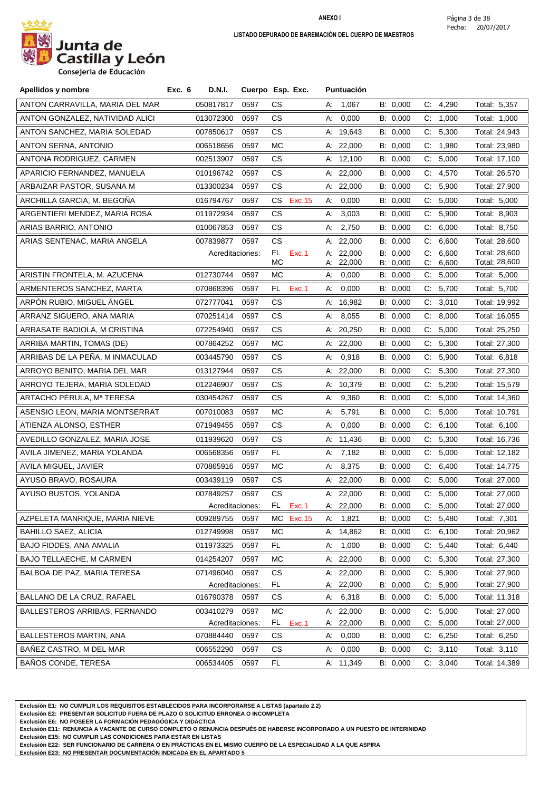

**Consejeria de Educación**

| Apellidos y nombre              | Exc. 6 | D.N.I.          | Cuerpo Esp. Exc. |           |           |    | <b>Puntuación</b> |          |              |          |               |
|---------------------------------|--------|-----------------|------------------|-----------|-----------|----|-------------------|----------|--------------|----------|---------------|
| ANTON CARRAVILLA, MARIA DEL MAR |        | 050817817       | 0597             | CS.       |           |    | A: 1,067          | B: 0,000 |              | C: 4,290 | Total: 5,357  |
| ANTON GONZALEZ, NATIVIDAD ALICI |        | 013072300       | 0597             | CS.       |           | А: | 0,000             | B: 0,000 |              | C: 1,000 | Total: 1,000  |
| ANTON SANCHEZ, MARIA SOLEDAD    |        | 007850617       | 0597             | CS.       |           |    | A: 19,643         | B: 0,000 |              | C: 5,300 | Total: 24,943 |
| ANTON SERNA, ANTONIO            |        | 006518656       | 0597             | МC        |           |    | A: $22,000$       | B: 0,000 |              | C: 1,980 | Total: 23,980 |
| ANTONA RODRIGUEZ, CARMEN        |        | 002513907       | 0597             | CS        |           |    | A: 12,100         | B: 0,000 | C.           | 5,000    | Total: 17,100 |
| APARICIO FERNANDEZ, MANUELA     |        | 010196742       | 0597             | CS.       |           |    | A: 22,000         | B: 0,000 | C.           | 4,570    | Total: 26,570 |
| ARBAIZAR PASTOR, SUSANA M       |        | 013300234       | 0597             | CS.       |           |    | A: 22,000         | B: 0,000 | C.           | 5,900    | Total: 27,900 |
| ARCHILLA GARCIA, M. BEGOÑA      |        | 016794767       | 0597             | CS.       | Exc. 15   | А. | 0,000             | B: 0,000 |              | C: 5,000 | Total: 5,000  |
| ARGENTIERI MENDEZ, MARIA ROSA   |        | 011972934       | 0597             | CS.       |           | А. | 3,003             | B: 0,000 | C:           | 5,900    | Total: 8,903  |
| ARIAS BARRIO, ANTONIO           |        | 010067853       | 0597             | CS.       |           | A: | 2,750             | B: 0,000 |              | C: 6,000 | Total: 8,750  |
| ARIAS SENTENAC, MARIA ANGELA    |        | 007839877 0597  |                  | CS.       |           |    | A: 22,000         | B: 0,000 |              | C: 6,600 | Total: 28,600 |
|                                 |        | Acreditaciones: |                  | FL.       | Exc.1     |    | A: $22,000$       | B: 0,000 | C:           | 6,600    | Total: 28,600 |
|                                 |        |                 |                  | <b>MC</b> |           |    | A: 22,000         | B: 0,000 | C.           | 6,600    | Total: 28,600 |
| ARISTIN FRONTELA, M. AZUCENA    |        | 012730744       | 0597             | МC        |           |    | A: 0,000          | B: 0,000 |              | C: 5,000 | Total: 5,000  |
| ARMENTEROS SANCHEZ, MARTA       |        | 070868396       | 0597             | FL.       | Exc.1     | А. | 0,000             | B: 0,000 | C.           | 5,700    | Total: 5,700  |
| ARPON RUBIO, MIGUEL ANGEL       |        | 072777041       | 0597             | CS.       |           |    | A: 16,982         | B: 0,000 | C.           | 3,010    | Total: 19,992 |
| ARRANZ SIGUERO, ANA MARIA       |        | 070251414       | 0597             | CS.       |           | А: | 8,055             | B: 0,000 | $\mathsf{C}$ | 8,000    | Total: 16,055 |
| ARRASATE BADIOLA, M CRISTINA    |        | 072254940       | 0597             | CS.       |           |    | A: 20,250         | B: 0,000 |              | C: 5,000 | Total: 25,250 |
| ARRIBA MARTIN, TOMAS (DE)       |        | 007864252       | 0597             | МC        |           |    | A: 22,000         | B: 0,000 | C.           | 5,300    | Total: 27,300 |
| ARRIBAS DE LA PEÑA, M INMACULAD |        | 003445790       | 0597             | CS        |           | А: | 0,918             | B: 0,000 |              | C: 5,900 | Total: 6,818  |
| ARROYO BENITO, MARIA DEL MAR    |        | 013127944       | 0597             | CS.       |           |    | A: $22,000$       | B: 0,000 |              | C: 5,300 | Total: 27,300 |
| ARROYO TEJERA, MARIA SOLEDAD    |        | 012246907       | 0597             | CS.       |           |    | A: 10,379         | B: 0,000 | C:           | 5,200    | Total: 15,579 |
| ARTACHO PERULA, Mª TERESA       |        | 030454267       | 0597             | CS.       |           | A: | 9,360             | B: 0,000 |              | C: 5,000 | Total: 14,360 |
| ASENSIO LEON, MARIA MONTSERRAT  |        | 007010083       | 0597             | МC        |           | А: | 5,791             | B: 0,000 | $\mathsf{C}$ | 5,000    | Total: 10,791 |
| ATIENZA ALONSO, ESTHER          |        | 071949455       | 0597             | CS.       |           | А: | 0,000             | B: 0,000 |              | C: 6,100 | Total: 6,100  |
| AVEDILLO GONZALEZ, MARIA JOSE   |        | 011939620       | 0597             | CS.       |           |    | A: 11,436         | B: 0,000 | C:           | 5,300    | Total: 16,736 |
| ÁVILA JIMENEZ, MARÍA YOLANDA    |        | 006568356       | 0597             | FL.       |           |    | A: $7,182$        | B: 0,000 |              | C: 5,000 | Total: 12,182 |
| AVILA MIGUEL, JAVIER            |        | 070865916       | 0597             | МC        |           |    | A: 8,375          | B: 0,000 | C.           | 6,400    | Total: 14,775 |
| AYUSO BRAVO, ROSAURA            |        | 003439119       | 0597             | CS.       |           |    | A: 22,000         | B: 0,000 | C.           | 5,000    | Total: 27,000 |
| AYUSO BUSTOS, YOLANDA           |        | 007849257       | 0597             | CS.       |           |    | A: 22,000         | B: 0,000 |              | C: 5,000 | Total: 27,000 |
|                                 |        |                 | Acreditaciones:  |           | FL Exc.1  |    | A: 22,000         | B: 0,000 |              | C: 5,000 | Total: 27,000 |
| AZPELETA MANRIQUE, MARIA NIEVE  |        | 009289755       | 0597             |           | MC Exc.15 |    | A: 1,821          | B: 0,000 |              | C: 5,480 | Total: 7,301  |
| <b>BAHILLO SAEZ, ALICIA</b>     |        | 012749998       | 0597             | <b>MC</b> |           |    | A: 14,862         | B: 0,000 |              | C: 6,100 | Total: 20,962 |
| BAJO FIDDES, ANA AMALIA         |        | 011973325       | 0597             | FL.       |           |    | A: 1,000          | B: 0,000 |              | C: 5,440 | Total: 6,440  |
| BAJO TELLAECHE, M CARMEN        |        | 014254207       | 0597             | <b>MC</b> |           |    | A: 22,000         | B: 0,000 | C.           | 5,300    | Total: 27,300 |
| BALBOA DE PAZ, MARIA TERESA     |        | 071496040       | 0597             | CS        |           |    | A: 22,000         | B: 0,000 | C.           | 5,900    | Total: 27,900 |
|                                 |        | Acreditaciones: |                  | FL        |           |    | A: 22,000         | B: 0,000 | C:           | 5,900    | Total: 27,900 |
| BALLANO DE LA CRUZ, RAFAEL      |        | 016790378       | 0597             | CS        |           |    | A: 6,318          | B: 0,000 |              | C: 5,000 | Total: 11,318 |
| BALLESTEROS ARRIBAS, FERNANDO   |        | 003410279       | 0597             | <b>MC</b> |           |    | A: 22,000         | B: 0,000 | C.           | 5,000    | Total: 27,000 |
|                                 |        | Acreditaciones: |                  | FL.       | Exc.1     |    | A: 22,000         | B: 0,000 |              | C: 5,000 | Total: 27,000 |
| BALLESTEROS MARTIN, ANA         |        | 070884440       | 0597             | CS.       |           | A. | 0,000             | B: 0,000 |              | C: 6,250 | Total: 6,250  |
| BAÑEZ CASTRO, M DEL MAR         |        | 006552290       | 0597             | CS        |           | А. | 0,000             | B: 0,000 | C.           | 3,110    | Total: 3,110  |
| <b>BAÑOS CONDE, TERESA</b>      |        | 006534405       | 0597             | FL        |           |    | A: 11,349         | B: 0,000 |              | C: 3,040 | Total: 14,389 |

**Exclusión E1: NO CUMPLIR LOS REQUISITOS ESTABLECIDOS PARA INCORPORARSE A LISTAS (apartado 2.2)**

**Exclusión E2: PRESENTAR SOLICITUD FUERA DE PLAZO O SOLICITUD ERRONEA O INCOMPLETA**

**Exclusión E6: NO POSEER LA FORMACIÓN PEDAGÓGICA Y DIDÁCTICA**

**Exclusión E11: RENUNCIA A VACANTE DE CURSO COMPLETO O RENUNCIA DESPUÉS DE HABERSE INCORPORADO A UN PUESTO DE INTERINIDAD**

**Exclusión E15: NO CUMPLIR LAS CONDICIONES PARA ESTAR EN LISTAS**

**Exclusión E22: SER FUNCIONARIO DE CARRERA O EN PRÁCTICAS EN EL MISMO CUERPO DE LA ESPECIALIDAD A LA QUE ASPIRA**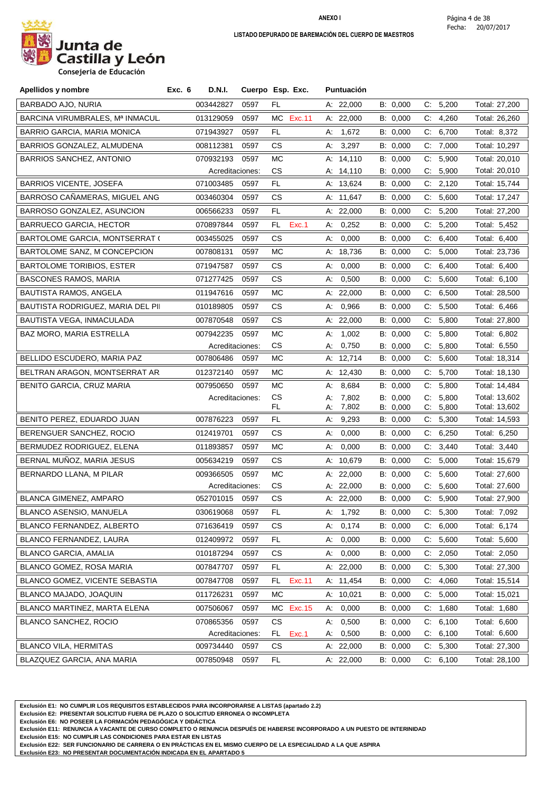

| Apellidos y nombre                    | <b>D.N.I.</b><br>Exc. 6      |      | Cuerpo Esp. Exc.     | <b>Puntuación</b>          |                      |                            |                                |
|---------------------------------------|------------------------------|------|----------------------|----------------------------|----------------------|----------------------------|--------------------------------|
| BARBADO AJO, NURIA                    | 003442827                    | 0597 | FL                   | A: 22,000                  | B: 0,000             | 5,200<br>$\mathsf{C}$      | Total: 27,200                  |
| BARCINA VIRUMBRALES, Mª INMACUL       | 013129059                    | 0597 | МC<br>Exc.11         | A: 22,000                  | B: 0,000             | C.<br>4,260                | Total: 26,260                  |
| BARRIO GARCIA, MARIA MONICA           | 071943927                    | 0597 | FL                   | 1,672<br>А:                | B: 0,000             | $C_{\cdot}$<br>6,700       | Total: 8,372                   |
| BARRIOS GONZALEZ, ALMUDENA            | 008112381                    | 0597 | CS.                  | A: 3,297                   | B: 0,000             | C: 7,000                   | Total: 10,297                  |
| <b>BARRIOS SANCHEZ, ANTONIO</b>       | 070932193                    | 0597 | МC                   | A: 14,110                  | B: 0,000             | 5,900<br>C:                | Total: 20,010                  |
|                                       | Acreditaciones:              |      | СS                   | A: 14,110                  | B: 0,000             | C.<br>5,900                | Total: 20,010                  |
| <b>BARRIOS VICENTE, JOSEFA</b>        | 071003485                    | 0597 | FL                   | A: 13,624                  | B: 0,000             | C: 2,120                   | Total: 15,744                  |
| BARROSO CAÑAMERAS, MIGUEL ANG         | 003460304                    | 0597 | CS.                  | A: 11,647                  | B: 0,000             | 5,600<br>C.                | Total: 17,247                  |
| BARROSO GONZALEZ, ASUNCION            | 006566233                    | 0597 | FL                   | A: $22,000$                | B: 0,000             | $C$ :<br>5,200             | Total: 27,200                  |
| <b>BARRUECO GARCIA, HECTOR</b>        | 070897844                    | 0597 | Exc.1<br>FL.         | A: 0,252                   | B: 0,000             | C: 5,200                   | Total: 5,452                   |
| <b>BARTOLOME GARCIA, MONTSERRAT (</b> | 003455025                    | 0597 | СS                   | 0,000<br>А:                | B: 0,000             | 6,400<br>C.                | Total: 6,400                   |
| BARTOLOME SANZ, M CONCEPCION          | 007808131                    | 0597 | МC                   | A: 18,736                  | B: 0,000             | C: 5,000                   | Total: 23,736                  |
| <b>BARTOLOME TORIBIOS, ESTER</b>      | 071947587                    | 0597 | CS.                  | 0,000<br>А:                | B: 0,000             | 6,400<br>C.                | Total: 6,400                   |
| <b>BASCONES RAMOS, MARIA</b>          | 071277425                    | 0597 | CS                   | 0,500<br>А:                | B: 0,000             | 5,600<br>C:                | Total: 6,100                   |
| <b>BAUTISTA RAMOS, ANGELA</b>         | 011947616                    | 0597 | МC                   | A: 22,000                  | B: 0,000             | 6,500<br>C.                | Total: 28,500                  |
| BAUTISTA RODRIGUEZ, MARIA DEL PII     | 010189805                    | 0597 | CS.                  | 0,966<br>A:                | B: 0,000             | 5,500<br>C.                | Total: 6,466                   |
| BAUTISTA VEGA, INMACULADA             | 007870548                    | 0597 | CS.                  | A: 22,000                  | B: 0,000             | C: 5,800                   | Total: 27,800                  |
| BAZ MORO, MARIA ESTRELLA              | 007942235                    | 0597 | МC                   | 1,002<br>А:                | B: 0,000             | 5,800<br>C:                | Total: 6,802                   |
|                                       | Acreditaciones:              |      | СS                   | 0,750<br>А:                | B: 0,000             | C:<br>5,800                | Total: 6,550                   |
| BELLIDO ESCUDERO, MARIA PAZ           | 007806486                    | 0597 | МC                   | A: 12,714                  | B: 0,000             | C: 5,600                   | Total: 18,314                  |
| BELTRAN ARAGON, MONTSERRAT AR.        | 012372140                    | 0597 | МC                   | A: 12,430                  | B: 0,000             | C: 5,700                   | Total: 18,130                  |
| BENITO GARCIA, CRUZ MARIA             | 007950650                    | 0597 | МC                   | 8,684<br>А:                | B: 0,000             | 5,800<br>$C_{\cdot}$       | Total: 14,484                  |
|                                       | Acreditaciones:              |      | СS                   | 7,802<br>А:                | B: 0,000             | 5,800<br>C.                | Total: 13,602                  |
| BENITO PEREZ, EDUARDO JUAN            | 007876223                    | 0597 | FL.<br>FL            | 7,802<br>А.<br>9,293<br>А. | B: 0,000<br>B: 0,000 | 5,800<br>C.<br>5,300<br>C. | Total: 13,602<br>Total: 14,593 |
| BERENGUER SANCHEZ, ROCIO              | 012419701                    | 0597 | CS.                  | 0,000<br>А.                | B: 0,000             | C: 6,250                   | Total: 6,250                   |
| BERMUDEZ RODRIGUEZ, ELENA             | 011893857                    | 0597 | МC                   | 0,000<br>А:                | B: 0,000             | $\mathsf{C}$<br>3,440      | Total: 3,440                   |
| BERNAL MUÑOZ, MARIA JESUS             |                              | 0597 | CS.                  | A: 10,679                  |                      | C: 5.000                   |                                |
|                                       | 005634219                    |      |                      |                            | B: 0,000             |                            | Total: 15,679                  |
| BERNARDO LLANA, M PILAR               | 009366505<br>Acreditaciones: | 0597 | МC<br>CS.            | A: 22,000<br>A: 22,000     | B: 0,000<br>B: 0,000 | C: 5,600<br>5,600<br>C.    | Total: 27,600<br>Total: 27,600 |
| BLANCA GIMENEZ, AMPARO                | 052701015                    | 0597 | <b>CS</b>            | A: 22,000                  | B: 0,000             | C: 5,900                   | Total: 27,900                  |
| BLANCO ASENSIO, MANUELA               | 030619068                    | 0597 | FL.                  | A: 1,792                   | B: 0,000             | C: 5,300                   | Total: 7,092                   |
| BLANCO FERNANDEZ, ALBERTO             | 071636419                    | 0597 | CS                   | 0,174<br>А.                | B: 0,000             | 6,000<br>C:                | Total: 6,174                   |
| BLANCO FERNANDEZ, LAURA               | 012409972                    | 0597 | FL                   | 0,000<br>А.                | B: 0,000             | C: 5,600                   | Total: 5,600                   |
| <b>BLANCO GARCIA, AMALIA</b>          | 010187294                    | 0597 | СS                   | 0,000<br>А.                | B: 0,000             | 2,050<br>C.                | Total: 2,050                   |
| BLANCO GOMEZ, ROSA MARIA              | 007847707                    | 0597 | FL                   | A: 22,000                  | B: 0,000             | C: 5,300                   | Total: 27,300                  |
| BLANCO GOMEZ, VICENTE SEBASTIA        | 007847708                    | 0597 | Exc.11<br>FL.        | A: 11,454                  | B: 0,000             | 4,060<br>C.                | Total: 15,514                  |
| BLANCO MAJADO, JOAQUIN                | 011726231                    | 0597 | МC                   | A: 10,021                  | B: 0,000             | 5,000<br>C.                | Total: 15,021                  |
| <b>BLANCO MARTINEZ, MARTA ELENA</b>   | 007506067                    | 0597 | <b>Exc.15</b><br>MC. | 0,000<br>A:                | B: 0,000             | C: 1,680                   | Total: 1,680                   |
| <b>BLANCO SANCHEZ, ROCIO</b>          | 070865356                    | 0597 | CS                   | 0,500<br>А:                | B: 0,000             | 6,100<br>C:                | Total: 6,600                   |
|                                       | Acreditaciones:              |      | FL<br>Exc.1          | 0,500<br>А.                | B: 0,000             | 6,100<br>C.                | Total: 6,600                   |
| <b>BLANCO VILA, HERMITAS</b>          | 009734440                    | 0597 | СS                   | A: 22,000                  | B: 0,000             | C: 5,300                   | Total: 27,300                  |
| BLAZQUEZ GARCIA, ANA MARIA            | 007850948                    | 0597 | FL                   | A: 22,000                  | B: 0,000             | C: 6,100                   | Total: 28,100                  |

**Exclusión E1: NO CUMPLIR LOS REQUISITOS ESTABLECIDOS PARA INCORPORARSE A LISTAS (apartado 2.2)**

**Exclusión E2: PRESENTAR SOLICITUD FUERA DE PLAZO O SOLICITUD ERRONEA O INCOMPLETA**

**Exclusión E6: NO POSEER LA FORMACIÓN PEDAGÓGICA Y DIDÁCTICA**

**Exclusión E11: RENUNCIA A VACANTE DE CURSO COMPLETO O RENUNCIA DESPUÉS DE HABERSE INCORPORADO A UN PUESTO DE INTERINIDAD**

**Exclusión E15: NO CUMPLIR LAS CONDICIONES PARA ESTAR EN LISTAS**

**Exclusión E22: SER FUNCIONARIO DE CARRERA O EN PRÁCTICAS EN EL MISMO CUERPO DE LA ESPECIALIDAD A LA QUE ASPIRA**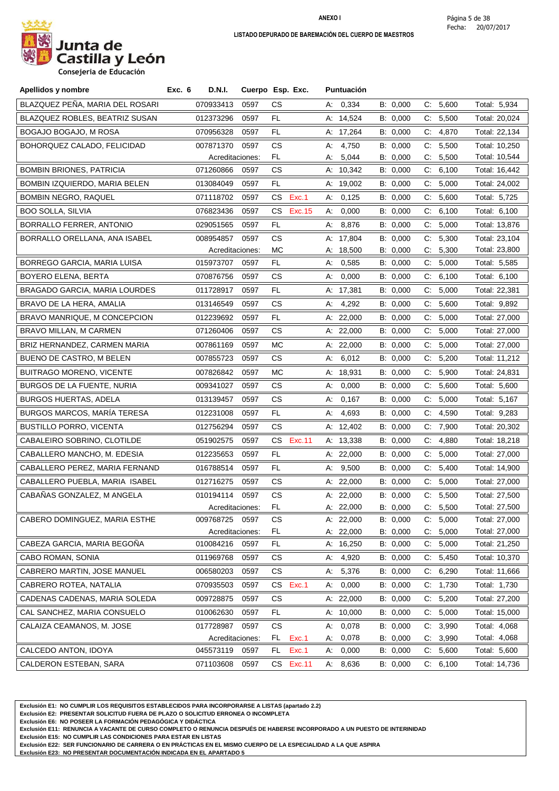

| Apellidos y nombre                    | Exc. 6 | <b>D.N.I.</b>   | Cuerpo Esp. Exc. |     |         |    | Puntuación  |          |       |          |               |
|---------------------------------------|--------|-----------------|------------------|-----|---------|----|-------------|----------|-------|----------|---------------|
| BLAZQUEZ PEÑA, MARIA DEL ROSARI       |        | 070933413       | 0597             | CS. |         |    | A: 0,334    | B: 0,000 |       | C: 5,600 | Total: 5,934  |
| <b>BLAZQUEZ ROBLES, BEATRIZ SUSAN</b> |        | 012373296       | 0597             | FL  |         |    | A: 14,524   | B: 0,000 |       | C: 5,500 | Total: 20,024 |
| BOGAJO BOGAJO, M ROSA                 |        | 070956328       | 0597             | FL. |         |    | A: 17,264   | B: 0,000 |       | C: 4,870 | Total: 22,134 |
| BOHORQUEZ CALADO, FELICIDAD           |        | 007871370       | 0597             | CS. |         | А: | 4,750       | B: 0,000 |       | C: 5,500 | Total: 10,250 |
|                                       |        | Acreditaciones: |                  | FL. |         | А. | 5,044       | B: 0,000 | C.    | 5,500    | Total: 10,544 |
| <b>BOMBIN BRIONES, PATRICIA</b>       |        | 071260866       | 0597             | СS  |         |    | A: 10,342   | B: 0,000 | C.    | 6,100    | Total: 16,442 |
| BOMBIN IZQUIERDO, MARIA BELEN         |        | 013084049       | 0597             | FL. |         |    | A: 19,002   | B: 0,000 |       | C: 5,000 | Total: 24,002 |
| <b>BOMBIN NEGRO, RAQUEL</b>           |        | 071118702       | 0597             | CS  | Exc.1   | А: | 0,125       | B: 0,000 | C:    | 5,600    | Total: 5,725  |
| <b>BOO SOLLA, SILVIA</b>              |        | 076823436       | 0597             | CS  | Exc. 15 | А. | 0,000       | B: 0,000 |       | C: 6,100 | Total: 6,100  |
| BORRALLO FERRER, ANTONIO              |        | 029051565       | 0597             | FL. |         | A: | 8,876       | B: 0,000 |       | C: 5,000 | Total: 13,876 |
| BORRALLO ORELLANA, ANA ISABEL         |        | 008954857       | 0597             | CS  |         |    | A: 17,804   | B: 0,000 |       | C: 5,300 | Total: 23,104 |
|                                       |        | Acreditaciones: |                  | MC  |         |    | A: 18,500   | B: 0,000 |       | C: 5,300 | Total: 23,800 |
| BORREGO GARCIA, MARIA LUISA           |        | 015973707       | 0597             | FL. |         | А: | 0,585       | B: 0,000 |       | C: 5,000 | Total: 5,585  |
| <b>BOYERO ELENA, BERTA</b>            |        | 070876756       | 0597             | CS. |         | А: | 0,000       | B: 0,000 | C:    | 6,100    | Total: 6,100  |
| BRAGADO GARCIA, MARIA LOURDES         |        | 011728917       | 0597             | FL. |         |    | A: 17,381   | B: 0,000 |       | C: 5,000 | Total: 22,381 |
| BRAVO DE LA HERA, AMALIA              |        | 013146549       | 0597             | CS. |         | А: | 4,292       | B: 0,000 | C.    | 5,600    | Total: 9,892  |
| BRAVO MANRIQUE, M CONCEPCION          |        | 012239692       | 0597             | FL. |         |    | A: $22,000$ | B: 0,000 |       | C: 5,000 | Total: 27,000 |
| BRAVO MILLAN, M CARMEN                |        | 071260406       | 0597             | CS. |         |    | A: $22,000$ | B: 0,000 |       | C: 5,000 | Total: 27,000 |
| BRIZ HERNANDEZ, CARMEN MARIA          |        | 007861169       | 0597             | МC  |         |    | A: 22,000   | B: 0,000 | C:    | 5,000    | Total: 27,000 |
| <b>BUENO DE CASTRO, M BELEN</b>       |        | 007855723       | 0597             | CS. |         | А. | 6,012       | B: 0,000 | C.    | 5,200    | Total: 11,212 |
| <b>BUITRAGO MORENO, VICENTE</b>       |        | 007826842       | 0597             | МC  |         |    | A: 18,931   | B: 0,000 | $C$ . | 5,900    | Total: 24,831 |
| BURGOS DE LA FUENTE, NURIA            |        | 009341027       | 0597             | CS. |         | А. | 0,000       | B: 0,000 |       | C: 5,600 | Total: 5,600  |
| <b>BURGOS HUERTAS, ADELA</b>          |        | 013139457       | 0597             | CS. |         | А. | 0,167       | B: 0,000 | C:    | 5,000    | Total: 5,167  |
| <b>BURGOS MARCOS, MARÍA TERESA</b>    |        | 012231008       | 0597             | FL. |         | А: | 4,693       | B: 0,000 | C:    | 4,590    | Total: 9,283  |
| <b>BUSTILLO PORRO, VICENTA</b>        |        | 012756294       | 0597             | CS. |         |    | A: 12,402   | B: 0,000 |       | C: 7,900 | Total: 20,302 |
| CABALEIRO SOBRINO, CLOTILDE           |        | 051902575       | 0597             | CS  | Exc.11  |    | A: 13,338   | B: 0,000 | C:    | 4,880    | Total: 18,218 |
| CABALLERO MANCHO, M. EDESIA           |        | 012235653       | 0597             | FL. |         |    | A: $22,000$ | B: 0,000 | C:    | 5,000    | Total: 27,000 |
| CABALLERO PEREZ, MARIA FERNAND        |        | 016788514       | 0597             | FL  |         | А. | 9,500       | B: 0,000 | C:    | 5,400    | Total: 14,900 |
| CABALLERO PUEBLA, MARIA ISABEL        |        | 012716275       | 0597             | CS. |         |    | A: 22,000   | B: 0,000 |       | C: 5,000 | Total: 27,000 |
| CABAÑAS GONZALEZ, M ANGELA            |        | 010194114       | 0597             | CS. |         |    | A: 22,000   | B: 0,000 |       | C: 5,500 | Total: 27,500 |
|                                       |        | Acreditaciones: |                  | FL  |         |    | A: 22,000   | B: 0,000 |       | C: 5,500 | Total: 27,500 |
| CABERO DOMINGUEZ, MARIA ESTHE         |        | 009768725 0597  |                  | СS  |         |    | A: $22,000$ | B: 0,000 |       | C: 5,000 | Total: 27,000 |
|                                       |        | Acreditaciones: |                  | FL. |         |    | A: 22,000   | B: 0,000 |       | C: 5,000 | Total: 27,000 |
| CABEZA GARCIA, MARIA BEGOÑA           |        | 010084216       | 0597             | FL. |         |    | A: 16,250   | B: 0,000 |       | C: 5,000 | Total: 21,250 |
| CABO ROMAN, SONIA                     |        | 011969768       | 0597             | CS. |         | А. | 4,920       | B: 0,000 |       | C: 5,450 | Total: 10,370 |
| CABRERO MARTIN, JOSE MANUEL           |        | 006580203       | 0597             | CS. |         |    | A: 5,376    | B: 0,000 |       | C: 6,290 | Total: 11,666 |
| CABRERO ROTEA, NATALIA                |        | 070935503       | 0597             | CS. | Exc.1   |    | A: 0,000    | B: 0,000 |       | C: 1,730 | Total: 1,730  |
| CADENAS CADENAS, MARIA SOLEDA         |        | 009728875       | 0597             | CS. |         |    | A: 22,000   | B: 0,000 |       | C: 5,200 | Total: 27,200 |
| CAL SANCHEZ, MARIA CONSUELO           |        | 010062630       | 0597             | FL. |         |    | A: 10,000   | B: 0,000 |       | C: 5,000 | Total: 15,000 |
| CALAIZA CEAMANOS, M. JOSE             |        | 017728987       | 0597             | CS. |         | А: | 0,078       | B: 0,000 | C:    | 3,990    | Total: 4,068  |
|                                       |        | Acreditaciones: |                  | FL. | Exc.1   | А. | 0,078       | B: 0,000 |       | C: 3,990 | Total: 4,068  |
| CALCEDO ANTON, IDOYA                  |        | 045573119       | 0597             | FL. | Exc.1   | A: | 0,000       | B: 0,000 |       | C: 5,600 | Total: 5,600  |
| CALDERON ESTEBAN, SARA                |        | 071103608       | 0597             | CS. | Exc.11  |    | A: 8,636    | B: 0,000 |       | C: 6,100 | Total: 14,736 |

**Exclusión E1: NO CUMPLIR LOS REQUISITOS ESTABLECIDOS PARA INCORPORARSE A LISTAS (apartado 2.2)**

**Exclusión E2: PRESENTAR SOLICITUD FUERA DE PLAZO O SOLICITUD ERRONEA O INCOMPLETA**

**Exclusión E6: NO POSEER LA FORMACIÓN PEDAGÓGICA Y DIDÁCTICA**

**Exclusión E11: RENUNCIA A VACANTE DE CURSO COMPLETO O RENUNCIA DESPUÉS DE HABERSE INCORPORADO A UN PUESTO DE INTERINIDAD**

**Exclusión E15: NO CUMPLIR LAS CONDICIONES PARA ESTAR EN LISTAS**

**Exclusión E22: SER FUNCIONARIO DE CARRERA O EN PRÁCTICAS EN EL MISMO CUERPO DE LA ESPECIALIDAD A LA QUE ASPIRA**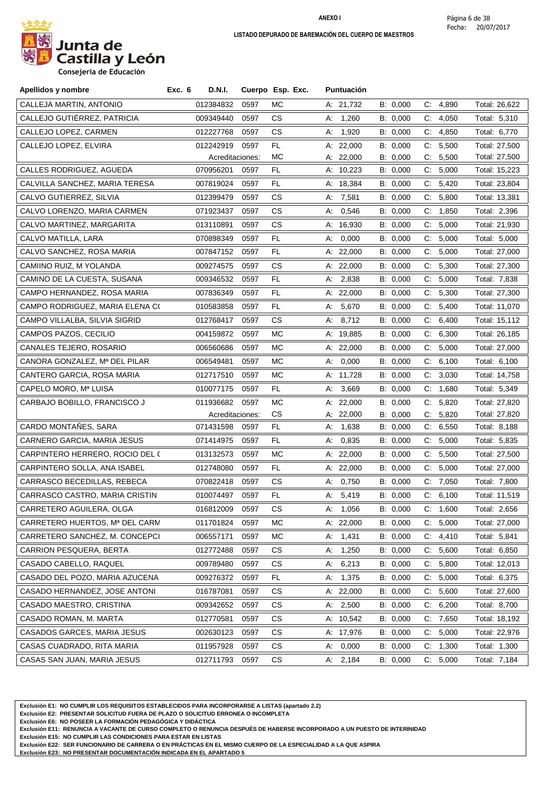

**Consejeria de Educación**

| Apellidos y nombre              | Exc. 6<br><b>D.N.I.</b> |                 | Cuerpo Esp. Exc. | <b>Puntuación</b> |          |                      |               |
|---------------------------------|-------------------------|-----------------|------------------|-------------------|----------|----------------------|---------------|
| CALLEJA MARTIN, ANTONIO         | 012384832               | 0597            | МC               | A: 21,732         | B: 0,000 | C: 4,890             | Total: 26,622 |
| CALLEJO GUTIÉRREZ, PATRICIA     | 009349440               | 0597            | CS.              | A: 1,260          | B: 0,000 | C:<br>4,050          | Total: 5,310  |
| CALLEJO LOPEZ, CARMEN           | 012227768               | 0597            | CS.              | 1,920<br>А.       | B: 0,000 | C: 4.850             | Total: 6,770  |
| CALLEJO LOPEZ, ELVIRA           | 012242919               | 0597            | FL               | A: 22,000         | B: 0,000 | C: 5,500             | Total: 27,500 |
|                                 |                         | Acreditaciones: | МC               | A: 22,000         | B: 0,000 | 5,500<br>C.          | Total: 27,500 |
| CALLES RODRIGUEZ, AGUEDA        | 070956201               | 0597            | FL               | A: 10,223         | B: 0,000 | C.<br>5,000          | Total: 15,223 |
| CALVILLA SANCHEZ, MARIA TERESA  | 007819024               | 0597            | FL.              | A: 18,384         | B: 0,000 | C: 5,420             | Total: 23,804 |
| CALVO GUTIERREZ, SILVIA         | 012399479               | 0597            | CS.              | A: 7,581          | B: 0,000 | C.<br>5,800          | Total: 13,381 |
| CALVO LORENZO, MARIA CARMEN     | 071923437               | 0597            | CS.              | 0,546<br>А.       | B: 0,000 | C: 1,850             | Total: 2,396  |
| CALVO MARTINEZ, MARGARITA       | 013110891               | 0597            | CS.              | A: 16,930         | B: 0,000 | 5,000<br>C:          | Total: 21,930 |
| CALVO MATILLA, LARA             | 070898349               | 0597            | FL               | А:<br>0,000       | B: 0,000 | C: 5,000             | Total: 5,000  |
| CALVO SANCHEZ, ROSA MARIA       | 007847152               | 0597            | FL.              | A: 22,000         | B: 0,000 | 5,000<br>C:          | Total: 27,000 |
| CAMIINO RUIZ, M YOLANDA         | 009274575               | 0597            | <b>CS</b>        | A: 22,000         | B: 0,000 | C.<br>5,300          | Total: 27,300 |
| CAMINO DE LA CUESTA, SUSANA     | 009346532               | 0597            | FL.              | A: 2,838          | B: 0,000 | C: 5,000             | Total: 7,838  |
| CAMPO HERNANDEZ, ROSA MARIA     | 007836349               | 0597            | FL               | A: 22,000         | B: 0,000 | C:<br>5,300          | Total: 27,300 |
| CAMPO RODRIGUEZ, MARIA ELENA CO | 010583858               | 0597            | FL               | A: 5,670          | B: 0,000 | C: 5,400             | Total: 11,070 |
| CAMPO VILLALBA, SILVIA SIGRID   | 012768417               | 0597            | CS.              | A: 8,712          | B: 0,000 | 6,400<br>C.          | Total: 15,112 |
| CAMPOS PAZOS, CECILIO           | 004159872               | 0597            | МC               | A: 19,885         | B: 0,000 | C: 6,300             | Total: 26,185 |
| CANALES TEJERO, ROSARIO         | 006560686               | 0597            | МC               | A: 22,000         | B: 0,000 | 5,000<br>C:          | Total: 27,000 |
| CANORA GONZALEZ, Mª DEL PILAR   | 006549481               | 0597            | МC               | 0,000<br>А:       | B: 0,000 | C.<br>6,100          | Total: 6,100  |
| CANTERO GARCIA, ROSA MARIA      | 012717510               | 0597            | МC               | A: 11,728         | B: 0,000 | C: 3,030             | Total: 14,758 |
| CAPELO MORO, Mª LUISA           | 010077175               | 0597            | FL               | A: 3,669          | B: 0,000 | C: 1,680             | Total: 5,349  |
| CARBAJO BOBILLO, FRANCISCO J    | 011936682               | 0597            | МC               | A: 22,000         | B: 0,000 | C: 5,820             | Total: 27,820 |
|                                 |                         | Acreditaciones: | CS.              | A: 22,000         | B: 0,000 | C: 5,820             | Total: 27,820 |
| CARDO MONTAÑES, SARA            | 071431598               | 0597            | FL               | A: 1,638          | B: 0,000 | C: 6,550             | Total: 8,188  |
| CARNERO GARCIA, MARIA JESUS     | 071414975               | 0597            | FL               | 0,835<br>А:       | B: 0,000 | C.<br>5,000          | Total: 5,835  |
| CARPINTERO HERRERO, ROCIO DEL ( | 013132573               | 0597            | МC               | A: $22,000$       | B: 0,000 | 5,500<br>C:          | Total: 27,500 |
| CARPINTERO SOLLA, ANA ISABEL    | 012748080               | 0597            | FL               | A: 22,000         | B: 0,000 | C:<br>5,000          | Total: 27,000 |
| CARRASCO BECEDILLAS, REBECA     | 070822418               | 0597            | CS.              | 0,750<br>А.       | B: 0,000 | C: 7,050             | Total: 7,800  |
| CARRASCO CASTRO, MARIA CRISTIN  | 010074497               | 0597            | FL               | A: 5,419          | B: 0,000 | C: 6,100             | Total: 11,519 |
| CARRETERO AGUILERA, OLGA        |                         | 016812009 0597  | CS               | A: 1,056          | B: 0,000 | C: 1,600             | Total: 2,656  |
| CARRETERO HUERTOS, Mª DEL CARM  | 011701824               | 0597            | МC               | A: 22,000         | B: 0,000 | 5,000<br>C.          | Total: 27,000 |
| CARRETERO SANCHEZ, M. CONCEPCI  | 006557171               | 0597            | МC               | 1,431<br>А.       | B: 0,000 | 4,410<br>C:          | Total: 5,841  |
| <b>CARRION PESQUERA, BERTA</b>  | 012772488               | 0597            | СS               | 1,250<br>А.       | B: 0,000 | 5,600<br>C.          | Total: 6,850  |
| CASADO CABELLO, RAQUEL          | 009789480               | 0597            | СS               | 6,213<br>А:       | B: 0,000 | 5,800<br>$C$ :       | Total: 12,013 |
| CASADO DEL POZO, MARIA AZUCENA  | 009276372               | 0597            | FL               | 1,375<br>А.       | B: 0,000 | C: 5,000             | Total: 6,375  |
| CASADO HERNANDEZ, JOSE ANTONI   | 016787081               | 0597            | СS               | A: $22,000$       | B: 0,000 | 5,600<br>C.          | Total: 27,600 |
| CASADO MAESTRO, CRISTINA        | 009342652               | 0597            | CS               | A: 2,500          | B: 0,000 | C: 6,200             | Total: 8,700  |
| CASADO ROMAN, M. MARTA          | 012770581               | 0597            | СS               | A: 10,542         | B: 0,000 | C: 7,650             | Total: 18,192 |
| CASADOS GARCES, MARIA JESUS     | 002630123               | 0597            | CS.              | A: 17,976         | B: 0,000 | 5,000<br>C.          | Total: 22,976 |
| CASAS CUADRADO, RITA MARIA      | 011957928               | 0597            | СS               | 0,000<br>А:       | B: 0,000 | 1,300<br>C.          | Total: 1,300  |
| CASAS SAN JUAN, MARIA JESUS     | 012711793               | 0597            | CS.              | 2,184<br>А.       | B: 0,000 | 5,000<br>$C_{\cdot}$ | Total: 7,184  |

**Exclusión E1: NO CUMPLIR LOS REQUISITOS ESTABLECIDOS PARA INCORPORARSE A LISTAS (apartado 2.2)**

**Exclusión E2: PRESENTAR SOLICITUD FUERA DE PLAZO O SOLICITUD ERRONEA O INCOMPLETA**

**Exclusión E6: NO POSEER LA FORMACIÓN PEDAGÓGICA Y DIDÁCTICA**

**Exclusión E11: RENUNCIA A VACANTE DE CURSO COMPLETO O RENUNCIA DESPUÉS DE HABERSE INCORPORADO A UN PUESTO DE INTERINIDAD**

**Exclusión E15: NO CUMPLIR LAS CONDICIONES PARA ESTAR EN LISTAS**

**Exclusión E22: SER FUNCIONARIO DE CARRERA O EN PRÁCTICAS EN EL MISMO CUERPO DE LA ESPECIALIDAD A LA QUE ASPIRA**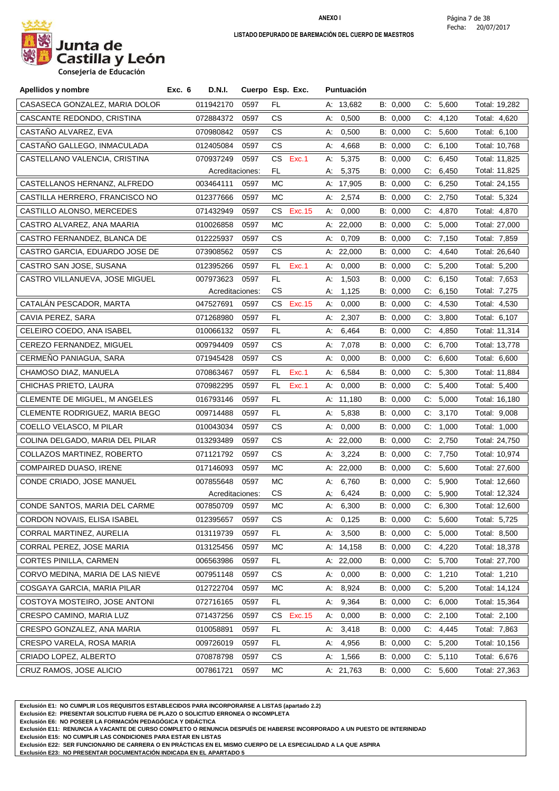

**Consejeria de Educación**

| CASASECA GONZALEZ, MARIA DOLOR<br>011942170<br>0597<br>FL<br>A: 13,682<br>B: 0,000<br>C: 5,600<br>Total: 19,282<br>CASCANTE REDONDO, CRISTINA<br>072884372<br>0597<br>CS.<br>0,500<br>B: 0,000<br>C:<br>4,120<br>Total: 4,620<br>А.<br>CASTAÑO ALVAREZ, EVA<br>0597<br>CS.<br>0,500<br>B: 0,000<br>C: 5,600<br>Total: 6,100<br>070980842<br>А.<br>CASTAÑO GALLEGO, INMACULADA<br>CS.<br>C: 6,100<br>012405084<br>0597<br>4,668<br>B: 0,000<br>Total: 10,768<br>A:<br>6,450<br>CASTELLANO VALENCIA, CRISTINA<br>070937249<br>0597<br>CS.<br>Exc.1<br>5,375<br>B: 0,000<br>C.<br>Total: 11,825<br>А.<br>5,375<br>FL.<br>6,450<br>Total: 11,825<br>Acreditaciones:<br>B: 0,000<br>C.<br>А.<br>CASTELLANOS HERNANZ, ALFREDO<br>C: 6,250<br>003464111<br>0597<br>МC<br>A: 17,905<br>B: 0,000<br>Total: 24,155<br>CASTILLA HERRERO, FRANCISCO NO<br>012377666<br>0597<br>МC<br>A: 2,574<br>C: 2,750<br>B: 0,000<br>Total: 5,324<br>CASTILLO ALONSO, MERCEDES<br>0597<br>CS Exc.15<br>0,000<br>B: 0,000<br>C: 4,870<br>071432949<br>А.<br>Total: 4,870<br>CASTRO ALVAREZ, ANA MAARIA<br>5,000<br>010026858<br>0597<br>МC<br>A: $22,000$<br>B: 0,000<br>C.<br>Total: 27,000<br>CASTRO FERNANDEZ, BLANCA DE<br>0597<br>CS.<br>0,709<br>B: 0,000<br>C: 7,150<br>012225937<br>А:<br>Total: 7,859<br>CASTRO GARCIA, EDUARDO JOSE DE<br>073908562<br>0597<br>CS.<br>A: $22,000$<br>B: 0,000<br>C.<br>4,640<br>Total: 26,640<br>CASTRO SAN JOSE, SUSANA<br>012395266<br>0597<br>FL<br>Exc.1<br>0,000<br>B: 0,000<br>5,200<br>Total: 5,200<br>А.<br>C.<br>6,150<br>FL<br>1,503<br>B: 0,000<br>C.<br>Total: 7,653<br>CASTRO VILLANUEVA, JOSE MIGUEL<br>007973623<br>0597<br>А:<br>CS<br>1,125<br>B: 0,000<br>6,150<br>Total: 7,275<br>Acreditaciones:<br>C.<br>А.<br>CATALÁN PESCADOR, MARTA<br>047527691<br>0597<br>CS.<br>Exc. 15<br>0,000<br>B: 0,000<br>C.<br>4,530<br>Total: 4,530<br>А.<br>FL<br>C: 3,800<br>CAVIA PEREZ, SARA<br>071268980<br>0597<br>2,307<br>B: 0,000<br>Total: 6,107<br>А.<br>CELEIRO COEDO, ANA ISABEL<br>010066132<br>0597<br>FL.<br>6,464<br>B: 0,000<br>C.<br>4,850<br>Total: 11,314<br>А.<br>CEREZO FERNANDEZ, MIGUEL<br>009794409<br>0597<br>CS.<br>7,078<br>B: 0,000<br>$C$ :<br>6,700<br>Total: 13,778<br>А.<br>CERMEÑO PANIAGUA, SARA<br>CS.<br>6,600<br>071945428<br>0597<br>0,000<br>B: 0,000<br>C:<br>Total: 6,600<br>А:<br>5,300<br>CHAMOSO DIAZ, MANUELA<br>070863467<br>FL<br>Exc.1<br>6,584<br>B: 0,000<br>C.<br>0597<br>А.<br>Total: 11,884<br>CHICHAS PRIETO, LAURA<br>0597<br>FL<br>Exc.1<br>0,000<br>C: 5,400<br>070982295<br>А.<br>B: 0,000<br>Total: 5,400<br>CLEMENTE DE MIGUEL, M ANGELES<br>5,000<br>016793146<br>0597<br>FL.<br>A: 11,180<br>B: 0,000<br>C:<br>Total: 16,180<br>C: 3,170<br>CLEMENTE RODRIGUEZ, MARIA BEGO<br>009714488<br>0597<br>FL.<br>A: 5,838<br>B: 0,000<br>Total: 9,008<br>COELLO VELASCO, M PILAR<br>010043034<br>0597<br>CS.<br>0,000<br>B: 0,000<br>C:<br>1,000<br>А:<br>Total: 1,000<br>COLINA DELGADO, MARIA DEL PILAR<br>013293489<br>0597<br>CS.<br>A: 22,000<br>B: 0,000<br>$C$ .<br>2,750<br>Total: 24,750<br>7,750<br>COLLAZOS MARTINEZ, ROBERTO<br>071121792<br>0597<br>CS.<br>A: 3,224<br>B: 0,000<br>C.<br>Total: 10,974<br>5,600<br>COMPAIRED DUASO, IRENE<br>017146093<br>0597<br>МC<br>A: 22,000<br>B: 0,000<br>C:<br>Total: 27,600<br>C: 5,900<br>CONDE CRIADO, JOSE MANUEL<br>007855648<br>МC<br>6,760<br>B: 0,000<br>0597<br>А:<br>Total: 12,660<br>CS.<br>Total: 12,324<br>Acreditaciones:<br>6,424<br>B: 0,000<br>C: 5,900<br>А:<br>CONDE SANTOS, MARIA DEL CARME<br>007850709 0597<br>MC.<br>6,300<br>B: 0,000<br>C: 6,300<br>А.<br>Total: 12,600<br>CORDON NOVAIS, ELISA ISABEL<br>012395657<br>0597<br>СS<br>A: 0,125<br>B: 0,000<br>C: 5,600<br>Total: 5,725 |
|--------------------------------------------------------------------------------------------------------------------------------------------------------------------------------------------------------------------------------------------------------------------------------------------------------------------------------------------------------------------------------------------------------------------------------------------------------------------------------------------------------------------------------------------------------------------------------------------------------------------------------------------------------------------------------------------------------------------------------------------------------------------------------------------------------------------------------------------------------------------------------------------------------------------------------------------------------------------------------------------------------------------------------------------------------------------------------------------------------------------------------------------------------------------------------------------------------------------------------------------------------------------------------------------------------------------------------------------------------------------------------------------------------------------------------------------------------------------------------------------------------------------------------------------------------------------------------------------------------------------------------------------------------------------------------------------------------------------------------------------------------------------------------------------------------------------------------------------------------------------------------------------------------------------------------------------------------------------------------------------------------------------------------------------------------------------------------------------------------------------------------------------------------------------------------------------------------------------------------------------------------------------------------------------------------------------------------------------------------------------------------------------------------------------------------------------------------------------------------------------------------------------------------------------------------------------------------------------------------------------------------------------------------------------------------------------------------------------------------------------------------------------------------------------------------------------------------------------------------------------------------------------------------------------------------------------------------------------------------------------------------------------------------------------------------------------------------------------------------------------------------------------------------------------------------------------------------------------------------------------------------------------------------------------------------------------------------------------------------------------------------------------------------------------------------------------------------------------------------------------------------------------------------------------------------------------------------------------------------------------------------------------------------------------------------------------------------------------------------------------------|
|                                                                                                                                                                                                                                                                                                                                                                                                                                                                                                                                                                                                                                                                                                                                                                                                                                                                                                                                                                                                                                                                                                                                                                                                                                                                                                                                                                                                                                                                                                                                                                                                                                                                                                                                                                                                                                                                                                                                                                                                                                                                                                                                                                                                                                                                                                                                                                                                                                                                                                                                                                                                                                                                                                                                                                                                                                                                                                                                                                                                                                                                                                                                                                                                                                                                                                                                                                                                                                                                                                                                                                                                                                                                                                                                                  |
|                                                                                                                                                                                                                                                                                                                                                                                                                                                                                                                                                                                                                                                                                                                                                                                                                                                                                                                                                                                                                                                                                                                                                                                                                                                                                                                                                                                                                                                                                                                                                                                                                                                                                                                                                                                                                                                                                                                                                                                                                                                                                                                                                                                                                                                                                                                                                                                                                                                                                                                                                                                                                                                                                                                                                                                                                                                                                                                                                                                                                                                                                                                                                                                                                                                                                                                                                                                                                                                                                                                                                                                                                                                                                                                                                  |
|                                                                                                                                                                                                                                                                                                                                                                                                                                                                                                                                                                                                                                                                                                                                                                                                                                                                                                                                                                                                                                                                                                                                                                                                                                                                                                                                                                                                                                                                                                                                                                                                                                                                                                                                                                                                                                                                                                                                                                                                                                                                                                                                                                                                                                                                                                                                                                                                                                                                                                                                                                                                                                                                                                                                                                                                                                                                                                                                                                                                                                                                                                                                                                                                                                                                                                                                                                                                                                                                                                                                                                                                                                                                                                                                                  |
|                                                                                                                                                                                                                                                                                                                                                                                                                                                                                                                                                                                                                                                                                                                                                                                                                                                                                                                                                                                                                                                                                                                                                                                                                                                                                                                                                                                                                                                                                                                                                                                                                                                                                                                                                                                                                                                                                                                                                                                                                                                                                                                                                                                                                                                                                                                                                                                                                                                                                                                                                                                                                                                                                                                                                                                                                                                                                                                                                                                                                                                                                                                                                                                                                                                                                                                                                                                                                                                                                                                                                                                                                                                                                                                                                  |
|                                                                                                                                                                                                                                                                                                                                                                                                                                                                                                                                                                                                                                                                                                                                                                                                                                                                                                                                                                                                                                                                                                                                                                                                                                                                                                                                                                                                                                                                                                                                                                                                                                                                                                                                                                                                                                                                                                                                                                                                                                                                                                                                                                                                                                                                                                                                                                                                                                                                                                                                                                                                                                                                                                                                                                                                                                                                                                                                                                                                                                                                                                                                                                                                                                                                                                                                                                                                                                                                                                                                                                                                                                                                                                                                                  |
|                                                                                                                                                                                                                                                                                                                                                                                                                                                                                                                                                                                                                                                                                                                                                                                                                                                                                                                                                                                                                                                                                                                                                                                                                                                                                                                                                                                                                                                                                                                                                                                                                                                                                                                                                                                                                                                                                                                                                                                                                                                                                                                                                                                                                                                                                                                                                                                                                                                                                                                                                                                                                                                                                                                                                                                                                                                                                                                                                                                                                                                                                                                                                                                                                                                                                                                                                                                                                                                                                                                                                                                                                                                                                                                                                  |
|                                                                                                                                                                                                                                                                                                                                                                                                                                                                                                                                                                                                                                                                                                                                                                                                                                                                                                                                                                                                                                                                                                                                                                                                                                                                                                                                                                                                                                                                                                                                                                                                                                                                                                                                                                                                                                                                                                                                                                                                                                                                                                                                                                                                                                                                                                                                                                                                                                                                                                                                                                                                                                                                                                                                                                                                                                                                                                                                                                                                                                                                                                                                                                                                                                                                                                                                                                                                                                                                                                                                                                                                                                                                                                                                                  |
|                                                                                                                                                                                                                                                                                                                                                                                                                                                                                                                                                                                                                                                                                                                                                                                                                                                                                                                                                                                                                                                                                                                                                                                                                                                                                                                                                                                                                                                                                                                                                                                                                                                                                                                                                                                                                                                                                                                                                                                                                                                                                                                                                                                                                                                                                                                                                                                                                                                                                                                                                                                                                                                                                                                                                                                                                                                                                                                                                                                                                                                                                                                                                                                                                                                                                                                                                                                                                                                                                                                                                                                                                                                                                                                                                  |
|                                                                                                                                                                                                                                                                                                                                                                                                                                                                                                                                                                                                                                                                                                                                                                                                                                                                                                                                                                                                                                                                                                                                                                                                                                                                                                                                                                                                                                                                                                                                                                                                                                                                                                                                                                                                                                                                                                                                                                                                                                                                                                                                                                                                                                                                                                                                                                                                                                                                                                                                                                                                                                                                                                                                                                                                                                                                                                                                                                                                                                                                                                                                                                                                                                                                                                                                                                                                                                                                                                                                                                                                                                                                                                                                                  |
|                                                                                                                                                                                                                                                                                                                                                                                                                                                                                                                                                                                                                                                                                                                                                                                                                                                                                                                                                                                                                                                                                                                                                                                                                                                                                                                                                                                                                                                                                                                                                                                                                                                                                                                                                                                                                                                                                                                                                                                                                                                                                                                                                                                                                                                                                                                                                                                                                                                                                                                                                                                                                                                                                                                                                                                                                                                                                                                                                                                                                                                                                                                                                                                                                                                                                                                                                                                                                                                                                                                                                                                                                                                                                                                                                  |
|                                                                                                                                                                                                                                                                                                                                                                                                                                                                                                                                                                                                                                                                                                                                                                                                                                                                                                                                                                                                                                                                                                                                                                                                                                                                                                                                                                                                                                                                                                                                                                                                                                                                                                                                                                                                                                                                                                                                                                                                                                                                                                                                                                                                                                                                                                                                                                                                                                                                                                                                                                                                                                                                                                                                                                                                                                                                                                                                                                                                                                                                                                                                                                                                                                                                                                                                                                                                                                                                                                                                                                                                                                                                                                                                                  |
|                                                                                                                                                                                                                                                                                                                                                                                                                                                                                                                                                                                                                                                                                                                                                                                                                                                                                                                                                                                                                                                                                                                                                                                                                                                                                                                                                                                                                                                                                                                                                                                                                                                                                                                                                                                                                                                                                                                                                                                                                                                                                                                                                                                                                                                                                                                                                                                                                                                                                                                                                                                                                                                                                                                                                                                                                                                                                                                                                                                                                                                                                                                                                                                                                                                                                                                                                                                                                                                                                                                                                                                                                                                                                                                                                  |
|                                                                                                                                                                                                                                                                                                                                                                                                                                                                                                                                                                                                                                                                                                                                                                                                                                                                                                                                                                                                                                                                                                                                                                                                                                                                                                                                                                                                                                                                                                                                                                                                                                                                                                                                                                                                                                                                                                                                                                                                                                                                                                                                                                                                                                                                                                                                                                                                                                                                                                                                                                                                                                                                                                                                                                                                                                                                                                                                                                                                                                                                                                                                                                                                                                                                                                                                                                                                                                                                                                                                                                                                                                                                                                                                                  |
|                                                                                                                                                                                                                                                                                                                                                                                                                                                                                                                                                                                                                                                                                                                                                                                                                                                                                                                                                                                                                                                                                                                                                                                                                                                                                                                                                                                                                                                                                                                                                                                                                                                                                                                                                                                                                                                                                                                                                                                                                                                                                                                                                                                                                                                                                                                                                                                                                                                                                                                                                                                                                                                                                                                                                                                                                                                                                                                                                                                                                                                                                                                                                                                                                                                                                                                                                                                                                                                                                                                                                                                                                                                                                                                                                  |
|                                                                                                                                                                                                                                                                                                                                                                                                                                                                                                                                                                                                                                                                                                                                                                                                                                                                                                                                                                                                                                                                                                                                                                                                                                                                                                                                                                                                                                                                                                                                                                                                                                                                                                                                                                                                                                                                                                                                                                                                                                                                                                                                                                                                                                                                                                                                                                                                                                                                                                                                                                                                                                                                                                                                                                                                                                                                                                                                                                                                                                                                                                                                                                                                                                                                                                                                                                                                                                                                                                                                                                                                                                                                                                                                                  |
|                                                                                                                                                                                                                                                                                                                                                                                                                                                                                                                                                                                                                                                                                                                                                                                                                                                                                                                                                                                                                                                                                                                                                                                                                                                                                                                                                                                                                                                                                                                                                                                                                                                                                                                                                                                                                                                                                                                                                                                                                                                                                                                                                                                                                                                                                                                                                                                                                                                                                                                                                                                                                                                                                                                                                                                                                                                                                                                                                                                                                                                                                                                                                                                                                                                                                                                                                                                                                                                                                                                                                                                                                                                                                                                                                  |
|                                                                                                                                                                                                                                                                                                                                                                                                                                                                                                                                                                                                                                                                                                                                                                                                                                                                                                                                                                                                                                                                                                                                                                                                                                                                                                                                                                                                                                                                                                                                                                                                                                                                                                                                                                                                                                                                                                                                                                                                                                                                                                                                                                                                                                                                                                                                                                                                                                                                                                                                                                                                                                                                                                                                                                                                                                                                                                                                                                                                                                                                                                                                                                                                                                                                                                                                                                                                                                                                                                                                                                                                                                                                                                                                                  |
|                                                                                                                                                                                                                                                                                                                                                                                                                                                                                                                                                                                                                                                                                                                                                                                                                                                                                                                                                                                                                                                                                                                                                                                                                                                                                                                                                                                                                                                                                                                                                                                                                                                                                                                                                                                                                                                                                                                                                                                                                                                                                                                                                                                                                                                                                                                                                                                                                                                                                                                                                                                                                                                                                                                                                                                                                                                                                                                                                                                                                                                                                                                                                                                                                                                                                                                                                                                                                                                                                                                                                                                                                                                                                                                                                  |
|                                                                                                                                                                                                                                                                                                                                                                                                                                                                                                                                                                                                                                                                                                                                                                                                                                                                                                                                                                                                                                                                                                                                                                                                                                                                                                                                                                                                                                                                                                                                                                                                                                                                                                                                                                                                                                                                                                                                                                                                                                                                                                                                                                                                                                                                                                                                                                                                                                                                                                                                                                                                                                                                                                                                                                                                                                                                                                                                                                                                                                                                                                                                                                                                                                                                                                                                                                                                                                                                                                                                                                                                                                                                                                                                                  |
|                                                                                                                                                                                                                                                                                                                                                                                                                                                                                                                                                                                                                                                                                                                                                                                                                                                                                                                                                                                                                                                                                                                                                                                                                                                                                                                                                                                                                                                                                                                                                                                                                                                                                                                                                                                                                                                                                                                                                                                                                                                                                                                                                                                                                                                                                                                                                                                                                                                                                                                                                                                                                                                                                                                                                                                                                                                                                                                                                                                                                                                                                                                                                                                                                                                                                                                                                                                                                                                                                                                                                                                                                                                                                                                                                  |
|                                                                                                                                                                                                                                                                                                                                                                                                                                                                                                                                                                                                                                                                                                                                                                                                                                                                                                                                                                                                                                                                                                                                                                                                                                                                                                                                                                                                                                                                                                                                                                                                                                                                                                                                                                                                                                                                                                                                                                                                                                                                                                                                                                                                                                                                                                                                                                                                                                                                                                                                                                                                                                                                                                                                                                                                                                                                                                                                                                                                                                                                                                                                                                                                                                                                                                                                                                                                                                                                                                                                                                                                                                                                                                                                                  |
|                                                                                                                                                                                                                                                                                                                                                                                                                                                                                                                                                                                                                                                                                                                                                                                                                                                                                                                                                                                                                                                                                                                                                                                                                                                                                                                                                                                                                                                                                                                                                                                                                                                                                                                                                                                                                                                                                                                                                                                                                                                                                                                                                                                                                                                                                                                                                                                                                                                                                                                                                                                                                                                                                                                                                                                                                                                                                                                                                                                                                                                                                                                                                                                                                                                                                                                                                                                                                                                                                                                                                                                                                                                                                                                                                  |
|                                                                                                                                                                                                                                                                                                                                                                                                                                                                                                                                                                                                                                                                                                                                                                                                                                                                                                                                                                                                                                                                                                                                                                                                                                                                                                                                                                                                                                                                                                                                                                                                                                                                                                                                                                                                                                                                                                                                                                                                                                                                                                                                                                                                                                                                                                                                                                                                                                                                                                                                                                                                                                                                                                                                                                                                                                                                                                                                                                                                                                                                                                                                                                                                                                                                                                                                                                                                                                                                                                                                                                                                                                                                                                                                                  |
|                                                                                                                                                                                                                                                                                                                                                                                                                                                                                                                                                                                                                                                                                                                                                                                                                                                                                                                                                                                                                                                                                                                                                                                                                                                                                                                                                                                                                                                                                                                                                                                                                                                                                                                                                                                                                                                                                                                                                                                                                                                                                                                                                                                                                                                                                                                                                                                                                                                                                                                                                                                                                                                                                                                                                                                                                                                                                                                                                                                                                                                                                                                                                                                                                                                                                                                                                                                                                                                                                                                                                                                                                                                                                                                                                  |
|                                                                                                                                                                                                                                                                                                                                                                                                                                                                                                                                                                                                                                                                                                                                                                                                                                                                                                                                                                                                                                                                                                                                                                                                                                                                                                                                                                                                                                                                                                                                                                                                                                                                                                                                                                                                                                                                                                                                                                                                                                                                                                                                                                                                                                                                                                                                                                                                                                                                                                                                                                                                                                                                                                                                                                                                                                                                                                                                                                                                                                                                                                                                                                                                                                                                                                                                                                                                                                                                                                                                                                                                                                                                                                                                                  |
|                                                                                                                                                                                                                                                                                                                                                                                                                                                                                                                                                                                                                                                                                                                                                                                                                                                                                                                                                                                                                                                                                                                                                                                                                                                                                                                                                                                                                                                                                                                                                                                                                                                                                                                                                                                                                                                                                                                                                                                                                                                                                                                                                                                                                                                                                                                                                                                                                                                                                                                                                                                                                                                                                                                                                                                                                                                                                                                                                                                                                                                                                                                                                                                                                                                                                                                                                                                                                                                                                                                                                                                                                                                                                                                                                  |
|                                                                                                                                                                                                                                                                                                                                                                                                                                                                                                                                                                                                                                                                                                                                                                                                                                                                                                                                                                                                                                                                                                                                                                                                                                                                                                                                                                                                                                                                                                                                                                                                                                                                                                                                                                                                                                                                                                                                                                                                                                                                                                                                                                                                                                                                                                                                                                                                                                                                                                                                                                                                                                                                                                                                                                                                                                                                                                                                                                                                                                                                                                                                                                                                                                                                                                                                                                                                                                                                                                                                                                                                                                                                                                                                                  |
|                                                                                                                                                                                                                                                                                                                                                                                                                                                                                                                                                                                                                                                                                                                                                                                                                                                                                                                                                                                                                                                                                                                                                                                                                                                                                                                                                                                                                                                                                                                                                                                                                                                                                                                                                                                                                                                                                                                                                                                                                                                                                                                                                                                                                                                                                                                                                                                                                                                                                                                                                                                                                                                                                                                                                                                                                                                                                                                                                                                                                                                                                                                                                                                                                                                                                                                                                                                                                                                                                                                                                                                                                                                                                                                                                  |
|                                                                                                                                                                                                                                                                                                                                                                                                                                                                                                                                                                                                                                                                                                                                                                                                                                                                                                                                                                                                                                                                                                                                                                                                                                                                                                                                                                                                                                                                                                                                                                                                                                                                                                                                                                                                                                                                                                                                                                                                                                                                                                                                                                                                                                                                                                                                                                                                                                                                                                                                                                                                                                                                                                                                                                                                                                                                                                                                                                                                                                                                                                                                                                                                                                                                                                                                                                                                                                                                                                                                                                                                                                                                                                                                                  |
|                                                                                                                                                                                                                                                                                                                                                                                                                                                                                                                                                                                                                                                                                                                                                                                                                                                                                                                                                                                                                                                                                                                                                                                                                                                                                                                                                                                                                                                                                                                                                                                                                                                                                                                                                                                                                                                                                                                                                                                                                                                                                                                                                                                                                                                                                                                                                                                                                                                                                                                                                                                                                                                                                                                                                                                                                                                                                                                                                                                                                                                                                                                                                                                                                                                                                                                                                                                                                                                                                                                                                                                                                                                                                                                                                  |
|                                                                                                                                                                                                                                                                                                                                                                                                                                                                                                                                                                                                                                                                                                                                                                                                                                                                                                                                                                                                                                                                                                                                                                                                                                                                                                                                                                                                                                                                                                                                                                                                                                                                                                                                                                                                                                                                                                                                                                                                                                                                                                                                                                                                                                                                                                                                                                                                                                                                                                                                                                                                                                                                                                                                                                                                                                                                                                                                                                                                                                                                                                                                                                                                                                                                                                                                                                                                                                                                                                                                                                                                                                                                                                                                                  |
|                                                                                                                                                                                                                                                                                                                                                                                                                                                                                                                                                                                                                                                                                                                                                                                                                                                                                                                                                                                                                                                                                                                                                                                                                                                                                                                                                                                                                                                                                                                                                                                                                                                                                                                                                                                                                                                                                                                                                                                                                                                                                                                                                                                                                                                                                                                                                                                                                                                                                                                                                                                                                                                                                                                                                                                                                                                                                                                                                                                                                                                                                                                                                                                                                                                                                                                                                                                                                                                                                                                                                                                                                                                                                                                                                  |
| C: 5,000<br>CORRAL MARTINEZ, AURELIA<br>013119739<br>FL<br>3,500<br>B: 0,000<br>Total: 8,500<br>0597<br>А.                                                                                                                                                                                                                                                                                                                                                                                                                                                                                                                                                                                                                                                                                                                                                                                                                                                                                                                                                                                                                                                                                                                                                                                                                                                                                                                                                                                                                                                                                                                                                                                                                                                                                                                                                                                                                                                                                                                                                                                                                                                                                                                                                                                                                                                                                                                                                                                                                                                                                                                                                                                                                                                                                                                                                                                                                                                                                                                                                                                                                                                                                                                                                                                                                                                                                                                                                                                                                                                                                                                                                                                                                                       |
| 4,220<br>CORRAL PEREZ, JOSE MARIA<br>013125456<br>MC<br>B: 0,000<br>Total: 18,378<br>0597<br>A: 14,158<br>C:                                                                                                                                                                                                                                                                                                                                                                                                                                                                                                                                                                                                                                                                                                                                                                                                                                                                                                                                                                                                                                                                                                                                                                                                                                                                                                                                                                                                                                                                                                                                                                                                                                                                                                                                                                                                                                                                                                                                                                                                                                                                                                                                                                                                                                                                                                                                                                                                                                                                                                                                                                                                                                                                                                                                                                                                                                                                                                                                                                                                                                                                                                                                                                                                                                                                                                                                                                                                                                                                                                                                                                                                                                     |
| C: 5,700<br>CORTES PINILLA, CARMEN<br>0597<br>B: 0,000<br>006563986<br>FL<br>A: 22,000<br>Total: 27,700                                                                                                                                                                                                                                                                                                                                                                                                                                                                                                                                                                                                                                                                                                                                                                                                                                                                                                                                                                                                                                                                                                                                                                                                                                                                                                                                                                                                                                                                                                                                                                                                                                                                                                                                                                                                                                                                                                                                                                                                                                                                                                                                                                                                                                                                                                                                                                                                                                                                                                                                                                                                                                                                                                                                                                                                                                                                                                                                                                                                                                                                                                                                                                                                                                                                                                                                                                                                                                                                                                                                                                                                                                          |
| CORVO MEDINA, MARIA DE LAS NIEVE<br>007951148<br>A: 0,000<br>B: 0,000<br>1,210<br>Total: 1,210<br>0597<br>СS<br>C.                                                                                                                                                                                                                                                                                                                                                                                                                                                                                                                                                                                                                                                                                                                                                                                                                                                                                                                                                                                                                                                                                                                                                                                                                                                                                                                                                                                                                                                                                                                                                                                                                                                                                                                                                                                                                                                                                                                                                                                                                                                                                                                                                                                                                                                                                                                                                                                                                                                                                                                                                                                                                                                                                                                                                                                                                                                                                                                                                                                                                                                                                                                                                                                                                                                                                                                                                                                                                                                                                                                                                                                                                               |
| B: 0,000<br>C: 5,200<br>COSGAYA GARCIA, MARIA PILAR<br>012722704<br>0597<br>МC<br>A: 8,924<br>Total: 14,124                                                                                                                                                                                                                                                                                                                                                                                                                                                                                                                                                                                                                                                                                                                                                                                                                                                                                                                                                                                                                                                                                                                                                                                                                                                                                                                                                                                                                                                                                                                                                                                                                                                                                                                                                                                                                                                                                                                                                                                                                                                                                                                                                                                                                                                                                                                                                                                                                                                                                                                                                                                                                                                                                                                                                                                                                                                                                                                                                                                                                                                                                                                                                                                                                                                                                                                                                                                                                                                                                                                                                                                                                                      |
| COSTOYA MOSTEIRO, JOSE ANTONI<br>C: 6,000<br>072716165<br>0597<br>FL.<br>9,364<br>B: 0,000<br>Total: 15,364<br>A:                                                                                                                                                                                                                                                                                                                                                                                                                                                                                                                                                                                                                                                                                                                                                                                                                                                                                                                                                                                                                                                                                                                                                                                                                                                                                                                                                                                                                                                                                                                                                                                                                                                                                                                                                                                                                                                                                                                                                                                                                                                                                                                                                                                                                                                                                                                                                                                                                                                                                                                                                                                                                                                                                                                                                                                                                                                                                                                                                                                                                                                                                                                                                                                                                                                                                                                                                                                                                                                                                                                                                                                                                                |
| 2,100<br>CRESPO CAMINO, MARIA LUZ<br>071437256<br>Exc. 15<br>0,000<br>B: 0,000<br>Total: 2,100<br>0597<br>CS.<br>А.<br>C.                                                                                                                                                                                                                                                                                                                                                                                                                                                                                                                                                                                                                                                                                                                                                                                                                                                                                                                                                                                                                                                                                                                                                                                                                                                                                                                                                                                                                                                                                                                                                                                                                                                                                                                                                                                                                                                                                                                                                                                                                                                                                                                                                                                                                                                                                                                                                                                                                                                                                                                                                                                                                                                                                                                                                                                                                                                                                                                                                                                                                                                                                                                                                                                                                                                                                                                                                                                                                                                                                                                                                                                                                        |
| C: 4,445<br>CRESPO GONZALEZ, ANA MARIA<br>010058891<br>0597<br>FL.<br>A: 3,418<br>B: 0,000<br>Total: 7,863                                                                                                                                                                                                                                                                                                                                                                                                                                                                                                                                                                                                                                                                                                                                                                                                                                                                                                                                                                                                                                                                                                                                                                                                                                                                                                                                                                                                                                                                                                                                                                                                                                                                                                                                                                                                                                                                                                                                                                                                                                                                                                                                                                                                                                                                                                                                                                                                                                                                                                                                                                                                                                                                                                                                                                                                                                                                                                                                                                                                                                                                                                                                                                                                                                                                                                                                                                                                                                                                                                                                                                                                                                       |
| B: 0,000<br>C: 5,200<br>CRESPO VARELA, ROSA MARIA<br>009726019<br>0597<br>FL.<br>4,956<br>Total: 10,156<br>A.                                                                                                                                                                                                                                                                                                                                                                                                                                                                                                                                                                                                                                                                                                                                                                                                                                                                                                                                                                                                                                                                                                                                                                                                                                                                                                                                                                                                                                                                                                                                                                                                                                                                                                                                                                                                                                                                                                                                                                                                                                                                                                                                                                                                                                                                                                                                                                                                                                                                                                                                                                                                                                                                                                                                                                                                                                                                                                                                                                                                                                                                                                                                                                                                                                                                                                                                                                                                                                                                                                                                                                                                                                    |
| CRIADO LOPEZ, ALBERTO<br>070878798<br>B: 0,000<br>C: 5,110<br>0597<br>СS<br>A: 1,566<br>Total: 6,676                                                                                                                                                                                                                                                                                                                                                                                                                                                                                                                                                                                                                                                                                                                                                                                                                                                                                                                                                                                                                                                                                                                                                                                                                                                                                                                                                                                                                                                                                                                                                                                                                                                                                                                                                                                                                                                                                                                                                                                                                                                                                                                                                                                                                                                                                                                                                                                                                                                                                                                                                                                                                                                                                                                                                                                                                                                                                                                                                                                                                                                                                                                                                                                                                                                                                                                                                                                                                                                                                                                                                                                                                                             |
| CRUZ RAMOS, JOSE ALICIO<br>007861721<br>A: 21,763<br>B: 0,000<br>C: 5,600<br>Total: 27,363<br>0597<br>МC                                                                                                                                                                                                                                                                                                                                                                                                                                                                                                                                                                                                                                                                                                                                                                                                                                                                                                                                                                                                                                                                                                                                                                                                                                                                                                                                                                                                                                                                                                                                                                                                                                                                                                                                                                                                                                                                                                                                                                                                                                                                                                                                                                                                                                                                                                                                                                                                                                                                                                                                                                                                                                                                                                                                                                                                                                                                                                                                                                                                                                                                                                                                                                                                                                                                                                                                                                                                                                                                                                                                                                                                                                         |

**Exclusión E1: NO CUMPLIR LOS REQUISITOS ESTABLECIDOS PARA INCORPORARSE A LISTAS (apartado 2.2)**

**Exclusión E2: PRESENTAR SOLICITUD FUERA DE PLAZO O SOLICITUD ERRONEA O INCOMPLETA**

**Exclusión E6: NO POSEER LA FORMACIÓN PEDAGÓGICA Y DIDÁCTICA**

**Exclusión E11: RENUNCIA A VACANTE DE CURSO COMPLETO O RENUNCIA DESPUÉS DE HABERSE INCORPORADO A UN PUESTO DE INTERINIDAD**

**Exclusión E15: NO CUMPLIR LAS CONDICIONES PARA ESTAR EN LISTAS**

**Exclusión E22: SER FUNCIONARIO DE CARRERA O EN PRÁCTICAS EN EL MISMO CUERPO DE LA ESPECIALIDAD A LA QUE ASPIRA**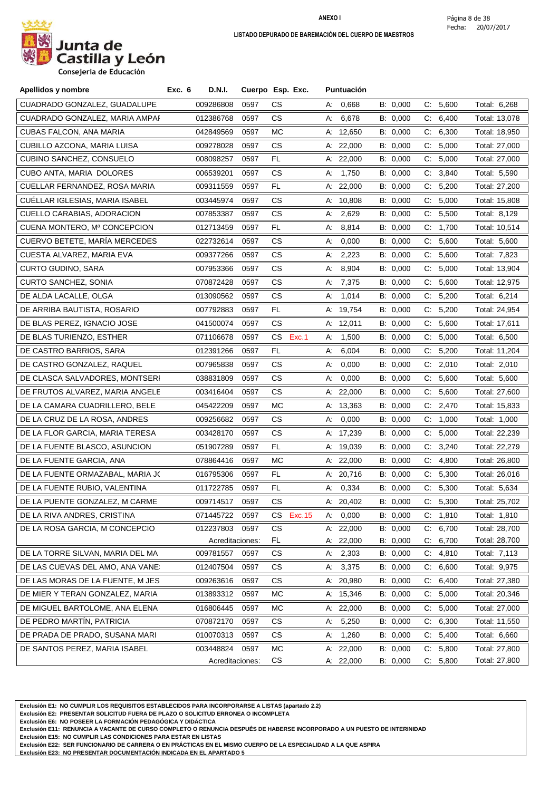

**Consejeria de Educación**

| Apellidos y nombre               | Exc. 6<br><b>D.N.I.</b> |      | Cuerpo Esp. Exc. | <b>Puntuación</b> |          |                |               |
|----------------------------------|-------------------------|------|------------------|-------------------|----------|----------------|---------------|
| CUADRADO GONZALEZ, GUADALUPE     | 009286808               | 0597 | СS               | A: 0,668          | B: 0,000 | 5,600<br>C.    | Total: 6,268  |
| CUADRADO GONZALEZ, MARIA AMPAF   | 012386768               | 0597 | СS               | 6,678<br>А.       | B: 0,000 | 6,400<br>C.    | Total: 13,078 |
| CUBAS FALCON, ANA MARIA          | 042849569               | 0597 | МC               | A: 12,650         | B: 0,000 | C:<br>6,300    | Total: 18,950 |
| CUBILLO AZCONA, MARIA LUISA      | 009278028               | 0597 | CS               | A: 22,000         | B: 0,000 | C: 5,000       | Total: 27,000 |
| CUBINO SANCHEZ, CONSUELO         | 008098257               | 0597 | FL.              | A: $22,000$       | B: 0,000 | 5,000<br>C.    | Total: 27,000 |
| CUBO ANTA, MARIA DOLORES         | 006539201               | 0597 | СS               | 1,750<br>А.       | B: 0,000 | C: 3,840       | Total: 5,590  |
| CUELLAR FERNANDEZ, ROSA MARIA    | 009311559               | 0597 | FL.              | A: $22,000$       | B: 0,000 | C: 5,200       | Total: 27,200 |
| CUÉLLAR IGLESIAS, MARIA ISABEL   | 003445974               | 0597 | СS               | A: 10,808         | B: 0,000 | C.<br>5,000    | Total: 15,808 |
| CUELLO CARABIAS, ADORACION       | 007853387               | 0597 | СS               | 2,629<br>А:       | B: 0,000 | 5,500<br>C.    | Total: 8,129  |
| CUENA MONTERO, Mª CONCEPCION     | 012713459               | 0597 | FL.              | 8,814<br>А:       | B: 0,000 | 1,700<br>C.    | Total: 10,514 |
| CUERVO BETETE, MARÍA MERCEDES    | 022732614               | 0597 | CS               | 0,000<br>А.       | B: 0,000 | C: 5,600       | Total: 5,600  |
| CUESTA ALVAREZ, MARIA EVA        | 009377266               | 0597 | СS               | 2,223<br>А.       | B: 0,000 | 5,600<br>C.    | Total: 7,823  |
| CURTO GUDINO, SARA               | 007953366               | 0597 | СS               | 8,904<br>А.       | B: 0,000 | C: 5,000       | Total: 13,904 |
| CURTO SANCHEZ, SONIA             | 070872428               | 0597 | CS.              | A: 7,375          | B: 0,000 | C: 5,600       | Total: 12,975 |
| DE ALDA LACALLE, OLGA            | 013090562               | 0597 | CS               | 1,014<br>А.       | B: 0,000 | 5,200<br>C.    | Total: 6,214  |
| DE ARRIBA BAUTISTA, ROSARIO      | 007792883               | 0597 | FL.              | A: 19,754         | B: 0,000 | C: 5,200       | Total: 24,954 |
| DE BLAS PEREZ, IGNACIO JOSE      | 041500074               | 0597 | СS               | A: 12,011         | B: 0,000 | C:<br>5,600    | Total: 17,611 |
| DE BLAS TURIENZO, ESTHER         | 071106678               | 0597 | Exc.1<br>CS.     | A: 1,500          | B: 0,000 | C: 5,000       | Total: 6,500  |
| DE CASTRO BARRIOS, SARA          | 012391266               | 0597 | FL.              | 6,004<br>А.       | B: 0,000 | 5,200<br>C.    | Total: 11,204 |
| DE CASTRO GONZALEZ, RAQUEL       | 007965838               | 0597 | CS.              | А.<br>0,000       | B: 0,000 | C: 2,010       | Total: 2,010  |
| DE CLASCA SALVADORES, MONTSERI   | 038831809               | 0597 | CS.              | 0,000<br>А:       | B: 0,000 | C: 5,600       | Total: 5,600  |
| DE FRUTOS ALVAREZ, MARIA ANGELE  | 003416404               | 0597 | CS               | A: $22,000$       | B: 0,000 | $C$ :<br>5,600 | Total: 27,600 |
| DE LA CAMARA CUADRILLERO, BELE   | 045422209               | 0597 | МC               | A: 13,363         | B: 0,000 | C: 2,470       | Total: 15,833 |
| DE LA CRUZ DE LA ROSA, ANDRES    | 009256682               | 0597 | СS               | 0,000<br>А.       | B: 0,000 | 1,000<br>C.    | Total: 1,000  |
| DE LA FLOR GARCIA, MARIA TERESA  | 003428170               | 0597 | СS               | A: 17,239         | B: 0,000 | C: 5,000       | Total: 22,239 |
| DE LA FUENTE BLASCO, ASUNCION    | 051907289               | 0597 | FL.              | A: 19,039         | B: 0,000 | C:<br>3,240    | Total: 22,279 |
| DE LA FUENTE GARCIA, ANA         | 078864416               | 0597 | МC               | A: $22,000$       | B: 0,000 | C: 4,800       | Total: 26,800 |
| DE LA FUENTE ORMAZABAL, MARIA J( | 016795306               | 0597 | FL.              | A: $20,716$       | B: 0,000 | C: 5,300       | Total: 26,016 |
| DE LA FUENTE RUBIO, VALENTINA    | 011722785               | 0597 | FL               | 0,334<br>А:       | B: 0,000 | C:<br>5,300    | Total: 5,634  |
| DE LA PUENTE GONZALEZ, M CARME   | 009714517               | 0597 | CS               | A: 20,402         | B: 0,000 | C:<br>5,300    | Total: 25,702 |
| DE LA RIVA ANDRES, CRISTINA      | 071445722               | 0597 | CS.<br>Exc. 15   | A: 0,000          | B: 0,000 | C: 1,810       | Total: 1,810  |
| DE LA ROSA GARCIA, M CONCEPCIO   | 012237803               | 0597 | CS               | A: 22,000         | B: 0,000 | 6,700<br>C:    | Total: 28,700 |
|                                  | Acreditaciones:         |      | FL.              | A: 22,000         | B: 0,000 | 6,700<br>C.    | Total: 28,700 |
| DE LA TORRE SILVAN, MARIA DEL MA | 009781557               | 0597 | CS.              | 2,303<br>A.       | B: 0,000 | 4,810<br>C.    | Total: 7,113  |
| DE LAS CUEVAS DEL AMO, ANA VANE: | 012407504               | 0597 | CS               | 3,375<br>А.       | B: 0,000 | 6,600<br>C.    | Total: 9,975  |
| DE LAS MORAS DE LA FUENTE, M JES | 009263616               | 0597 | СS               | A: 20,980         | B: 0,000 | 6,400<br>C.    | Total: 27,380 |
| DE MIER Y TERAN GONZALEZ, MARIA  | 013893312               | 0597 | МC               | A: 15,346         | B: 0,000 | 5,000<br>C.    | Total: 20,346 |
| DE MIGUEL BARTOLOME, ANA ELENA   | 016806445               | 0597 | МC               | A: 22,000         | B: 0,000 | C: 5,000       | Total: 27,000 |
| DE PEDRO MARTÍN, PATRICIA        | 070872170               | 0597 | CS               | 5,250<br>А.       | B: 0,000 | 6,300<br>C:    | Total: 11,550 |
| DE PRADA DE PRADO, SUSANA MARI   | 010070313               | 0597 | CS               | 1,260<br>А.       | B: 0,000 | C: 5,400       | Total: 6,660  |
| DE SANTOS PEREZ, MARIA ISABEL    | 003448824               | 0597 | МC               | A: 22,000         | B: 0,000 | C: 5,800       | Total: 27,800 |
|                                  | Acreditaciones:         |      | CS               | A: 22,000         | B: 0,000 | C: 5,800       | Total: 27,800 |

**Exclusión E1: NO CUMPLIR LOS REQUISITOS ESTABLECIDOS PARA INCORPORARSE A LISTAS (apartado 2.2)**

**Exclusión E2: PRESENTAR SOLICITUD FUERA DE PLAZO O SOLICITUD ERRONEA O INCOMPLETA**

**Exclusión E6: NO POSEER LA FORMACIÓN PEDAGÓGICA Y DIDÁCTICA**

**Exclusión E11: RENUNCIA A VACANTE DE CURSO COMPLETO O RENUNCIA DESPUÉS DE HABERSE INCORPORADO A UN PUESTO DE INTERINIDAD**

- **Exclusión E15: NO CUMPLIR LAS CONDICIONES PARA ESTAR EN LISTAS**
- **Exclusión E22: SER FUNCIONARIO DE CARRERA O EN PRÁCTICAS EN EL MISMO CUERPO DE LA ESPECIALIDAD A LA QUE ASPIRA**
- **Exclusión E23: NO PRESENTAR DOCUMENTACIÓN INDICADA EN EL APARTADO 5**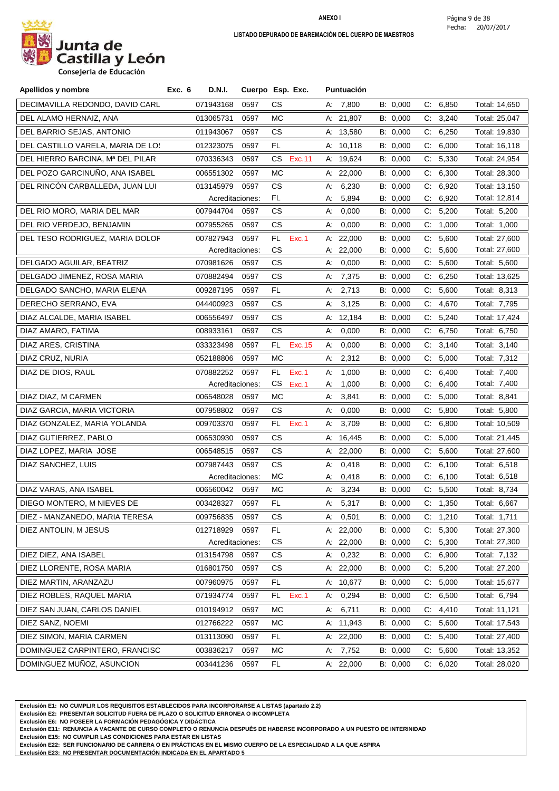

**Consejeria de Educación**

| Apellidos y nombre                | Exc. 6<br>D.N.I. |                 | Cuerpo Esp. Exc. | Puntuación  |          |                |               |
|-----------------------------------|------------------|-----------------|------------------|-------------|----------|----------------|---------------|
| DECIMAVILLA REDONDO, DAVID CARL   | 071943168        | 0597            | CS.              | A: 7,800    | B: 0,000 | C: 6,850       | Total: 14,650 |
| DEL ALAMO HERNAIZ, ANA            | 013065731        | 0597            | МC               | A: 21,807   | B: 0,000 | C: 3,240       | Total: 25,047 |
| DEL BARRIO SEJAS, ANTONIO         | 011943067        | 0597            | CS.              | A: 13,580   | B: 0,000 | C: 6,250       | Total: 19,830 |
| DEL CASTILLO VARELA, MARIA DE LOS | 012323075        | 0597            | FL.              | A: 10,118   | B: 0,000 | C: 6,000       | Total: 16,118 |
| DEL HIERRO BARCINA, Mª DEL PILAR  | 070336343        | 0597            | CS.<br>Exc.11    | A: 19,624   | B: 0,000 | C:<br>5,330    | Total: 24,954 |
| DEL POZO GARCINUÑO, ANA ISABEL    | 006551302        | 0597            | МC               | A: $22,000$ | B: 0,000 | C: 6,300       | Total: 28,300 |
| DEL RINCÓN CARBALLEDA, JUAN LUI   | 013145979        | 0597            | CS.              | 6,230<br>А: | B: 0,000 | 6,920<br>C.    | Total: 13,150 |
|                                   |                  | Acreditaciones: | FL.              | 5,894<br>А: | B: 0,000 | 6,920<br>C.    | Total: 12,814 |
| DEL RIO MORO, MARIA DEL MAR       | 007944704        | 0597            | CS.              | 0,000<br>А. | B: 0,000 | C: 5,200       | Total: 5,200  |
| DEL RIO VERDEJO, BENJAMIN         | 007955265        | 0597            | CS.              | 0,000<br>А: | B: 0,000 | C.<br>1,000    | Total: 1,000  |
| DEL TESO RODRIGUEZ, MARIA DOLOF   | 007827943        | 0597            | Exc.1<br>FL.     | A: $22,000$ | B: 0,000 | 5,600<br>C.    | Total: 27,600 |
|                                   |                  | Acreditaciones: | CS               | A: 22,000   | B: 0,000 | 5,600<br>C.    | Total: 27,600 |
| DELGADO AGUILAR, BEATRIZ          | 070981626        | 0597            | CS.              | 0,000<br>А: | B: 0,000 | 5,600<br>C:    | Total: 5,600  |
| DELGADO JIMENEZ, ROSA MARIA       | 070882494        | 0597            | CS.              | A: 7,375    | B: 0,000 | C.<br>6,250    | Total: 13,625 |
| DELGADO SANCHO, MARIA ELENA       | 009287195        | 0597            | FL.              | 2,713<br>А: | B: 0,000 | C: 5,600       | Total: 8,313  |
| DERECHO SERRANO, EVA              | 044400923        | 0597            | CS.              | 3,125<br>А: | B: 0,000 | C:<br>4,670    | Total: 7,795  |
| DIAZ ALCALDE, MARIA ISABEL        | 006556497        | 0597            | CS               | A: 12,184   | B: 0,000 | C: 5,240       | Total: 17,424 |
| DIAZ AMARO, FATIMA                | 008933161        | 0597            | CS.              | 0,000<br>А: | B: 0,000 | C: 6,750       | Total: 6,750  |
| DIAZ ARES, CRISTINA               | 033323498        | 0597            | FL.<br>Exc. 15   | 0,000<br>А. | B: 0,000 | 3,140<br>$C$ . | Total: 3,140  |
| DIAZ CRUZ, NURIA                  | 052188806        | 0597            | МC               | 2,312<br>А. | B: 0,000 | C: 5,000       | Total: 7,312  |
| DIAZ DE DIOS, RAUL                | 070882252        | 0597            | Exc.1<br>FL.     | 1,000<br>А: | B: 0,000 | 6,400<br>C.    | Total: 7,400  |
|                                   |                  | Acreditaciones: | CS.<br>Exc.1     | 1,000<br>А: | B: 0,000 | 6,400<br>C.    | Total: 7,400  |
| DIAZ DIAZ, M CARMEN               | 006548028        | 0597            | МC               | 3,841<br>А: | B: 0,000 | C: 5,000       | Total: 8,841  |
| DIAZ GARCIA, MARIA VICTORIA       | 007958802        | 0597            | CS.              | 0,000<br>A: | B: 0,000 | C: 5,800       | Total: 5,800  |
| DIAZ GONZALEZ, MARIA YOLANDA      | 009703370        | 0597            | FL<br>Exc.1      | 3,709<br>А: | B: 0,000 | 6,800<br>C.    | Total: 10,509 |
| DIAZ GUTIERREZ, PABLO             | 006530930        | 0597            | CS.              | A: 16,445   | B: 0,000 | 5,000<br>C.    | Total: 21,445 |
| DIAZ LOPEZ, MARIA JOSE            | 006548515        | 0597            | CS.              | A: 22,000   | B: 0,000 | 5,600<br>C.    | Total: 27,600 |
| DIAZ SANCHEZ, LUIS                | 007987443        | 0597            | CS               | 0,418<br>А: | B: 0,000 | C: 6,100       | Total: 6,518  |
|                                   |                  | Acreditaciones: | <b>MC</b>        | 0,418<br>А: | B: 0,000 | 6,100<br>C.    | Total: 6,518  |
| DIAZ VARAS, ANA ISABEL            | 006560042        | 0597            | МC               | A: 3,234    | B: 0,000 | C: 5,500       | Total: 8,734  |
| DIEGO MONTERO, M NIEVES DE        | 003428327        | 0597            | FL.              | A: 5,317    | B: 0,000 | C: 1,350       | Total: 6,667  |
| DIEZ - MANZANEDO, MARIA TERESA    | 009756835        | 0597            | CS.              | A: 0,501    | B: 0,000 | C: 1,210       | Total: 1,711  |
| DIEZ ANTOLIN, M JESUS             | 012718929        | 0597            | <b>FL</b>        | A: 22,000   | B: 0,000 | 5,300<br>C:    | Total: 27,300 |
|                                   |                  | Acreditaciones: | CS               | A: 22,000   | B: 0,000 | 5,300<br>C.    | Total: 27,300 |
| DIEZ DIEZ, ANA ISABEL             | 013154798        | 0597            | CS               | 0,232<br>А. | B: 0,000 | C: 6,900       | Total: 7,132  |
| DIEZ LLORENTE, ROSA MARIA         | 016801750        | 0597            | CS.              | A: 22,000   | B: 0,000 | 5,200<br>C.    | Total: 27,200 |
| DIEZ MARTIN, ARANZAZU             | 007960975        | 0597            | FL.              | A: 10,677   | B: 0,000 | C: 5,000       | Total: 15,677 |
| DIEZ ROBLES, RAQUEL MARIA         | 071934774        | 0597            | Exc.1<br>FL.     | A: 0,294    | B: 0,000 | 6,500<br>C.    | Total: 6,794  |
| DIEZ SAN JUAN, CARLOS DANIEL      | 010194912        | 0597            | МC               | 6,711<br>А. | B: 0,000 | 4,410<br>C:    | Total: 11,121 |
| DIEZ SANZ, NOEMI                  | 012766222        | 0597            | МC               | A: 11,943   | B: 0,000 | C: 5,600       | Total: 17,543 |
| DIEZ SIMON, MARIA CARMEN          | 013113090        | 0597            | FL.              | A: 22,000   | B: 0,000 | 5,400<br>C:    | Total: 27,400 |
| DOMINGUEZ CARPINTERO, FRANCISC    | 003836217        | 0597            | МC               | A: 7,752    | B: 0,000 | C: 5,600       | Total: 13,352 |
| DOMINGUEZ MUÑOZ, ASUNCION         | 003441236        | 0597            | FL               | A: 22,000   | B: 0,000 | C: 6,020       | Total: 28,020 |

**Exclusión E1: NO CUMPLIR LOS REQUISITOS ESTABLECIDOS PARA INCORPORARSE A LISTAS (apartado 2.2)**

**Exclusión E2: PRESENTAR SOLICITUD FUERA DE PLAZO O SOLICITUD ERRONEA O INCOMPLETA**

**Exclusión E6: NO POSEER LA FORMACIÓN PEDAGÓGICA Y DIDÁCTICA**

**Exclusión E11: RENUNCIA A VACANTE DE CURSO COMPLETO O RENUNCIA DESPUÉS DE HABERSE INCORPORADO A UN PUESTO DE INTERINIDAD**

**Exclusión E15: NO CUMPLIR LAS CONDICIONES PARA ESTAR EN LISTAS**

**Exclusión E22: SER FUNCIONARIO DE CARRERA O EN PRÁCTICAS EN EL MISMO CUERPO DE LA ESPECIALIDAD A LA QUE ASPIRA**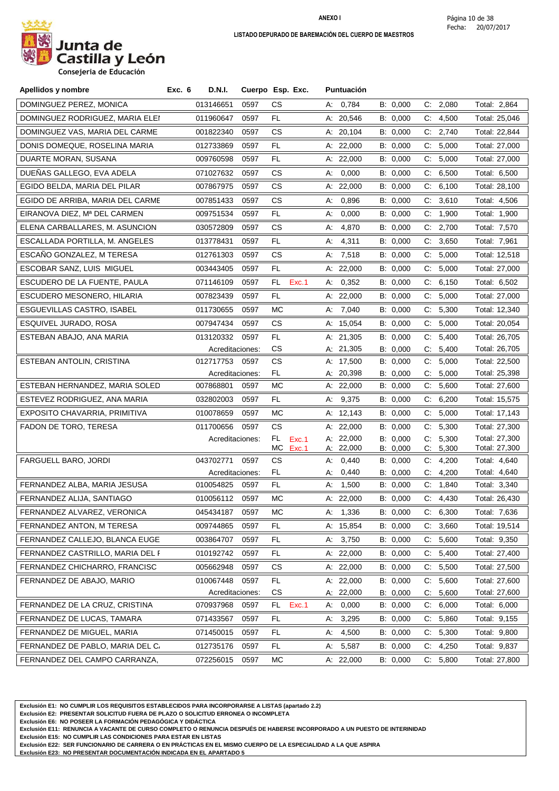

| Apellidos y nombre               | Exc. 6 | D.N.I.          | Cuerpo Esp. Exc. |           |       |    | Puntuación             |                      |    |                   |              |                                |
|----------------------------------|--------|-----------------|------------------|-----------|-------|----|------------------------|----------------------|----|-------------------|--------------|--------------------------------|
| DOMINGUEZ PEREZ, MONICA          |        | 013146651       | 0597             | СS        |       |    | A: 0,784               | B: 0,000             |    | C: 2,080          | Total: 2,864 |                                |
| DOMINGUEZ RODRIGUEZ, MARIA ELEI  |        | 011960647       | 0597             | FL        |       |    | A: 20,546              | B: 0,000             | C: | 4,500             |              | Total: 25,046                  |
| DOMINGUEZ VAS, MARIA DEL CARME   |        | 001822340       | 0597             | СS        |       |    | A: 20,104              | B: 0,000             |    | C: 2,740          |              | Total: 22,844                  |
| DONIS DOMEQUE, ROSELINA MARIA    |        | 012733869       | 0597             | FL.       |       |    | A: $22,000$            | B: 0,000             |    | C: 5,000          |              | Total: 27,000                  |
| DUARTE MORAN, SUSANA             |        | 009760598       | 0597             | FL        |       |    | A: $22,000$            | B: 0,000             | C. | 5,000             |              | Total: 27,000                  |
| DUENAS GALLEGO, EVA ADELA        |        | 071027632       | 0597             | СS        |       | A: | 0,000                  | B: 0,000             | C. | 6,500             |              | Total: 6,500                   |
| EGIDO BELDA, MARIA DEL PILAR     |        | 007867975       | 0597             | СS        |       |    | A: 22,000              | B: 0,000             | C. | 6,100             |              | Total: 28,100                  |
| EGIDO DE ARRIBA, MARIA DEL CARME |        | 007851433       | 0597             | CS        |       | А: | 0,896                  | B: 0,000             |    | C: 3,610          |              | Total: 4,506                   |
| EIRANOVA DIEZ. Mª DEL CARMEN     |        | 009751534       | 0597             | FL        |       | А: | 0,000                  | B: 0,000             | C. | 1,900             | Total: 1,900 |                                |
| ELENA CARBALLARES, M. ASUNCION   |        | 030572809       | 0597             | СS        |       | А. | 4,870                  | B: 0,000             |    | C: 2,700          |              | Total: 7,570                   |
| ESCALLADA PORTILLA, M. ANGELES   |        | 013778431       | 0597             | FL.       |       | A: | 4,311                  | B: 0,000             |    | C: 3,650          | Total: 7,961 |                                |
| ESCAÑO GONZALEZ, M TERESA        |        | 012761303       | 0597             | CS        |       | А: | 7,518                  | B: 0,000             | C. | 5,000             |              | Total: 12,518                  |
| ESCOBAR SANZ, LUIS MIGUEL        |        | 003443405       | 0597             | FL        |       |    | A: $22,000$            | B: 0,000             | C. | 5,000             |              | Total: 27,000                  |
| ESCUDERO DE LA FUENTE, PAULA     |        | 071146109       | 0597             | FL        | Exc.1 | А. | 0,352                  | B: 0,000             | C. | 6,150             |              | Total: 6,502                   |
| ESCUDERO MESONERO, HILARIA       |        | 007823439       | 0597             | FL.       |       |    | A: $22,000$            | B: 0,000             | C: | 5,000             |              | Total: 27,000                  |
| ESGUEVILLAS CASTRO, ISABEL       |        | 011730655       | 0597             | МC        |       |    | A: 7,040               | B: 0,000             | C. | 5,300             |              | Total: 12,340                  |
| ESQUIVEL JURADO, ROSA            |        | 007947434       | 0597             | СS        |       |    | A: 15,054              | B: 0,000             |    | C: 5,000          |              | Total: 20,054                  |
| ESTEBAN ABAJO, ANA MARIA         |        | 013120332       | 0597             | FL.       |       |    | A: 21,305              | B: 0,000             | C. | 5,400             |              | Total: 26,705                  |
|                                  |        | Acreditaciones: |                  | CS        |       |    | A: 21,305              | B: 0,000             | C. | 5,400             |              | Total: 26,705                  |
| ESTEBAN ANTOLIN, CRISTINA        |        | 012717753       | 0597             | <b>CS</b> |       |    | A: 17,500              | B: 0,000             | C. | 5,000             |              | Total: 22,500                  |
|                                  |        | Acreditaciones: |                  | FL.       |       |    | A: 20,398              | B: 0,000             | C. | 5,000             |              | Total: 25,398                  |
| ESTEBAN HERNANDEZ, MARIA SOLED   |        | 007868801       | 0597             | МC        |       |    | A: 22,000              | B: 0,000             |    | C: 5,600          |              | Total: 27,600                  |
| ESTEVEZ RODRIGUEZ, ANA MARIA     |        | 032802003       | 0597             | FL.       |       |    | A: 9,375               | B: 0,000             | C. | 6,200             |              | Total: 15,575                  |
| EXPOSITO CHAVARRIA, PRIMITIVA    |        | 010078659       | 0597             | МC        |       |    | A: 12,143              | B: 0,000             |    | C: 5,000          |              | Total: 17,143                  |
| FADON DE TORO, TERESA            |        | 011700656       | 0597             | CS        |       |    | A: $22,000$            | B: 0,000             | C. | 5,300             |              | Total: 27,300                  |
|                                  |        | Acreditaciones: |                  | FL.<br>МC | Exc.1 |    | A: 22,000<br>A: 22,000 | B: 0,000             | C. | 5,300             |              | Total: 27,300<br>Total: 27,300 |
| FARGUELL BARO, JORDI             |        | 043702771       | 0597             | СS        | Exc.1 | А: | 0,440                  | B: 0,000<br>B: 0,000 | C. | C: 5,300<br>4,200 |              | Total: 4,640                   |
|                                  |        | Acreditaciones: |                  | FL.       |       | А. | 0,440                  | B: 0,000             | C: | 4,200             |              | Total: 4,640                   |
| FERNANDEZ ALBA, MARIA JESUSA     |        | 010054825       | 0597             | FL        |       | А: | 1,500                  | B: 0,000             | C. | 1,840             | Total: 3,340 |                                |
| FERNANDEZ ALIJA, SANTIAGO        |        | 010056112       | 0597             | МC        |       |    | A: 22,000              | B: 0,000             |    | C: 4,430          |              | Total: 26,430                  |
| FERNANDEZ ALVAREZ, VERONICA      |        | 045434187       | 0597             | МC        |       |    | A: 1,336               | B: 0,000             |    | C: 6,300          | Total: 7,636 |                                |
| FERNANDEZ ANTON, M TERESA        |        | 009744865       | 0597             | FL.       |       |    | A: 15,854              | B: 0,000             | C. | 3,660             |              | Total: 19,514                  |
| FERNANDEZ CALLEJO, BLANCA EUGE   |        | 003864707       | 0597             | FL.       |       |    | A: 3,750               | B: 0,000             | C: | 5,600             |              | Total: 9,350                   |
| FERNANDEZ CASTRILLO, MARIA DEL F |        | 010192742       | 0597             | FL.       |       |    | A: 22,000              | B: 0,000             | C. | 5,400             |              | Total: 27,400                  |
| FERNANDEZ CHICHARRO, FRANCISC    |        | 005662948       | 0597             | СS        |       |    | A: 22,000              | B: 0,000             | C. | 5,500             |              | Total: 27,500                  |
| FERNANDEZ DE ABAJO, MARIO        |        | 010067448       | 0597             | FL.       |       |    | A: 22,000              | B: 0,000             | C: | 5,600             |              | Total: 27,600                  |
|                                  |        | Acreditaciones: |                  | CS        |       |    | A: 22,000              | B: 0,000             | C: | 5,600             |              | Total: 27,600                  |
| FERNANDEZ DE LA CRUZ, CRISTINA   |        | 070937968       | 0597             | FL.       | Exc.1 | А. | 0,000                  | B: 0,000             |    | C: 6,000          |              | Total: 6,000                   |
| FERNANDEZ DE LUCAS, TAMARA       |        | 071433567       | 0597             | FL.       |       |    | A: 3,295               | B: 0,000             |    | C: 5,860          |              | Total: 9,155                   |
| FERNANDEZ DE MIGUEL, MARIA       |        | 071450015       | 0597             | FL.       |       | А: | 4,500                  | B: 0,000             | C. | 5,300             |              | Total: 9,800                   |
| FERNANDEZ DE PABLO, MARIA DEL C  |        | 012735176       | 0597             | FL.       |       | А. | 5,587                  | B: 0,000             | C. | 4,250             |              | Total: 9,837                   |
| FERNANDEZ DEL CAMPO CARRANZA,    |        | 072256015       | 0597             | МC        |       |    | A: 22,000              | B: 0,000             |    | C: 5,800          |              | Total: 27,800                  |

**Exclusión E1: NO CUMPLIR LOS REQUISITOS ESTABLECIDOS PARA INCORPORARSE A LISTAS (apartado 2.2)**

**Exclusión E2: PRESENTAR SOLICITUD FUERA DE PLAZO O SOLICITUD ERRONEA O INCOMPLETA**

**Exclusión E6: NO POSEER LA FORMACIÓN PEDAGÓGICA Y DIDÁCTICA**

**Exclusión E11: RENUNCIA A VACANTE DE CURSO COMPLETO O RENUNCIA DESPUÉS DE HABERSE INCORPORADO A UN PUESTO DE INTERINIDAD**

**Exclusión E15: NO CUMPLIR LAS CONDICIONES PARA ESTAR EN LISTAS**

**Exclusión E22: SER FUNCIONARIO DE CARRERA O EN PRÁCTICAS EN EL MISMO CUERPO DE LA ESPECIALIDAD A LA QUE ASPIRA**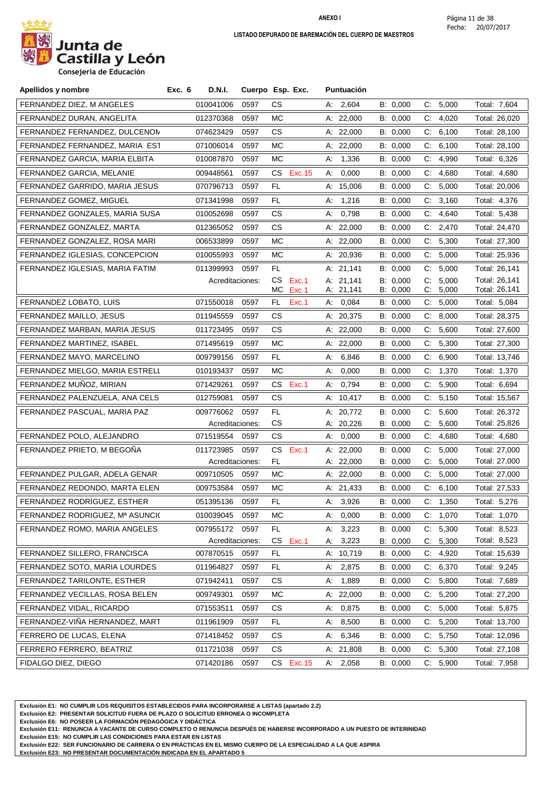

**Consejeria de Educación**

| Apellidos y nombre              | Exc. 6 | D.N.I.                       |      | Cuerpo Esp. Exc. |          | <b>Puntuación</b>  |                      |       |                   |                              |
|---------------------------------|--------|------------------------------|------|------------------|----------|--------------------|----------------------|-------|-------------------|------------------------------|
| FERNANDEZ DIEZ, M ANGELES       |        | 010041006                    | 0597 | CS.              |          | A: 2,604           | B: 0,000             |       | C: 5,000          | Total: 7,604                 |
| FERNANDEZ DURAN, ANGELITA       |        | 012370368                    | 0597 | МC               |          | A: 22,000          | B: 0,000             | C:    | 4,020             | Total: 26,020                |
| FERNANDEZ FERNANDEZ, DULCENON   |        | 074623429                    | 0597 | СS               |          | A: 22,000          | B: 0,000             |       | C: 6,100          | Total: 28,100                |
| FERNANDEZ FERNANDEZ, MARIA EST  |        | 071006014                    | 0597 | МC               |          | A: $22,000$        | B: 0,000             | C.    | 6,100             | Total: 28,100                |
| FERNANDEZ GARCIA, MARIA ELBITA  |        | 010087870                    | 0597 | МC               | А:       | 1,336              | B: 0,000             | C.    | 4,990             | Total: 6,326                 |
| FERNANDEZ GARCIA, MELANIE       |        | 009448561                    | 0597 | Exc. 15<br>CS.   | А.       | 0,000              | B: 0,000             | C.    | 4,680             | Total: 4,680                 |
| FERNANDEZ GARRIDO, MARIA JESUS  |        | 070796713                    | 0597 | FL.              |          | A: $15,006$        | B: 0,000             | C:    | 5,000             | Total: 20,006                |
| FERNANDEZ GOMEZ, MIGUEL         |        | 071341998                    | 0597 | FL.              | А.       | 1,216              | B: 0,000             |       | C: 3,160          | Total: 4,376                 |
| FERNANDEZ GONZALES, MARIA SUSA  |        | 010052698                    | 0597 | СS               | А:       | 0,798              | B: 0,000             | C.    | 4,640             | Total: 5,438                 |
| FERNANDEZ GONZALEZ, MARTA       |        | 012365052                    | 0597 | CS.              |          | A: $22,000$        | B: 0,000             |       | C: 2,470          | Total: 24,470                |
| FERNANDEZ GONZALEZ, ROSA MARI   |        | 006533899                    | 0597 | МC               |          | A: $22,000$        | B: 0,000             |       | C: 5,300          | Total: 27,300                |
| FERNANDEZ IGLESIAS, CONCEPCION  |        | 010055993                    | 0597 | MC               |          | A: 20,936          | B: 0,000             | $C$ : | 5,000             | Total: 25,936                |
| FERNANDEZ IGLESIAS, MARIA FATIM |        | 011399993                    | 0597 | FL.              |          | A: 21,141          | B: 0,000             | C.    | 5,000             | Total: 26,141                |
|                                 |        | Acreditaciones:              |      | СS<br>Exc.1      |          | A: 21,141          | B: 0,000             | $C$ : | 5,000             | Total: 26,141                |
|                                 |        |                              |      | МC<br>Exc.1      |          | A: 21,141          | B: 0,000             | C:    | 5,000             | Total: 26,141                |
| FERNANDEZ LOBATO, LUIS          |        | 071550018                    | 0597 | FL<br>Exc.1      | А:       | 0,084              | B: 0,000             | C.    | 5,000             | Total: 5,084                 |
| FERNANDEZ MAILLO, JESUS         |        | 011945559                    | 0597 | CS.              |          | A: 20,375          | B: 0,000             | C:    | 8,000             | Total: 28,375                |
| FERNANDEZ MARBAN, MARIA JESUS   |        | 011723495                    | 0597 | CS.              |          | A: $22,000$        | B: 0,000             |       | C: 5,600          | Total: 27,600                |
| FERNANDEZ MARTINEZ, ISABEL      |        | 071495619                    | 0597 | МC               |          | A: 22,000          | B: 0,000             | C.    | 5,300             | Total: 27,300                |
| FERNANDEZ MAYO, MARCELINO       |        | 009799156                    | 0597 | FL.              | А:       | 6,846              | B: 0,000             | C.    | 6,900             | Total: 13,746                |
| FERNANDEZ MIELGO, MARIA ESTRELL |        | 010193437                    | 0597 | МC               | А:       | 0,000              | B: 0,000             | C.    | 1,370             | Total: 1,370                 |
| FERNANDEZ MUÑOZ, MIRIAN         |        | 071429261                    | 0597 | CS<br>Exc.1      | А:       | 0,794              | B: 0,000             | C.    | 5,900             | Total: 6,694                 |
| FERNANDEZ PALENZUELA, ANA CELS  |        | 012759081                    | 0597 | СS               |          | A: $10,417$        | B: 0,000             | C.    | 5,150             | Total: 15,567                |
| FERNANDEZ PASCUAL, MARIA PAZ    |        | 009776062                    | 0597 | FL.              |          | A: 20,772          | B: 0,000             | C.    | 5,600             | Total: 26,372                |
|                                 |        | Acreditaciones:              |      | <b>CS</b>        |          | A: 20,226          | B: 0,000             | C.    | 5,600             | Total: 25,826                |
| FERNANDEZ POLO, ALEJANDRO       |        | 071519554                    | 0597 | CS.              | А:       | 0,000              | B: 0,000             |       | C: 4,680          | Total: 4,680                 |
| FERNANDEZ PRIETO, M BEGOÑA      |        | 011723985                    | 0597 | CS.<br>Exc.1     |          | A: $22,000$        | B: 0,000             | C.    | 5,000             | Total: 27,000                |
|                                 |        | Acreditaciones:<br>009710505 |      | FL.              |          | A: 22,000          | B: 0,000             | C.    | 5,000             | Total: 27,000                |
| FERNANDEZ PULGAR, ADELA GENAR   |        |                              | 0597 | МC               |          | A: 22,000          | B: 0,000             | C.    | 5,000             | Total: 27,000                |
| FERNANDEZ REDONDO, MARTA ELEN   |        | 009753584                    | 0597 | МC               |          | A: 21,433          | B: 0,000             |       | C: 6,100          | Total: 27,533                |
| FERNÁNDEZ RODRÍGUEZ, ESTHER     |        | 051395136                    | 0597 | FL               |          | A: 3,926           | B: 0,000             |       | C: 1,350          | Total: 5,276                 |
| FERNANDEZ RODRIGUEZ, Mª ASUNCI( |        | 010039045                    | 0597 | МC               | А.       | 0,000              | B: 0,000             |       | C: 1,070          | Total: 1,070                 |
| FERNANDEZ ROMO, MARIA ANGELES   |        | 007955172<br>Acreditaciones: | 0597 | FL.<br>CS        | А.       | 3,223              | B: 0,000             | C.    | 5,300             | Total: 8,523<br>Total: 8,523 |
| FERNANDEZ SILLERO, FRANCISCA    |        | 007870515                    | 0597 | Exc.1<br>FL      | А.       | 3,223<br>A: 10,719 | B: 0,000<br>B: 0,000 | C.    | 5,300<br>C: 4,920 | Total: 15,639                |
| FERNANDEZ SOTO, MARIA LOURDES   |        | 011964827                    | 0597 | FL.              |          | 2,875              | B: 0,000             | C.    | 6,370             | Total: 9,245                 |
| FERNANDEZ TARILONTE, ESTHER     |        | 071942411                    | 0597 | СS               | A:<br>А. | 1,889              | B: 0,000             | C:    | 5,800             | Total: 7,689                 |
| FERNANDEZ VECILLAS, ROSA BELEN  |        |                              |      |                  |          |                    | B: 0,000             |       |                   |                              |
| FERNANDEZ VIDAL, RICARDO        |        | 009749301                    | 0597 | МC               |          | A: 22,000          |                      |       | C: 5,200          | Total: 27,200                |
|                                 |        | 071553511                    | 0597 | СS               | А:       | 0,875              | B: 0,000             | C.    | 5,000             | Total: 5,875                 |
| FERNANDEZ-VIÑA HERNANDEZ, MART  |        | 011961909                    | 0597 | FL.              | А:       | 8,500              | B: 0,000             |       | C: 5,200          | Total: 13,700                |
| FERRERO DE LUCAS, ELENA         |        | 071418452                    | 0597 | СS               | А.       | 6,346              | B: 0,000             | C.    | 5,750             | Total: 12,096                |
| FERRERO FERRERO, BEATRIZ        |        | 011721038                    | 0597 | СS               |          | A: 21,808          | B: 0,000             | C.    | 5,300             | Total: 27,108                |
| FIDALGO DIEZ, DIEGO             |        | 071420186                    | 0597 | CS Exc.15        |          | A: 2,058           | B: 0,000             |       | C: 5,900          | Total: 7,958                 |

**Exclusión E1: NO CUMPLIR LOS REQUISITOS ESTABLECIDOS PARA INCORPORARSE A LISTAS (apartado 2.2)**

**Exclusión E2: PRESENTAR SOLICITUD FUERA DE PLAZO O SOLICITUD ERRONEA O INCOMPLETA**

**Exclusión E6: NO POSEER LA FORMACIÓN PEDAGÓGICA Y DIDÁCTICA**

**Exclusión E11: RENUNCIA A VACANTE DE CURSO COMPLETO O RENUNCIA DESPUÉS DE HABERSE INCORPORADO A UN PUESTO DE INTERINIDAD**

**Exclusión E15: NO CUMPLIR LAS CONDICIONES PARA ESTAR EN LISTAS**

**Exclusión E22: SER FUNCIONARIO DE CARRERA O EN PRÁCTICAS EN EL MISMO CUERPO DE LA ESPECIALIDAD A LA QUE ASPIRA**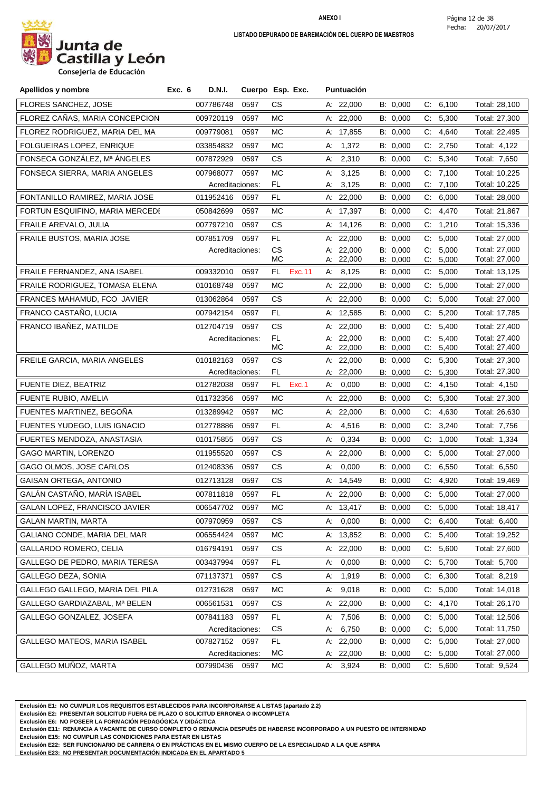

**Consejeria de Educación**

| Apellidos y nombre                  | <b>D.N.I.</b><br>Exc. 6           |      | Cuerpo Esp. Exc. | <b>Puntuación</b>        |                      |                            |                                |
|-------------------------------------|-----------------------------------|------|------------------|--------------------------|----------------------|----------------------------|--------------------------------|
| FLORES SANCHEZ, JOSE                | 007786748                         | 0597 | СS               | A: 22,000                | B: 0,000             | C: 6,100                   | Total: 28,100                  |
| FLOREZ CAÑAS, MARIA CONCEPCION      | 009720119                         | 0597 | МC               | A: 22,000                | B: 0,000             | C: 5,300                   | Total: 27,300                  |
| FLOREZ RODRIGUEZ, MARIA DEL MA      | 009779081                         | 0597 | MC               | A: 17,855                | B: 0,000             | C:<br>4,640                | Total: 22,495                  |
| FOLGUEIRAS LOPEZ, ENRIQUE           | 033854832                         | 0597 | МC               | 1,372<br>А:              | B: 0,000             | C: 2,750                   | Total: 4,122                   |
| FONSECA GONZÁLEZ, Mª ÁNGELES        | 007872929                         | 0597 | CS.              | A: 2,310                 | B: 0,000             | C: 5,340                   | Total: 7,650                   |
| FONSECA SIERRA, MARIA ANGELES       | 007968077                         | 0597 | МC               | 3,125<br>А:              | B: 0,000             | C: 7,100                   | Total: 10,225                  |
|                                     | Acreditaciones:                   |      | FL.              | 3,125<br>А:              | B: 0,000             | C: 7,100                   | Total: 10,225                  |
| FONTANILLO RAMIREZ, MARIA JOSE      | 011952416                         | 0597 | FL               | A: 22,000                | B: 0,000             | C: 6,000                   | Total: 28,000                  |
| FORTUN ESQUIFINO, MARIA MERCEDI     | 050842699                         | 0597 | МC               | A: 17,397                | B: 0,000             | C.<br>4,470                | Total: 21,867                  |
| FRAILE AREVALO, JULIA               | 007797210                         | 0597 | СS               | A: 14,126                | B: 0,000             | C: 1,210                   | Total: 15,336                  |
| FRAILE BUSTOS, MARIA JOSE           | 007851709                         | 0597 | FL               | A: 22,000                | B: 0,000             | 5,000<br>$C_{\cdot}$       | Total: 27,000                  |
|                                     | Acreditaciones:                   |      | СS<br>МC         | A: 22,000<br>A: 22,000   | B: 0,000<br>B: 0,000 | 5,000<br>C.<br>C:<br>5,000 | Total: 27,000<br>Total: 27,000 |
| <b>FRAILE FERNANDEZ. ANA ISABEL</b> | 009332010                         | 0597 | FL.<br>Exc.11    | A: 8,125                 | B: 0,000             | 5,000<br>C:                | Total: 13,125                  |
| FRAILE RODRIGUEZ, TOMASA ELENA      | 010168748                         | 0597 | МC               | A: 22,000                | B: 0,000             | 5,000<br>C.                | Total: 27,000                  |
| FRANCES MAHAMUD, FCO JAVIER         | 013062864                         | 0597 | CS.              | A: 22,000                | B: 0,000             | 5,000<br>С.                | Total: 27,000                  |
| FRANCO CASTAÑO, LUCIA               | 007942154                         | 0597 | FL               | A: 12,585                | B: 0,000             | C:<br>5,200                | Total: 17,785                  |
| FRANCO IBAÑEZ, MATILDE              | 012704719                         | 0597 | CS               | A: 22,000                | B: 0,000             | C: 5,400                   | Total: 27,400                  |
|                                     | Acreditaciones:                   |      | FL               | A: 22,000                | B: 0,000             | 5,400<br>C.                | Total: 27,400                  |
|                                     |                                   |      | МC               | 22,000<br>А:             | B: 0,000             | C:<br>5,400                | Total: 27,400                  |
| FREILE GARCIA, MARIA ANGELES        | 010182163                         | 0597 | СS               | A: 22,000                | B: 0,000             | C: 5,300                   | Total: 27,300                  |
|                                     | Acreditaciones:                   |      | FL               | A: 22,000                | B: 0,000             | 5,300<br>C.                | Total: 27,300                  |
| FUENTE DIEZ, BEATRIZ                | 012782038                         | 0597 | FL.<br>Exc.1     | 0,000<br>A:              | B: 0,000             | C: 4,150                   | Total: 4,150                   |
| FUENTE RUBIO, AMELIA                | 011732356                         | 0597 | МC               | A: 22,000                | B: 0,000             | 5,300<br>C:                | Total: 27,300                  |
| FUENTES MARTINEZ, BEGOÑA            | 013289942                         | 0597 | МC               | A: $22,000$              | B: 0,000             | 4,630<br>C.                | Total: 26,630                  |
| FUENTES YUDEGO, LUIS IGNACIO        | 012778886                         | 0597 | FL               | 4,516<br>А:              | B: 0,000             | 3,240<br>C:                | Total: 7,756                   |
| FUERTES MENDOZA, ANASTASIA          | 010175855                         | 0597 | СS               | 0,334<br>А.              | B: 0,000             | C: 1,000                   | Total: 1,334                   |
| <b>GAGO MARTIN, LORENZO</b>         | 011955520                         | 0597 | CS.              | A: 22,000                | B: 0,000             | C.<br>5,000                | Total: 27,000                  |
| GAGO OLMOS, JOSE CARLOS             | 012408336                         | 0597 | CS.              | 0,000<br>А.              | B: 0,000             | 6,550<br>C.                | Total: 6,550                   |
| <b>GAISAN ORTEGA, ANTONIO</b>       | 012713128                         | 0597 | CS               | A: 14,549                | B: 0,000             | 4,920<br>C.                | Total: 19,469                  |
| GALÁN CASTAÑO, MARÍA ISABEL         | 007811818                         | 0597 | FL               | A: $22,000$              | B: 0,000             | C: 5,000                   | Total: 27,000                  |
| GALAN LOPEZ, FRANCISCO JAVIER       | 006547702                         | 0597 | МC               | A: 13,417                | B: 0,000             | C.<br>5,000                | Total: 18,417                  |
| <b>GALAN MARTIN, MARTA</b>          | 007970959                         | 0597 | CS               | 0,000<br>А.              | B: 0,000             | 6,400<br>C.                | Total: 6,400                   |
| GALIANO CONDE, MARIA DEL MAR        | 006554424                         | 0597 | <b>MC</b>        | A: 13,852                | B: 0,000             | C: 5,400                   | Total: 19,252                  |
| GALLARDO ROMERO, CELIA              | 016794191                         | 0597 | CS.              | A: 22,000                | B: 0,000             | 5,600<br>C.                | Total: 27,600                  |
| GALLEGO DE PEDRO, MARIA TERESA      | 003437994                         | 0597 | FL               | 0,000<br>А.              | B: 0,000             | C: 5,700                   | Total: 5,700                   |
| GALLEGO DEZA, SONIA                 | 071137371                         | 0597 | СS               | A: 1,919                 | B: 0,000             | C: 6,300                   | Total: 8,219                   |
| GALLEGO GALLEGO, MARIA DEL PILA     | 012731628                         | 0597 | <b>MC</b>        | 9,018<br>А.              | B: 0,000             | C:<br>5,000                | Total: 14,018                  |
| GALLEGO GARDIAZABAL, Mª BELEN       | 006561531                         | 0597 | СS               | A: 22,000                | B: 0,000             | 4,170<br>C.                | Total: 26,170                  |
| GALLEGO GONZALEZ, JOSEFA            | 007841183                         | 0597 | FL.              | 7,506<br>A:              | B: 0,000             | 5,000<br>$C$ :             | Total: 12,506                  |
| <b>GALLEGO MATEOS, MARIA ISABEL</b> | Acreditaciones:<br>007827152 0597 |      | CS<br>FL         | 6,750<br>А.<br>A: 22,000 | B: 0,000<br>B: 0,000 | C:<br>5,000<br>C: 5,000    | Total: 11,750<br>Total: 27,000 |
|                                     | Acreditaciones:                   |      | <b>MC</b>        | A: 22,000                | B: 0,000             | C: 5,000                   | Total: 27,000                  |
| GALLEGO MUÑOZ, MARTA                | 007990436                         | 0597 | MC               | A: 3,924                 | B: 0,000             | C: 5,600                   | Total: 9,524                   |
|                                     |                                   |      |                  |                          |                      |                            |                                |

**Exclusión E1: NO CUMPLIR LOS REQUISITOS ESTABLECIDOS PARA INCORPORARSE A LISTAS (apartado 2.2)**

**Exclusión E2: PRESENTAR SOLICITUD FUERA DE PLAZO O SOLICITUD ERRONEA O INCOMPLETA**

**Exclusión E6: NO POSEER LA FORMACIÓN PEDAGÓGICA Y DIDÁCTICA**

**Exclusión E11: RENUNCIA A VACANTE DE CURSO COMPLETO O RENUNCIA DESPUÉS DE HABERSE INCORPORADO A UN PUESTO DE INTERINIDAD**

**Exclusión E15: NO CUMPLIR LAS CONDICIONES PARA ESTAR EN LISTAS**

**Exclusión E22: SER FUNCIONARIO DE CARRERA O EN PRÁCTICAS EN EL MISMO CUERPO DE LA ESPECIALIDAD A LA QUE ASPIRA**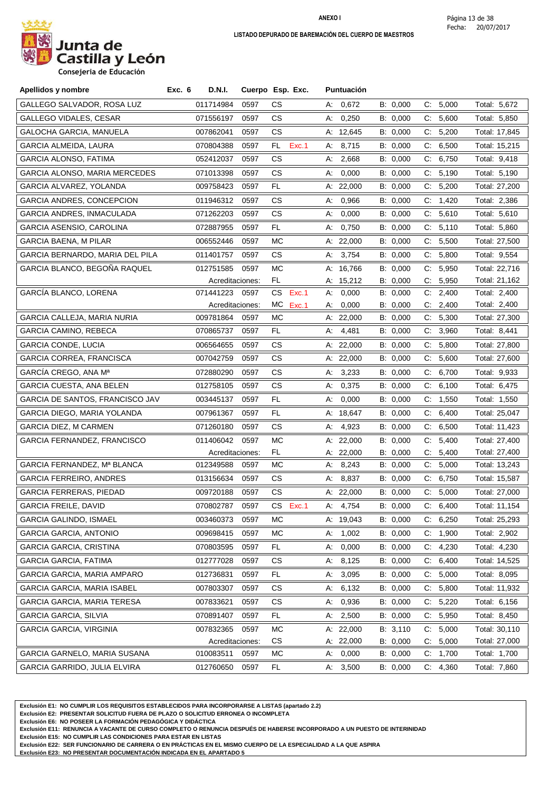

**Consejeria de Educación**

| Apellidos y nombre               | <b>D.N.I.</b><br>Exc. 6 |                 | Cuerpo Esp. Exc. | <b>Puntuación</b> |          |                |               |
|----------------------------------|-------------------------|-----------------|------------------|-------------------|----------|----------------|---------------|
| GALLEGO SALVADOR, ROSA LUZ       | 011714984               | 0597            | СS               | A: 0,672          | B: 0,000 | C:<br>5,000    | Total: 5,672  |
| GALLEGO VIDALES, CESAR           | 071556197               | 0597            | СS               | А:<br>0,250       | B: 0,000 | C:<br>5,600    | Total: 5,850  |
| GALOCHA GARCIA, MANUELA          | 007862041               | 0597            | СS               | A: 12,645         | B: 0,000 | C:<br>5,200    | Total: 17,845 |
| <b>GARCIA ALMEIDA, LAURA</b>     | 070804388               | 0597            | Exc.1<br>FL.     | A: 8,715          | B: 0,000 | C: 6,500       | Total: 15,215 |
| GARCIA ALONSO, FATIMA            | 052412037               | 0597            | СS               | 2,668<br>A:       | B: 0,000 | 6,750<br>C.    | Total: 9,418  |
| GARCIA ALONSO, MARIA MERCEDES    | 071013398               | 0597            | СS               | 0,000<br>А.       | B: 0,000 | C: 5,190       | Total: 5,190  |
| GARCIA ALVAREZ, YOLANDA          | 009758423               | 0597            | FL.              | A: $22,000$       | B: 0,000 | C: 5,200       | Total: 27,200 |
| <b>GARCIA ANDRES, CONCEPCION</b> | 011946312               | 0597            | СS               | 0,966<br>А.       | B: 0,000 | C:<br>1,420    | Total: 2,386  |
| GARCIA ANDRES, INMACULADA        | 071262203               | 0597            | СS               | А.<br>0,000       | B: 0,000 | 5,610<br>C.    | Total: 5,610  |
| GARCIA ASENSIO, CAROLINA         | 072887955               | 0597            | FL               | 0,750<br>А:       | B: 0,000 | C: 5,110       | Total: 5,860  |
| <b>GARCIA BAENA, M PILAR</b>     | 006552446               | 0597            | МC               | A: 22,000         | B: 0,000 | C: 5,500       | Total: 27,500 |
| GARCIA BERNARDO, MARIA DEL PILA  | 011401757               | 0597            | СS               | 3,754<br>А.       | B: 0,000 | C:<br>5,800    | Total: 9,554  |
| GARCIA BLANCO, BEGOÑA RAQUEL     | 012751585               | 0597            | МC               | A: 16,766         | B: 0,000 | 5,950<br>C.    | Total: 22,716 |
|                                  |                         | Acreditaciones: | FL.              | A: 15,212         | B: 0,000 | C:<br>5,950    | Total: 21,162 |
| GARCÍA BLANCO, LORENA            | 071441223               | 0597            | CS.<br>Exc.1     | 0,000<br>А:       | B: 0,000 | C: 2,400       | Total: 2,400  |
|                                  |                         | Acreditaciones: | МC<br>Exc.1      | 0,000<br>А.       | B: 0,000 | 2,400<br>C.    | Total: 2,400  |
| GARCIA CALLEJA, MARIA NURIA      | 009781864               | 0597            | МC               | A: $22,000$       | B: 0,000 | C.<br>5,300    | Total: 27,300 |
| <b>GARCIA CAMINO, REBECA</b>     | 070865737               | 0597            | FL.              | 4,481<br>А.       | B: 0,000 | 3,960<br>C.    | Total: 8,441  |
| <b>GARCIA CONDE, LUCIA</b>       | 006564655               | 0597            | СS               | A: $22,000$       | B: 0,000 | 5,800<br>C.    | Total: 27,800 |
| <b>GARCIA CORREA, FRANCISCA</b>  | 007042759               | 0597            | <b>CS</b>        | A: 22,000         | B: 0,000 | C: 5,600       | Total: 27,600 |
| GARCIA CREGO, ANA Mª             | 072880290               | 0597            | CS.              | A: 3,233          | B: 0,000 | 6,700<br>C.    | Total: 9,933  |
| <b>GARCIA CUESTA, ANA BELEN</b>  | 012758105               | 0597            | <b>CS</b>        | 0,375<br>А.       | B: 0,000 | 6,100<br>C:    | Total: 6,475  |
| GARCIA DE SANTOS, FRANCISCO JAV  | 003445137               | 0597            | FL.              | 0,000<br>А:       | B: 0,000 | C: 1,550       | Total: 1,550  |
| GARCIA DIEGO, MARIA YOLANDA      | 007961367               | 0597            | FL.              | A: 18,647         | B: 0,000 | C:<br>6,400    | Total: 25,047 |
| <b>GARCIA DIEZ, M CARMEN</b>     | 071260180               | 0597            | СS               | 4,923<br>А.       | B: 0,000 | C: 6,500       | Total: 11,423 |
| GARCIA FERNANDEZ, FRANCISCO      | 011406042               | 0597            | МC               | A: 22,000         | B: 0,000 | 5,400<br>C.    | Total: 27,400 |
|                                  |                         | Acreditaciones: | FL.              | A: 22,000         | B: 0,000 | 5,400<br>C.    | Total: 27,400 |
| GARCIA FERNANDEZ, Mª BLANCA      | 012349588               | 0597            | MC               | 8,243<br>A:       | B: 0,000 | 5,000<br>C.    | Total: 13,243 |
| <b>GARCIA FERREIRO, ANDRES</b>   | 013156634               | 0597            | CS.              | 8,837<br>А:       | B: 0,000 | 6,750<br>C.    | Total: 15,587 |
| GARCIA FERRERAS, PIEDAD          | 009720188               | 0597            | <b>CS</b>        | A: 22,000         | B: 0,000 | C: 5,000       | Total: 27,000 |
| GARCIA FREILE, DAVID             | 070802787               | 0597            | СS<br>EXC.1      | А.<br>4,754       | B: 0,000 | C.<br>6,400    | Total: 11,154 |
| GARCIA GALINDO, ISMAEL           | 003460373               | 0597            | МC               | A: 19,043         | B: 0,000 | 6,250<br>C.    | Total: 25,293 |
| GARCIA GARCIA, ANTONIO           | 009698415               | 0597            | МC               | 1,002<br>А.       | B: 0,000 | 1,900<br>C.    | Total: 2,902  |
| GARCIA GARCIA, CRISTINA          | 070803595               | 0597            | FL.              | 0,000<br>А.       | B: 0,000 | C.<br>4,230    | Total: 4,230  |
| <b>GARCIA GARCIA, FATIMA</b>     | 012777028               | 0597            | CS               | 8,125<br>А:       | B: 0,000 | 6,400<br>$C$ : | Total: 14,525 |
| GARCIA GARCIA, MARIA AMPARO      | 012736831               | 0597            | FL.              | 3,095<br>А.       | B: 0,000 | 5,000<br>C.    | Total: 8,095  |
| GARCIA GARCIA, MARIA ISABEL      | 007803307               | 0597            | CS               | 6,132<br>А.       | B: 0,000 | 5,800<br>C.    | Total: 11,932 |
| GARCIA GARCIA, MARIA TERESA      | 007833621               | 0597            | CS               | 0,936<br>А:       | B: 0,000 | C: 5,220       | Total: 6,156  |
| <b>GARCIA GARCIA, SILVIA</b>     | 070891407               | 0597            | FL.              | 2,500<br>А.       | B: 0,000 | 5,950<br>C.    | Total: 8,450  |
| GARCIA GARCIA, VIRGINIA          | 007832365               | 0597            | МC               | A: 22,000         | B: 3,110 | 5,000<br>C.    | Total: 30,110 |
|                                  |                         | Acreditaciones: | CS               | A: 22,000         | B: 0,000 | C: 5,000       | Total: 27,000 |
| GARCIA GARNELO, MARIA SUSANA     | 010083511               | 0597            | MC               | 0,000<br>А:       | B: 0,000 | 1,700<br>C.    | Total: 1,700  |
| GARCIA GARRIDO, JULIA ELVIRA     | 012760650               | 0597            | FL               | 3,500<br>А.       | B: 0,000 | C: 4,360       | Total: 7,860  |

**Exclusión E1: NO CUMPLIR LOS REQUISITOS ESTABLECIDOS PARA INCORPORARSE A LISTAS (apartado 2.2)**

**Exclusión E2: PRESENTAR SOLICITUD FUERA DE PLAZO O SOLICITUD ERRONEA O INCOMPLETA**

**Exclusión E6: NO POSEER LA FORMACIÓN PEDAGÓGICA Y DIDÁCTICA**

**Exclusión E11: RENUNCIA A VACANTE DE CURSO COMPLETO O RENUNCIA DESPUÉS DE HABERSE INCORPORADO A UN PUESTO DE INTERINIDAD**

**Exclusión E15: NO CUMPLIR LAS CONDICIONES PARA ESTAR EN LISTAS**

**Exclusión E22: SER FUNCIONARIO DE CARRERA O EN PRÁCTICAS EN EL MISMO CUERPO DE LA ESPECIALIDAD A LA QUE ASPIRA**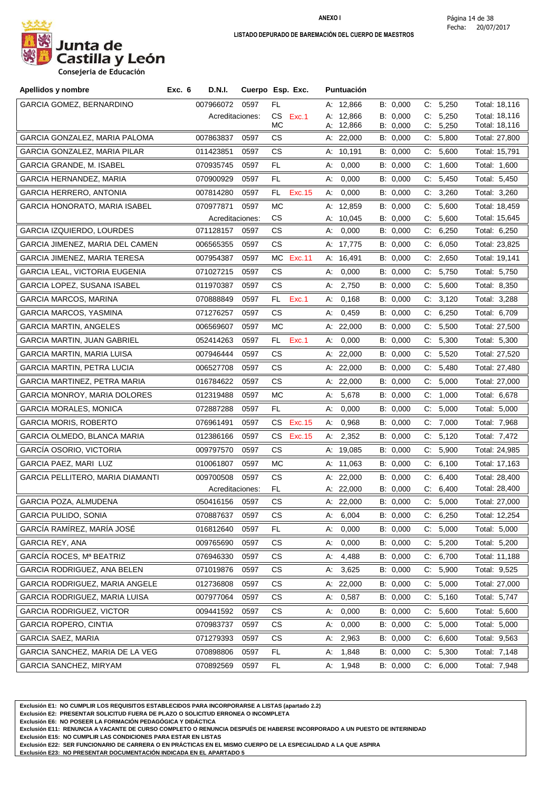

**Consejeria de Educación**

| Apellidos y nombre                   | Exc. 6<br>D.N.I. |                 | Cuerpo Esp. Exc.          |    | <b>Puntuación</b>      |                      |    |                   |                                |
|--------------------------------------|------------------|-----------------|---------------------------|----|------------------------|----------------------|----|-------------------|--------------------------------|
| <b>GARCIA GOMEZ, BERNARDINO</b>      | 007966072        | 0597            | FL                        |    | A: 12,866              | B: 0,000             |    | C: 5,250          | Total: 18,116                  |
|                                      |                  | Acreditaciones: | CS.<br>Exc.1<br><b>MC</b> |    | A: 12,866              | B: 0,000             |    | C: 5,250          | Total: 18,116                  |
| <b>GARCIA GONZALEZ, MARIA PALOMA</b> | 007863837        | 0597            | CS.                       |    | A: 12,866<br>A: 22,000 | B: 0,000<br>B: 0,000 | C: | 5,250<br>C: 5,800 | Total: 18,116<br>Total: 27,800 |
| GARCIA GONZALEZ, MARIA PILAR         | 011423851        | 0597            | CS.                       |    | A: 10,191              | B: 0,000             | C. | 5,600             | Total: 15,791                  |
| GARCIA GRANDE, M. ISABEL             | 070935745        | 0597            | FL.                       | А: | 0,000                  | B: 0,000             | C. | 1,600             | Total: 1,600                   |
| GARCIA HERNANDEZ, MARIA              | 070900929        | 0597            | FL.                       | А: | 0,000                  | B: 0,000             | C: | 5,450             | Total: 5,450                   |
| <b>GARCIA HERRERO, ANTONIA</b>       | 007814280        | 0597            | FL<br>Exc. 15             | А. | 0,000                  | B: 0,000             | C. | 3,260             | Total: 3,260                   |
| GARCIA HONORATO, MARIA ISABEL        | 070977871        | 0597            | МC                        |    | A: 12,859              | B: 0,000             | C. | 5,600             | Total: 18,459                  |
|                                      |                  | Acreditaciones: | CS                        |    | A: 10,045              | B: 0,000             | C. | 5,600             | Total: 15,645                  |
| <b>GARCIA IZQUIERDO, LOURDES</b>     | 071128157        | 0597            | CS.                       | А: | 0,000                  | B: 0,000             | C. | 6,250             | Total: 6,250                   |
| GARCIA JIMENEZ, MARIA DEL CAMEN      | 006565355        | 0597            | CS.                       |    | A: 17,775              | B: 0,000             |    | C: 6,050          | Total: 23,825                  |
| GARCIA JIMENEZ, MARIA TERESA         | 007954387        | 0597            | MC.<br>Exc.11             |    | A: 16,491              | B: 0,000             |    | C: 2,650          | Total: 19,141                  |
| GARCIA LEAL, VICTORIA EUGENIA        | 071027215        | 0597            | <b>CS</b>                 | А: | 0,000                  | B: 0,000             | C. | 5,750             | Total: 5,750                   |
| GARCIA LOPEZ, SUSANA ISABEL          | 011970387        | 0597            | CS.                       | А: | 2,750                  | B: 0,000             | C. | 5,600             | Total: 8,350                   |
| <b>GARCIA MARCOS, MARINA</b>         | 070888849        | 0597            | Exc.1<br>FL.              | А: | 0,168                  | B: 0,000             | C. | 3,120             | Total: 3,288                   |
| GARCIA MARCOS, YASMINA               | 071276257        | 0597            | CS.                       | А. | 0,459                  | B: 0,000             |    | C: 6,250          | Total: 6,709                   |
| <b>GARCIA MARTIN, ANGELES</b>        | 006569607        | 0597            | МC                        |    | A: 22,000              | B: 0,000             | C. | 5,500             | Total: 27,500                  |
| <b>GARCIA MARTIN, JUAN GABRIEL</b>   | 052414263        | 0597            | Exc.1<br>FL.              | А: | 0,000                  | B: 0,000             |    | C: 5,300          | Total: 5,300                   |
| GARCIA MARTIN, MARIA LUISA           | 007946444        | 0597            | CS.                       |    | A: $22,000$            | B: 0,000             |    | C: 5,520          | Total: 27,520                  |
| GARCIA MARTIN, PETRA LUCIA           | 006527708        | 0597            | CS                        |    | A: 22,000              | B: 0,000             | C. | 5,480             | Total: 27,480                  |
| GARCIA MARTINEZ, PETRA MARIA         | 016784622        | 0597            | CS.                       |    | A: 22,000              | B: 0,000             | C. | 5,000             | Total: 27,000                  |
| GARCIA MONROY, MARIA DOLORES         | 012319488        | 0597            | МC                        | А: | 5,678                  | B: 0,000             | C: | 1,000             | Total: 6,678                   |
| <b>GARCIA MORALES, MONICA</b>        | 072887288        | 0597            | FL                        | А: | 0,000                  | B: 0,000             |    | C: 5,000          | Total: 5,000                   |
| <b>GARCIA MORIS, ROBERTO</b>         | 076961491        | 0597            | CS.<br>Exc. 15            | А: | 0,968                  | B: 0,000             | C. | 7,000             | Total: 7,968                   |
| GARCIA OLMEDO, BLANCA MARIA          | 012386166        | 0597            | CS<br>Exc. 15             |    | A: 2,352               | B: 0,000             |    | C: 5,120          | Total: 7,472                   |
| GARCÍA OSORIO, VICTORIA              | 009797570        | 0597            | CS.                       |    | A: 19,085              | B: 0,000             |    | C: 5,900          | Total: 24,985                  |
| GARCIA PAEZ, MARI LUZ                | 010061807        | 0597            | МC                        |    | A: 11,063              | B: 0,000             | C: | 6,100             | Total: 17,163                  |
| GARCIA PELLITERO, MARIA DIAMANTII    | 009700508        | 0597            | CS.                       |    | A: 22,000              | B: 0,000             | C. | 6,400             | Total: 28,400                  |
|                                      |                  | Acreditaciones: | FL.                       |    | A: 22,000              | B: 0,000             | C. | 6,400             | Total: 28,400                  |
| GARCIA POZA, ALMUDENA                | 050416156        | 0597            | <b>CS</b>                 |    | A: $22,000$            | B: 0,000             |    | C: 5,000          | Total: 27,000                  |
| <b>GARCIA PULIDO, SONIA</b>          | 070887637        | 0597            | CS.                       | А. | 6,004                  | B: 0,000             |    | C: 6,250          | Total: 12,254                  |
| GARCÍA RAMÍREZ, MARÍA JOSÉ           | 016812640        | 0597            | FL                        | А. | 0,000                  | B: 0,000             | C. | 5,000             | Total: 5,000                   |
| <b>GARCIA REY, ANA</b>               | 009765690        | 0597            | CS                        | А. | 0,000                  | B: 0,000             |    | C: 5,200          | Total: 5,200                   |
| GARCÍA ROCES, Mª BEATRIZ             | 076946330        | 0597            | CS.                       | А: | 4,488                  | B: 0,000             | C. | 6,700             | Total: 11,188                  |
| GARCIA RODRIGUEZ, ANA BELEN          | 071019876        | 0597            | CS                        | А. | 3,625                  | B: 0,000             | C. | 5,900             | Total: 9,525                   |
| GARCIA RODRIGUEZ, MARIA ANGELE       | 012736808        | 0597            | CS                        |    | A: 22,000              | B: 0,000             |    | C: 5,000          | Total: 27,000                  |
| GARCIA RODRIGUEZ, MARIA LUISA        | 007977064        | 0597            | CS.                       | А. | 0,587                  | B: 0,000             | C. | 5,160             | Total: 5,747                   |
| <b>GARCIA RODRIGUEZ, VICTOR</b>      | 009441592        | 0597            | CS                        | А. | 0,000                  | B: 0,000             |    | C: 5,600          | Total: 5,600                   |
| <b>GARCIA ROPERO, CINTIA</b>         | 070983737        | 0597            | CS.                       | А. | 0,000                  | B: 0,000             | C. | 5,000             | Total: 5,000                   |
| <b>GARCIA SAEZ, MARIA</b>            | 071279393        | 0597            | CS                        | А. | 2,963                  | B: 0,000             |    | C: 6,600          | Total: 9,563                   |
| GARCIA SANCHEZ, MARIA DE LA VEG      | 070898806        | 0597            | FL                        | А: | 1,848                  | B: 0,000             | C. | 5,300             | Total: 7,148                   |
| GARCIA SANCHEZ, MIRYAM               | 070892569        | 0597            | FL.                       | А. | 1,948                  | B: 0,000             |    | C: 6,000          | Total: 7,948                   |

**Exclusión E1: NO CUMPLIR LOS REQUISITOS ESTABLECIDOS PARA INCORPORARSE A LISTAS (apartado 2.2)**

**Exclusión E2: PRESENTAR SOLICITUD FUERA DE PLAZO O SOLICITUD ERRONEA O INCOMPLETA**

**Exclusión E6: NO POSEER LA FORMACIÓN PEDAGÓGICA Y DIDÁCTICA**

**Exclusión E11: RENUNCIA A VACANTE DE CURSO COMPLETO O RENUNCIA DESPUÉS DE HABERSE INCORPORADO A UN PUESTO DE INTERINIDAD**

**Exclusión E15: NO CUMPLIR LAS CONDICIONES PARA ESTAR EN LISTAS**

**Exclusión E22: SER FUNCIONARIO DE CARRERA O EN PRÁCTICAS EN EL MISMO CUERPO DE LA ESPECIALIDAD A LA QUE ASPIRA**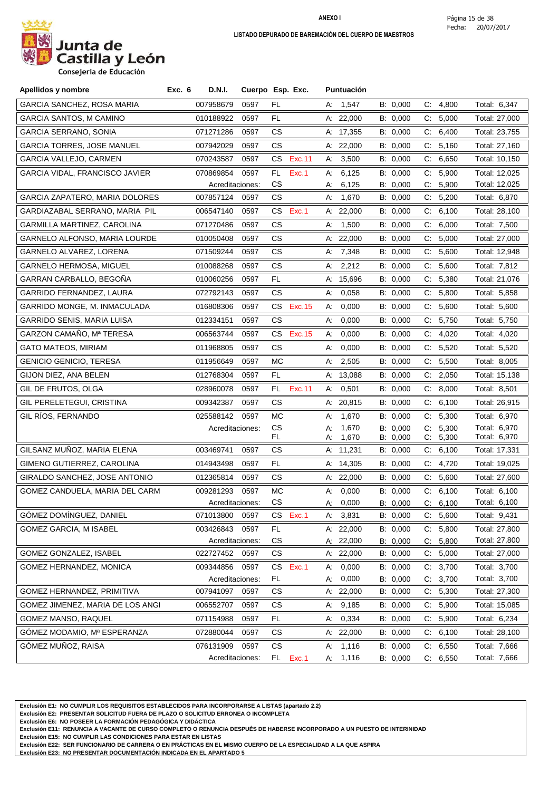

**Consejeria de Educación**

| Apellidos y nombre                    | Exc. 6<br>D.N.I. |                         | Cuerpo Esp. Exc. |    | Puntuación             |                      |             |                |                                |
|---------------------------------------|------------------|-------------------------|------------------|----|------------------------|----------------------|-------------|----------------|--------------------------------|
| GARCIA SANCHEZ, ROSA MARIA            | 007958679        | 0597                    | FL               |    | A: 1,547               | B: 0,000             |             | C: 4,800       | Total: 6,347                   |
| GARCIA SANTOS, M CAMINO               | 010188922        | 0597                    | FL               |    | A: 22,000              | B: 0,000             |             | C: 5,000       | Total: 27,000                  |
| GARCIA SERRANO, SONIA                 | 071271286        | 0597                    | CS.              |    | A: 17,355              | B: 0,000             |             | C: 6,400       | Total: 23,755                  |
| <b>GARCIA TORRES, JOSE MANUEL</b>     | 007942029        | 0597                    | CS.              |    | A: $22,000$            | B: 0,000             |             | C: 5,160       | Total: 27,160                  |
| GARCIA VALLEJO, CARMEN                | 070243587        | 0597                    | CS.<br>Exc.11    | А. | 3,500                  | B: 0,000             | C.          | 6,650          | Total: 10,150                  |
| GARCIA VIDAL, FRANCISCO JAVIER        | 070869854        | 0597                    | FL.<br>Exc.1     | А: | 6,125                  | B: 0,000             |             | C: 5,900       | Total: 12,025                  |
|                                       |                  | Acreditaciones:         | СS               | A: | 6,125                  | B: 0,000             | $C_{\cdot}$ | 5,900          | Total: 12,025                  |
| <b>GARCIA ZAPATERO, MARIA DOLORES</b> | 007857124        | 0597                    | CS.              |    | A: 1,670               | B: 0,000             | C.          | 5,200          | Total: 6,870                   |
| GARDIAZABAL SERRANO, MARIA PIL        | 006547140        | 0597                    | Exc.1<br>CS.     |    | A: $22,000$            | B: 0,000             |             | C: 6,100       | Total: 28,100                  |
| GARMILLA MARTINEZ, CAROLINA           | 071270486        | 0597                    | CS.              | А. | 1,500                  | B: 0,000             | C.          | 6,000          | Total: 7,500                   |
| GARNELO ALFONSO, MARIA LOURDE         | 010050408        | 0597                    | CS               |    | A: $22,000$            | B: 0,000             | C.          | 5,000          | Total: 27,000                  |
| GARNELO ALVAREZ, LORENA               | 071509244        | 0597                    | CS.              |    | A: 7,348               | B: 0,000             |             | C: 5,600       | Total: 12,948                  |
| GARNELO HERMOSA, MIGUEL               | 010088268        | 0597                    | <b>CS</b>        | А: | 2,212                  | B: 0,000             | C:          | 5,600          | Total: 7,812                   |
| GARRAN CARBALLO, BEGOÑA               | 010060256        | 0597                    | FL.              |    | A: 15,696              | B: 0,000             |             | C: 5,380       | Total: 21,076                  |
| GARRIDO FERNANDEZ, LAURA              | 072792143        | 0597                    | CS.              | А: | 0,058                  | B: 0,000             | C:          | 5,800          | Total: 5,858                   |
| GARRIDO MONGE, M. INMACULADA          | 016808306        | 0597                    | CS Exc.15        |    | A: 0,000               | B: 0,000             |             | C: 5,600       | Total: 5,600                   |
| GARRIDO SENIS, MARIA LUISA            | 012334151        | 0597                    | CS.              | А: | 0,000                  | B: 0,000             |             | C: 5,750       | Total: 5,750                   |
| GARZON CAMAÑO, Mª TERESA              | 006563744        | 0597                    | CS.<br>Exc. 15   | А. | 0,000                  | B: 0,000             | C.          | 4,020          | Total: 4,020                   |
| <b>GATO MATEOS, MIRIAM</b>            | 011968805        | 0597                    | CS.              | А: | 0,000                  | B: 0,000             |             | C: 5,520       | Total: 5,520                   |
| <b>GENICIO GENICIO, TERESA</b>        | 011956649        | 0597                    | МC               | А: | 2,505                  | B: 0,000             | C.          | 5,500          | Total: 8,005                   |
| GIJON DIEZ, ANA BELEN                 | 012768304        | 0597                    | FL.              |    | A: 13,088              | B: 0,000             |             | C: 2,050       | Total: 15,138                  |
| GIL DE FRUTOS, OLGA                   | 028960078        | 0597                    | FL.<br>Exc.11    | А. | 0,501                  | B: 0,000             |             | C: 8,000       | Total: 8,501                   |
| GIL PERELETEGUI, CRISTINA             | 009342387        | 0597                    | CS.              |    | A: 20,815              | B: 0,000             |             | C: 6,100       | Total: 26,915                  |
| GIL RÍOS, FERNANDO                    | 025588142        | 0597                    | МC               | А: | 1,670                  | B: 0,000             | C.          | 5,300          | Total: 6,970                   |
|                                       |                  | Acreditaciones:         | CS               | А: | 1,670                  | B: 0,000             | C:          | 5,300          | Total: 6,970                   |
|                                       |                  |                         | FL.              | А: | 1,670                  | B: 0,000             | C:          | 5,300          | Total: 6,970                   |
| GILSANZ MUÑOZ, MARIA ELENA            | 003469741        | 0597                    | CS               |    | A: 11,231              | B: 0,000             |             | C: 6,100       | Total: 17,331                  |
| GIMENO GUTIERREZ, CAROLINA            | 014943498        | 0597                    | FL.              |    | A: 14,305              | B: 0,000             | C:          | 4,720          | Total: 19,025                  |
| GIRALDO SANCHEZ, JOSE ANTONIO         | 012365814        | 0597                    | CS.              |    | A: 22,000              | B: 0,000             |             | C: 5,600       | Total: 27,600                  |
| GOMEZ CANDUELA, MARIA DEL CARM        | 009281293        | 0597                    | МC               | А: | 0,000                  | B: 0,000             | C:          | 6,100          | Total: 6,100                   |
| GOMEZ DOMINGUEZ, DANIEL               |                  | Acreditaciones:         | CS               |    | A: 0,000               | B: 0,000             |             | C: 6,100       | Total: 6,100                   |
|                                       | 071013800        | 0597                    | Exc.1<br>CS.     |    | A: 3,831               | B: 0,000             |             | C: 5,600       | Total: 9,431                   |
| <b>GOMEZ GARCIA, M ISABEL</b>         | 003426843        | 0597<br>Acreditaciones: | FL.<br>CS        |    | A: 22,000<br>A: 22,000 | B: 0,000<br>B: 0,000 | С.<br>C:    | 5,800<br>5,800 | Total: 27,800<br>Total: 27,800 |
| GOMEZ GONZALEZ, ISABEL                | 022727452        | 0597                    | CS               |    | A: 22,000              | B: 0,000             |             | C: 5,000       | Total: 27,000                  |
| GOMEZ HERNANDEZ, MONICA               | 009344856        | 0597                    | Exc.1<br>CS.     | А. | 0,000                  | B: 0,000             | C.          | 3,700          | Total: 3,700                   |
|                                       |                  | Acreditaciones:         | FL               | А. | 0,000                  | B: 0,000             | C.          | 3,700          | Total: 3,700                   |
| GOMEZ HERNANDEZ, PRIMITIVA            | 007941097        | 0597                    | CS.              |    | A: 22,000              | B: 0,000             | C:          | 5,300          | Total: 27,300                  |
| GOMEZ JIMENEZ, MARIA DE LOS ANGI      | 006552707        | 0597                    | CS               |    | A: 9,185               | B: 0,000             |             | C: 5,900       | Total: 15,085                  |
| GOMEZ MANSO, RAQUEL                   | 071154988        | 0597                    | FL.              |    | A: 0,334               | B: 0,000             |             | C: 5,900       | Total: 6,234                   |
| GÓMEZ MODAMIO, Mª ESPERANZA           | 072880044        | 0597                    | CS               |    | A: 22,000              | B: 0,000             | C.          | 6,100          | Total: 28,100                  |
| GÓMEZ MUÑOZ, RAISA                    | 076131909        | 0597                    | CS               | А. | 1,116                  | B: 0,000             | C.          | 6,550          | Total: 7,666                   |
|                                       |                  | Acreditaciones:         | FL.<br>Exc.1     |    | A: 1,116               | B: 0,000             |             | C: 6,550       | Total: 7,666                   |

**Exclusión E1: NO CUMPLIR LOS REQUISITOS ESTABLECIDOS PARA INCORPORARSE A LISTAS (apartado 2.2)**

**Exclusión E2: PRESENTAR SOLICITUD FUERA DE PLAZO O SOLICITUD ERRONEA O INCOMPLETA**

**Exclusión E6: NO POSEER LA FORMACIÓN PEDAGÓGICA Y DIDÁCTICA**

**Exclusión E11: RENUNCIA A VACANTE DE CURSO COMPLETO O RENUNCIA DESPUÉS DE HABERSE INCORPORADO A UN PUESTO DE INTERINIDAD**

**Exclusión E15: NO CUMPLIR LAS CONDICIONES PARA ESTAR EN LISTAS**

**Exclusión E22: SER FUNCIONARIO DE CARRERA O EN PRÁCTICAS EN EL MISMO CUERPO DE LA ESPECIALIDAD A LA QUE ASPIRA**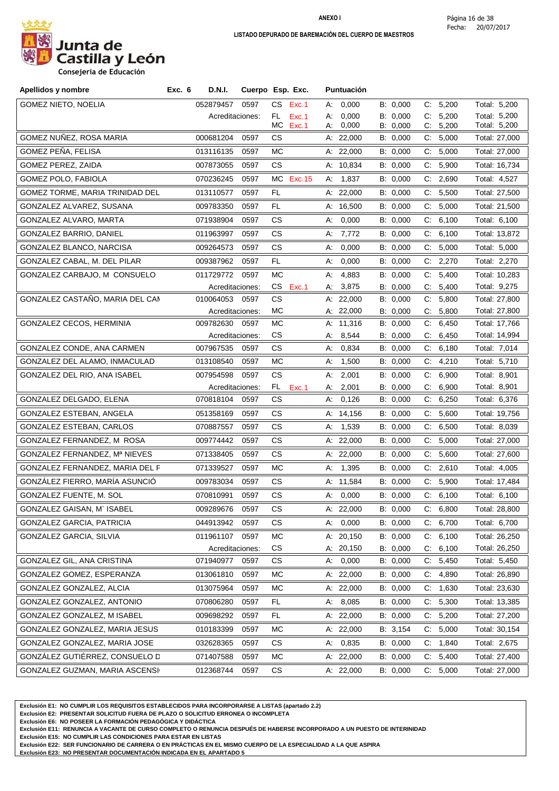

| Apellidos y nombre              | Exc. 6<br><b>D.N.I.</b> |                         | Cuerpo Esp. Exc.   | <b>Puntuación</b>          |                      |                         |                               |
|---------------------------------|-------------------------|-------------------------|--------------------|----------------------------|----------------------|-------------------------|-------------------------------|
| <b>GOMEZ NIETO, NOELIA</b>      | 052879457               | 0597                    | Exc.1<br>CS.       | A: 0,000                   | B: 0,000             | C: 5,200                | Total: 5,200                  |
|                                 |                         | Acreditaciones:         | FL.<br>Exc.1       | 0,000<br>А.                | B: 0,000             | C: 5,200                | Total: 5,200                  |
| GOMEZ NUÑEZ, ROSA MARIA         | 000681204               | 0597                    | МC<br>Exc.1<br>СS  | 0,000<br>А:<br>A: 22,000   | B: 0,000<br>B: 0,000 | C:<br>5,200<br>C: 5,000 | Total: 5,200<br>Total: 27,000 |
|                                 |                         |                         |                    |                            |                      |                         |                               |
| GOMEZ PEÑA, FELISA              | 013116135               | 0597                    | МC                 | A: 22,000                  | B: 0,000             | 5,000<br>C:             | Total: 27,000                 |
| GOMEZ PEREZ, ZAIDA              | 007873055               | 0597                    | CS.                | A: 10,834                  | B: 0,000             | C: 5,900                | Total: 16,734                 |
| GOMEZ POLO, FABIOLA             | 070236245               | 0597                    | MC Exc.15          | A: 1,837                   | B: 0,000             | C: 2,690                | Total: 4,527                  |
| GOMEZ TORME, MARIA TRINIDAD DEL | 013110577               | 0597                    | FL                 | A: 22,000                  | B: 0,000             | C:<br>5,500             | Total: 27,500                 |
| GONZALEZ ALVAREZ, SUSANA        | 009783350               | 0597                    | FL.                | A: 16,500                  | B: 0,000             | C: 5,000                | Total: 21,500                 |
| GONZALEZ ALVARO, MARTA          | 071938904               | 0597                    | CS.                | 0,000<br>А.                | B: 0,000             | C: 6,100                | Total: 6,100                  |
| GONZALEZ BARRIO, DANIEL         | 011963997               | 0597                    | CS.                | 7,772<br>А:                | B: 0,000             | C: 6,100                | Total: 13,872                 |
| GONZALEZ BLANCO, NARCISA        | 009264573               | 0597                    | CS.                | А:<br>0,000                | B: 0,000             | 5,000<br>C:             | Total: 5,000                  |
| GONZALEZ CABAL, M. DEL PILAR    | 009387962               | 0597                    | FL                 | 0,000<br>А.                | B: 0,000             | C: 2,270                | Total: 2,270                  |
| GONZALEZ CARBAJO, M CONSUELO    | 011729772 0597          |                         | МC                 | 4,883<br>А:                | B: 0,000             | C: 5,400                | Total: 10,283                 |
|                                 |                         | Acreditaciones:         | CS Exc.1           | 3,875<br>А.                | B: 0,000             | C: 5,400                | Total: 9,275                  |
| GONZALEZ CASTAÑO, MARIA DEL CAN | 010064053               | 0597                    | <b>CS</b>          | A: 22,000                  | B: 0,000             | 5,800<br>C:             | Total: 27,800                 |
|                                 |                         | Acreditaciones:         | МC                 | A: 22,000                  | B: 0,000             | 5,800<br>C.             | Total: 27,800                 |
| GONZALEZ CECOS, HERMINIA        | 009782630               | 0597                    | МC                 | A: 11,316                  | B: 0,000             | C: 6,450                | Total: 17,766                 |
| GONZALEZ CONDE, ANA CARMEN      | 007967535               | Acreditaciones:<br>0597 | CS.<br>CS.         | 8,544<br>А.                | B: 0,000             | C: 6,450<br>C: 6,180    | Total: 14,994                 |
|                                 |                         |                         |                    | 0,834<br>А:                | B: 0,000             | C: 4,210                | Total: 7,014                  |
| GONZALEZ DEL ALAMO, INMACULAD   | 013108540               | 0597                    | МC                 | 1,500<br>А.                | B: 0,000             |                         | Total: 5,710                  |
| GONZALEZ DEL RIO, ANA ISABEL    | 007954598               | 0597<br>Acreditaciones: | СS<br>FL.<br>Exc.1 | 2,001<br>А:<br>2,001<br>А: | B: 0,000<br>B: 0,000 | C: 6,900<br>C.<br>6,900 | Total: 8,901<br>Total: 8,901  |
| GONZALEZ DELGADO, ELENA         | 070818104               | 0597                    | CS.                | 0,126<br>А.                | B: 0,000             | C: 6,250                | Total: 6,376                  |
| GONZALEZ ESTEBAN, ANGELA        | 051358169               | 0597                    | CS.                | A: 14,156                  | B: 0,000             | C: 5,600                | Total: 19,756                 |
| GONZALEZ ESTEBAN, CARLOS        | 070887557               | 0597                    | CS.                | 1,539<br>А:                | B: 0,000             | 6,500<br>C.             | Total: 8,039                  |
| GONZALEZ FERNANDEZ, M ROSA      | 009774442               | 0597                    | CS.                | A: 22,000                  | B: 0,000             | C:<br>5,000             | Total: 27,000                 |
| GONZALEZ FERNANDEZ, Mª NIEVES   | 071338405               | 0597                    | CS.                | A: 22,000                  | B: 0,000             | C: 5,600                | Total: 27,600                 |
| GONZALEZ FERNANDEZ, MARIA DEL F | 071339527               | 0597                    | МC                 | A: 1,395                   | B: 0,000             | C: 2,610                | Total: 4,005                  |
| GONZÁLEZ FIERRO, MARÍA ASUNCIÓ  | 009783034               | 0597                    | CS.                | A: 11,584                  | B: 0,000             | C: 5,900                | Total: 17,484                 |
| GONZALEZ FUENTE, M. SOL         | 070810991               | 0597                    | CS.                | A: 0,000                   | B: 0,000             | C: 6,100                | Total: 6,100                  |
| GONZALEZ GAISAN, M` ISABEL      | 009289676 0597          |                         | CS                 | A: 22,000                  | B: 0,000             | C: 6,800                | Total: 28,800                 |
| GONZALEZ GARCIA, PATRICIA       | 044913942               | 0597                    | СS                 | 0,000<br>А:                | B: 0,000             | 6,700<br>C.             | Total: 6,700                  |
| GONZALEZ GARCIA, SILVIA         | 011961107               | 0597                    | МC                 | A: 20,150                  | B: 0,000             | 6,100<br>C:             | Total: 26,250                 |
|                                 |                         | Acreditaciones:         | CS                 | A: 20,150                  | B: 0,000             | 6,100<br>C.             | Total: 26,250                 |
| GONZALEZ GIL, ANA CRISTINA      | 071940977               | 0597                    | CS.                | A: 0,000                   | B: 0,000             | C: 5,450                | Total: 5,450                  |
| GONZALEZ GOMEZ, ESPERANZA       | 013061810               | 0597                    | МC                 | A: 22,000                  | B: 0,000             | 4,890<br>C.             | Total: 26,890                 |
| GONZALEZ GONZALEZ, ALCIA        | 013075964               | 0597                    | МC                 | A: 22,000                  | B: 0,000             | 1,630<br>C.             | Total: 23,630                 |
| GONZALEZ GONZALEZ, ANTONIO      | 070806280               | 0597                    | FL.                | A: 8,085                   | B: 0,000             | C: 5,300                | Total: 13,385                 |
| GONZALEZ GONZALEZ, M ISABEL     | 009698292               | 0597                    | FL.                | A: 22,000                  | B: 0,000             | $C$ :<br>5,200          | Total: 27,200                 |
| GONZALEZ GONZALEZ, MARIA JESUS  | 010183399               | 0597                    | МC                 | A: 22,000                  | B: 3,154             | 5,000<br>C.             | Total: 30,154                 |
| GONZALEZ GONZALEZ, MARIA JOSE   | 032628365               | 0597                    | CS.                | 0,835<br>А.                | B: 0,000             | 1,840<br>C.             | Total: 2,675                  |
| GONZÁLEZ GUTIÉRREZ, CONSUELO D  | 071407588               | 0597                    | МC                 | A: 22,000                  | B: 0,000             | C: 5,400                | Total: 27,400                 |
| GONZALEZ GUZMAN, MARIA ASCENSI  | 012368744               | 0597                    | CS.                | A: 22,000                  | B: 0,000             | C: 5,000                | Total: 27,000                 |
|                                 |                         |                         |                    |                            |                      |                         |                               |

**Exclusión E1: NO CUMPLIR LOS REQUISITOS ESTABLECIDOS PARA INCORPORARSE A LISTAS (apartado 2.2)**

**Exclusión E2: PRESENTAR SOLICITUD FUERA DE PLAZO O SOLICITUD ERRONEA O INCOMPLETA**

**Exclusión E6: NO POSEER LA FORMACIÓN PEDAGÓGICA Y DIDÁCTICA**

**Exclusión E11: RENUNCIA A VACANTE DE CURSO COMPLETO O RENUNCIA DESPUÉS DE HABERSE INCORPORADO A UN PUESTO DE INTERINIDAD**

**Exclusión E15: NO CUMPLIR LAS CONDICIONES PARA ESTAR EN LISTAS**

**Exclusión E22: SER FUNCIONARIO DE CARRERA O EN PRÁCTICAS EN EL MISMO CUERPO DE LA ESPECIALIDAD A LA QUE ASPIRA**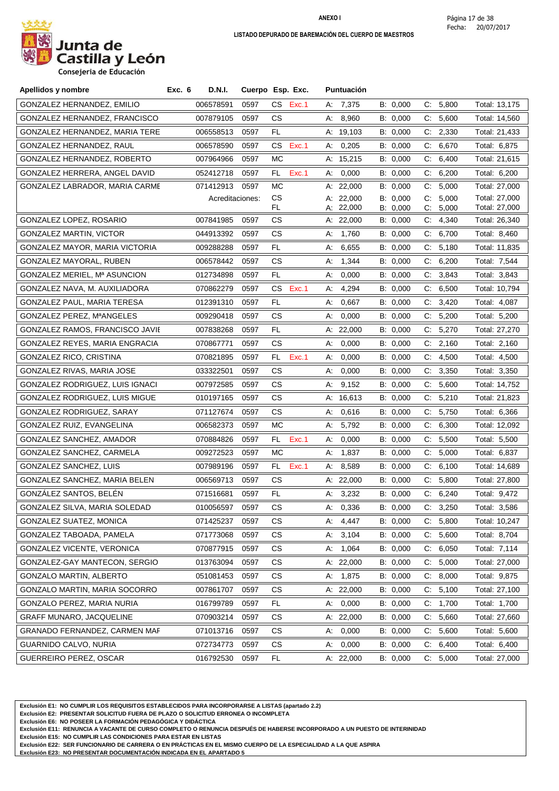

**Consejeria de Educación**

| Apellidos y nombre              | Exc. 6 | <b>D.N.I.</b>   |      | Cuerpo Esp. Exc. |    | Puntuación             |                      |          |                |                                |
|---------------------------------|--------|-----------------|------|------------------|----|------------------------|----------------------|----------|----------------|--------------------------------|
| GONZALEZ HERNANDEZ, EMILIO      |        | 006578591       | 0597 | CS .<br>Exc.1    |    | A: 7,375               | B: 0,000             |          | C: 5,800       | Total: 13,175                  |
| GONZALEZ HERNANDEZ, FRANCISCO   |        | 007879105       | 0597 | СS               | А: | 8,960                  | B: 0,000             | C:       | 5,600          | Total: 14,560                  |
| GONZALEZ HERNANDEZ, MARIA TERE  |        | 006558513       | 0597 | FL.              |    | A: 19,103              | B: 0,000             |          | C: 2,330       | Total: 21,433                  |
| GONZALEZ HERNANDEZ, RAUL        |        | 006578590       | 0597 | CS<br>Exc.1      | А: | 0,205                  | B: 0,000             |          | C: 6,670       | Total: 6,875                   |
| GONZALEZ HERNANDEZ, ROBERTO     |        | 007964966       | 0597 | <b>MC</b>        |    | A: 15,215              | B: 0,000             | C.       | 6,400          | Total: 21,615                  |
| GONZALEZ HERRERA, ANGEL DAVID   |        | 052412718       | 0597 | Exc.1<br>FL.     | А. | 0,000                  | B: 0,000             |          | C: 6,200       | Total: 6,200                   |
| GONZALEZ LABRADOR, MARIA CARME  |        | 071412913       | 0597 | <b>MC</b>        |    | A: 22,000              | B: 0,000             | C.       | 5,000          | Total: 27,000                  |
|                                 |        | Acreditaciones: |      | CS.<br>FL.       |    | A: 22,000<br>A: 22,000 | B: 0,000<br>B: 0,000 | C.<br>C: | 5,000<br>5,000 | Total: 27,000<br>Total: 27,000 |
| GONZALEZ LOPEZ, ROSARIO         |        | 007841985       | 0597 | CS.              |    | A: 22,000              | B: 0,000             | C.       | 4,340          | Total: 26,340                  |
| <b>GONZALEZ MARTIN, VICTOR</b>  |        | 044913392       | 0597 | CS.              | А: | 1,760                  | B: 0,000             |          | C: 6,700       | Total: 8,460                   |
| GONZALEZ MAYOR, MARIA VICTORIA  |        | 009288288       | 0597 | FL               | А: | 6,655                  | B: 0,000             | C:       | 5,180          | Total: 11,835                  |
| GONZALEZ MAYORAL, RUBEN         |        | 006578442       | 0597 | CS.              | А. | 1,344                  | B: 0,000             |          | C: 6,200       | Total: 7,544                   |
| GONZALEZ MERIEL, Mª ASUNCION    |        | 012734898       | 0597 | FL.              | А: | 0,000                  | B: 0,000             |          | C: 3,843       | Total: 3,843                   |
| GONZALEZ NAVA, M. AUXILIADORA   |        | 070862279       | 0597 | CS<br>Exc.1      | А. | 4,294                  | B: 0,000             | C:       | 6,500          | Total: 10,794                  |
| GONZALEZ PAUL, MARIA TERESA     |        | 012391310       | 0597 | FL.              | А: | 0,667                  | B: 0,000             | C.       | 3,420          | Total: 4,087                   |
| GONZALEZ PEREZ, MªANGELES       |        | 009290418       | 0597 | CS.              | А: | 0,000                  | B: 0,000             | C.       | 5,200          | Total: 5,200                   |
| GONZALEZ RAMOS, FRANCISCO JAVIE |        | 007838268       | 0597 | FL.              |    | A: 22,000              | B: 0,000             |          | C: 5,270       | Total: 27,270                  |
| GONZALEZ REYES, MARIA ENGRACIA  |        | 070867771       | 0597 | CS.              | А: | 0,000                  | B: 0,000             | C:       | 2,160          | Total: 2,160                   |
| GONZALEZ RICO, CRISTINA         |        | 070821895       | 0597 | Exc.1<br>FL.     | А: | 0,000                  | B: 0,000             | C:       | 4,500          | Total: 4,500                   |
| GONZALEZ RIVAS, MARIA JOSE      |        | 033322501       | 0597 | CS.              | А: | 0,000                  | B: 0,000             | C.       | 3,350          | Total: 3,350                   |
| GONZALEZ RODRIGUEZ, LUIS IGNACI |        | 007972585       | 0597 | CS.              | А. | 9,152                  | B: 0,000             | C:       | 5,600          | Total: 14,752                  |
| GONZALEZ RODRIGUEZ, LUIS MIGUE  |        | 010197165       | 0597 | CS.              |    | A: 16,613              | B: 0,000             |          | C: 5,210       | Total: 21,823                  |
| GONZALEZ RODRIGUEZ, SARAY       |        | 071127674       | 0597 | CS.              | А: | 0,616                  | B: 0,000             | C.       | 5,750          | Total: 6,366                   |
| GONZALEZ RUIZ, EVANGELINA       |        | 006582373       | 0597 | МC               | А. | 5,792                  | B: 0,000             |          | C: 6,300       | Total: 12,092                  |
| GONZALEZ SANCHEZ, AMADOR        |        | 070884826       | 0597 | FL.<br>Exc.1     | А: | 0,000                  | B: 0,000             | C.       | 5,500          | Total: 5,500                   |
| GONZALEZ SANCHEZ, CARMELA       |        | 009272523       | 0597 | МC               | А: | 1,837                  | B: 0,000             |          | C: 5,000       | Total: 6,837                   |
| GONZALEZ SANCHEZ, LUIS          |        | 007989196       | 0597 | FL.<br>Exc.1     | A: | 8,589                  | B: 0,000             | C:       | 6,100          | Total: 14,689                  |
| GONZALEZ SANCHEZ, MARIA BELEN   |        | 006569713       | 0597 | CS.              |    | A: $22,000$            | B: 0,000             | C:       | 5,800          | Total: 27,800                  |
| GONZÁLEZ SANTOS, BELÉN          |        | 071516681       | 0597 | FL               |    | A: 3,232               | B: 0,000             |          | C: 6,240       | Total: 9,472                   |
| GONZALEZ SILVA, MARIA SOLEDAD   |        | 010056597 0597  |      | CS               |    | A: 0,336               | B: 0,000             |          | C: 3,250       | Total: 3,586                   |
| GONZALEZ SUATEZ, MONICA         |        | 071425237       | 0597 | CS               |    | A: 4,447               | B: 0,000             |          | C: 5,800       | Total: 10,247                  |
| GONZALEZ TABOADA, PAMELA        |        | 071773068       | 0597 | CS.              | А. | 3,104                  | B: 0,000             | C:       | 5,600          | Total: 8,704                   |
| GONZALEZ VICENTE, VERONICA      |        | 070877915       | 0597 | CS.              |    | A: 1,064               | B: 0,000             |          | C: 6,050       | Total: 7,114                   |
| GONZALEZ-GAY MANTECON, SERGIO   |        | 013763094       | 0597 | CS.              |    | A: 22,000              | B: 0,000             |          | C: 5,000       | Total: 27,000                  |
| GONZALO MARTIN, ALBERTO         |        | 051081453       | 0597 | СS               |    | A: 1,875               | B: 0,000             |          | C: 8,000       | Total: 9,875                   |
| GONZALO MARTIN, MARIA SOCORRO   |        | 007861707       | 0597 | CS.              |    | A: $22,000$            | B: 0,000             |          | C: 5,100       | Total: 27,100                  |
| GONZALO PEREZ, MARIA NURIA      |        | 016799789       | 0597 | FL.              | А. | 0,000                  | B: 0,000             |          | C: 1,700       | Total: 1,700                   |
| <b>GRAFF MUNARO, JACQUELINE</b> |        | 070903214       | 0597 | СS               |    | A: 22,000              | B: 0,000             |          | C: 5,660       | Total: 27,660                  |
| GRANADO FERNANDEZ, CARMEN MAF   |        | 071013716       | 0597 | CS.              | А. | 0,000                  | B: 0,000             |          | C: 5,600       | Total: 5,600                   |
| GUARNIDO CALVO, NURIA           |        | 072734773       | 0597 | CS.              | А. | 0,000                  | B: 0,000             |          | C: 6,400       | Total: 6,400                   |
| GUERREIRO PEREZ, OSCAR          |        | 016792530       | 0597 | FL.              |    | A: 22,000              | B: 0,000             |          | C: 5,000       | Total: 27,000                  |

**Exclusión E1: NO CUMPLIR LOS REQUISITOS ESTABLECIDOS PARA INCORPORARSE A LISTAS (apartado 2.2)**

**Exclusión E2: PRESENTAR SOLICITUD FUERA DE PLAZO O SOLICITUD ERRONEA O INCOMPLETA**

**Exclusión E6: NO POSEER LA FORMACIÓN PEDAGÓGICA Y DIDÁCTICA**

**Exclusión E11: RENUNCIA A VACANTE DE CURSO COMPLETO O RENUNCIA DESPUÉS DE HABERSE INCORPORADO A UN PUESTO DE INTERINIDAD**

**Exclusión E15: NO CUMPLIR LAS CONDICIONES PARA ESTAR EN LISTAS**

**Exclusión E22: SER FUNCIONARIO DE CARRERA O EN PRÁCTICAS EN EL MISMO CUERPO DE LA ESPECIALIDAD A LA QUE ASPIRA**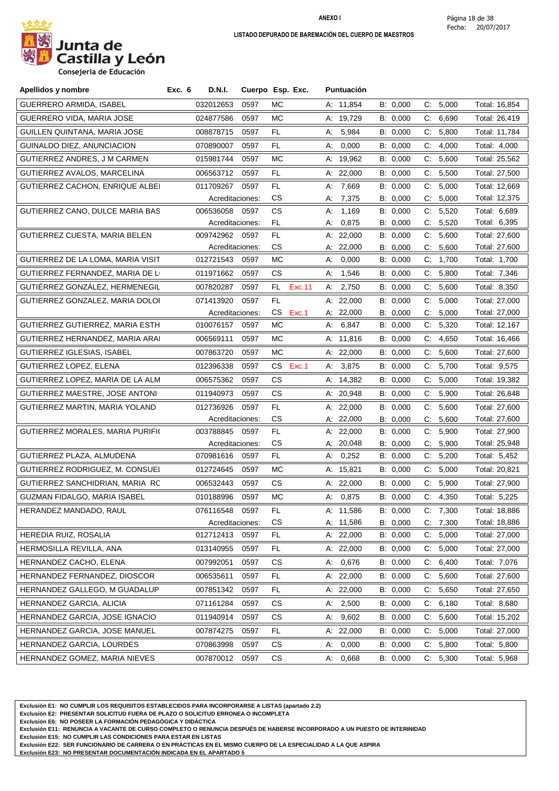

**Consejeria de Educación**

| Apellidos y nombre                | Exc. 6<br><b>D.N.I.</b> |      | Cuerpo Esp. Exc. | <b>Puntuación</b> |          |                       |               |
|-----------------------------------|-------------------------|------|------------------|-------------------|----------|-----------------------|---------------|
| GUERRERO ARMIDA, ISABEL           | 032012653               | 0597 | МC               | A: 11,854         | B: 0,000 | C:<br>5,000           | Total: 16,854 |
| GUERRERO VIDA, MARIA JOSE         | 024877586               | 0597 | МC               | A: 19,729         | B: 0,000 | C:<br>6,690           | Total: 26,419 |
| GUILLEN QUINTANA, MARIA JOSE      | 008878715               | 0597 | FL               | 5,984<br>А:       | B: 0,000 | 5,800<br>C.           | Total: 11,784 |
| GUINALDO DIEZ, ANUNCIACION        | 070890007               | 0597 | FL               | 0,000<br>А.       | B: 0,000 | C:<br>4,000           | Total: 4,000  |
| GUTIERREZ ANDRES, J M CARMEN      | 015981744               | 0597 | МC               | A: 19,962         | B: 0,000 | 5,600<br>C.           | Total: 25,562 |
| GUTIERREZ AVALOS, MARCELINA       | 006563712               | 0597 | FL.              | A: 22,000         | B: 0,000 | C: 5,500              | Total: 27,500 |
| GUTIERREZ CACHON, ENRIQUE ALBEI   | 011709267               | 0597 | FL               | A: 7,669          | B: 0,000 | C: 5,000              | Total: 12,669 |
|                                   | Acreditaciones:         |      | CS.              | 7,375<br>А.       | B: 0,000 | 5,000<br>C.           | Total: 12,375 |
| GUTIERREZ CANO, DULCE MARIA BAS   | 006536058               | 0597 | CS               | 1,169<br>А:       | B: 0,000 | 5,520<br>C:           | Total: 6,689  |
|                                   | Acreditaciones:         |      | FL.              | 0,875<br>А:       | B: 0,000 | 5,520<br>С.           | Total: 6,395  |
| GUTIERREZ CUESTA, MARIA BELEN     | 009742962               | 0597 | FL               | A: 22,000         | B: 0,000 | C: 5,600              | Total: 27,600 |
|                                   | Acreditaciones:         |      | CS.              | A: 22,000         | B: 0,000 | C: 5,600              | Total: 27,600 |
| GUTIERREZ DE LA LOMA, MARIA VISIT | 012721543               | 0597 | МC               | 0,000<br>A:       | B: 0,000 | C: 1,700              | Total: 1,700  |
| GUTIERREZ FERNANDEZ, MARIA DE LI  | 011971662               | 0597 | CS.              | 1,546<br>А.       | B: 0,000 | $C$ :<br>5,800        | Total: 7,346  |
| GUTIÉRREZ GONZÁLEZ, HERMENEGIL    | 007820287               | 0597 | FL.<br>Exc.11    | 2,750<br>A:       | B: 0,000 | 5,600<br>C.           | Total: 8,350  |
| GUTIERREZ GONZALEZ, MARIA DOLOI   | 071413920               | 0597 | FL.              | A: 22,000         | B: 0,000 | C:<br>5,000           | Total: 27,000 |
|                                   | Acreditaciones:         |      | CS<br>Exc.1      | A: 22,000         | B: 0,000 | C:<br>5,000           | Total: 27,000 |
| GUTIERREZ GUTIERREZ, MARIA ESTH   | 010076157               | 0597 | МC               | 6,847<br>A:       | B: 0,000 | C: 5,320              | Total: 12,167 |
| GUTIERREZ HERNANDEZ, MARIA ARAI   | 006569111               | 0597 | МC               | A: 11,816         | B: 0,000 | C: 4,650              | Total: 16,466 |
| GUTIERREZ IGLESIAS, ISABEL        | 007863720               | 0597 | МC               | A: 22,000         | B: 0,000 | 5,600<br>C.           | Total: 27,600 |
| GUTIERREZ LOPEZ, ELENA            | 012396338               | 0597 | CS<br>Exc.1      | A: 3,875          | B: 0,000 | 5,700<br>C.           | Total: 9,575  |
| GUTIERREZ LOPEZ, MARIA DE LA ALM  | 006575362               | 0597 | СS               | A: 14,382         | B: 0,000 | 5,000<br>C:           | Total: 19,382 |
| GUTIERREZ MAESTRE, JOSE ANTONI    | 011940973               | 0597 | CS               | A: 20,948         | B: 0,000 | C: 5,900              | Total: 26,848 |
| GUTIERREZ MARTIN, MARIA YOLAND    | 012736926               | 0597 | FL               | A: 22,000         | B: 0,000 | 5,600<br>C.           | Total: 27,600 |
|                                   | Acreditaciones:         |      | CS               | A: 22,000         | B: 0,000 | C:<br>5,600           | Total: 27,600 |
| GUTIERREZ MORALES, MARIA PURIFI(  | 003788845               | 0597 | FL               | A: 22,000         | B: 0,000 | 5,900<br>C:           | Total: 27,900 |
|                                   | Acreditaciones:         |      | CS               | A: 20,048         | B: 0,000 | C: 5,900              | Total: 25,948 |
| GUTIERREZ PLAZA, ALMUDENA         | 070981616               | 0597 | FL.              | 0,252<br>A:       | B: 0,000 | C: 5,200              | Total: 5,452  |
| GUTIERREZ RODRIGUEZ, M. CONSUEI   | 012724645               | 0597 | МC               | A: 15,821         | B: 0,000 | $\mathsf{C}$<br>5,000 | Total: 20,821 |
| GUTIERREZ SANCHIDRIAN, MARIA RC   | 006532443               | 0597 | CS.              | A: 22,000         | B: 0,000 | C: 5,900              | Total: 27,900 |
| GUZMAN FIDALGO, MARIA ISABEL      | 010188996               | 0597 | МC               | A: 0,875          | B: 0,000 | C: 4,350              | Total: 5,225  |
| HERANDEZ MANDADO, RAUL            | 076116548               | 0597 | FL.              | A: 11,586         | B: 0,000 | C: 7,300              | Total: 18,886 |
|                                   | Acreditaciones:         |      | CS               | A: 11,586         | B: 0,000 | 7,300<br>C:           | Total: 18,886 |
| HEREDIA RUIZ, ROSALIA             | 012712413               | 0597 | FL               | A: 22,000         | B: 0,000 | C: 5,000              | Total: 27,000 |
| HERMOSILLA REVILLA, ANA           | 013140955               | 0597 | FL               | A: 22,000         | B: 0,000 | 5,000<br>C.           | Total: 27,000 |
| HERNANDEZ CACHO, ELENA            | 007992051               | 0597 | CS               | 0,676<br>А.       | B: 0,000 | C: 6,400              | Total: 7,076  |
| HERNANDEZ FERNANDEZ, DIOSCOR      | 006535611               | 0597 | FL               | A: $22,000$       | B: 0,000 | 5,600<br>C.           | Total: 27,600 |
| HERNANDEZ GALLEGO, M GUADALUP     | 007851342               | 0597 | FL               | A: 22,000         | B: 0,000 | C: 5,650              | Total: 27,650 |
| HERNANDEZ GARCIA, ALICIA          | 071161284               | 0597 | СS               | A: $2,500$        | B: 0,000 | C: 6,180              | Total: 8,680  |
| HERNANDEZ GARCIA, JOSE IGNACIO    | 011940914               | 0597 | CS.              | 9,602<br>А:       | B: 0,000 | 5,600<br>C.           | Total: 15,202 |
| HERNANDEZ GARCIA, JOSE MANUEL     | 007874275               | 0597 | FL               | A: 22,000         | B: 0,000 | 5,000<br>C:           | Total: 27,000 |
| HERNANDEZ GARCIA, LOURDES         | 070863998               | 0597 | СS               | 0,000<br>А:       | B: 0,000 | 5,800<br>C:           | Total: 5,800  |
| HERNANDEZ GOMEZ, MARIA NIEVES     | 007870012               | 0597 | CS               | 0,668<br>A:       | B: 0,000 | C: 5,300              | Total: 5,968  |

**Exclusión E1: NO CUMPLIR LOS REQUISITOS ESTABLECIDOS PARA INCORPORARSE A LISTAS (apartado 2.2)**

**Exclusión E2: PRESENTAR SOLICITUD FUERA DE PLAZO O SOLICITUD ERRONEA O INCOMPLETA**

**Exclusión E6: NO POSEER LA FORMACIÓN PEDAGÓGICA Y DIDÁCTICA**

**Exclusión E11: RENUNCIA A VACANTE DE CURSO COMPLETO O RENUNCIA DESPUÉS DE HABERSE INCORPORADO A UN PUESTO DE INTERINIDAD**

**Exclusión E15: NO CUMPLIR LAS CONDICIONES PARA ESTAR EN LISTAS**

**Exclusión E22: SER FUNCIONARIO DE CARRERA O EN PRÁCTICAS EN EL MISMO CUERPO DE LA ESPECIALIDAD A LA QUE ASPIRA**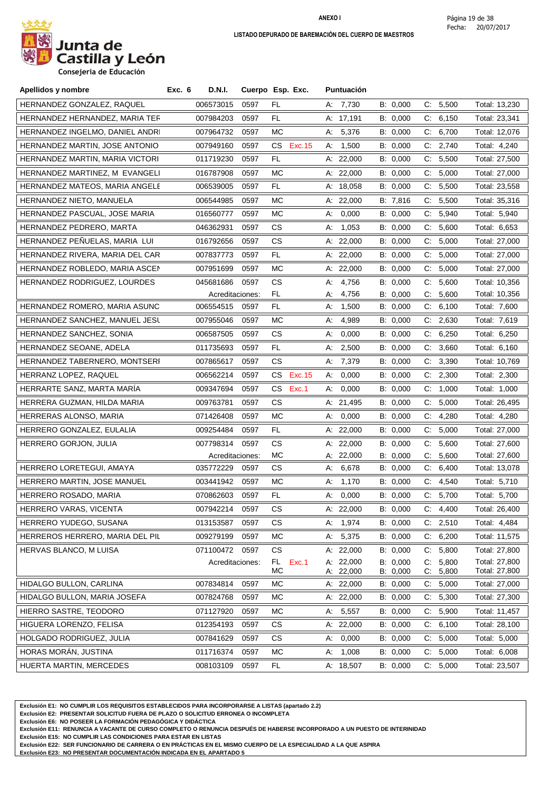

**Consejeria de Educación**

| Apellidos y nombre              | Exc. 6<br><b>D.N.I.</b> |      | Cuerpo Esp. Exc.   |    | <b>Puntuación</b>      |                      |                      |                |                                |
|---------------------------------|-------------------------|------|--------------------|----|------------------------|----------------------|----------------------|----------------|--------------------------------|
| HERNANDEZ GONZALEZ, RAQUEL      | 006573015               | 0597 | FL                 |    | A: 7,730               | B: 0,000             | $\mathsf{C}$         | 5,500          | Total: 13,230                  |
| HERNANDEZ HERNANDEZ, MARIA TER  | 007984203               | 0597 | FL.                |    | A: 17,191              | B: 0,000             | C.                   | 6,150          | Total: 23,341                  |
| HERNANDEZ INGELMO, DANIEL ANDRI | 007964732               | 0597 | МC                 | А: | 5,376                  | B: 0,000             | C:                   | 6,700          | Total: 12,076                  |
| HERNANDEZ MARTIN, JOSE ANTONIO  | 007949160               | 0597 | CS Exc.15          |    | A: 1,500               | B: 0,000             |                      | C: 2,740       | Total: 4,240                   |
| HERNANDEZ MARTIN, MARIA VICTORI | 011719230               | 0597 | FL                 |    | A: $22,000$            | B: 0,000             | C.                   | 5,500          | Total: 27,500                  |
| HERNANDEZ MARTINEZ, M EVANGELI  | 016787908               | 0597 | МC                 |    | A: 22,000              | B: 0,000             | C.                   | 5,000          | Total: 27,000                  |
| HERNANDEZ MATEOS, MARIA ANGELE  | 006539005               | 0597 | FL.                |    | A: $18,058$            | B: 0,000             |                      | C: 5,500       | Total: 23,558                  |
| HERNANDEZ NIETO, MANUELA        | 006544985               | 0597 | МC                 |    | A: $22,000$            | B: 7,816             | C.                   | 5,500          | Total: 35,316                  |
| HERNANDEZ PASCUAL, JOSE MARIA   | 016560777               | 0597 | МC                 | А: | 0,000                  | B: 0,000             | C.                   | 5,940          | Total: 5,940                   |
| HERNANDEZ PEDRERO, MARTA        | 046362931               | 0597 | CS.                | А: | 1,053                  | B: 0,000             | C.                   | 5,600          | Total: 6,653                   |
| HERNANDEZ PEÑUELAS, MARIA LUI   | 016792656               | 0597 | CS.                |    | A: 22,000              | B: 0,000             | C.                   | 5,000          | Total: 27,000                  |
| HERNANDEZ RIVERA, MARIA DEL CAR | 007837773               | 0597 | FL                 |    | A: $22,000$            | B: 0,000             | C.                   | 5,000          | Total: 27,000                  |
| HERNANDEZ ROBLEDO, MARIA ASCEN  | 007951699               | 0597 | МC                 |    | A: $22,000$            | B: 0,000             |                      | C: 5,000       | Total: 27,000                  |
| HERNANDEZ RODRIGUEZ, LOURDES    | 045681686               | 0597 | CS                 | А: | 4,756                  | B: 0,000             |                      | C: 5,600       | Total: 10,356                  |
|                                 | Acreditaciones:         |      | FL.                | А: | 4,756                  | B: 0,000             | C.                   | 5,600          | Total: 10,356                  |
| HERNANDEZ ROMERO, MARIA ASUNC   | 006554515               | 0597 | FL.                | А: | 1,500                  | B: 0,000             | C.                   | 6,100          | Total: 7,600                   |
| HERNANDEZ SANCHEZ, MANUEL JESL  | 007955046               | 0597 | МC                 | А: | 4,989                  | B: 0,000             |                      | C: 2,630       | Total: 7,619                   |
| HERNANDEZ SANCHEZ, SONIA        | 006587505               | 0597 | СS                 | А: | 0,000                  | B: 0,000             | C.                   | 6,250          | Total: 6,250                   |
| HERNANDEZ SEOANE, ADELA         | 011735693               | 0597 | FL.                | А: | 2,500                  | B: 0,000             |                      | C: 3,660       | Total: 6,160                   |
| HERNANDEZ TABERNERO, MONTSERI   | 007865617               | 0597 | CS.                |    | A: 7,379               | B: 0,000             |                      | C: 3,390       | Total: 10,769                  |
| HERRANZ LOPEZ, RAQUEL           | 006562214               | 0597 | CS<br>Exc. 15      | А. | 0,000                  | B: 0,000             | C.                   | 2,300          | Total: 2,300                   |
| HERRARTE SANZ, MARTA MARIA      | 009347694               | 0597 | Exc.1<br>CS.       | А: | 0,000                  | B: 0,000             | C.                   | 1,000          | Total: 1,000                   |
| HERRERA GUZMAN, HILDA MARIA     | 009763781               | 0597 | СS                 |    | A: 21,495              | B: 0,000             | C.                   | 5,000          | Total: 26,495                  |
| HERRERAS ALONSO, MARIA          | 071426408               | 0597 | МC                 | А: | 0,000                  | B: 0,000             | C.                   | 4,280          | Total: 4,280                   |
| HERRERO GONZALEZ, EULALIA       | 009254484               | 0597 | FL.                |    | A: 22,000              | B: 0,000             | C:                   | 5,000          | Total: 27,000                  |
| HERRERO GORJON, JULIA           | 007798314               | 0597 | СS                 |    | A: 22,000              | B: 0,000             | C:                   | 5,600          | Total: 27,600                  |
|                                 | Acreditaciones:         |      | MC                 |    | A: 22,000              | B: 0,000             |                      | C: 5,600       | Total: 27,600                  |
| HERRERO LORETEGUI, AMAYA        | 035772229               | 0597 | СS                 | А. | 6,678                  | B: 0,000             | C.                   | 6,400          | Total: 13,078                  |
| HERRERO MARTIN, JOSE MANUEL     | 003441942               | 0597 | МC                 | А: | 1,170                  | B: 0,000             | C.                   | 4,540          | Total: 5,710                   |
| HERRERO ROSADO, MARIA           | 070862603               | 0597 | FL.                | A: | 0,000                  | B: 0,000             |                      | C: 5,700       | Total: 5,700                   |
| HERRERO VARAS, VICENTA          | 007942214               | 0597 | СS                 |    | A: 22,000              | B: 0,000             |                      | C: 4,400       | Total: 26,400                  |
| HERRERO YUDEGO, SUSANA          | 013153587               | 0597 | СS                 | А: | 1,974                  | B: 0,000             |                      | C: 2,510       | Total: 4,484                   |
| HERREROS HERRERO, MARIA DEL PIL | 009279199               | 0597 | МC                 | А. | 5,375                  | B: 0,000             | C.                   | 6,200          | Total: 11,575                  |
| HERVAS BLANCO, M LUISA          | 071100472               | 0597 | CS                 |    | A: 22,000              | B: 0,000             |                      | C: 5,800       | Total: 27,800                  |
|                                 | Acreditaciones:         |      | Exc.1<br>FL.<br>MC |    | A: 22,000<br>A: 22,000 | B: 0,000<br>B: 0,000 | $C_{\cdot}$<br>$C$ : | 5,800<br>5,800 | Total: 27,800<br>Total: 27,800 |
| HIDALGO BULLON, CARLINA         | 007834814               | 0597 | MC                 |    | A: 22,000              | B: 0,000             | C.                   | 5,000          | Total: 27,000                  |
| HIDALGO BULLON, MARIA JOSEFA    | 007824768               | 0597 | МC                 |    | A: 22,000              | B: 0,000             | C.                   | 5,300          | Total: 27,300                  |
| HIERRO SASTRE, TEODORO          | 071127920               | 0597 | MC                 | А: | 5,557                  | B: 0,000             | $C$ :                | 5,900          | Total: 11,457                  |
| HIGUERA LORENZO, FELISA         | 012354193               | 0597 | СS                 |    | A: 22,000              | B: 0,000             |                      | C: 6,100       | Total: 28,100                  |
| HOLGADO RODRIGUEZ, JULIA        | 007841629               | 0597 | СS                 | А. | 0,000                  | B: 0,000             | C:                   | 5,000          | Total: 5,000                   |
| HORAS MORAN, JUSTINA            | 011716374               | 0597 | МC                 | Α. | 1,008                  | B: 0,000             |                      | C: 5,000       | Total: 6,008                   |
| HUERTA MARTIN, MERCEDES         | 008103109               | 0597 | FL.                |    | A: 18,507              | B: 0,000             |                      | C: 5,000       | Total: 23,507                  |

**Exclusión E1: NO CUMPLIR LOS REQUISITOS ESTABLECIDOS PARA INCORPORARSE A LISTAS (apartado 2.2)**

**Exclusión E2: PRESENTAR SOLICITUD FUERA DE PLAZO O SOLICITUD ERRONEA O INCOMPLETA**

**Exclusión E6: NO POSEER LA FORMACIÓN PEDAGÓGICA Y DIDÁCTICA**

**Exclusión E11: RENUNCIA A VACANTE DE CURSO COMPLETO O RENUNCIA DESPUÉS DE HABERSE INCORPORADO A UN PUESTO DE INTERINIDAD**

**Exclusión E15: NO CUMPLIR LAS CONDICIONES PARA ESTAR EN LISTAS**

**Exclusión E22: SER FUNCIONARIO DE CARRERA O EN PRÁCTICAS EN EL MISMO CUERPO DE LA ESPECIALIDAD A LA QUE ASPIRA**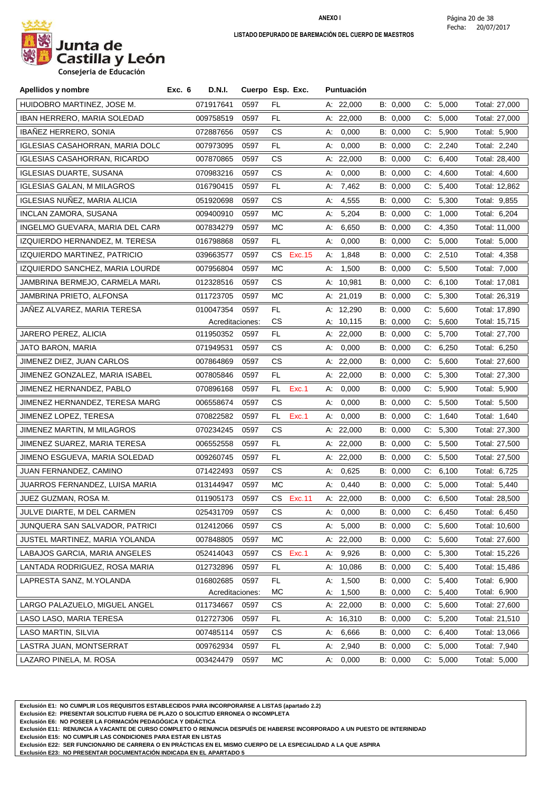

| Apellidos y nombre                     | Exc. 6 | D.N.I.          | Cuerpo Esp. Exc. |           |           |    | Puntuación  |          |             |          |               |
|----------------------------------------|--------|-----------------|------------------|-----------|-----------|----|-------------|----------|-------------|----------|---------------|
| HUIDOBRO MARTINEZ, JOSE M.             |        | 071917641       | 0597             | FL.       |           |    | A: 22,000   | B: 0,000 |             | C: 5,000 | Total: 27,000 |
| IBAN HERRERO, MARIA SOLEDAD            |        | 009758519       | 0597             | FL        |           |    | A: 22,000   | B: 0,000 |             | C: 5,000 | Total: 27,000 |
| <b>IBAÑEZ HERRERO, SONIA</b>           |        | 072887656       | 0597             | СS        |           | А. | 0,000       | B: 0,000 |             | C: 5,900 | Total: 5,900  |
| <b>IGLESIAS CASAHORRAN, MARIA DOLC</b> |        | 007973095       | 0597             | FL.       |           | А: | 0,000       | B: 0,000 |             | C: 2,240 | Total: 2,240  |
| <b>IGLESIAS CASAHORRAN, RICARDO</b>    |        | 007870865       | 0597             | CS        |           |    | A: $22,000$ | B: 0,000 | C:          | 6,400    | Total: 28,400 |
| <b>IGLESIAS DUARTE, SUSANA</b>         |        | 070983216       | 0597             | СS        |           | А. | 0,000       | B: 0,000 | C.          | 4,600    | Total: 4,600  |
| <b>IGLESIAS GALAN, M MILAGROS</b>      |        | 016790415       | 0597             | FL.       |           | А. | 7,462       | B: 0,000 | C.          | 5,400    | Total: 12,862 |
| IGLESIAS NUÑEZ, MARIA ALICIA           |        | 051920698       | 0597             | CS        |           | А. | 4,555       | B: 0,000 |             | C: 5,300 | Total: 9,855  |
| INCLAN ZAMORA, SUSANA                  |        | 009400910       | 0597             | МC        |           | А: | 5,204       | B: 0,000 | C.          | 1,000    | Total: 6,204  |
| INGELMO GUEVARA, MARIA DEL CARN        |        | 007834279       | 0597             | МC        |           | А. | 6,650       | B: 0,000 | C.          | 4,350    | Total: 11,000 |
| IZQUIERDO HERNANDEZ, M. TERESA         |        | 016798868       | 0597             | FL.       |           | А. | 0,000       | B: 0,000 |             | C: 5,000 | Total: 5,000  |
| IZQUIERDO MARTINEZ, PATRICIO           |        | 039663577       | 0597             | CS        | Exc. 15   | А: | 1,848       | B: 0,000 | C.          | 2,510    | Total: 4,358  |
| IZQUIERDO SANCHEZ, MARIA LOURDE        |        | 007956804       | 0597             | МC        |           | A: | 1,500       | B: 0,000 |             | C: 5,500 | Total: 7,000  |
| JAMBRINA BERMEJO, CARMELA MARI         |        | 012328516       | 0597             | СS        |           |    | A: 10,981   | B: 0,000 | C.          | 6,100    | Total: 17,081 |
| JAMBRINA PRIETO, ALFONSA               |        | 011723705       | 0597             | МC        |           |    | A: 21,019   | B: 0,000 |             | C: 5,300 | Total: 26,319 |
| JAÑEZ ALVAREZ, MARIA TERESA            |        | 010047354       | 0597             | FL        |           |    | A: 12,290   | B: 0,000 | C.          | 5,600    | Total: 17,890 |
|                                        |        | Acreditaciones: |                  | CS        |           |    | A: 10,115   | B: 0,000 | C.          | 5,600    | Total: 15,715 |
| JARERO PEREZ, ALICIA                   |        | 011950352       | 0597             | FL.       |           |    | A: 22,000   | B: 0,000 |             | C: 5,700 | Total: 27,700 |
| JATO BARON, MARIA                      |        | 071949531       | 0597             | СS        |           | А. | 0,000       | B: 0,000 | C.          | 6,250    | Total: 6,250  |
| JIMENEZ DIEZ, JUAN CARLOS              |        | 007864869       | 0597             | СS        |           |    | A: $22,000$ | B: 0,000 | C.          | 5,600    | Total: 27,600 |
| JIMENEZ GONZALEZ, MARIA ISABEL         |        | 007805846       | 0597             | FL.       |           |    | A: $22,000$ | B: 0,000 |             | C: 5,300 | Total: 27,300 |
| JIMENEZ HERNANDEZ, PABLO               |        | 070896168       | 0597             | FL.       | Exc.1     | А: | 0,000       | B: 0,000 | C.          | 5,900    | Total: 5,900  |
| JIMENEZ HERNANDEZ, TERESA MARG         |        | 006558674       | 0597             | СS        |           | А: | 0,000       | B: 0,000 |             | C: 5,500 | Total: 5,500  |
| JIMENEZ LOPEZ, TERESA                  |        | 070822582       | 0597             | FL.       | Exc.1     | А: | 0,000       | B: 0,000 | C.          | 1,640    | Total: 1,640  |
| JIMENEZ MARTIN, M MILAGROS             |        | 070234245       | 0597             | <b>CS</b> |           |    | A: $22,000$ | B: 0,000 |             | C: 5,300 | Total: 27,300 |
| JIMENEZ SUAREZ, MARIA TERESA           |        | 006552558       | 0597             | FL.       |           |    | A: $22,000$ | B: 0,000 | C.          | 5,500    | Total: 27,500 |
| JIMENO ESGUEVA, MARIA SOLEDAD          |        | 009260745       | 0597             | FL        |           |    | A: 22,000   | B: 0,000 | C.          | 5,500    | Total: 27,500 |
| JUAN FERNANDEZ, CAMINO                 |        | 071422493       | 0597             | СS        |           | А. | 0,625       | B: 0,000 |             | C: 6,100 | Total: 6,725  |
| JUARROS FERNANDEZ, LUISA MARIA         |        | 013144947       | 0597             | МC        |           | А: | 0,440       | B: 0,000 | C:          | 5,000    | Total: 5,440  |
| JUEZ GUZMAN, ROSA M.                   |        | 011905173       | 0597             |           | CS Exc.11 |    | A: 22,000   | B: 0,000 |             | C: 6,500 | Total: 28,500 |
| JULVE DIARTE, M DEL CARMEN             |        | 025431709       | 0597             | СS        |           |    | A: 0,000    | B: 0,000 |             | C: 6,450 | Total: 6,450  |
| JUNQUERA SAN SALVADOR, PATRICI         |        | 012412066       | 0597             | CS        |           | А. | 5,000       | B: 0,000 |             | C: 5,600 | Total: 10,600 |
| JUSTEL MARTINEZ, MARIA YOLANDA         |        | 007848805       | 0597             | МC        |           |    | A: 22,000   | B: 0,000 | C.          | 5,600    | Total: 27,600 |
| LABAJOS GARCIA, MARIA ANGELES          |        | 052414043       | 0597             | CS        | Exc.1     | А. | 9,926       | B: 0,000 | C.          | 5,300    | Total: 15,226 |
| LANTADA RODRIGUEZ, ROSA MARIA          |        | 012732896       | 0597             | FL.       |           |    | A: 10,086   | B: 0,000 |             | C: 5,400 | Total: 15,486 |
| LAPRESTA SANZ, M.YOLANDA               |        | 016802685       | 0597             | FL.       |           | А: | 1,500       | B: 0,000 | $C_{\cdot}$ | 5,400    | Total: 6,900  |
|                                        |        | Acreditaciones: |                  | <b>MC</b> |           | А: | 1,500       | B: 0,000 | C.          | 5,400    | Total: 6,900  |
| LARGO PALAZUELO, MIGUEL ANGEL          |        | 011734667       | 0597             | CS        |           |    | A: 22,000   | B: 0,000 |             | C: 5,600 | Total: 27,600 |
| LASO LASO, MARIA TERESA                |        | 012727306       | 0597             | FL.       |           |    | A: 16,310   | B: 0,000 |             | C: 5,200 | Total: 21,510 |
| LASO MARTIN, SILVIA                    |        | 007485114       | 0597             | CS        |           | А. | 6,666       | B: 0,000 | C.          | 6,400    | Total: 13,066 |
| LASTRA JUAN, MONTSERRAT                |        | 009762934       | 0597             | FL.       |           | А: | 2,940       | B: 0,000 | C.          | 5,000    | Total: 7,940  |
| LAZARO PINELA, M. ROSA                 |        | 003424479       | 0597             | MC        |           | А. | 0,000       | B: 0,000 |             | C: 5,000 | Total: 5,000  |

**Exclusión E1: NO CUMPLIR LOS REQUISITOS ESTABLECIDOS PARA INCORPORARSE A LISTAS (apartado 2.2)**

**Exclusión E2: PRESENTAR SOLICITUD FUERA DE PLAZO O SOLICITUD ERRONEA O INCOMPLETA**

**Exclusión E6: NO POSEER LA FORMACIÓN PEDAGÓGICA Y DIDÁCTICA**

**Exclusión E11: RENUNCIA A VACANTE DE CURSO COMPLETO O RENUNCIA DESPUÉS DE HABERSE INCORPORADO A UN PUESTO DE INTERINIDAD**

**Exclusión E15: NO CUMPLIR LAS CONDICIONES PARA ESTAR EN LISTAS**

**Exclusión E22: SER FUNCIONARIO DE CARRERA O EN PRÁCTICAS EN EL MISMO CUERPO DE LA ESPECIALIDAD A LA QUE ASPIRA**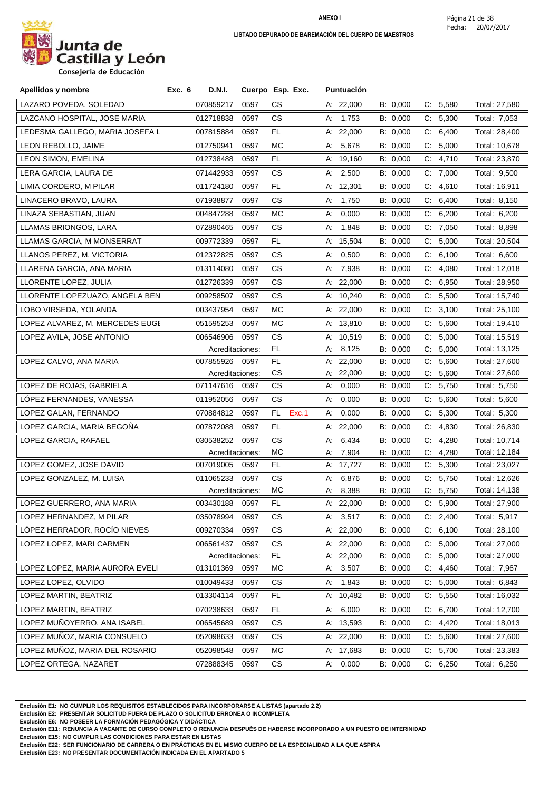

**Consejeria de Educación**

| Apellidos y nombre              | Exc. 6<br>D.N.I. |                 | Cuerpo Esp. Exc. | Puntuación  |          |                      |               |
|---------------------------------|------------------|-----------------|------------------|-------------|----------|----------------------|---------------|
| LAZARO POVEDA, SOLEDAD          | 070859217        | 0597            | CS.              | A: 22,000   | B: 0,000 | C: 5,580             | Total: 27,580 |
| LAZCANO HOSPITAL, JOSE MARIA    | 012718838        | 0597            | CS.              | A: 1,753    | B: 0,000 | C:<br>5,300          | Total: 7,053  |
| LEDESMA GALLEGO, MARIA JOSEFA L | 007815884        | 0597            | FL.              | A: 22,000   | B: 0,000 | C: 6,400             | Total: 28,400 |
| LEON REBOLLO, JAIME             | 012750941        | 0597            | МC               | A: 5,678    | B: 0,000 | 5,000<br>C:          | Total: 10,678 |
| LEON SIMON, EMELINA             | 012738488        | 0597            | FL               | A: 19,160   | B: 0,000 | C.<br>4,710          | Total: 23,870 |
| LERA GARCIA, LAURA DE           | 071442933        | 0597            | CS.              | A: 2,500    | B: 0,000 | C: 7,000             | Total: 9,500  |
| LIMIA CORDERO, M PILAR          | 011724180        | 0597            | FL               | A: 12,301   | B: 0,000 | $C_{\cdot}$<br>4,610 | Total: 16,911 |
| LINACERO BRAVO, LAURA           | 071938877        | 0597            | CS.              | 1,750<br>А: | B: 0,000 | C: 6,400             | Total: 8,150  |
| LINAZA SEBASTIAN, JUAN          | 004847288        | 0597            | МC               | 0,000<br>А: | B: 0,000 | C.<br>6,200          | Total: 6,200  |
| LLAMAS BRIONGOS, LARA           | 072890465        | 0597            | CS.              | 1,848<br>А: | B: 0,000 | C: 7,050             | Total: 8,898  |
| LLAMAS GARCIA, M MONSERRAT      | 009772339        | 0597            | FL.              | A: 15,504   | B: 0,000 | C: 5,000             | Total: 20,504 |
| LLANOS PEREZ, M. VICTORIA       | 012372825        | 0597            | CS.              | 0,500<br>А. | B: 0,000 | 6,100<br>C.          | Total: 6,600  |
| LLARENA GARCIA, ANA MARIA       | 013114080        | 0597            | CS.              | 7,938<br>А: | B: 0,000 | 4,080<br>C.          | Total: 12,018 |
| LLORENTE LOPEZ, JULIA           | 012726339        | 0597            | CS.              | A: 22,000   | B: 0,000 | C.<br>6,950          | Total: 28,950 |
| LLORENTE LOPEZUAZO, ANGELA BEN  | 009258507        | 0597            | CS.              | A: 10,240   | B: 0,000 | C: 5,500             | Total: 15,740 |
| LOBO VIRSEDA, YOLANDA           | 003437954        | 0597            | МC               | A: 22,000   | B: 0,000 | 3,100<br>C.          | Total: 25,100 |
| LOPEZ ALVAREZ, M. MERCEDES EUGI | 051595253        | 0597            | МC               | A: 13,810   | B: 0,000 | C: 5,600             | Total: 19,410 |
| LOPEZ AVILA, JOSE ANTONIO       | 006546906        | 0597            | CS               | A: 10,519   | B: 0,000 | C: 5,000             | Total: 15,519 |
|                                 |                  | Acreditaciones: | FL.              | A: 8,125    | B: 0,000 | 5,000<br>C.          | Total: 13,125 |
| LOPEZ CALVO, ANA MARIA          | 007855926        | 0597            | FL.              | A: 22,000   | B: 0,000 | 5,600<br>C:          | Total: 27,600 |
|                                 |                  | Acreditaciones: | CS               | A: 22,000   | B: 0,000 | С.<br>5,600          | Total: 27,600 |
| LOPEZ DE ROJAS, GABRIELA        | 071147616        | 0597            | CS.              | 0,000<br>А: | B: 0,000 | C: 5,750             | Total: 5,750  |
| LOPEZ FERNANDES, VANESSA        | 011952056        | 0597            | CS.              | 0,000<br>А: | B: 0,000 | 5,600<br>C.          | Total: 5,600  |
| LOPEZ GALAN, FERNANDO           | 070884812        | 0597            | FL.<br>Exc.1     | 0,000<br>А. | B: 0,000 | C:<br>5,300          | Total: 5,300  |
| LOPEZ GARCIA, MARIA BEGOÑA      | 007872088        | 0597            | FL               | A: $22,000$ | B: 0,000 | C:<br>4,830          | Total: 26,830 |
| LOPEZ GARCIA, RAFAEL            | 030538252        | 0597            | <b>CS</b>        | 6,434<br>А: | B: 0,000 | 4,280<br>C.          | Total: 10,714 |
|                                 |                  | Acreditaciones: | MC               | 7,904<br>А: | B: 0,000 | $C_{\cdot}$<br>4,280 | Total: 12,184 |
| LOPEZ GOMEZ, JOSE DAVID         | 007019005        | 0597            | FL.              | A: 17,727   | B: 0,000 | C: 5,300             | Total: 23,027 |
| LOPEZ GONZALEZ, M. LUISA        | 011065233        | 0597            | CS.              | 6,876<br>А: | B: 0,000 | 5,750<br>C.          | Total: 12,626 |
|                                 |                  | Acreditaciones: | MC               | 8,388<br>А: | B: 0,000 | C:<br>5,750          | Total: 14,138 |
| LOPEZ GUERRERO, ANA MARIA       | 003430188        | 0597            | FL               | A: 22,000   | B: 0,000 | C: 5,900             | Total: 27,900 |
| LOPEZ HERNANDEZ, M PILAR        | 035078994        | 0597            | CS.              | A: 3,517    | B: 0,000 | 2,400<br>C:          | Total: 5,917  |
| LÓPEZ HERRADOR, ROCÍO NIEVES    | 009270334        | 0597            | CS.              | A: 22,000   | B: 0,000 | 6,100<br>C:          | Total: 28,100 |
| LOPEZ LOPEZ, MARI CARMEN        | 006561437        | 0597            | CS               | A: 22,000   | B: 0,000 | C: 5,000             | Total: 27,000 |
|                                 |                  | Acreditaciones: | FL               | A: 22,000   | B: 0,000 | 5,000<br>C.          | Total: 27,000 |
| LOPEZ LOPEZ, MARIA AURORA EVELI | 013101369        | 0597            | МC               | 3,507<br>А. | B: 0,000 | 4,460<br>C.          | Total: 7,967  |
| LOPEZ LOPEZ, OLVIDO             | 010049433        | 0597            | CS               | 1,843<br>А. | B: 0,000 | C: 5,000             | Total: 6,843  |
| LOPEZ MARTIN, BEATRIZ           | 013304114        | 0597            | FL               | A: 10,482   | B: 0,000 | 5,550<br>C.          | Total: 16,032 |
| LOPEZ MARTIN, BEATRIZ           | 070238633        | 0597            | FL.              | 6,000<br>А. | B: 0,000 | 6,700<br>C.          | Total: 12,700 |
| LOPEZ MUÑOYERRO, ANA ISABEL     | 006545689        | 0597            | СS               | A: 13,593   | B: 0,000 | C: 4,420             | Total: 18,013 |
| LOPEZ MUÑOZ, MARIA CONSUELO     | 052098633        | 0597            | CS               | A: 22,000   | B: 0,000 | 5,600<br>C:          | Total: 27,600 |
| LOPEZ MUÑOZ, MARIA DEL ROSARIO  | 052098548        | 0597            | MC               | A: 17,683   | B: 0,000 | C: 5,700             | Total: 23,383 |
| LOPEZ ORTEGA, NAZARET           | 072888345        | 0597            | СS               | A: 0,000    | B: 0,000 | C: 6,250             | Total: 6,250  |

**Exclusión E1: NO CUMPLIR LOS REQUISITOS ESTABLECIDOS PARA INCORPORARSE A LISTAS (apartado 2.2)**

**Exclusión E2: PRESENTAR SOLICITUD FUERA DE PLAZO O SOLICITUD ERRONEA O INCOMPLETA**

**Exclusión E6: NO POSEER LA FORMACIÓN PEDAGÓGICA Y DIDÁCTICA**

**Exclusión E11: RENUNCIA A VACANTE DE CURSO COMPLETO O RENUNCIA DESPUÉS DE HABERSE INCORPORADO A UN PUESTO DE INTERINIDAD**

**Exclusión E15: NO CUMPLIR LAS CONDICIONES PARA ESTAR EN LISTAS**

**Exclusión E22: SER FUNCIONARIO DE CARRERA O EN PRÁCTICAS EN EL MISMO CUERPO DE LA ESPECIALIDAD A LA QUE ASPIRA**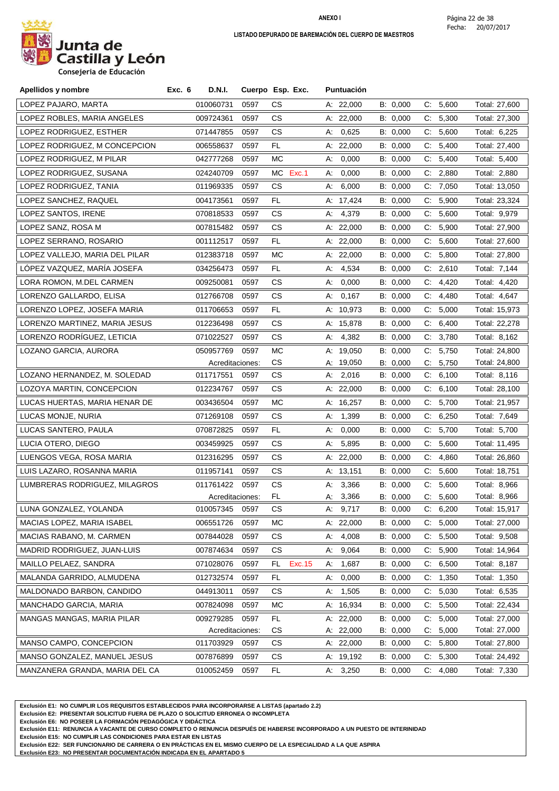

| Apellidos y nombre             | Exc. 6<br><b>D.N.I.</b> |                 | Cuerpo Esp. Exc. | Puntuación  |          |                      |               |
|--------------------------------|-------------------------|-----------------|------------------|-------------|----------|----------------------|---------------|
| LOPEZ PAJARO, MARTA            | 010060731               | 0597            | CS.              | A: 22,000   | B: 0,000 | 5,600<br>C:          | Total: 27,600 |
| LOPEZ ROBLES, MARIA ANGELES    | 009724361               | 0597            | CS.              | A: 22,000   | B: 0.000 | C: 5,300             | Total: 27,300 |
| LOPEZ RODRIGUEZ, ESTHER        | 071447855               | 0597            | CS.              | A: 0,625    | B: 0,000 | C: 5,600             | Total: 6,225  |
| LOPEZ RODRIGUEZ, M CONCEPCION  | 006558637               | 0597            | FL.              | A: $22,000$ | B: 0,000 | C: 5,400             | Total: 27,400 |
| LOPEZ RODRIGUEZ, M PILAR       | 042777268               | 0597            | МC               | 0,000<br>А: | B: 0,000 | C.<br>5,400          | Total: 5,400  |
| LOPEZ RODRIGUEZ, SUSANA        | 024240709               | 0597            | MC Exc.1         | 0,000<br>А. | B: 0,000 | C: 2,880             | Total: 2,880  |
| LOPEZ RODRIGUEZ, TANIA         | 011969335               | 0597            | CS.              | 6,000<br>А: | B: 0,000 | 7,050<br>C.          | Total: 13,050 |
| LOPEZ SANCHEZ, RAQUEL          | 004173561               | 0597            | FL               | A: 17,424   | B: 0,000 | C:<br>5,900          | Total: 23,324 |
| LOPEZ SANTOS, IRENE            | 070818533               | 0597            | CS.              | A: 4,379    | B: 0,000 | 5,600<br>C.          | Total: 9,979  |
| LOPEZ SANZ, ROSA M             | 007815482               | 0597            | CS.              | A: 22,000   | B: 0,000 | C: 5,900             | Total: 27,900 |
| LOPEZ SERRANO, ROSARIO         | 001112517               | 0597            | FL.              | A: $22,000$ | B: 0,000 | C: 5,600             | Total: 27,600 |
| LOPEZ VALLEJO, MARIA DEL PILAR | 012383718               | 0597            | МC               | A: 22,000   | B: 0,000 | $C$ :<br>5,800       | Total: 27,800 |
| LÓPEZ VAZQUEZ, MARÍA JOSEFA    | 034256473               | 0597            | FL.              | 4,534<br>А. | B: 0,000 | C: 2,610             | Total: 7,144  |
| LORA ROMON, M.DEL CARMEN       | 009250081               | 0597            | CS.              | 0,000<br>A: | B: 0,000 | C.<br>4,420          | Total: 4,420  |
| LORENZO GALLARDO, ELISA        | 012766708               | 0597            | CS.              | A: 0,167    | B: 0,000 | C.<br>4,480          | Total: 4,647  |
| LORENZO LOPEZ, JOSEFA MARIA    | 011706653               | 0597            | FL.              | A: 10,973   | B: 0,000 | 5,000<br>C.          | Total: 15,973 |
| LORENZO MARTINEZ, MARIA JESUS  | 012236498               | 0597            | CS.              | A: 15,878   | B: 0,000 | C.<br>6,400          | Total: 22,278 |
| LORENZO RODRÍGUEZ, LETICIA     | 071022527               | 0597            | CS.              | A: 4,382    | B: 0,000 | C: 3,780             | Total: 8,162  |
| LOZANO GARCIA, AURORA          | 050957769               | 0597            | МC               | A: 19,050   | B: 0,000 | 5,750<br>C.          | Total: 24,800 |
|                                |                         | Acreditaciones: | CS               | A: 19,050   | B: 0,000 | 5,750<br>C.          | Total: 24,800 |
| LOZANO HERNANDEZ, M. SOLEDAD   | 011717551               | 0597            | CS.              | A: 2,016    | B: 0,000 | 6,100<br>C.          | Total: 8,116  |
| LOZOYA MARTIN, CONCEPCION      | 012234767               | 0597            | CS.              | A: 22,000   | B: 0,000 | C.<br>6,100          | Total: 28,100 |
| LUCAS HUERTAS, MARIA HENAR DE  | 003436504               | 0597            | МC               | A: 16,257   | B: 0,000 | C.<br>5,700          | Total: 21,957 |
| LUCAS MONJE, NURIA             | 071269108               | 0597            | CS.              | A: 1,399    | B: 0,000 | 6,250<br>C.          | Total: 7,649  |
| LUCAS SANTERO, PAULA           | 070872825               | 0597            | FL.              | 0,000<br>А: | B: 0,000 | C: 5,700             | Total: 5,700  |
| LUCIA OTERO, DIEGO             | 003459925               | 0597            | CS.              | 5,895<br>A: | B: 0,000 | 5,600<br>C.          | Total: 11,495 |
| LUENGOS VEGA, ROSA MARIA       | 012316295               | 0597            | CS.              | A: 22,000   | B: 0,000 | C.<br>4,860          | Total: 26,860 |
| LUIS LAZARO, ROSANNA MARIA     | 011957141               | 0597            | CS.              | A: 13,151   | B: 0,000 | C: 5,600             | Total: 18,751 |
| LUMBRERAS RODRIGUEZ, MILAGROS  | 011761422               | 0597            | CS               | A: 3,366    | B: 0,000 | C: 5,600             | Total: 8,966  |
|                                |                         | Acreditaciones: | FL.              | A: 3,366    | B: 0,000 | C: 5,600             | Total: 8,966  |
| LUNA GONZALEZ, YOLANDA         | 010057345 0597          |                 | CS               | A: 9,717    | B: 0,000 | C: 6,200             | Total: 15,917 |
| MACIAS LOPEZ, MARIA ISABEL     | 006551726               | 0597            | МC               | A: 22,000   | B: 0,000 | 5,000<br>C.          | Total: 27,000 |
| MACIAS RABANO, M. CARMEN       | 007844028               | 0597            | CS               | 4,008<br>А. | B: 0,000 | 5,500<br>C.          | Total: 9,508  |
| MADRID RODRIGUEZ, JUAN-LUIS    | 007874634               | 0597            | CS.              | 9,064<br>А. | B: 0,000 | 5,900<br>C.          | Total: 14,964 |
| MAILLO PELAEZ, SANDRA          | 071028076               | 0597            | Exc. 15<br>FL.   | 1,687<br>А. | B: 0,000 | 6,500<br>C:          | Total: 8,187  |
| MALANDA GARRIDO, ALMUDENA      | 012732574               | 0597            | FL.              | А.<br>0,000 | B: 0,000 | 1,350<br>C.          | Total: 1,350  |
| MALDONADO BARBON, CANDIDO      | 044913011               | 0597            | CS.              | 1,505<br>А. | B: 0,000 | 5,030<br>C.          | Total: 6,535  |
| MANCHADO GARCIA, MARIA         | 007824098               | 0597            | МC               | A: 16,934   | B: 0,000 | C: 5,500             | Total: 22,434 |
| MANGAS MANGAS, MARIA PILAR     | 009279285               | 0597            | FL.              | A: 22,000   | B: 0,000 | 5,000<br>C.          | Total: 27,000 |
|                                |                         | Acreditaciones: | CS               | A: 22,000   | B: 0,000 | 5,000<br>C.          | Total: 27,000 |
| MANSO CAMPO, CONCEPCION        | 011703929               | 0597            | CS               | A: 22,000   | B: 0,000 | 5,800<br>C.          | Total: 27,800 |
| MANSO GONZALEZ, MANUEL JESUS   | 007876899               | 0597            | CS.              | A: 19,192   | B: 0,000 | 5,300<br>C.          | Total: 24,492 |
| MANZANERA GRANDA, MARIA DEL CA | 010052459               | 0597            | FL.              | A: 3,250    | B: 0,000 | $C_{\cdot}$<br>4,080 | Total: 7,330  |

**Exclusión E1: NO CUMPLIR LOS REQUISITOS ESTABLECIDOS PARA INCORPORARSE A LISTAS (apartado 2.2)**

**Exclusión E2: PRESENTAR SOLICITUD FUERA DE PLAZO O SOLICITUD ERRONEA O INCOMPLETA**

**Exclusión E6: NO POSEER LA FORMACIÓN PEDAGÓGICA Y DIDÁCTICA**

**Exclusión E11: RENUNCIA A VACANTE DE CURSO COMPLETO O RENUNCIA DESPUÉS DE HABERSE INCORPORADO A UN PUESTO DE INTERINIDAD**

**Exclusión E15: NO CUMPLIR LAS CONDICIONES PARA ESTAR EN LISTAS**

**Exclusión E22: SER FUNCIONARIO DE CARRERA O EN PRÁCTICAS EN EL MISMO CUERPO DE LA ESPECIALIDAD A LA QUE ASPIRA**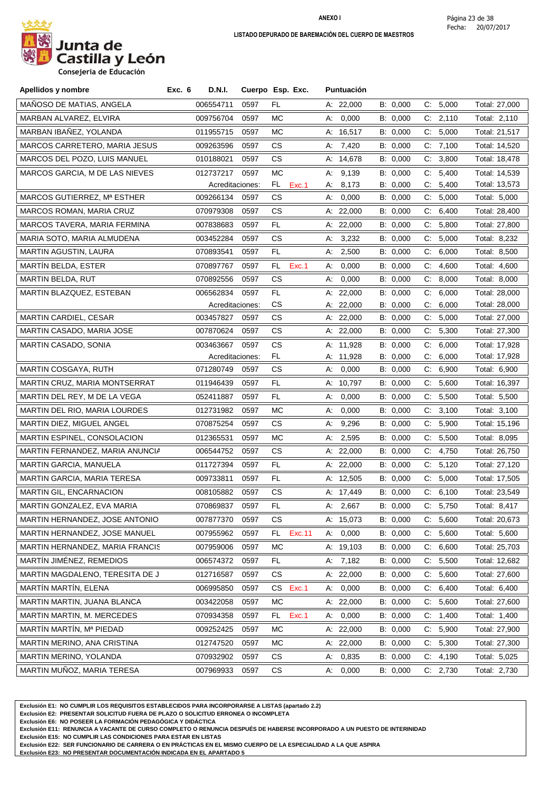

| Apellidos y nombre               | Exc. 6<br>D.N.I. |                 | Cuerpo Esp. Exc. | Puntuación  |          |             |               |
|----------------------------------|------------------|-----------------|------------------|-------------|----------|-------------|---------------|
| MAÑOSO DE MATIAS, ANGELA         | 006554711        | 0597            | FL               | A: 22,000   | B: 0,000 | C: 5,000    | Total: 27,000 |
| MARBAN ALVAREZ, ELVIRA           | 009756704        | 0597            | МC               | A: 0,000    | B: 0,000 | C: 2,110    | Total: 2,110  |
| MARBAN IBAÑEZ, YOLANDA           | 011955715        | 0597            | MC.              | A: 16,517   | B: 0,000 | C: 5,000    | Total: 21,517 |
| MARCOS CARRETERO, MARIA JESUS    | 009263596        | 0597            | СS               | A: 7,420    | B: 0,000 | C: 7,100    | Total: 14,520 |
| MARCOS DEL POZO, LUIS MANUEL     | 010188021        | 0597            | CS               | A: 14,678   | B: 0,000 | C:<br>3,800 | Total: 18,478 |
| MARCOS GARCIA, M DE LAS NIEVES   | 012737217        | 0597            | МC               | A: 9,139    | B: 0,000 | 5,400<br>C. | Total: 14,539 |
|                                  |                  | Acreditaciones: | FL<br>Exc.1      | A: 8,173    | B: 0,000 | C: 5,400    | Total: 13,573 |
| MARCOS GUTIERREZ, Mª ESTHER      | 009266134        | 0597            | СS               | 0,000<br>А. | B: 0,000 | 5,000<br>C. | Total: 5,000  |
| MARCOS ROMAN, MARIA CRUZ         | 070979308        | 0597            | CS               | A: 22,000   | B: 0,000 | 6,400<br>C: | Total: 28,400 |
| MARCOS TAVERA, MARIA FERMINA     | 007838683        | 0597            | FL.              | A: 22,000   | B: 0,000 | 5,800<br>C: | Total: 27,800 |
| MARIA SOTO, MARIA ALMUDENA       | 003452284        | 0597            | CS               | 3,232<br>А. | B: 0,000 | 5,000<br>C. | Total: 8,232  |
| MARTIN AGUSTIN, LAURA            | 070893541        | 0597            | FL               | 2,500<br>А. | B: 0,000 | 6,000<br>C: | Total: 8,500  |
| <b>MARTIN BELDA, ESTER</b>       | 070897767        | 0597            | FL.<br>Exc.1     | 0,000<br>А. | B: 0,000 | C.<br>4,600 | Total: 4,600  |
| MARTIN BELDA, RUT                | 070892556        | 0597            | CS               | A: 0,000    | B: 0,000 | C: 8,000    | Total: 8,000  |
| MARTIN BLAZQUEZ, ESTEBAN         | 006562834        | 0597            | FL               | A: 22,000   | B: 0.000 | 6,000<br>C. | Total: 28,000 |
|                                  |                  | Acreditaciones: | CS               | A: 22,000   | B: 0,000 | C:<br>6,000 | Total: 28,000 |
| <b>MARTIN CARDIEL, CESAR</b>     | 003457827        | 0597            | CS               | A: 22,000   | B: 0,000 | C: 5,000    | Total: 27,000 |
| MARTIN CASADO, MARIA JOSE        | 007870624        | 0597            | CS               | A: $22,000$ | B: 0,000 | C: 5,300    | Total: 27,300 |
| MARTIN CASADO, SONIA             | 003463667        | 0597            | CS               | A: 11,928   | B: 0,000 | 6,000<br>C: | Total: 17,928 |
|                                  |                  | Acreditaciones: | FL               | A: 11,928   | B: 0,000 | 6,000<br>C. | Total: 17,928 |
| MARTIN COSGAYA, RUTH             | 071280749        | 0597            | CS               | 0,000<br>А. | B: 0,000 | 6,900<br>C. | Total: 6,900  |
| MARTIN CRUZ, MARIA MONTSERRAT    | 011946439        | 0597            | FL               | A: 10,797   | B: 0,000 | 5,600<br>C. | Total: 16,397 |
| MARTIN DEL REY, M DE LA VEGA     | 052411887        | 0597            | FL.              | A: 0,000    | B: 0,000 | C: 5,500    | Total: 5,500  |
| MARTIN DEL RIO, MARIA LOURDES    | 012731982        | 0597            | MC.              | A: 0,000    | B: 0,000 | C: 3,100    | Total: 3,100  |
| MARTIN DIEZ, MIGUEL ANGEL        | 070875254        | 0597            | CS               | 9,296<br>А. | B: 0,000 | 5,900<br>C. | Total: 15,196 |
| MARTIN ESPINEL, CONSOLACION      | 012365531        | 0597            | МC               | 2,595<br>А. | B: 0,000 | 5,500<br>C: | Total: 8,095  |
| MARTIN FERNANDEZ, MARIA ANUNCIA  | 006544752        | 0597            | CS               | A: 22,000   | B: 0,000 | C:<br>4,750 | Total: 26,750 |
| MARTIN GARCIA, MANUELA           | 011727394        | 0597            | FL.              | A: $22,000$ | B: 0,000 | C: 5,120    | Total: 27,120 |
| MARTIN GARCIA, MARIA TERESA      | 009733811        | 0597            | FL.              | A: 12,505   | B: 0,000 | 5,000<br>C. | Total: 17,505 |
| MARTIN GIL, ENCARNACION          | 008105882        | 0597            | СS               | A: 17,449   | B: 0,000 | C: 6,100    | Total: 23,549 |
| MARTIN GONZALEZ, EVA MARIA       | 070869837        | 0597            | FL               | A: 2,667    | B: 0,000 | C: 5.750    | Total: 8,417  |
| MARTIN HERNANDEZ, JOSE ANTONIO   | 007877370        | 0597            | СS               | A: 15,073   | B: 0,000 | C: 5,600    | Total: 20,673 |
| MARTIN HERNANDEZ, JOSE MANUEL    | 007955962        | 0597            | FL.<br>Exc.11    | A: 0,000    | B: 0,000 | 5,600<br>C. | Total: 5,600  |
| MARTIN HERNANDEZ, MARIA FRANCIS  | 007959006        | 0597            | МC               | A: 19,103   | B: 0,000 | 6,600<br>C: | Total: 25,703 |
| MARTÍN JIMÉNEZ, REMEDIOS         | 006574372        | 0597            | FL.              | A: $7,182$  | B: 0,000 | C: 5,500    | Total: 12,682 |
| MARTIN MAGDALENO, TERESITA DE JI | 012716587        | 0597            | СS               | A: 22,000   | B: 0,000 | 5,600<br>C. | Total: 27,600 |
| MARTÍN MARTÍN, ELENA             | 006995850        | 0597            | CS Exc.1         | A: 0,000    | B: 0,000 | C: 6,400    | Total: 6,400  |
| MARTIN MARTIN, JUANA BLANCA      | 003422058        | 0597            | МC               | A: 22,000   | B: 0,000 | C: 5,600    | Total: 27,600 |
| MARTIN MARTIN, M. MERCEDES       | 070934358        | 0597            | Exc.1<br>FL.     | A: 0,000    | B: 0,000 | 1,400<br>С. | Total: 1,400  |
| MARTIN MARTIN, Mª PIEDAD         | 009252425        | 0597            | МC               | A: 22,000   | B: 0,000 | C: 5,900    | Total: 27,900 |
| MARTIN MERINO, ANA CRISTINA      | 012747520        | 0597            | МC               | A: 22,000   | B: 0,000 | 5,300<br>C. | Total: 27,300 |
| MARTIN MERINO, YOLANDA           | 070932902        | 0597            | СS               | A: 0,835    | B: 0,000 | 4,190<br>C. | Total: 5,025  |
| MARTIN MUÑOZ, MARIA TERESA       | 007969933        | 0597            | CS.              | 0,000<br>А. | B: 0,000 | C: 2,730    | Total: 2,730  |
|                                  |                  |                 |                  |             |          |             |               |

**Exclusión E1: NO CUMPLIR LOS REQUISITOS ESTABLECIDOS PARA INCORPORARSE A LISTAS (apartado 2.2)**

**Exclusión E2: PRESENTAR SOLICITUD FUERA DE PLAZO O SOLICITUD ERRONEA O INCOMPLETA**

**Exclusión E6: NO POSEER LA FORMACIÓN PEDAGÓGICA Y DIDÁCTICA**

**Exclusión E11: RENUNCIA A VACANTE DE CURSO COMPLETO O RENUNCIA DESPUÉS DE HABERSE INCORPORADO A UN PUESTO DE INTERINIDAD**

**Exclusión E15: NO CUMPLIR LAS CONDICIONES PARA ESTAR EN LISTAS**

**Exclusión E22: SER FUNCIONARIO DE CARRERA O EN PRÁCTICAS EN EL MISMO CUERPO DE LA ESPECIALIDAD A LA QUE ASPIRA**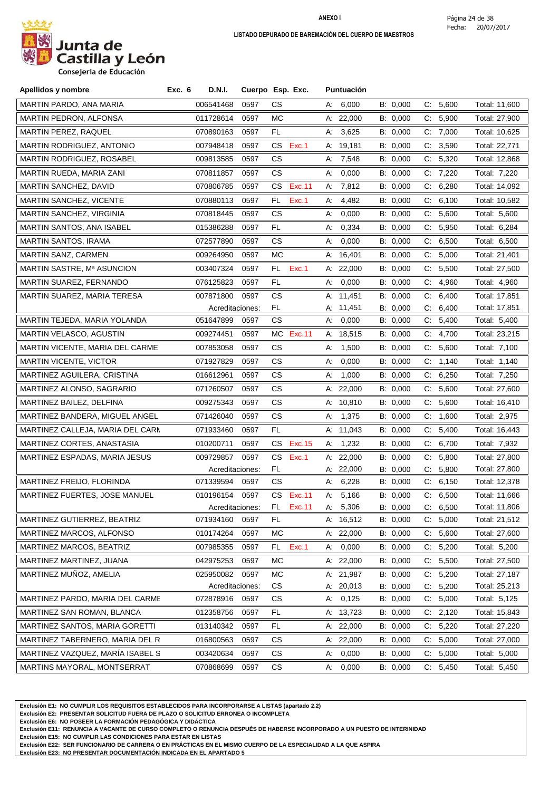

**Consejeria de Educación**

| Apellidos y nombre               | Exc. 6 | <b>D.N.I.</b>                |      | Cuerpo Esp. Exc. |    | <b>Puntuación</b>      |                      |       |                   |                                |
|----------------------------------|--------|------------------------------|------|------------------|----|------------------------|----------------------|-------|-------------------|--------------------------------|
| MARTIN PARDO, ANA MARIA          |        | 006541468                    | 0597 | СS               |    | A: 6,000               | B: 0,000             |       | C: 5,600          | Total: 11,600                  |
| MARTIN PEDRON, ALFONSA           |        | 011728614                    | 0597 | МC               |    | A: 22,000              | B: 0,000             |       | C: 5,900          | Total: 27,900                  |
| MARTIN PEREZ, RAQUEL             |        | 070890163                    | 0597 | FL               |    | A: 3,625               | B: 0,000             |       | C: 7,000          | Total: 10,625                  |
| MARTIN RODRIGUEZ, ANTONIO        |        | 007948418                    | 0597 | CS<br>Exc.1      |    | A: 19,181              | B: 0,000             | C:    | 3,590             | Total: 22,771                  |
| MARTIN RODRIGUEZ, ROSABEL        |        | 009813585                    | 0597 | СS               |    | A: 7,548               | B: 0,000             |       | C: 5,320          | Total: 12,868                  |
| MARTIN RUEDA, MARIA ZANI         |        | 070811857                    | 0597 | СS               | А: | 0,000                  | B: 0,000             |       | C: 7,220          | Total: 7,220                   |
| MARTIN SANCHEZ, DAVID            |        | 070806785                    | 0597 | CS.<br>Exc.11    |    | A: 7,812               | B: 0,000             |       | C: 6,280          | Total: 14,092                  |
| MARTIN SANCHEZ, VICENTE          |        | 070880113                    | 0597 | FL<br>Exc.1      | А: | 4,482                  | B: 0,000             | C.    | 6,100             | Total: 10,582                  |
| MARTIN SANCHEZ, VIRGINIA         |        | 070818445                    | 0597 | СS               | А: | 0,000                  | B: 0,000             |       | C: 5,600          | Total: 5,600                   |
| MARTIN SANTOS, ANA ISABEL        |        | 015386288                    | 0597 | FL.              | A: | 0,334                  | B: 0,000             |       | C: 5,950          | Total: 6,284                   |
| MARTIN SANTOS, IRAMA             |        | 072577890                    | 0597 | CS               | А. | 0,000                  | B: 0,000             | $C$ . | 6,500             | Total: 6,500                   |
| MARTIN SANZ, CARMEN              |        | 009264950                    | 0597 | МC               |    | A: $16,401$            | B: 0,000             | C.    | 5,000             | Total: 21,401                  |
| MARTIN SASTRE, Mª ASUNCION       |        | 003407324                    | 0597 | FL<br>Exc.1      |    | A: 22,000              | B: 0,000             | C:    | 5,500             | Total: 27,500                  |
| MARTIN SUAREZ, FERNANDO          |        | 076125823                    | 0597 | FL.              |    | A: 0,000               | B: 0,000             |       | C: 4,960          | Total: 4,960                   |
| MARTIN SUAREZ, MARIA TERESA      |        | 007871800                    | 0597 | СS               |    | A: 11,451              | B: 0,000             | C:    | 6,400             | Total: 17,851                  |
|                                  |        | Acreditaciones:              |      | FL.              |    | A: 11,451              | B: 0,000             | C:    | 6,400             | Total: 17,851                  |
| MARTIN TEJEDA, MARIA YOLANDA     |        | 051647899                    | 0597 | CS               |    | A: 0,000               | B: 0,000             |       | C: 5,400          | Total: 5,400                   |
| MARTIN VELASCO, AGUSTIN          |        | 009274451                    | 0597 | MC.<br>Exc.11    |    | A: 18,515              | B: 0,000             | C.    | 4,700             | Total: 23,215                  |
| MARTIN VICENTE, MARIA DEL CARME  |        | 007853058                    | 0597 | СS               | А. | 1,500                  | B: 0,000             | C.    | 5,600             | Total: 7,100                   |
| <b>MARTIN VICENTE, VICTOR</b>    |        | 071927829                    | 0597 | CS.              |    | A: 0,000               | B: 0,000             |       | C: 1,140          | Total: 1,140                   |
| MARTINEZ AGUILERA, CRISTINA      |        | 016612961                    | 0597 | СS               |    | A: 1,000               | B: 0,000             |       | C: 6,250          | Total: 7,250                   |
| MARTINEZ ALONSO, SAGRARIO        |        | 071260507                    | 0597 | СS               |    | A: 22,000              | B: 0,000             |       | C: 5,600          | Total: 27,600                  |
| MARTINEZ BAILEZ, DELFINA         |        | 009275343                    | 0597 | CS.              |    | A: 10,810              | B: 0,000             | C.    | 5,600             | Total: 16,410                  |
| MARTINEZ BANDERA, MIGUEL ANGEL   |        | 071426040                    | 0597 | СS               |    | A: 1,375               | B: 0,000             |       | C: 1,600          | Total: 2,975                   |
| MARTINEZ CALLEJA, MARIA DEL CARN |        | 071933460                    | 0597 | FL.              |    | A: 11,043              | B: 0,000             | C.    | 5,400             | Total: 16,443                  |
| MARTINEZ CORTES, ANASTASIA       |        | 010200711                    | 0597 | CS<br>Exc. 15    |    | A: 1,232               | B: 0,000             | C.    | 6,700             | Total: 7,932                   |
| MARTINEZ ESPADAS, MARIA JESUS    |        | 009729857                    | 0597 | CS<br>Exc.1      |    | A: 22,000              | B: 0,000             |       | C: 5,800          | Total: 27,800                  |
|                                  |        | Acreditaciones:              |      | FL.              |    | A: 22,000              | B: 0,000             | C.    | 5,800             | Total: 27,800                  |
| MARTINEZ FREIJO, FLORINDA        |        | 071339594                    | 0597 | СS               |    | A: 6,228               | B: 0,000             |       | C: 6,150          | Total: 12,378                  |
| MARTINEZ FUERTES, JOSE MANUEL    |        | 010196154 0597               |      | CS Exc.11        |    | A: 5,166               | B: 0,000             |       | C: 6,500          | Total: 11,666                  |
|                                  |        | Acreditaciones:              |      | FL.<br>Exc.11    | A: | 5,306                  | B: 0,000             |       | C: 6,500          | Total: 11,806                  |
| MARTINEZ GUTIERREZ, BEATRIZ      |        | 071934160                    | 0597 | FL.              |    | A: 16,512              | B: 0,000             | C.    | 5,000             | Total: 21,512                  |
| MARTINEZ MARCOS, ALFONSO         |        | 010174264                    | 0597 | MC               |    | A: 22,000              | B: 0,000             | $C$ : | 5,600             | Total: 27,600                  |
| MARTINEZ MARCOS, BEATRIZ         |        | 007985355                    | 0597 | Exc.1<br>FL.     |    | A: 0,000               | B: 0,000             |       | C: 5,200          | Total: 5,200                   |
| MARTINEZ MARTINEZ, JUANA         |        | 042975253                    | 0597 | MC               |    | A: 22,000              | B: 0,000             | C:    | 5,500             | Total: 27,500                  |
| MARTINEZ MUÑOZ, AMELIA           |        | 025950082<br>Acreditaciones: | 0597 | МC<br>CS         |    | A: 21,987<br>A: 20,013 | B: 0,000<br>B: 0,000 | C.    | 5,200<br>C: 5,200 | Total: 27,187<br>Total: 25,213 |
| MARTINEZ PARDO, MARIA DEL CARME  |        | 072878916                    | 0597 | CS               |    | A: 0,125               | B: 0,000             | C.    | 5,000             | Total: 5,125                   |
| MARTINEZ SAN ROMAN, BLANCA       |        | 012358756                    | 0597 | FL.              |    | A: 13,723              | B: 0,000             | C:    | 2,120             | Total: 15,843                  |
| MARTINEZ SANTOS, MARIA GORETTI   |        | 013140342                    | 0597 | FL.              |    | A: 22,000              | B: 0,000             |       | C: 5,220          | Total: 27,220                  |
| MARTINEZ TABERNERO, MARIA DEL R  |        | 016800563                    | 0597 | CS               |    | A: 22,000              | B: 0,000             | C.    | 5,000             | Total: 27,000                  |
| MARTINEZ VAZQUEZ, MARÍA ISABEL S |        | 003420634                    | 0597 | CS.              | А. | 0,000                  | B: 0,000             |       | C: 5,000          | Total: 5,000                   |
| MARTINS MAYORAL, MONTSERRAT      |        | 070868699                    | 0597 | CS               | А: | 0,000                  | B: 0,000             |       | C: 5,450          | Total: 5,450                   |
|                                  |        |                              |      |                  |    |                        |                      |       |                   |                                |

**Exclusión E1: NO CUMPLIR LOS REQUISITOS ESTABLECIDOS PARA INCORPORARSE A LISTAS (apartado 2.2)**

**Exclusión E2: PRESENTAR SOLICITUD FUERA DE PLAZO O SOLICITUD ERRONEA O INCOMPLETA**

**Exclusión E6: NO POSEER LA FORMACIÓN PEDAGÓGICA Y DIDÁCTICA**

**Exclusión E11: RENUNCIA A VACANTE DE CURSO COMPLETO O RENUNCIA DESPUÉS DE HABERSE INCORPORADO A UN PUESTO DE INTERINIDAD**

**Exclusión E15: NO CUMPLIR LAS CONDICIONES PARA ESTAR EN LISTAS**

**Exclusión E22: SER FUNCIONARIO DE CARRERA O EN PRÁCTICAS EN EL MISMO CUERPO DE LA ESPECIALIDAD A LA QUE ASPIRA**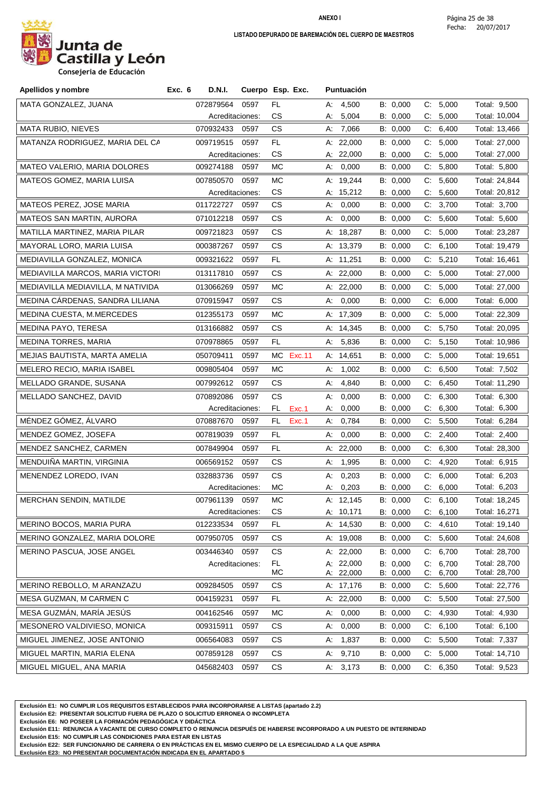

| Apellidos y nombre                | Exc. 6 | D.N.I.          | Cuerpo Esp. Exc. |           |        |    | Puntuación             |                      |    |                   |                                |
|-----------------------------------|--------|-----------------|------------------|-----------|--------|----|------------------------|----------------------|----|-------------------|--------------------------------|
| MATA GONZALEZ, JUANA              |        | 072879564       | 0597             | FL        |        |    | A: 4,500               | B: 0,000             |    | C: 5,000          | Total: 9,500                   |
|                                   |        | Acreditaciones: |                  | СS        |        | А: | 5,004                  | B: 0,000             |    | C: 5,000          | Total: 10,004                  |
| <b>MATA RUBIO, NIEVES</b>         |        | 070932433       | 0597             | СS        |        |    | A: 7,066               | B: 0,000             |    | C: 6,400          | Total: 13,466                  |
| MATANZA RODRIGUEZ, MARIA DEL CA   |        | 009719515       | 0597             | FL.       |        |    | A: $22,000$            | B: 0,000             | C. | 5,000             | Total: 27,000                  |
|                                   |        | Acreditaciones: |                  | CS        |        |    | A: 22,000              | B: 0,000             |    | C: 5,000          | Total: 27,000                  |
| MATEO VALERIO, MARIA DOLORES      |        | 009274188       | 0597             | MC        |        |    | A: 0,000               | B: 0,000             |    | C: 5,800          | Total: 5,800                   |
| MATEOS GOMEZ, MARIA LUISA         |        | 007850570       | 0597             | MC        |        |    | A: 19,244              | B: 0,000             |    | C: 5,600          | Total: 24,844                  |
|                                   |        | Acreditaciones: |                  | СS        |        |    | A: 15,212              | B: 0,000             | C. | 5,600             | Total: 20,812                  |
| MATEOS PEREZ, JOSE MARIA          |        | 011722727       | 0597             | СS        |        | А. | 0,000                  | B: 0,000             |    | C: 3,700          | Total: 3,700                   |
| <b>MATEOS SAN MARTIN, AURORA</b>  |        | 071012218       | 0597             | CS.       |        | А: | 0,000                  | B: 0,000             |    | C: 5,600          | Total: 5,600                   |
| MATILLA MARTINEZ, MARIA PILAR     |        | 009721823       | 0597             | СS        |        |    | A: 18,287              | B: 0,000             | C. | 5,000             | Total: 23,287                  |
| MAYORAL LORO, MARIA LUISA         |        | 000387267       | 0597             | СS        |        |    | A: 13,379              | B: 0,000             | C: | 6,100             | Total: 19,479                  |
| MEDIAVILLA GONZALEZ, MONICA       |        | 009321622       | 0597             | FL        |        |    | A: 11,251              | B: 0,000             | C. | 5,210             | Total: 16,461                  |
| MEDIAVILLA MARCOS, MARIA VICTORI  |        | 013117810       | 0597             | СS        |        |    | A: 22,000              | B: 0,000             |    | C: 5,000          | Total: 27,000                  |
| MEDIAVILLA MEDIAVILLA, M NATIVIDA |        | 013066269       | 0597             | МC        |        |    | A: 22,000              | B: 0,000             | C. | 5,000             | Total: 27,000                  |
| MEDINA CÁRDENAS, SANDRA LILIANA   |        | 070915947       | 0597             | CS.       |        | А: | 0,000                  | B: 0,000             |    | C: 6,000          | Total: 6,000                   |
| MEDINA CUESTA, M.MERCEDES         |        | 012355173       | 0597             | МC        |        |    | A: 17,309              | B: 0,000             |    | C: 5,000          | Total: 22,309                  |
| MEDINA PAYO, TERESA               |        | 013166882       | 0597             | СS        |        |    | A: 14,345              | B: 0,000             | C. | 5,750             | Total: 20,095                  |
| <b>MEDINA TORRES, MARIA</b>       |        | 070978865       | 0597             | FL.       |        |    | A: 5,836               | B: 0,000             |    | C: 5,150          | Total: 10,986                  |
| MEJIAS BAUTISTA, MARTA AMELIA     |        | 050709411       | 0597             | МC        | Exc.11 |    | A: 14,651              | B: 0,000             | C. | 5,000             | Total: 19,651                  |
| MELERO RECIO, MARIA ISABEL        |        | 009805404       | 0597             | МC        |        | А. | 1,002                  | B: 0,000             |    | C: 6,500          | Total: 7,502                   |
| MELLADO GRANDE, SUSANA            |        | 007992612       | 0597             | СS        |        | А: | 4,840                  | B: 0,000             | C. | 6,450             | Total: 11,290                  |
| MELLADO SANCHEZ, DAVID            |        | 070892086       | 0597             | СS        |        | А. | 0,000                  | B: 0,000             |    | C: 6,300          | Total: 6,300                   |
|                                   |        | Acreditaciones: |                  | FL.       | Exc.1  | А. | 0,000                  | B: 0,000             |    | C: 6,300          | Total: 6,300                   |
| MÉNDEZ GÓMEZ, ÁLVARO              |        | 070887670       | 0597             | FL.       | Exc.1  |    | A: 0,784               | B: 0,000             |    | C: 5,500          | Total: 6,284                   |
| MENDEZ GOMEZ, JOSEFA              |        | 007819039       | 0597             | FL        |        | А: | 0,000                  | B: 0,000             | C. | 2,400             | Total: 2,400                   |
| MENDEZ SANCHEZ, CARMEN            |        | 007849904       | 0597             | FL.       |        |    | A: $22,000$            | B: 0,000             |    | C: 6,300          | Total: 28,300                  |
| MENDUIÑA MARTIN, VIRGINIA         |        | 006569152       | 0597             | СS        |        | А. | 1,995                  | B: 0,000             | C. | 4,920             | Total: 6,915                   |
| MENENDEZ LOREDO, IVAN             |        | 032883736       | 0597             | СS        |        | А. | 0,203                  | B: 0,000             | C. | 6,000             | Total: 6,203                   |
|                                   |        | Acreditaciones: |                  | МC        |        | А: | 0,203                  | B: 0,000             |    | C: 6,000          | Total: 6,203                   |
| <b>MERCHAN SENDIN, MATILDE</b>    |        | 007961139       | 0597             | MC        |        |    | A: 12,145              | B: 0,000             |    | C: 6,100          | Total: 18,245                  |
|                                   |        | Acreditaciones: |                  | CS        |        |    | A: 10,171              | B: 0,000             | C: | 6,100             | Total: 16,271                  |
| MERINO BOCOS, MARIA PURA          |        | 012233534       | 0597             | FL.       |        |    | A: 14,530              | B: 0,000             | C. | 4,610             | Total: 19,140                  |
| MERINO GONZALEZ, MARIA DOLORE     |        | 007950705       | 0597             | CS        |        |    | A: 19,008              | B: 0,000             | C. | 5,600             | Total: 24,608                  |
| MERINO PASCUA, JOSE ANGEL         |        | 003446340       | 0597             | СS        |        |    | A: 22,000              | B: 0,000             | C. | 6,700             | Total: 28,700                  |
|                                   |        | Acreditaciones: |                  | FL.<br>MC |        |    | A: 22,000<br>A: 22,000 | B: 0,000<br>B: 0,000 | C: | 6,700<br>C: 6,700 | Total: 28,700<br>Total: 28,700 |
| MERINO REBOLLO, M ARANZAZU        |        | 009284505       | 0597             | СS        |        |    | A: 17,176              | B: 0,000             | C. | 5,600             | Total: 22,776                  |
| MESA GUZMAN, M CARMEN C           |        | 004159231       | 0597             | FL.       |        |    | A: 22,000              | B: 0,000             | C. | 5,500             | Total: 27,500                  |
| MESA GUZMÁN, MARÍA JESÚS          |        | 004162546       | 0597             | МC        |        | А. | 0,000                  | B: 0,000             | C. | 4,930             | Total: 4,930                   |
| MESONERO VALDIVIESO, MONICA       |        | 009315911       | 0597             | <b>CS</b> |        | А. | 0,000                  | B: 0,000             | C: | 6,100             | Total: 6,100                   |
| MIGUEL JIMENEZ, JOSE ANTONIO      |        | 006564083       | 0597             | CS        |        | А: | 1,837                  | B: 0,000             |    | C: 5,500          | Total: 7,337                   |
| MIGUEL MARTIN, MARIA ELENA        |        | 007859128       | 0597             | СS        |        | А. | 9,710                  | B: 0,000             | C: | 5,000             | Total: 14,710                  |
| MIGUEL MIGUEL, ANA MARIA          |        | 045682403       | 0597             | СS        |        |    | A: 3,173               | B: 0,000             |    | C: 6,350          | Total: 9,523                   |
|                                   |        |                 |                  |           |        |    |                        |                      |    |                   |                                |

**Exclusión E1: NO CUMPLIR LOS REQUISITOS ESTABLECIDOS PARA INCORPORARSE A LISTAS (apartado 2.2)**

**Exclusión E2: PRESENTAR SOLICITUD FUERA DE PLAZO O SOLICITUD ERRONEA O INCOMPLETA**

**Exclusión E6: NO POSEER LA FORMACIÓN PEDAGÓGICA Y DIDÁCTICA**

**Exclusión E11: RENUNCIA A VACANTE DE CURSO COMPLETO O RENUNCIA DESPUÉS DE HABERSE INCORPORADO A UN PUESTO DE INTERINIDAD**

**Exclusión E15: NO CUMPLIR LAS CONDICIONES PARA ESTAR EN LISTAS**

**Exclusión E22: SER FUNCIONARIO DE CARRERA O EN PRÁCTICAS EN EL MISMO CUERPO DE LA ESPECIALIDAD A LA QUE ASPIRA**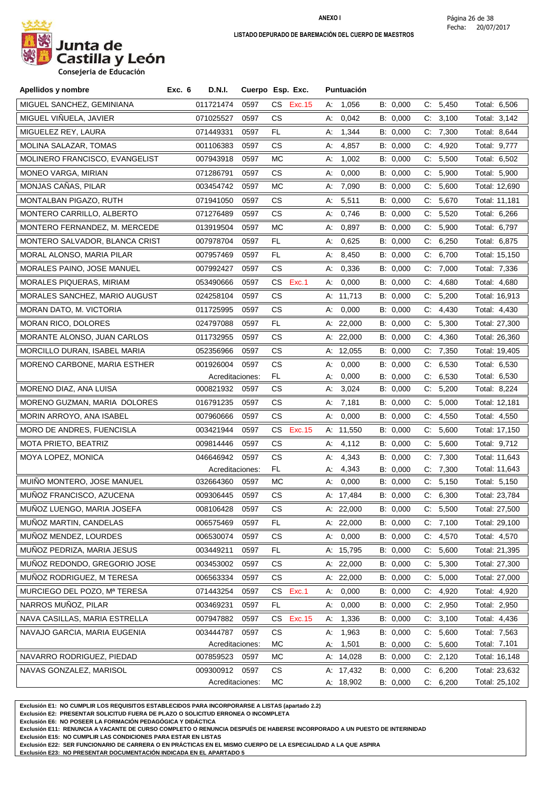

**Consejeria de Educación**

| Apellidos y nombre             | <b>D.N.I.</b><br>Exc. 6 |                 | Cuerpo Esp. Exc. |    | <b>Puntuación</b> |          |       |          |               |  |
|--------------------------------|-------------------------|-----------------|------------------|----|-------------------|----------|-------|----------|---------------|--|
| MIGUEL SANCHEZ, GEMINIANA      | 011721474               | 0597            | CS .<br>Exc. 15  |    | A: 1,056          | B: 0,000 | C:    | 5,450    | Total: 6,506  |  |
| MIGUEL VIÑUELA, JAVIER         | 071025527               | 0597            | СS               | А. | 0,042             | B: 0,000 | C:    | 3,100    | Total: 3,142  |  |
| MIGUELEZ REY, LAURA            | 071449331               | 0597            | FL               | А: | 1,344             | B: 0,000 | C.    | 7,300    | Total: 8,644  |  |
| MOLINA SALAZAR, TOMAS          | 001106383               | 0597            | СS               | А. | 4,857             | B: 0,000 |       | C: 4,920 | Total: 9,777  |  |
| MOLINERO FRANCISCO, EVANGELIST | 007943918               | 0597            | МC               | А. | 1,002             | B: 0,000 | C.    | 5,500    | Total: 6,502  |  |
| MONEO VARGA, MIRIAN            | 071286791               | 0597            | СS               | А. | 0,000             | B: 0,000 |       | C: 5,900 | Total: 5,900  |  |
| MONJAS CAÑAS, PILAR            | 003454742               | 0597            | МC               | А: | 7,090             | B: 0,000 | C.    | 5,600    | Total: 12,690 |  |
| MONTALBAN PIGAZO, RUTH         | 071941050               | 0597            | СS               | А. | 5,511             | B: 0,000 | C.    | 5,670    | Total: 11,181 |  |
| MONTERO CARRILLO, ALBERTO      | 071276489               | 0597            | СS               | А. | 0,746             | B: 0,000 | C.    | 5,520    | Total: 6,266  |  |
| MONTERO FERNANDEZ, M. MERCEDE  | 013919504               | 0597            | МC               | А: | 0,897             | B: 0,000 | C:    | 5,900    | Total: 6,797  |  |
| MONTERO SALVADOR, BLANCA CRIST | 007978704               | 0597            | FL.              | А. | 0,625             | B: 0,000 |       | C: 6,250 | Total: 6,875  |  |
| MORAL ALONSO, MARIA PILAR      | 007957469               | 0597            | FL.              | А: | 8,450             | B: 0,000 | C:    | 6,700    | Total: 15,150 |  |
| MORALES PAINO, JOSE MANUEL     | 007992427               | 0597            | СS               | А. | 0,336             | B: 0,000 | C.    | 7,000    | Total: 7,336  |  |
| MORALES PIQUERAS, MIRIAM       | 053490666               | 0597            | Exc.1<br>CS.     | A: | 0,000             | B: 0,000 | C.    | 4,680    | Total: 4,680  |  |
| MORALES SANCHEZ, MARIO AUGUST  | 024258104               | 0597            | CS               |    | A: 11,713         | B: 0,000 | C.    | 5,200    | Total: 16,913 |  |
| MORAN DATO, M. VICTORIA        | 011725995               | 0597            | СS               | А: | 0,000             | B: 0,000 | C.    | 4,430    | Total: 4,430  |  |
| MORAN RICO, DOLORES            | 024797088               | 0597            | FL.              |    | A: 22,000         | B: 0,000 | $C$ : | 5,300    | Total: 27,300 |  |
| MORANTE ALONSO, JUAN CARLOS    | 011732955               | 0597            | CS               |    | A: 22,000         | B: 0,000 |       | C: 4,360 | Total: 26,360 |  |
| MORCILLO DURAN, ISABEL MARIA   | 052356966               | 0597            | СS               |    | A: 12,055         | B: 0,000 | C:    | 7,350    | Total: 19,405 |  |
| MORENO CARBONE, MARIA ESTHER   | 001926004               | 0597            | CS               | А: | 0,000             | B: 0,000 | C.    | 6,530    | Total: 6,530  |  |
|                                |                         | Acreditaciones: | FL.              | А. | 0,000             | B: 0,000 |       | C: 6,530 | Total: 6,530  |  |
| MORENO DIAZ, ANA LUISA         | 000821932               | 0597            | СS               | А. | 3,024             | B: 0,000 | C:    | 5,200    | Total: 8,224  |  |
| MORENO GUZMAN, MARIA DOLORES   | 016791235               | 0597            | CS               | А: | 7,181             | B: 0,000 | C.    | 5,000    | Total: 12,181 |  |
| MORIN ARROYO, ANA ISABEL       | 007960666               | 0597            | СS               | А. | 0,000             | B: 0,000 |       | C: 4,550 | Total: 4,550  |  |
| MORO DE ANDRES, FUENCISLA      | 003421944               | 0597            | CS<br>Exc. 15    |    | A: 11,550         | B: 0,000 | C:    | 5,600    | Total: 17,150 |  |
| MOTA PRIETO, BEATRIZ           | 009814446               | 0597            | СS               | А. | 4,112             | B: 0,000 |       | C: 5,600 | Total: 9,712  |  |
| MOYA LOPEZ, MONICA             | 046646942               | 0597            | CS               | А: | 4,343             | B: 0,000 |       | C: 7,300 | Total: 11,643 |  |
|                                | Acreditaciones:         |                 | FL.              | А: | 4,343             | B: 0,000 | C:    | 7,300    | Total: 11,643 |  |
| MUIÑO MONTERO, JOSE MANUEL     | 032664360               | 0597            | MC               | А. | 0,000             | B: 0,000 | C.    | 5,150    | Total: 5,150  |  |
| MUÑOZ FRANCISCO, AZUCENA       | 009306445               | 0597            | СS               |    | A: 17,484         | B: 0,000 |       | C: 6,300 | Total: 23,784 |  |
| MUÑOZ LUENGO, MARIA JOSEFA     | 008106428               | 0597            | CS               |    | A: 22,000         | B: 0,000 |       | C: 5,500 | Total: 27,500 |  |
| MUNOZ MARTIN, CANDELAS         | 006575469               | 0597            | FL.              |    | A: 22,000         | B: 0,000 |       | C: 7,100 | Total: 29,100 |  |
| MUÑOZ MENDEZ, LOURDES          | 006530074               | 0597            | СS               | А. | 0,000             | B: 0,000 | C.    | 4,570    | Total: 4,570  |  |
| MUÑOZ PEDRIZA, MARIA JESUS     | 003449211               | 0597            | FL.              |    | A: 15,795         | B: 0,000 |       | C: 5,600 | Total: 21,395 |  |
| MUÑOZ REDONDO, GREGORIO JOSE   | 003453002               | 0597            | СS               |    | A: 22,000         | B: 0,000 | C:    | 5,300    | Total: 27,300 |  |
| MUÑOZ RODRIGUEZ, M TERESA      | 006563334               | 0597            | CS               |    | A: 22,000         | B: 0,000 | $C$ : | 5,000    | Total: 27,000 |  |
| MURCIEGO DEL POZO, Mª TERESA   | 071443254               | 0597            | Exc.1<br>CS      | А. | 0,000             | B: 0,000 | C.    | 4,920    | Total: 4,920  |  |
| NARROS MUÑOZ, PILAR            | 003469231               | 0597            | FL.              | А. | 0,000             | B: 0,000 | C:    | 2,950    | Total: 2,950  |  |
| NAVA CASILLAS, MARIA ESTRELLA  | 007947882               | 0597            | Exc. 15<br>CS    | А. | 1,336             | B: 0,000 |       | C: 3,100 | Total: 4,436  |  |
| NAVAJO GARCIA, MARIA EUGENIA   | 003444787               | 0597            | CS               | А. | 1,963             | B: 0,000 | C.    | 5,600    | Total: 7,563  |  |
|                                | Acreditaciones:         |                 | МC               | А. | 1,501             | B: 0,000 | C:    | 5,600    | Total: 7,101  |  |
| NAVARRO RODRIGUEZ, PIEDAD      | 007859523               | 0597            | MC               |    | A: 14,028         | B: 0,000 |       | C: 2,120 | Total: 16,148 |  |
| NAVAS GONZALEZ, MARISOL        | 009300912               | 0597            | CS.              |    | A: 17,432         | B: 0,000 |       | C: 6,200 | Total: 23,632 |  |
|                                |                         | Acreditaciones: | МC               |    | A: 18,902         | B: 0,000 |       | C: 6,200 | Total: 25,102 |  |

**Exclusión E1: NO CUMPLIR LOS REQUISITOS ESTABLECIDOS PARA INCORPORARSE A LISTAS (apartado 2.2)**

**Exclusión E2: PRESENTAR SOLICITUD FUERA DE PLAZO O SOLICITUD ERRONEA O INCOMPLETA**

**Exclusión E6: NO POSEER LA FORMACIÓN PEDAGÓGICA Y DIDÁCTICA**

**Exclusión E11: RENUNCIA A VACANTE DE CURSO COMPLETO O RENUNCIA DESPUÉS DE HABERSE INCORPORADO A UN PUESTO DE INTERINIDAD**

**Exclusión E15: NO CUMPLIR LAS CONDICIONES PARA ESTAR EN LISTAS**

**Exclusión E22: SER FUNCIONARIO DE CARRERA O EN PRÁCTICAS EN EL MISMO CUERPO DE LA ESPECIALIDAD A LA QUE ASPIRA**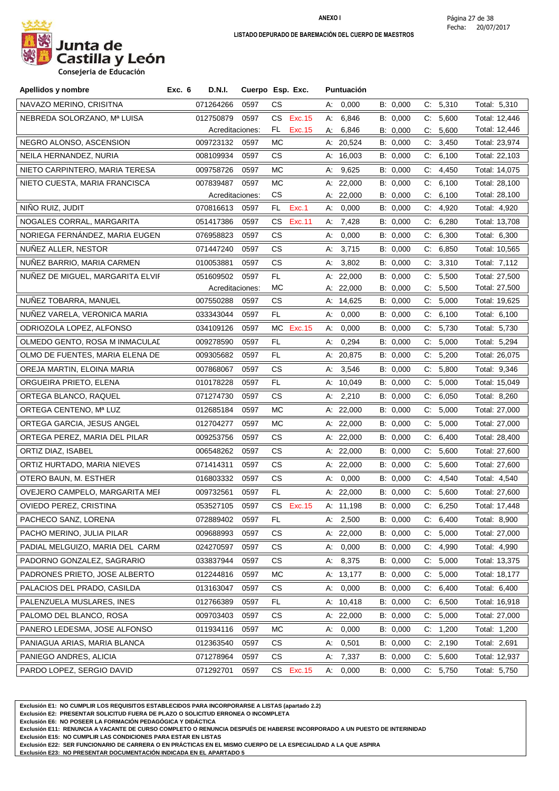

**Consejeria de Educación**

| Apellidos y nombre               | <b>D.N.I.</b><br>Exc. 6 |                 | Cuerpo Esp. Exc.    | <b>Puntuación</b> |          |             |               |
|----------------------------------|-------------------------|-----------------|---------------------|-------------------|----------|-------------|---------------|
| NAVAZO MERINO, CRISITNA          | 071264266               | 0597            | СS                  | A: 0,000          | B: 0,000 | C: 5,310    | Total: 5,310  |
| NEBREDA SOLORZANO, Mª LUISA      | 012750879               | 0597            | <b>Exc.15</b><br>CS | A: 6,846          | B: 0,000 | C: 5,600    | Total: 12,446 |
|                                  |                         | Acreditaciones: | FL.<br>Exc. 15      | A: 6,846          | B: 0,000 | C: 5,600    | Total: 12,446 |
| NEGRO ALONSO, ASCENSION          | 009723132               | 0597            | МC                  | A: 20,524         | B: 0,000 | C: 3,450    | Total: 23,974 |
| NEILA HERNANDEZ, NURIA           | 008109934               | 0597            | CS                  | A: $16,003$       | B: 0,000 | C:<br>6,100 | Total: 22,103 |
| NIETO CARPINTERO, MARIA TERESA   | 009758726               | 0597            | МC                  | A: 9,625          | B: 0,000 | 4,450<br>C. | Total: 14,075 |
| NIETO CUESTA, MARIA FRANCISCA    | 007839487               | 0597            | МC                  | A: 22,000         | B: 0,000 | 6,100<br>C. | Total: 28,100 |
|                                  |                         | Acreditaciones: | CS                  | A: 22,000         | B: 0,000 | 6,100<br>C. | Total: 28,100 |
| NIÑO RUIZ, JUDIT                 | 070816613               | 0597            | Exc.1<br>FL.        | A: 0,000          | B: 0,000 | C: 4,920    | Total: 4,920  |
| NOGALES CORRAL, MARGARITA        | 051417386               | 0597            | CS.<br>Exc.11       | A: $7,428$        | B: 0,000 | C: 6,280    | Total: 13,708 |
| NORIEGA FERNANDEZ, MARIA EUGEN   | 076958823               | 0597            | CS                  | 0,000<br>А.       | B: 0,000 | C: 6,300    | Total: 6,300  |
| NUÑEZ ALLER, NESTOR              | 071447240               | 0597            | CS.                 | A: 3,715          | B: 0,000 | C: 6,850    | Total: 10,565 |
| NUÑEZ BARRIO, MARIA CARMEN       | 010053881               | 0597            | <b>CS</b>           | 3,802<br>А:       | B: 0,000 | C: 3,310    | Total: 7,112  |
| NUÑEZ DE MIGUEL, MARGARITA ELVIF | 051609502               | 0597            | FL.                 | A: 22,000         | B: 0,000 | C: 5,500    | Total: 27,500 |
|                                  |                         | Acreditaciones: | МC                  | A: 22,000         | B: 0,000 | C: 5,500    | Total: 27,500 |
| NUNEZ TOBARRA, MANUEL            | 007550288               | 0597            | CS                  | A: 14,625         | B: 0,000 | C: 5,000    | Total: 19,625 |
| NUNEZ VARELA, VERONICA MARIA     | 033343044               | 0597            | FL.                 | A: 0,000          | B: 0,000 | C: 6,100    | Total: 6,100  |
| ODRIOZOLA LOPEZ, ALFONSO         | 034109126               | 0597            | MC Exc.15           | A: 0,000          | B: 0,000 | C: 5,730    | Total: 5,730  |
| OLMEDO GENTO, ROSA M INMACULAE   | 009278590               | 0597            | FL                  | 0,294<br>А.       | B: 0,000 | C:<br>5,000 | Total: 5,294  |
| OLMO DE FUENTES, MARIA ELENA DE  | 009305682               | 0597            | FL.                 | A: 20,875         | B: 0,000 | C: 5,200    | Total: 26,075 |
| OREJA MARTIN, ELOINA MARIA       | 007868067               | 0597            | СS                  | 3,546<br>А.       | B: 0,000 | 5,800<br>C: | Total: 9,346  |
| ORGUEIRA PRIETO, ELENA           | 010178228               | 0597            | FL.                 | A: 10,049         | B: 0,000 | C: 5,000    | Total: 15,049 |
| ORTEGA BLANCO, RAQUEL            | 071274730               | 0597            | СS                  | A: $2,210$        | B: 0,000 | 6,050<br>C. | Total: 8,260  |
| ORTEGA CENTENO, Mª LUZ           | 012685184               | 0597            | МC                  | A: $22,000$       | B: 0,000 | C: 5,000    | Total: 27,000 |
| ORTEGA GARCIA, JESUS ANGEL       | 012704277               | 0597            | МC                  | A: $22,000$       | B: 0,000 | C.<br>5,000 | Total: 27,000 |
| ORTEGA PEREZ, MARIA DEL PILAR    | 009253756               | 0597            | CS.                 | A: 22,000         | B: 0,000 | C:<br>6,400 | Total: 28,400 |
| ORTIZ DIAZ, ISABEL               | 006548262               | 0597            | CS.                 | A: $22,000$       | B: 0,000 | C: 5,600    | Total: 27,600 |
| ORTIZ HURTADO, MARIA NIEVES      | 071414311               | 0597            | CS.                 | A: 22,000         | B: 0,000 | C: 5,600    | Total: 27,600 |
| OTERO BAUN, M. ESTHER            | 016803332               | 0597            | CS.                 | A: 0,000          | B: 0,000 | C: 4,540    | Total: 4,540  |
| OVEJERO CAMPELO, MARGARITA MEI   | 009732561               | 0597            | FL                  | A: $22,000$       | B: 0,000 | C: 5,600    | Total: 27,600 |
| OVIEDO PEREZ, CRISTINA           |                         | 053527105 0597  | CS Exc.15           | A: 11,198         | B: 0,000 | C: 6,250    | Total: 17,448 |
| PACHECO SANZ, LORENA             | 072889402               | 0597            | FL                  | A: $2,500$        | B: 0,000 | 6,400<br>C. | Total: 8,900  |
| PACHO MERINO, JULIA PILAR        | 009688993               | 0597            | CS                  | A: 22,000         | B: 0,000 | 5,000<br>C. | Total: 27,000 |
| PADIAL MELGUIZO, MARIA DEL CARM  | 024270597               | 0597            | CS                  | 0,000<br>A:       | B: 0,000 | 4,990<br>C. | Total: 4,990  |
| PADORNO GONZALEZ, SAGRARIO       | 033837944               | 0597            | СS                  | 8,375<br>А.       | B: 0,000 | 5,000<br>C. | Total: 13,375 |
| PADRONES PRIETO, JOSE ALBERTO    | 012244816               | 0597            | МC                  | A: 13,177         | B: 0,000 | C: 5,000    | Total: 18,177 |
| PALACIOS DEL PRADO, CASILDA      | 013163047               | 0597            | СS                  | 0,000<br>А:       | B: 0,000 | 6,400<br>C. | Total: 6,400  |
| PALENZUELA MUSLARES, INES        | 012766389               | 0597            | FL.                 | A: 10,418         | B: 0,000 | C: 6,500    | Total: 16,918 |
|                                  |                         |                 |                     |                   |          |             |               |
| PALOMO DEL BLANCO, ROSA          | 009703403               | 0597            | СS                  | A: $22,000$       | B: 0,000 | C: 5,000    | Total: 27,000 |
| PANERO LEDESMA, JOSE ALFONSO     | 011934116               | 0597            | MC                  | 0,000<br>А.       | B: 0,000 | 1,200<br>C. | Total: 1,200  |
| PANIAGUA ARIAS, MARIA BLANCA     | 012363540               | 0597            | СS                  | 0,501<br>А.       | B: 0,000 | C: 2,190    | Total: 2,691  |
| PANIEGO ANDRES, ALICIA           | 071278964               | 0597            | <b>CS</b>           | 7,337<br>А.       | B: 0,000 | 5,600<br>C: | Total: 12,937 |
| PARDO LOPEZ, SERGIO DAVID        | 071292701               | 0597            | CS Exc.15           | A: 0,000          | B: 0,000 | C: 5,750    | Total: 5,750  |

**Exclusión E1: NO CUMPLIR LOS REQUISITOS ESTABLECIDOS PARA INCORPORARSE A LISTAS (apartado 2.2)**

**Exclusión E2: PRESENTAR SOLICITUD FUERA DE PLAZO O SOLICITUD ERRONEA O INCOMPLETA**

**Exclusión E6: NO POSEER LA FORMACIÓN PEDAGÓGICA Y DIDÁCTICA**

**Exclusión E11: RENUNCIA A VACANTE DE CURSO COMPLETO O RENUNCIA DESPUÉS DE HABERSE INCORPORADO A UN PUESTO DE INTERINIDAD**

**Exclusión E15: NO CUMPLIR LAS CONDICIONES PARA ESTAR EN LISTAS**

**Exclusión E22: SER FUNCIONARIO DE CARRERA O EN PRÁCTICAS EN EL MISMO CUERPO DE LA ESPECIALIDAD A LA QUE ASPIRA**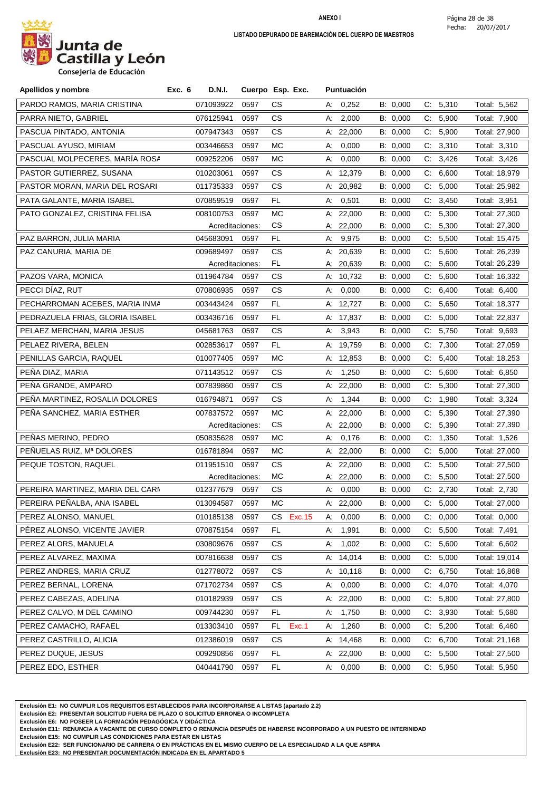

| Apellidos y nombre               | Exc. 6 | <b>D.N.I.</b>   |      | Cuerpo Esp. Exc. |    | <b>Puntuación</b> |          |    |          |               |
|----------------------------------|--------|-----------------|------|------------------|----|-------------------|----------|----|----------|---------------|
| PARDO RAMOS, MARIA CRISTINA      |        | 071093922       | 0597 | СS               |    | A: 0,252          | B: 0,000 |    | C: 5,310 | Total: 5,562  |
| PARRA NIETO, GABRIEL             |        | 076125941       | 0597 | СS               | А: | 2,000             | B: 0,000 |    | C: 5,900 | Total: 7,900  |
| PASCUA PINTADO, ANTONIA          |        | 007947343       | 0597 | СS               |    | A: 22,000         | B: 0,000 |    | C: 5,900 | Total: 27,900 |
| PASCUAL AYUSO, MIRIAM            |        | 003446653       | 0597 | МC               |    | A: 0,000          | B: 0,000 |    | C: 3,310 | Total: 3,310  |
| PASCUAL MOLPECERES, MARÍA ROSA   |        | 009252206       | 0597 | МC               |    | A: 0,000          | B: 0,000 |    | C: 3,426 | Total: 3,426  |
| PASTOR GUTIERREZ, SUSANA         |        | 010203061       | 0597 | СS               |    | A: 12,379         | B: 0,000 |    | C: 6,600 | Total: 18,979 |
| PASTOR MORAN, MARIA DEL ROSARI   |        | 011735333       | 0597 | CS               |    | A: 20,982         | B: 0,000 |    | C: 5,000 | Total: 25,982 |
| PATA GALANTE, MARIA ISABEL       |        | 070859519       | 0597 | FL.              | А. | 0,501             | B: 0,000 | C: | 3,450    | Total: 3,951  |
| PATO GONZALEZ, CRISTINA FELISA   |        | 008100753       | 0597 | МC               |    | A: 22,000         | B: 0,000 |    | C: 5,300 | Total: 27,300 |
|                                  |        | Acreditaciones: |      | CS               |    | A: $22,000$       | B: 0,000 |    | C: 5,300 | Total: 27,300 |
| PAZ BARRON, JULIA MARIA          |        | 045683091       | 0597 | FL.              |    | A: 9,975          | B: 0,000 |    | C: 5,500 | Total: 15,475 |
| PAZ CANURIA, MARIA DE            |        | 009689497       | 0597 | CS               |    | A: 20,639         | B: 0,000 |    | C: 5,600 | Total: 26,239 |
|                                  |        | Acreditaciones: |      | FL.              |    | A: 20,639         | B: 0,000 |    | C: 5,600 | Total: 26,239 |
| PAZOS VARA, MONICA               |        | 011964784       | 0597 | СS               |    | A: 10,732         | B: 0,000 |    | C: 5,600 | Total: 16,332 |
| PECCI DÍAZ, RUT                  |        | 070806935       | 0597 | СS               | А: | 0,000             | B: 0,000 | C: | 6,400    | Total: 6,400  |
| PECHARROMAN ACEBES, MARIA INMA   |        | 003443424       | 0597 | FL.              |    | A: 12,727         | B: 0,000 |    | C: 5,650 | Total: 18,377 |
| PEDRAZUELA FRIAS, GLORIA ISABEL  |        | 003436716       | 0597 | FL.              |    | A: 17,837         | B: 0,000 |    | C: 5,000 | Total: 22,837 |
| PELAEZ MERCHAN, MARIA JESUS      |        | 045681763       | 0597 | СS               |    | A: 3,943          | B: 0,000 |    | C: 5,750 | Total: 9,693  |
| PELAEZ RIVERA, BELEN             |        | 002853617       | 0597 | FL.              |    | A: 19,759         | B: 0,000 | C. | 7,300    | Total: 27,059 |
| PENILLAS GARCIA, RAQUEL          |        | 010077405       | 0597 | МC               |    | A: 12,853         | B: 0,000 |    | C: 5,400 | Total: 18,253 |
| PEÑA DIAZ, MARIA                 |        | 071143512       | 0597 | СS               |    | A: $1,250$        | B: 0,000 |    | C: 5,600 | Total: 6,850  |
| PEÑA GRANDE, AMPARO              |        | 007839860       | 0597 | <b>CS</b>        |    | A: 22,000         | B: 0,000 |    | C: 5,300 | Total: 27,300 |
| PEÑA MARTINEZ, ROSALIA DOLORES   |        | 016794871       | 0597 | CS               |    | A: 1,344          | B: 0,000 |    | C: 1,980 | Total: 3,324  |
| PEÑA SANCHEZ, MARIA ESTHER       |        | 007837572       | 0597 | МC               |    | A: 22,000         | B: 0,000 |    | C: 5,390 | Total: 27,390 |
|                                  |        | Acreditaciones: |      | СS               |    | A: 22,000         | B: 0,000 | C: | 5,390    | Total: 27,390 |
| PEÑAS MERINO, PEDRO              |        | 050835628       | 0597 | МC               |    | A: 0,176          | B: 0,000 |    | C: 1,350 | Total: 1,526  |
| PEÑUELAS RUIZ, Mª DOLORES        |        | 016781894       | 0597 | МC               |    | A: 22,000         | B: 0,000 |    | C: 5,000 | Total: 27,000 |
| PEQUE TOSTON, RAQUEL             |        | 011951510       | 0597 | СS               |    | A: 22,000         | B: 0,000 |    | C: 5,500 | Total: 27,500 |
|                                  |        | Acreditaciones: |      | МC               |    | A: 22,000         | B: 0,000 |    | C: 5,500 | Total: 27,500 |
| PEREIRA MARTINEZ, MARIA DEL CARN |        | 012377679       | 0597 | CS               |    | A: 0,000          | B: 0,000 |    | C: 2,730 | Total: 2,730  |
| PEREIRA PEÑALBA, ANA ISABEL      |        | 013094587 0597  |      | МC               |    | A: 22,000         | B: 0,000 |    | C: 5,000 | Total: 27,000 |
| PEREZ ALONSO, MANUEL             |        | 010185138       | 0597 | CS Exc.15        |    | A: 0,000          | B: 0,000 |    | C: 0,000 | Total: 0,000  |
| PEREZ ALONSO, VICENTE JAVIER     |        | 070875154       | 0597 | FL.              |    | A: 1,991          | B: 0,000 |    | C: 5,500 | Total: 7,491  |
| PEREZ ALORS, MANUELA             |        | 030809676       | 0597 | CS               |    | A: 1,002          | B: 0,000 |    | C: 5,600 | Total: 6,602  |
| PEREZ ALVAREZ, MAXIMA            |        | 007816638       | 0597 | CS.              |    | A: 14,014         | B: 0,000 |    | C: 5,000 | Total: 19,014 |
| PEREZ ANDRES, MARIA CRUZ         |        | 012778072       | 0597 | CS.              |    | A: 10,118         | B: 0,000 |    | C: 6,750 | Total: 16,868 |
| PEREZ BERNAL, LORENA             |        | 071702734       | 0597 | СS               |    | A: 0,000          | B: 0,000 |    | C: 4,070 | Total: 4,070  |
| PEREZ CABEZAS, ADELINA           |        | 010182939       | 0597 | CS.              |    | A: 22,000         | B: 0,000 |    | C: 5,800 | Total: 27,800 |
| PEREZ CALVO, M DEL CAMINO        |        | 009744230       | 0597 | FL.              |    | A: 1,750          | B: 0,000 |    | C: 3,930 | Total: 5,680  |
| PEREZ CAMACHO, RAFAEL            |        | 013303410       | 0597 | Exc.1<br>FL.     |    | A: $1,260$        | B: 0,000 |    | C: 5,200 | Total: 6,460  |
| PEREZ CASTRILLO, ALICIA          |        | 012386019       | 0597 | CS               |    | A: 14,468         | B: 0,000 |    | C: 6,700 | Total: 21,168 |
| PEREZ DUQUE, JESUS               |        | 009290856       | 0597 | FL.              |    | A: 22,000         | B: 0,000 |    | C: 5,500 | Total: 27,500 |
| PEREZ EDO, ESTHER                |        | 040441790       | 0597 | FL.              |    | A: 0,000          | B: 0,000 |    | C: 5,950 | Total: 5,950  |

**Exclusión E1: NO CUMPLIR LOS REQUISITOS ESTABLECIDOS PARA INCORPORARSE A LISTAS (apartado 2.2)**

**Exclusión E2: PRESENTAR SOLICITUD FUERA DE PLAZO O SOLICITUD ERRONEA O INCOMPLETA**

**Exclusión E6: NO POSEER LA FORMACIÓN PEDAGÓGICA Y DIDÁCTICA**

**Exclusión E11: RENUNCIA A VACANTE DE CURSO COMPLETO O RENUNCIA DESPUÉS DE HABERSE INCORPORADO A UN PUESTO DE INTERINIDAD**

**Exclusión E15: NO CUMPLIR LAS CONDICIONES PARA ESTAR EN LISTAS**

**Exclusión E22: SER FUNCIONARIO DE CARRERA O EN PRÁCTICAS EN EL MISMO CUERPO DE LA ESPECIALIDAD A LA QUE ASPIRA**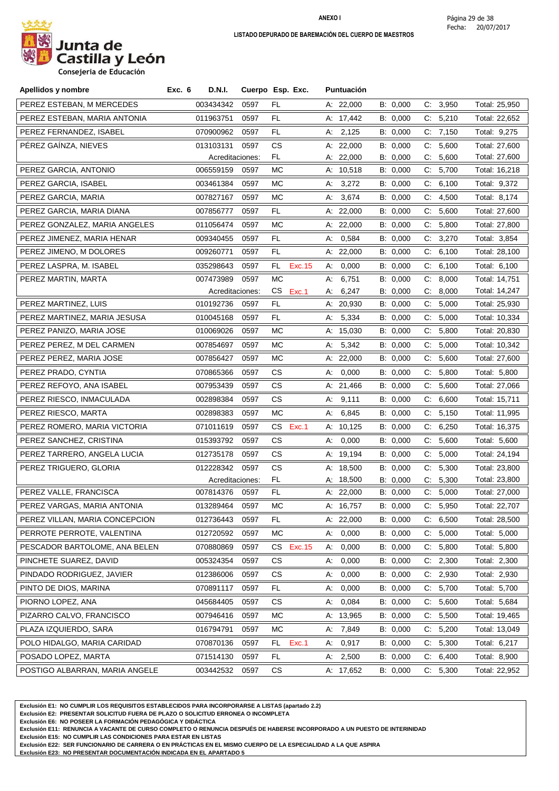

| Apellidos y nombre             | Exc. 6    | <b>D.N.I.</b>   | Cuerpo Esp. Exc. |           |         |    | Puntuación  |          |    |          |               |
|--------------------------------|-----------|-----------------|------------------|-----------|---------|----|-------------|----------|----|----------|---------------|
| PEREZ ESTEBAN, M MERCEDES      | 003434342 |                 | 0597             | FL.       |         |    | A: 22,000   | B: 0,000 |    | C: 3,950 | Total: 25,950 |
| PEREZ ESTEBAN, MARIA ANTONIA   | 011963751 |                 | 0597             | FL.       |         |    | A: 17,442   | B: 0,000 |    | C: 5,210 | Total: 22,652 |
| PEREZ FERNANDEZ, ISABEL        | 070900962 |                 | 0597             | FL.       |         |    | A: 2,125    | B: 0,000 |    | C: 7,150 | Total: 9,275  |
| PÉREZ GAÍNZA, NIEVES           | 013103131 |                 | 0597             | CS        |         |    | A: 22,000   | B: 0,000 |    | C: 5,600 | Total: 27,600 |
|                                |           | Acreditaciones: |                  | FL.       |         |    | A: 22,000   | B: 0,000 |    | C: 5,600 | Total: 27,600 |
| PEREZ GARCIA, ANTONIO          | 006559159 |                 | 0597             | МC        |         |    | A: 10,518   | B: 0,000 | C. | 5,700    | Total: 16,218 |
| PEREZ GARCIA, ISABEL           | 003461384 |                 | 0597             | МC        |         |    | A: $3,272$  | B: 0,000 |    | C: 6,100 | Total: 9,372  |
| PEREZ GARCIA, MARIA            | 007827167 |                 | 0597             | МC        |         |    | A: 3,674    | B: 0,000 | C: | 4,500    | Total: 8,174  |
| PEREZ GARCIA, MARIA DIANA      | 007856777 |                 | 0597             | FL.       |         |    | A: 22,000   | B: 0,000 |    | C: 5,600 | Total: 27,600 |
| PEREZ GONZALEZ, MARIA ANGELES  | 011056474 |                 | 0597             | МC        |         |    | A: $22,000$ | B: 0,000 |    | C: 5,800 | Total: 27,800 |
| PEREZ JIMENEZ, MARIA HENAR     | 009340455 |                 | 0597             | FL.       |         | А: | 0,584       | B: 0,000 |    | C: 3,270 | Total: 3,854  |
| PEREZ JIMENO, M DOLORES        | 009260771 |                 | 0597             | FL.       |         |    | A: 22,000   | B: 0,000 |    | C: 6,100 | Total: 28,100 |
| PEREZ LASPRA, M. ISABEL        | 035298643 |                 | 0597             | FL        | Exc. 15 | А. | 0,000       | B: 0,000 |    | C: 6,100 | Total: 6,100  |
| PEREZ MARTIN, MARTA            | 007473989 |                 | 0597             | МC        |         | А: | 6,751       | B: 0,000 |    | C: 8,000 | Total: 14,751 |
|                                |           | Acreditaciones: |                  | CS.       | Exc.1   | А. | 6,247       | B: 0,000 |    | C: 8,000 | Total: 14,247 |
| PEREZ MARTINEZ, LUIS           | 010192736 |                 | 0597             | FL.       |         |    | A: 20,930   | B: 0,000 |    | C: 5,000 | Total: 25,930 |
| PEREZ MARTINEZ, MARIA JESUSA   | 010045168 |                 | 0597             | FL.       |         |    | A: 5,334    | B: 0,000 |    | C: 5,000 | Total: 10,334 |
| PEREZ PANIZO, MARIA JOSE       | 010069026 |                 | 0597             | МC        |         |    | A: 15,030   | B: 0,000 |    | C: 5,800 | Total: 20,830 |
| PEREZ PEREZ, M DEL CARMEN      | 007854697 |                 | 0597             | МC        |         | A: | 5,342       | B: 0,000 | C: | 5,000    | Total: 10,342 |
| PEREZ PEREZ, MARIA JOSE        | 007856427 |                 | 0597             | МC        |         |    | A: 22,000   | B: 0,000 |    | C: 5,600 | Total: 27,600 |
| PEREZ PRADO, CYNTIA            | 070865366 |                 | 0597             | СS        |         | А: | 0,000       | B: 0,000 | C: | 5,800    | Total: 5,800  |
| PEREZ REFOYO, ANA ISABEL       | 007953439 |                 | 0597             | СS        |         |    | A: $21,466$ | B: 0,000 |    | C: 5,600 | Total: 27,066 |
| PEREZ RIESCO, INMACULADA       | 002898384 |                 | 0597             | СS        |         |    | A: 9,111    | B: 0,000 |    | C: 6,600 | Total: 15,711 |
| PEREZ RIESCO, MARTA            | 002898383 |                 | 0597             | МC        |         |    | A: 6,845    | B: 0,000 |    | C: 5,150 | Total: 11,995 |
| PEREZ ROMERO, MARIA VICTORIA   | 071011619 |                 | 0597             | CS        | Exc.1   |    | A: 10,125   | B: 0,000 |    | C: 6,250 | Total: 16,375 |
| PEREZ SANCHEZ, CRISTINA        | 015393792 |                 | 0597             | <b>CS</b> |         | А: | 0,000       | B: 0,000 |    | C: 5,600 | Total: 5,600  |
| PEREZ TARRERO, ANGELA LUCIA    | 012735178 |                 | 0597             | СS        |         |    | A: 19,194   | B: 0,000 |    | C: 5,000 | Total: 24,194 |
| PEREZ TRIGUERO, GLORIA         | 012228342 |                 | 0597             | СS        |         |    | A: 18,500   | B: 0,000 |    | C: 5,300 | Total: 23,800 |
|                                |           | Acreditaciones: |                  | FL.       |         |    | A: 18,500   | B: 0,000 |    | C: 5,300 | Total: 23,800 |
| PEREZ VALLE, FRANCISCA         | 007814376 |                 | 0597             | FL.       |         |    | A: 22,000   | B: 0,000 |    | C: 5,000 | Total: 27,000 |
| PEREZ VARGAS, MARIA ANTONIA    | 013289464 |                 | 0597             | MC.       |         |    | A: 16,757   | B: 0,000 |    | C: 5.950 | Total: 22,707 |
| PEREZ VILLAN, MARIA CONCEPCION | 012736443 |                 | 0597             | FL.       |         |    | A: 22,000   | B: 0,000 |    | C: 6,500 | Total: 28,500 |
| PERROTE PERROTE, VALENTINA     | 012720592 |                 | 0597             | МC        |         |    | A: 0,000    | B: 0,000 |    | C: 5,000 | Total: 5,000  |
| PESCADOR BARTOLOME, ANA BELEN  | 070880869 |                 | 0597             | CS        | Exc.15  | А: | 0,000       | B: 0,000 |    | C: 5,800 | Total: 5,800  |
| PINCHETE SUAREZ, DAVID         | 005324354 |                 | 0597             | CS        |         |    | A: 0,000    | B: 0,000 |    | C: 2,300 | Total: 2,300  |
| PINDADO RODRIGUEZ, JAVIER      | 012386006 |                 | 0597             | СS        |         |    | A: 0,000    | B: 0,000 |    | C: 2,930 | Total: 2,930  |
| PINTO DE DIOS, MARINA          | 070891117 |                 | 0597             | FL.       |         |    | A: 0,000    | B: 0,000 |    | C: 5,700 | Total: 5,700  |
| PIORNO LOPEZ, ANA              | 045684405 |                 | 0597             | СS        |         |    | A: 0,084    | B: 0,000 |    | C: 5,600 | Total: 5,684  |
| PIZARRO CALVO, FRANCISCO       | 007946416 |                 | 0597             | МC        |         |    | A: 13,965   | B: 0,000 |    | C: 5,500 | Total: 19,465 |
| PLAZA IZQUIERDO, SARA          | 016794791 |                 | 0597             | МC        |         |    | A: 7,849    | B: 0,000 |    | C: 5,200 | Total: 13,049 |
| POLO HIDALGO, MARIA CARIDAD    | 070870136 |                 | 0597             | FL.       | Exc.1   |    | A: 0,917    | B: 0,000 |    | C: 5,300 | Total: 6,217  |
| POSADO LOPEZ, MARTA            | 071514130 |                 | 0597             | FL.       |         |    | A: 2,500    | B: 0,000 |    | C: 6,400 | Total: 8,900  |
| POSTIGO ALBARRAN, MARIA ANGELE | 003442532 |                 | 0597             | CS.       |         |    | A: 17,652   | B: 0,000 |    | C: 5,300 | Total: 22,952 |

**Exclusión E1: NO CUMPLIR LOS REQUISITOS ESTABLECIDOS PARA INCORPORARSE A LISTAS (apartado 2.2)**

**Exclusión E2: PRESENTAR SOLICITUD FUERA DE PLAZO O SOLICITUD ERRONEA O INCOMPLETA**

**Exclusión E6: NO POSEER LA FORMACIÓN PEDAGÓGICA Y DIDÁCTICA**

**Exclusión E11: RENUNCIA A VACANTE DE CURSO COMPLETO O RENUNCIA DESPUÉS DE HABERSE INCORPORADO A UN PUESTO DE INTERINIDAD**

**Exclusión E15: NO CUMPLIR LAS CONDICIONES PARA ESTAR EN LISTAS**

**Exclusión E22: SER FUNCIONARIO DE CARRERA O EN PRÁCTICAS EN EL MISMO CUERPO DE LA ESPECIALIDAD A LA QUE ASPIRA**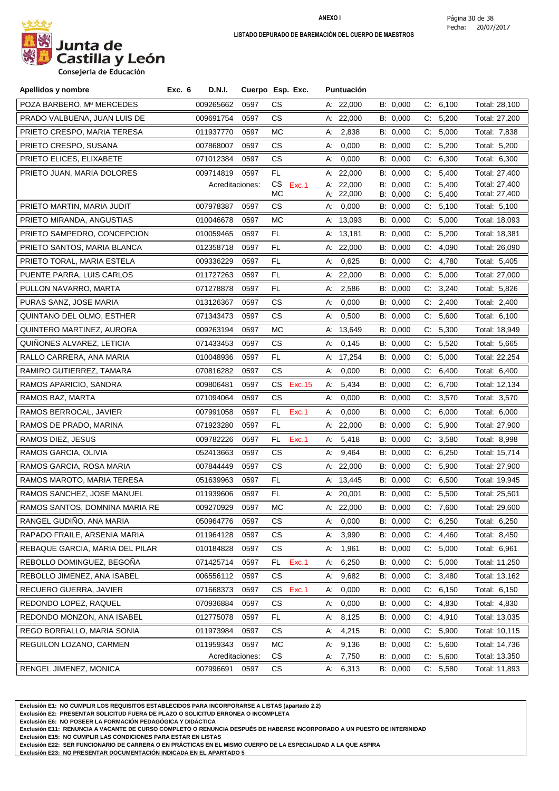

**Consejeria de Educación**

| Apellidos y nombre              | Exc. 6<br>D.N.I. |                 | Cuerpo Esp. Exc. | Puntuación            |                      |                            |                               |
|---------------------------------|------------------|-----------------|------------------|-----------------------|----------------------|----------------------------|-------------------------------|
| POZA BARBERO, Mª MERCEDES       | 009265662        | 0597            | CS.              | A: 22,000             | B: 0,000             | C: 6,100                   | Total: 28,100                 |
| PRADO VALBUENA, JUAN LUIS DE    | 009691754        | 0597            | CS.              | A: 22,000             | B: 0,000             | C: 5,200                   | Total: 27,200                 |
| PRIETO CRESPO, MARIA TERESA     | 011937770        | 0597            | МC               | A: 2,838              | B: 0,000             | C: 5,000                   | Total: 7,838                  |
| PRIETO CRESPO, SUSANA           | 007868007        | 0597            | CS.              | 0,000<br>A:           | B: 0,000             | C: 5,200                   | Total: 5,200                  |
| PRIETO ELICES, ELIXABETE        | 071012384        | 0597            | CS               | 0,000<br>А:           | B: 0,000             | C:<br>6,300                | Total: 6,300                  |
| PRIETO JUAN, MARIA DOLORES      | 009714819        | 0597            | FL.              | A: 22,000             | B: 0,000             | 5,400<br>C.                | Total: 27,400                 |
|                                 |                  | Acreditaciones: | CS.<br>Exc.1     | A: 22,000             | B: 0,000             | 5,400<br>C:                | Total: 27,400                 |
| PRIETO MARTIN, MARIA JUDIT      | 007978387        | 0597            | МC<br>CS.        | A: 22,000<br>A: 0,000 | B: 0,000<br>B: 0,000 | C:<br>5,400<br>5,100<br>C. | Total: 27,400<br>Total: 5,100 |
| PRIETO MIRANDA, ANGUSTIAS       | 010046678        | 0597            | МC               | A: 13,093             | B: 0,000             | 5,000<br>C.                | Total: 18,093                 |
| PRIETO SAMPEDRO, CONCEPCION     | 010059465        | 0597            | FL.              | A: 13,181             | B: 0,000             | C: 5,200                   | Total: 18,381                 |
| PRIETO SANTOS, MARIA BLANCA     | 012358718        | 0597            | FL.              | A: 22,000             | B: 0,000             | C.<br>4,090                | Total: 26,090                 |
| PRIETO TORAL, MARIA ESTELA      | 009336229        | 0597            | FL.              | A: 0,625              | B: 0,000             | 4,780<br>C.                | Total: 5,405                  |
| PUENTE PARRA, LUIS CARLOS       | 011727263        | 0597            | FL               | A: $22,000$           | B: 0,000             | 5,000<br>C.                | Total: 27,000                 |
| PULLON NAVARRO, MARTA           | 071278878        | 0597            | FL               | 2,586<br>А.           | B: 0,000             | 3,240<br>C.                | Total: 5,826                  |
| PURAS SANZ, JOSE MARIA          | 013126367        | 0597            | CS.              | 0,000<br>А:           | B: 0,000             | 2,400<br>C.                | Total: 2,400                  |
| QUINTANO DEL OLMO, ESTHER       | 071343473        | 0597            | CS.              | 0,500<br>А:           | B: 0,000             | 5,600<br>C.                | Total: 6,100                  |
| QUINTERO MARTINEZ, AURORA       | 009263194        | 0597            | <b>MC</b>        | A: 13,649             | B: 0,000             | C: 5,300                   | Total: 18,949                 |
| QUIÑONES ALVAREZ, LETICIA       | 071433453        | 0597            | CS.              | A: 0,145              | B: 0,000             | 5,520<br>C.                | Total: 5,665                  |
| RALLO CARRERA, ANA MARIA        | 010048936        | 0597            | FL.              | A: 17,254             | B: 0,000             | C: 5,000                   | Total: 22,254                 |
| RAMIRO GUTIERREZ, TAMARA        | 070816282        | 0597            | CS.              | 0,000<br>А:           | B: 0,000             | 6,400<br>C.                | Total: 6,400                  |
| RAMOS APARICIO, SANDRA          | 009806481        | 0597            | CS<br>Exc. 15    | 5,434<br>А.           | B: 0,000             | C.<br>6,700                | Total: 12,134                 |
| RAMOS BAZ, MARTA                | 071094064        | 0597            | CS.              | 0,000<br>A:           | B: 0,000             | 3,570<br>C.                | Total: 3,570                  |
| RAMOS BERROCAL, JAVIER          | 007991058        | 0597            | FL.<br>Exc.1     | 0,000<br>A:           | B: 0,000             | 6,000<br>C:                | Total: 6,000                  |
| RAMOS DE PRADO, MARINA          | 071923280        | 0597            | FL               | A: $22,000$           | B: 0,000             | C: 5,900                   | Total: 27,900                 |
| RAMOS DIEZ, JESUS               | 009782226        | 0597            | FL.<br>Exc.1     | 5,418<br>А.           | B: 0,000             | 3,580<br>C.                | Total: 8,998                  |
| RAMOS GARCIA, OLIVIA            | 052413663        | 0597            | CS.              | 9,464<br>А:           | B: 0,000             | 6,250<br>C.                | Total: 15,714                 |
| RAMOS GARCIA, ROSA MARIA        | 007844449        | 0597            | CS.              | A: $22,000$           | B: 0,000             | 5,900<br>C.                | Total: 27,900                 |
| RAMOS MAROTO, MARIA TERESA      | 051639963        | 0597            | FL               | A: 13,445             | B: 0,000             | C:<br>6,500                | Total: 19,945                 |
| RAMOS SANCHEZ, JOSE MANUEL      | 011939606        | 0597            | FL               | A: 20,001             | B: 0,000             | C: 5,500                   | Total: 25,501                 |
| RAMOS SANTOS, DOMNINA MARIA RE  |                  | 009270929 0597  | MC.              | A: 22,000             | B: 0,000             | C: 7,600                   | Total: 29,600                 |
| RANGEL GUDINO, ANA MARIA        | 050964776        | 0597            | CS.              | A: 0,000              | B: 0,000             | C: 6,250                   | Total: 6,250                  |
| RAPADO FRAILE, ARSENIA MARIA    | 011964128        | 0597            | CS.              | 3,990<br>А.           | B: 0,000             | 4,460<br>C.                | Total: 8,450                  |
| REBAQUE GARCIA, MARIA DEL PILAR | 010184828        | 0597            | CS               | A: 1,961              | B: 0,000             | C: 5,000                   | Total: 6,961                  |
| REBOLLO DOMINGUEZ, BEGOÑA       | 071425714        | 0597            | Exc.1<br>FL.     | A: 6,250              | B: 0,000             | C: 5,000                   | Total: 11,250                 |
| REBOLLO JIMENEZ, ANA ISABEL     | 006556112        | 0597            | CS.              | A: 9,682              | B: 0,000             | C: 3,480                   | Total: 13,162                 |
| RECUERO GUERRA, JAVIER          | 071668373        | 0597            | Exc.1<br>CS.     | A: 0,000              | B: 0,000             | C: 6,150                   | Total: 6,150                  |
| REDONDO LOPEZ, RAQUEL           | 070936884        | 0597            | CS.              | 0,000<br>A:           | B: 0,000             | C: 4,830                   | Total: 4,830                  |
| REDONDO MONZON, ANA ISABEL      | 012775078        | 0597            | FL.              | A: 8,125              | B: 0,000             | C: 4,910                   | Total: 13,035                 |
| REGO BORRALLO, MARIA SONIA      | 011973984        | 0597            | CS.              | A: 4,215              | B: 0,000             | C: 5,900                   | Total: 10,115                 |
| REGUILON LOZANO, CARMEN         | 011959343        | 0597            | МC               | A: 9,136              | B: 0,000             | C: 5,600                   | Total: 14,736                 |
|                                 |                  | Acreditaciones: | CS               | A: 7,750              | B: 0,000             | C: 5,600                   | Total: 13,350                 |
| RENGEL JIMENEZ, MONICA          | 007996691        | 0597            | CS.              | A: 6,313              | B: 0,000             | C: 5,580                   | Total: 11,893                 |

**Exclusión E1: NO CUMPLIR LOS REQUISITOS ESTABLECIDOS PARA INCORPORARSE A LISTAS (apartado 2.2)**

**Exclusión E2: PRESENTAR SOLICITUD FUERA DE PLAZO O SOLICITUD ERRONEA O INCOMPLETA**

**Exclusión E6: NO POSEER LA FORMACIÓN PEDAGÓGICA Y DIDÁCTICA**

**Exclusión E11: RENUNCIA A VACANTE DE CURSO COMPLETO O RENUNCIA DESPUÉS DE HABERSE INCORPORADO A UN PUESTO DE INTERINIDAD**

**Exclusión E15: NO CUMPLIR LAS CONDICIONES PARA ESTAR EN LISTAS**

**Exclusión E22: SER FUNCIONARIO DE CARRERA O EN PRÁCTICAS EN EL MISMO CUERPO DE LA ESPECIALIDAD A LA QUE ASPIRA**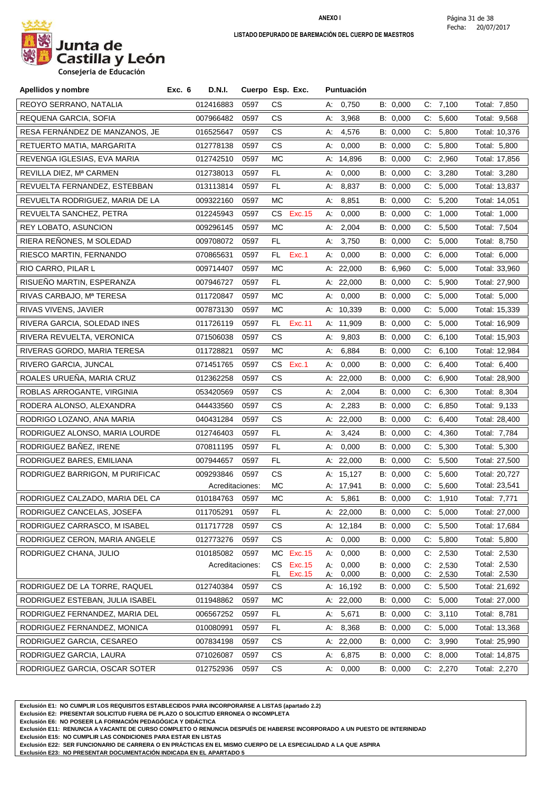

| Apellidos y nombre              | Exc. 6 | D.N.I.          | Cuerpo Esp. Exc. |            |                    |          | Puntuación     |                      |       |                      |                              |
|---------------------------------|--------|-----------------|------------------|------------|--------------------|----------|----------------|----------------------|-------|----------------------|------------------------------|
| REOYO SERRANO, NATALIA          |        | 012416883       | 0597             | СS         |                    | А:       | 0,750          | B: 0,000             |       | C: 7,100             | Total: 7,850                 |
| REQUENA GARCIA, SOFIA           |        | 007966482       | 0597             | CS.        |                    | А:       | 3,968          | B: 0,000             |       | C: 5,600             | Total: 9,568                 |
| RESA FERNÁNDEZ DE MANZANOS, JE  |        | 016525647       | 0597             | CS.        |                    | А.       | 4,576          | B: 0,000             |       | C: 5,800             | Total: 10,376                |
| RETUERTO MATIA, MARGARITA       |        | 012778138       | 0597             | CS.        |                    | А:       | 0,000          | B: 0,000             |       | C: 5,800             | Total: 5,800                 |
| REVENGA IGLESIAS, EVA MARIA     |        | 012742510       | 0597             | МC         |                    |          | A: 14,896      | B: 0,000             | C:    | 2,960                | Total: 17,856                |
| REVILLA DIEZ, Mª CARMEN         |        | 012738013       | 0597             | FL.        |                    | А:       | 0,000          | B: 0,000             |       | C: 3,280             | Total: 3,280                 |
| REVUELTA FERNANDEZ, ESTEBBAN    |        | 013113814       | 0597             | FL.        |                    | А.       | 8,837          | B: 0,000             | C.    | 5,000                | Total: 13,837                |
| REVUELTA RODRIGUEZ, MARIA DE LA |        | 009322160       | 0597             | МC         |                    | А.       | 8,851          | B: 0,000             |       | C: 5,200             | Total: 14,051                |
| REVUELTA SANCHEZ, PETRA         |        | 012245943       | 0597             | CS         | Exc. 15            | А:       | 0,000          | B: 0,000             | C.    | 1,000                | Total: 1,000                 |
| <b>REY LOBATO, ASUNCION</b>     |        | 009296145       | 0597             | МC         |                    | А:       | 2,004          | B: 0,000             |       | C: 5,500             | Total: 7,504                 |
| RIERA REÑONES, M SOLEDAD        |        | 009708072       | 0597             | FL.        |                    |          | A: 3,750       | B: 0,000             |       | C: 5,000             | Total: 8,750                 |
| RIESCO MARTIN, FERNANDO         |        | 070865631       | 0597             | FL.        | Exc.1              | А.       | 0,000          | B: 0,000             | $C$ : | 6,000                | Total: 6,000                 |
| RIO CARRO, PILAR L              |        | 009714407       | 0597             | МC         |                    |          | A: $22,000$    | B: 6,960             | C.    | 5,000                | Total: 33,960                |
| RISUEÑO MARTIN, ESPERANZA       |        | 007946727       | 0597             | FL         |                    |          | A: $22,000$    | B: 0,000             | C.    | 5,900                | Total: 27,900                |
| RIVAS CARBAJO, Mª TERESA        |        | 011720847       | 0597             | МC         |                    | А:       | 0,000          | B: 0,000             |       | C: 5,000             | Total: 5,000                 |
| <b>RIVAS VIVENS, JAVIER</b>     |        | 007873130       | 0597             | МC         |                    |          | A: 10,339      | B: 0,000             | C.    | 5,000                | Total: 15,339                |
| RIVERA GARCIA, SOLEDAD INES     |        | 011726119       | 0597             | FL.        | Exc.11             |          | A: 11,909      | B: 0,000             | C.    | 5,000                | Total: 16,909                |
| RIVERA REVUELTA, VERONICA       |        | 071506038       | 0597             | СS         |                    | А:       | 9,803          | B: 0,000             |       | C: 6,100             | Total: 15,903                |
| RIVERAS GORDO, MARIA TERESA     |        | 011728821       | 0597             | МC         |                    | А.       | 6,884          | B: 0,000             | C:    | 6,100                | Total: 12,984                |
| RIVERO GARCIA, JUNCAL           |        | 071451765       | 0597             | CS.        | Exc.1              | A:       | 0,000          | B: 0,000             | C.    | 6,400                | Total: 6,400                 |
| ROALES URUEÑA, MARIA CRUZ       |        | 012362258       | 0597             | СS         |                    |          | A: 22,000      | B: 0,000             | C.    | 6,900                | Total: 28,900                |
| ROBLAS ARROGANTE, VIRGINIA      |        | 053420569       | 0597             | CS.        |                    | А:       | 2,004          | B: 0,000             |       | C: 6,300             | Total: 8,304                 |
| RODERA ALONSO, ALEXANDRA        |        | 044433560       | 0597             | СS         |                    | А:       | 2,283          | B: 0,000             | C.    | 6,850                | Total: 9,133                 |
| RODRIGO LOZANO, ANA MARIA       |        | 040431284       | 0597             | СS         |                    |          | A: $22,000$    | B: 0,000             |       | C: 6,400             | Total: 28,400                |
| RODRIGUEZ ALONSO, MARIA LOURDE  |        | 012746403       | 0597             | FL.        |                    |          | A: 3,424       | B: 0,000             |       | C: 4,360             | Total: 7,784                 |
| RODRIGUEZ BAÑEZ, IRENE          |        | 070811195       | 0597             | FL         |                    | А:       | 0,000          | B: 0,000             | C:    | 5,300                | Total: 5,300                 |
| RODRIGUEZ BARES, EMILIANA       |        | 007944657       | 0597             | FL         |                    |          | A: 22,000      | B: 0,000             |       | C: 5,500             | Total: 27,500                |
| RODRIGUEZ BARRIGON, M PURIFICAC |        | 009293846       | 0597             | <b>CS</b>  |                    |          | A: 15,127      | B: 0,000             | C.    | 5,600                | Total: 20,727                |
|                                 |        | Acreditaciones: |                  | МC         |                    |          | A: 17,941      | B: 0,000             | C:    | 5,600                | Total: 23,541                |
| RODRIGUEZ CALZADO, MARIA DEL CA |        | 010184763       | 0597             | МC         |                    |          | A: 5,861       | B: 0,000             |       | C: 1,910             | Total: 7,771                 |
| RODRIGUEZ CANCELAS, JOSEFA      |        | 011705291       | 0597             | FL.        |                    |          | A: 22,000      | B: 0,000             |       | C: 5,000             | Total: 27,000                |
| RODRIGUEZ CARRASCO, M ISABEL    |        | 011717728       | 0597             | CS         |                    |          | A: 12,184      | B: 0,000             |       | C: 5,500             | Total: 17,684                |
| RODRIGUEZ CERON, MARIA ANGELE   |        | 012773276       | 0597             | СS         |                    | А.       | 0,000          | B: 0,000             | C.    | 5,800                | Total: 5,800                 |
| RODRIGUEZ CHANA, JULIO          |        | 010185082       | 0597             | МC         | Exc. 15            | А:       | 0,000          | B: 0,000             | C.    | 2,530                | Total: 2,530                 |
|                                 |        | Acreditaciones: |                  | CS.<br>FL. | Exc. 15<br>Exc. 15 | А:<br>А: | 0,000<br>0,000 | B: 0,000<br>B: 0,000 |       | C: 2,530<br>C: 2,530 | Total: 2,530<br>Total: 2,530 |
| RODRIGUEZ DE LA TORRE, RAQUEL   |        | 012740384       | 0597             | CS         |                    |          | A: 16,192      | B: 0,000             | C.    | 5,500                | Total: 21,692                |
| RODRIGUEZ ESTEBAN, JULIA ISABEL |        | 011948862       | 0597             | MC         |                    |          | A: 22,000      | B: 0,000             |       | C: 5,000             | Total: 27,000                |
| RODRIGUEZ FERNANDEZ, MARIA DEL  |        | 006567252       | 0597             | FL.        |                    | А.       | 5,671          | B: 0,000             | C:    | 3,110                | Total: 8,781                 |
| RODRIGUEZ FERNANDEZ, MONICA     |        | 010080991       | 0597             | FL.        |                    | А:       | 8,368          | B: 0,000             |       | C: 5,000             | Total: 13,368                |
| RODRIGUEZ GARCIA, CESAREO       |        | 007834198       | 0597             | CS.        |                    |          | A: 22,000      | B: 0,000             |       | C: 3,990             | Total: 25,990                |
| RODRIGUEZ GARCIA, LAURA         |        | 071026087       | 0597             | CS         |                    | А.       | 6,875          | B: 0,000             | C.    | 8,000                | Total: 14,875                |
| RODRIGUEZ GARCIA, OSCAR SOTER   |        | 012752936       | 0597             | СS         |                    | А.       | 0,000          | B: 0,000             |       | C: 2,270             | Total: 2,270                 |

**Exclusión E1: NO CUMPLIR LOS REQUISITOS ESTABLECIDOS PARA INCORPORARSE A LISTAS (apartado 2.2)**

**Exclusión E2: PRESENTAR SOLICITUD FUERA DE PLAZO O SOLICITUD ERRONEA O INCOMPLETA**

**Exclusión E6: NO POSEER LA FORMACIÓN PEDAGÓGICA Y DIDÁCTICA**

**Exclusión E11: RENUNCIA A VACANTE DE CURSO COMPLETO O RENUNCIA DESPUÉS DE HABERSE INCORPORADO A UN PUESTO DE INTERINIDAD**

**Exclusión E15: NO CUMPLIR LAS CONDICIONES PARA ESTAR EN LISTAS**

**Exclusión E22: SER FUNCIONARIO DE CARRERA O EN PRÁCTICAS EN EL MISMO CUERPO DE LA ESPECIALIDAD A LA QUE ASPIRA**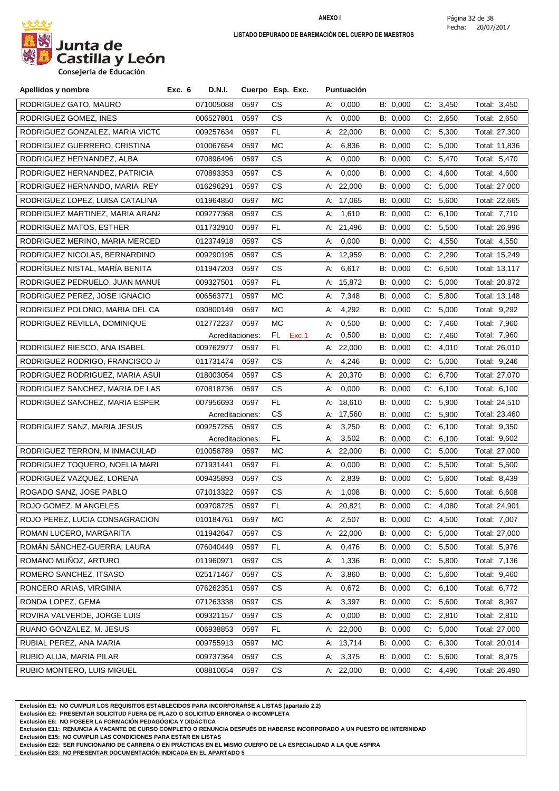

| Apellidos y nombre              | Exc. 6 | D.N.I.          | Cuerpo Esp. Exc. |     |       |    | <b>Puntuación</b> |          |             |          |               |
|---------------------------------|--------|-----------------|------------------|-----|-------|----|-------------------|----------|-------------|----------|---------------|
| RODRIGUEZ GATO, MAURO           |        | 071005088       | 0597             | СS  |       |    | A: 0,000          | B: 0,000 |             | C: 3,450 | Total: 3,450  |
| RODRIGUEZ GOMEZ, INES           |        | 006527801       | 0597             | CS. |       | А: | 0,000             | B: 0,000 |             | C: 2,650 | Total: 2,650  |
| RODRIGUEZ GONZALEZ, MARIA VICTC |        | 009257634       | 0597             | FL. |       |    | A: $22,000$       | B: 0,000 |             | C: 5,300 | Total: 27,300 |
| RODRIGUEZ GUERRERO, CRISTINA    |        | 010067654       | 0597             | МC  |       | А: | 6,836             | B: 0,000 |             | C: 5,000 | Total: 11,836 |
| RODRIGUEZ HERNANDEZ, ALBA       |        | 070896496       | 0597             | CS  |       | А. | 0,000             | B: 0,000 | $C_{\cdot}$ | 5,470    | Total: 5,470  |
| RODRIGUEZ HERNANDEZ, PATRICIA   |        | 070893353       | 0597             | CS. |       | А. | 0,000             | B: 0,000 | C.          | 4,600    | Total: 4,600  |
| RODRIGUEZ HERNANDO, MARIA REY   |        | 016296291       | 0597             | СS  |       |    | A: 22,000         | B: 0,000 | C.          | 5,000    | Total: 27,000 |
| RODRIGUEZ LOPEZ, LUISA CATALINA |        | 011964850       | 0597             | МC  |       |    | A: 17,065         | B: 0,000 |             | C: 5,600 | Total: 22,665 |
| RODRIGUEZ MARTINEZ, MARIA ARANZ |        | 009277368       | 0597             | СS  |       | А: | 1,610             | B: 0,000 | C.          | 6,100    | Total: 7,710  |
| RODRIGUEZ MATOS, ESTHER         |        | 011732910       | 0597             | FL. |       |    | A: 21,496         | B: 0,000 |             | C: 5,500 | Total: 26,996 |
| RODRIGUEZ MERINO, MARIA MERCED  |        | 012374918       | 0597             | CS. |       |    | A: 0,000          | B: 0,000 |             | C: 4,550 | Total: 4,550  |
| RODRIGUEZ NICOLAS, BERNARDINO   |        | 009290195       | 0597             | CS  |       |    | A: 12,959         | B: 0,000 |             | C: 2,290 | Total: 15,249 |
| RODRÍGUEZ NISTAL, MARÍA BENITA  |        | 011947203       | 0597             | CS. |       | А: | 6,617             | B: 0,000 |             | C: 6,500 | Total: 13,117 |
| RODRIGUEZ PEDRUELO, JUAN MANUE  |        | 009327501       | 0597             | FL  |       |    | A: 15,872         | B: 0,000 | C.          | 5,000    | Total: 20,872 |
| RODRIGUEZ PEREZ, JOSE IGNACIO   |        | 006563771       | 0597             | МC  |       |    | A: $7,348$        | B: 0,000 |             | C: 5,800 | Total: 13,148 |
| RODRIGUEZ POLONIO, MARIA DEL CA |        | 030800149       | 0597             | МC  |       | А. | 4,292             | B: 0,000 |             | C: 5,000 | Total: 9,292  |
| RODRIGUEZ REVILLA, DOMINIQUE    |        | 012772237       | 0597             | МC  |       | А: | 0,500             | B: 0,000 | C:          | 7,460    | Total: 7,960  |
|                                 |        | Acreditaciones: |                  | FL. | Exc.1 | А. | 0,500             | B: 0,000 |             | C: 7,460 | Total: 7,960  |
| RODRIGUEZ RIESCO, ANA ISABEL    |        | 009762977       | 0597             | FL  |       |    | A: 22,000         | B: 0,000 | C.          | 4,010    | Total: 26,010 |
| RODRIGUEZ RODRIGO, FRANCISCO J/ |        | 011731474       | 0597             | СS  |       | А. | 4,246             | B: 0,000 | C.          | 5,000    | Total: 9,246  |
| RODRIGUEZ RODRIGUEZ, MARIA ASUI |        | 018003054       | 0597             | СS  |       |    | A: 20,370         | B: 0,000 |             | C: 6,700 | Total: 27,070 |
| RODRIGUEZ SANCHEZ, MARIA DE LAS |        | 070818736       | 0597             | CS  |       | А: | 0,000             | B: 0,000 | C.          | 6,100    | Total: 6,100  |
| RODRIGUEZ SANCHEZ, MARIA ESPER. |        | 007956693       | 0597             | FL  |       |    | A: 18,610         | B: 0,000 | C:          | 5,900    | Total: 24,510 |
|                                 |        | Acreditaciones: |                  | CS  |       |    | A: 17,560         | B: 0,000 |             | C: 5,900 | Total: 23,460 |
| RODRIGUEZ SANZ, MARIA JESUS     |        | 009257255       | 0597             | CS  |       | А: | 3,250             | B: 0,000 |             | C: 6,100 | Total: 9,350  |
|                                 |        | Acreditaciones: |                  | FL. |       | A: | 3,502             | B: 0,000 |             | C: 6,100 | Total: 9,602  |
| RODRIGUEZ TERRON, M INMACULAD   |        | 010058789       | 0597             | МC  |       |    | A: 22,000         | B: 0,000 | C.          | 5,000    | Total: 27,000 |
| RODRIGUEZ TOQUERO, NOELIA MARI  |        | 071931441       | 0597             | FL. |       |    | A: 0,000          | B: 0,000 |             | C: 5,500 | Total: 5,500  |
| RODRIGUEZ VAZQUEZ, LORENA       |        | 009435893       | 0597             | CS. |       | А: | 2,839             | B: 0,000 | C.          | 5,600    | Total: 8,439  |
| ROGADO SANZ, JOSE PABLO         |        | 071013322       | 0597             | СS  |       | А. | 1,008             | B: 0,000 |             | C: 5,600 | Total: 6,608  |
| ROJO GOMEZ. M ANGELES           |        | 009708725       | 0597             | FL  |       |    | A: 20,821         | B: 0,000 |             | C: 4.080 | Total: 24,901 |
| ROJO PEREZ, LUCIA CONSAGRACION  |        | 010184761       | 0597             | МC  |       |    | A: $2,507$        | B: 0,000 |             | C: 4,500 | Total: 7,007  |
| ROMAN LUCERO, MARGARITA         |        | 011942647       | 0597             | CS. |       |    | A: 22,000         | B: 0,000 |             | C: 5,000 | Total: 27,000 |
| ROMÁN SÁNCHEZ-GUERRA, LAURA     |        | 076040449       | 0597             | FL. |       | А. | 0,476             | B: 0,000 | C:          | 5,500    | Total: 5,976  |
| ROMANO MUÑOZ, ARTURO            |        | 011960971       | 0597             | CS  |       |    | A: 1,336          | B: 0,000 |             | C: 5,800 | Total: 7,136  |
| ROMERO SANCHEZ, ITSASO          |        | 025171467       | 0597             | CS  |       | А. | 3,860             | B: 0,000 |             | C: 5,600 | Total: 9,460  |
| RONCERO ARIAS, VIRGINIA         |        | 076262351       | 0597             | CS. |       | А. | 0,672             | B: 0,000 |             | C: 6,100 | Total: 6,772  |
| RONDA LOPEZ, GEMA               |        | 071263338       | 0597             | CS. |       |    | A: 3,397          | B: 0,000 |             | C: 5,600 | Total: 8,997  |
| ROVIRA VALVERDE, JORGE LUIS     |        | 009321157       | 0597             | CS  |       | А. | 0,000             | B: 0,000 |             | C: 2,810 | Total: 2,810  |
| RUANO GONZALEZ, M. JESUS        |        | 006938853       | 0597             | FL. |       |    | A: 22,000         | B: 0,000 |             | C: 5,000 | Total: 27,000 |
| RUBIAL PEREZ, ANA MARIA         |        | 009755913       | 0597             | MC  |       |    | A: 13,714         | B: 0,000 | C.          | 6,300    | Total: 20,014 |
| RUBIO ALIJA, MARIA PILAR        |        | 009737364       | 0597             | CS. |       |    | A: 3,375          | B: 0,000 |             | C: 5,600 | Total: 8,975  |
| RUBIO MONTERO, LUIS MIGUEL      |        | 008810654       | 0597             | CS  |       |    | A: 22,000         | B: 0,000 |             | C: 4,490 | Total: 26,490 |

**Exclusión E1: NO CUMPLIR LOS REQUISITOS ESTABLECIDOS PARA INCORPORARSE A LISTAS (apartado 2.2)**

**Exclusión E2: PRESENTAR SOLICITUD FUERA DE PLAZO O SOLICITUD ERRONEA O INCOMPLETA**

**Exclusión E6: NO POSEER LA FORMACIÓN PEDAGÓGICA Y DIDÁCTICA**

**Exclusión E11: RENUNCIA A VACANTE DE CURSO COMPLETO O RENUNCIA DESPUÉS DE HABERSE INCORPORADO A UN PUESTO DE INTERINIDAD**

**Exclusión E15: NO CUMPLIR LAS CONDICIONES PARA ESTAR EN LISTAS**

**Exclusión E22: SER FUNCIONARIO DE CARRERA O EN PRÁCTICAS EN EL MISMO CUERPO DE LA ESPECIALIDAD A LA QUE ASPIRA**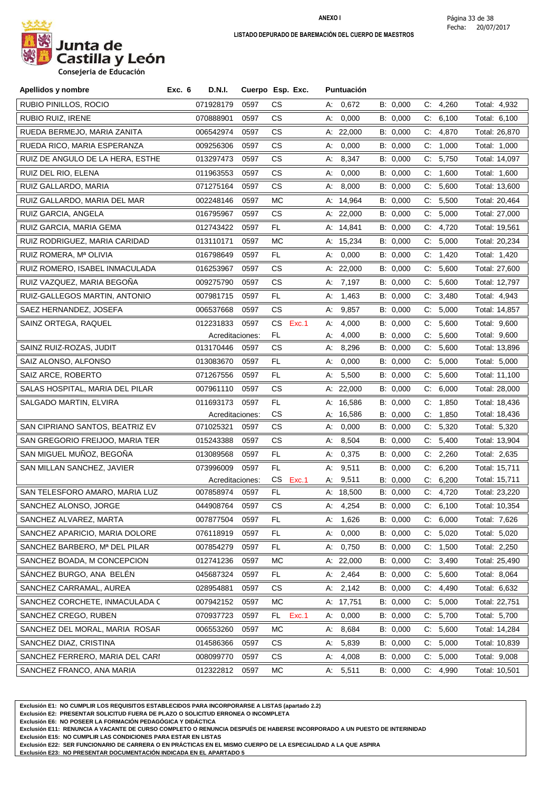

| Apellidos y nombre               | Exc. 6<br><b>D.N.I.</b> |                 | Cuerpo Esp. Exc. | Puntuación  |          |                      |               |
|----------------------------------|-------------------------|-----------------|------------------|-------------|----------|----------------------|---------------|
| RUBIO PINILLOS, ROCIO            | 071928179               | 0597            | СS               | A: 0,672    | B: 0,000 | C: 4,260             | Total: 4,932  |
| RUBIO RUIZ, IRENE                | 070888901               | 0597            | CS.              | 0,000<br>А: | B: 0,000 | C:<br>6,100          | Total: 6,100  |
| RUEDA BERMEJO, MARIA ZANITA      | 006542974               | 0597            | CS.              | A: 22,000   | B: 0,000 | C: 4,870             | Total: 26,870 |
| RUEDA RICO, MARIA ESPERANZA      | 009256306               | 0597            | CS.              | 0,000<br>A: | B: 0,000 | 1,000<br>C.          | Total: 1,000  |
| RUIZ DE ANGULO DE LA HERA, ESTHE | 013297473               | 0597            | CS               | 8,347<br>А. | B: 0,000 | C:<br>5,750          | Total: 14,097 |
| RUIZ DEL RIO, ELENA              | 011963553               | 0597            | CS.              | 0,000<br>А. | B: 0,000 | 1,600<br>C.          | Total: 1,600  |
| RUIZ GALLARDO, MARIA             | 071275164               | 0597            | CS.              | 8,000<br>А. | B: 0,000 | 5,600<br>C:          | Total: 13,600 |
| RUIZ GALLARDO, MARIA DEL MAR     | 002248146               | 0597            | MC               | A: 14,964   | B: 0,000 | C: 5,500             | Total: 20,464 |
| RUIZ GARCIA, ANGELA              | 016795967               | 0597            | CS.              | A: 22,000   | B: 0,000 | 5,000<br>C.          | Total: 27,000 |
| RUIZ GARCIA, MARIA GEMA          | 012743422               | 0597            | FL.              | A: 14,841   | B: 0,000 | C: 4,720             | Total: 19,561 |
| RUIZ RODRIGUEZ, MARIA CARIDAD    | 013110171               | 0597            | МC               | A: 15,234   | B: 0,000 | C: 5,000             | Total: 20,234 |
| RUIZ ROMERA, Mª OLIVIA           | 016798649               | 0597            | FL               | 0,000<br>А. | B: 0,000 | 1,420<br>C.          | Total: 1,420  |
| RUIZ ROMERO, ISABEL INMACULADA   | 016253967               | 0597            | CS.              | A: 22,000   | B: 0,000 | 5,600<br>C.          | Total: 27,600 |
| RUIZ VAZQUEZ, MARIA BEGOÑA       | 009275790               | 0597            | CS.              | 7,197<br>А: | B: 0,000 | C.<br>5,600          | Total: 12,797 |
| RUIZ-GALLEGOS MARTIN, ANTONIO    | 007981715               | 0597            | FL.              | 1,463<br>А. | B: 0,000 | C: 3,480             | Total: 4,943  |
| SAEZ HERNANDEZ, JOSEFA           | 006537668               | 0597            | CS.              | 9,857<br>А. | B: 0,000 | 5,000<br>C.          | Total: 14,857 |
| SAINZ ORTEGA, RAQUEL             | 012231833               | 0597            | Exc.1<br>CS.     | 4,000<br>А: | B: 0,000 | 5,600<br>C:          | Total: 9,600  |
|                                  |                         | Acreditaciones: | FL.              | 4,000<br>А: | B: 0,000 | C: 5,600             | Total: 9,600  |
| SAINZ RUIZ-ROZAS, JUDIT          | 013170446               | 0597            | CS.              | 8,296<br>A: | B: 0,000 | 5,600<br>C.          | Total: 13,896 |
| SAIZ ALONSO, ALFONSO             | 013083670               | 0597            | FL               | 0,000<br>А: | B: 0,000 | C:<br>5,000          | Total: 5,000  |
| SAIZ ARCE, ROBERTO               | 071267556               | 0597            | FL.              | 5,500<br>A: | B: 0,000 | C: 5,600             | Total: 11,100 |
| SALAS HOSPITAL, MARIA DEL PILAR  | 007961110               | 0597            | CS.              | A: 22,000   | B: 0,000 | 6,000<br>C:          | Total: 28,000 |
| SALGADO MARTIN, ELVIRA           | 011693173               | 0597            | FL               | A: 16,586   | B: 0,000 | 1,850<br>C.          | Total: 18,436 |
|                                  |                         | Acreditaciones: | CS               | A: 16,586   | B: 0,000 | 1,850<br>C.          | Total: 18,436 |
| SAN CIPRIANO SANTOS, BEATRIZ EV  | 071025321               | 0597            | CS.              | 0,000<br>А: | B: 0,000 | C: 5,320             | Total: 5,320  |
| SAN GREGORIO FREIJOO, MARIA TER  | 015243388               | 0597            | CS.              | 8,504<br>А. | B: 0,000 | $C_{\cdot}$<br>5,400 | Total: 13,904 |
| SAN MIGUEL MUÑOZ, BEGOÑA         | 013089568               | 0597            | FL.              | 0,375<br>А. | B: 0,000 | C: 2,260             | Total: 2,635  |
| SAN MILLAN SANCHEZ, JAVIER       | 073996009               | 0597            | FL               | 9,511<br>А. | B: 0,000 | C: 6,200             | Total: 15,711 |
|                                  |                         | Acreditaciones: | CS<br>Exc.1      | 9,511<br>А. | B: 0,000 | 6,200<br>C.          | Total: 15,711 |
| SAN TELESFORO AMARO, MARIA LUZ   | 007858974               | 0597            | FL.              | A: 18,500   | B: 0,000 | C: 4,720             | Total: 23,220 |
| SANCHEZ ALONSO, JORGE            | 044908764               | 0597            | СS               | A: 4.254    | B: 0,000 | C: 6.100             | Total: 10,354 |
| SANCHEZ ALVAREZ, MARTA           | 007877504               | 0597            | FL               | A: $1,626$  | B: 0,000 | C: 6,000             | Total: 7,626  |
| SANCHEZ APARICIO, MARIA DOLORE   | 076118919               | 0597            | FL.              | 0,000<br>А. | B: 0,000 | C: 5,020             | Total: 5,020  |
| SANCHEZ BARBERO, Mª DEL PILAR    | 007854279               | 0597            | FL.              | 0,750<br>А. | B: 0,000 | C: 1,500             | Total: 2,250  |
| SANCHEZ BOADA, M CONCEPCION      | 012741236               | 0597            | MC               | A: 22,000   | B: 0,000 | C: 3,490             | Total: 25,490 |
| SANCHEZ BURGO, ANA BELÉN         | 045687324               | 0597            | FL.              | A: 2,464    | B: 0,000 | 5,600<br>C.          | Total: 8,064  |
| SANCHEZ CARRAMAL, AUREA          | 028954881               | 0597            | СS               | A: 2,142    | B: 0,000 | C: 4,490             | Total: 6,632  |
| SANCHEZ CORCHETE, INMACULADA C   | 007942152               | 0597            | МC               | A: 17,751   | B: 0,000 | C: 5,000             | Total: 22,751 |
| SANCHEZ CREGO, RUBEN             | 070937723               | 0597            | Exc.1<br>FL.     | 0,000<br>А. | B: 0,000 | 5,700<br>C.          | Total: 5,700  |
| SANCHEZ DEL MORAL, MARIA ROSAR   | 006553260               | 0597            | МC               | A: 8,684    | B: 0,000 | C: 5,600             | Total: 14,284 |
| SANCHEZ DIAZ, CRISTINA           | 014586366               | 0597            | СS               | A: 5,839    | B: 0,000 | C: 5,000             | Total: 10,839 |
| SANCHEZ FERRERO, MARIA DEL CARI  | 008099770               | 0597            | СS               | 4,008<br>A: | B: 0,000 | C: 5,000             | Total: 9,008  |
| SANCHEZ FRANCO, ANA MARIA        | 012322812               | 0597            | МC               | 5,511<br>A: | B: 0,000 | C: 4,990             | Total: 10,501 |

**Exclusión E1: NO CUMPLIR LOS REQUISITOS ESTABLECIDOS PARA INCORPORARSE A LISTAS (apartado 2.2)**

**Exclusión E2: PRESENTAR SOLICITUD FUERA DE PLAZO O SOLICITUD ERRONEA O INCOMPLETA**

**Exclusión E6: NO POSEER LA FORMACIÓN PEDAGÓGICA Y DIDÁCTICA**

**Exclusión E11: RENUNCIA A VACANTE DE CURSO COMPLETO O RENUNCIA DESPUÉS DE HABERSE INCORPORADO A UN PUESTO DE INTERINIDAD**

**Exclusión E15: NO CUMPLIR LAS CONDICIONES PARA ESTAR EN LISTAS**

**Exclusión E22: SER FUNCIONARIO DE CARRERA O EN PRÁCTICAS EN EL MISMO CUERPO DE LA ESPECIALIDAD A LA QUE ASPIRA**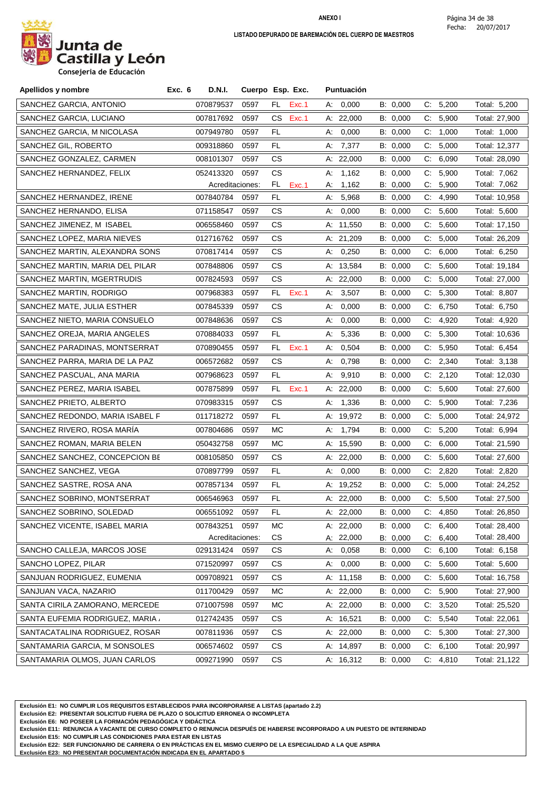

**Consejeria de Educación**

| Apellidos y nombre               | Exc. 6 | D.N.I.          |      | Cuerpo Esp. Exc. |    | Puntuación  |          |    |          |               |
|----------------------------------|--------|-----------------|------|------------------|----|-------------|----------|----|----------|---------------|
| SANCHEZ GARCIA, ANTONIO          |        | 070879537       | 0597 | FL.<br>Exc.1     |    | A: 0,000    | B: 0,000 |    | C: 5,200 | Total: 5,200  |
| SANCHEZ GARCIA, LUCIANO          |        | 007817692       | 0597 | CS<br>Exc.1      |    | A: 22,000   | B: 0,000 | C: | 5,900    | Total: 27,900 |
| SANCHEZ GARCIA, M NICOLASA       |        | 007949780       | 0597 | FL.              | А: | 0,000       | B: 0,000 |    | C: 1,000 | Total: 1,000  |
| SANCHEZ GIL, ROBERTO             |        | 009318860       | 0597 | FL               |    | A: 7,377    | B: 0,000 | C. | 5,000    | Total: 12,377 |
| SANCHEZ GONZALEZ, CARMEN         |        | 008101307       | 0597 | CS               |    | A: $22,000$ | B: 0,000 | C: | 6,090    | Total: 28,090 |
| SANCHEZ HERNANDEZ, FELIX         |        | 052413320       | 0597 | СS               | А: | 1,162       | B: 0,000 | C: | 5,900    | Total: 7,062  |
|                                  |        | Acreditaciones: |      | FL<br>Exc.1      | А: | 1,162       | B: 0,000 | C. | 5,900    | Total: 7,062  |
| SANCHEZ HERNANDEZ, IRENE         |        | 007840784       | 0597 | FL               | А: | 5,968       | B: 0,000 | C: | 4,990    | Total: 10,958 |
| SANCHEZ HERNANDO, ELISA          |        | 071158547       | 0597 | СS               | А: | 0,000       | B: 0,000 | C. | 5,600    | Total: 5,600  |
| SANCHEZ JIMENEZ, M ISABEL        |        | 006558460       | 0597 | СS               |    | A: 11,550   | B: 0,000 | C. | 5,600    | Total: 17,150 |
| SANCHEZ LOPEZ, MARIA NIEVES      |        | 012716762       | 0597 | CS               |    | A: 21,209   | B: 0,000 | C. | 5,000    | Total: 26,209 |
| SANCHEZ MARTIN, ALEXANDRA SONS   |        | 070817414       | 0597 | CS.              |    | A: 0,250    | B: 0,000 | C. | 6,000    | Total: 6,250  |
| SANCHEZ MARTIN, MARIA DEL PILAR  |        | 007848806       | 0597 | СS               |    | A: 13,584   | B: 0,000 | C. | 5,600    | Total: 19,184 |
| SANCHEZ MARTIN, MGERTRUDIS       |        | 007824593       | 0597 | CS.              |    | A: $22,000$ | B: 0,000 |    | C: 5,000 | Total: 27,000 |
| SANCHEZ MARTIN, RODRIGO          |        | 007968383       | 0597 | FL.<br>Exc.1     | А. | 3,507       | B: 0,000 | C: | 5,300    | Total: 8,807  |
| SANCHEZ MATE, JULIA ESTHER       |        | 007845339       | 0597 | СS               | А: | 0,000       | B: 0,000 | C. | 6,750    | Total: 6,750  |
| SANCHEZ NIETO, MARIA CONSUELO    |        | 007848636       | 0597 | CS.              | А: | 0,000       | B: 0,000 | C. | 4,920    | Total: 4,920  |
| SANCHEZ OREJA, MARIA ANGELES     |        | 070884033       | 0597 | FL               | А. | 5,336       | B: 0,000 | C. | 5,300    | Total: 10,636 |
| SANCHEZ PARADINAS, MONTSERRAT    |        | 070890455       | 0597 | FL.<br>Exc.1     | А. | 0,504       | B: 0,000 | C. | 5,950    | Total: 6,454  |
| SANCHEZ PARRA, MARIA DE LA PAZ   |        | 006572682       | 0597 | <b>CS</b>        | А. | 0,798       | B: 0,000 | C. | 2,340    | Total: 3,138  |
| SANCHEZ PASCUAL, ANA MARIA       |        | 007968623       | 0597 | FL.              |    | A: 9,910    | B: 0,000 |    | C: 2,120 | Total: 12,030 |
| SANCHEZ PEREZ, MARIA ISABEL      |        | 007875899       | 0597 | FL.<br>Exc.1     |    | A: 22,000   | B: 0,000 | C: | 5,600    | Total: 27,600 |
| SANCHEZ PRIETO, ALBERTO          |        | 070983315       | 0597 | СS               | А. | 1,336       | B: 0,000 | C. | 5,900    | Total: 7,236  |
| SANCHEZ REDONDO, MARIA ISABEL F  |        | 011718272       | 0597 | FL.              |    | A: 19,972   | B: 0,000 | C. | 5,000    | Total: 24,972 |
| SANCHEZ RIVERO, ROSA MARÍA       |        | 007804686       | 0597 | МC               | А: | 1,794       | B: 0,000 |    | C: 5,200 | Total: 6,994  |
| SANCHEZ ROMAN, MARIA BELEN       |        | 050432758       | 0597 | МC               |    | A: 15,590   | B: 0,000 | C. | 6,000    | Total: 21,590 |
| SANCHEZ SANCHEZ, CONCEPCION BE   |        | 008105850       | 0597 | СS               |    | A: 22,000   | B: 0,000 | C: | 5,600    | Total: 27,600 |
| SANCHEZ SANCHEZ, VEGA            |        | 070897799       | 0597 | FL.              | А: | 0,000       | B: 0,000 |    | C: 2,820 | Total: 2,820  |
| SANCHEZ SASTRE, ROSA ANA         |        | 007857134       | 0597 | FL.              |    | A: 19,252   | B: 0,000 | C: | 5,000    | Total: 24,252 |
| SANCHEZ SOBRINO, MONTSERRAT      |        | 006546963       | 0597 | FL               |    | A: 22,000   | B: 0,000 |    | C: 5,500 | Total: 27,500 |
| SANCHEZ SOBRINO, SOLEDAD         |        | 006551092       | 0597 | FL               |    | A: 22,000   | B: 0,000 | C: | 4,850    | Total: 26,850 |
| SANCHEZ VICENTE, ISABEL MARIA    |        | 007843251       | 0597 | MC               |    | A: 22,000   | B: 0,000 | C. | 6,400    | Total: 28,400 |
|                                  |        | Acreditaciones: |      | CS               |    | A: 22,000   | B: 0,000 | C. | 6,400    | Total: 28,400 |
| SANCHO CALLEJA, MARCOS JOSE      |        | 029131424       | 0597 | CS               | А: | 0,058       | B: 0,000 | C. | 6,100    | Total: 6,158  |
| SANCHO LOPEZ, PILAR              |        | 071520997       | 0597 | СS               | А. | 0,000       | B: 0,000 | C. | 5,600    | Total: 5,600  |
| SANJUAN RODRIGUEZ, EUMENIA       |        | 009708921       | 0597 | СS               |    | A: 11,158   | B: 0,000 | C. | 5,600    | Total: 16,758 |
| SANJUAN VACA, NAZARIO            |        | 011700429       | 0597 | МC               |    | A: $22,000$ | B: 0,000 | C. | 5,900    | Total: 27,900 |
| SANTA CIRILA ZAMORANO, MERCEDE   |        | 071007598       | 0597 | МC               |    | A: 22,000   | B: 0,000 | C. | 3,520    | Total: 25,520 |
| SANTA EUFEMIA RODRIGUEZ, MARIA / |        | 012742435       | 0597 | CS               |    | A: 16,521   | B: 0,000 | C. | 5,540    | Total: 22,061 |
| SANTACATALINA RODRIGUEZ, ROSAR   |        | 007811936       | 0597 | CS               |    | A: 22,000   | B: 0,000 | C. | 5,300    | Total: 27,300 |
| SANTAMARIA GARCIA, M SONSOLES    |        | 006574602       | 0597 | CS               |    | A: 14,897   | B: 0,000 | C. | 6,100    | Total: 20,997 |
| SANTAMARIA OLMOS, JUAN CARLOS    |        | 009271990       | 0597 | CS               |    | A: 16,312   | B: 0,000 |    | C: 4,810 | Total: 21,122 |

**Exclusión E1: NO CUMPLIR LOS REQUISITOS ESTABLECIDOS PARA INCORPORARSE A LISTAS (apartado 2.2)**

**Exclusión E2: PRESENTAR SOLICITUD FUERA DE PLAZO O SOLICITUD ERRONEA O INCOMPLETA**

**Exclusión E6: NO POSEER LA FORMACIÓN PEDAGÓGICA Y DIDÁCTICA**

**Exclusión E11: RENUNCIA A VACANTE DE CURSO COMPLETO O RENUNCIA DESPUÉS DE HABERSE INCORPORADO A UN PUESTO DE INTERINIDAD**

**Exclusión E15: NO CUMPLIR LAS CONDICIONES PARA ESTAR EN LISTAS**

**Exclusión E22: SER FUNCIONARIO DE CARRERA O EN PRÁCTICAS EN EL MISMO CUERPO DE LA ESPECIALIDAD A LA QUE ASPIRA**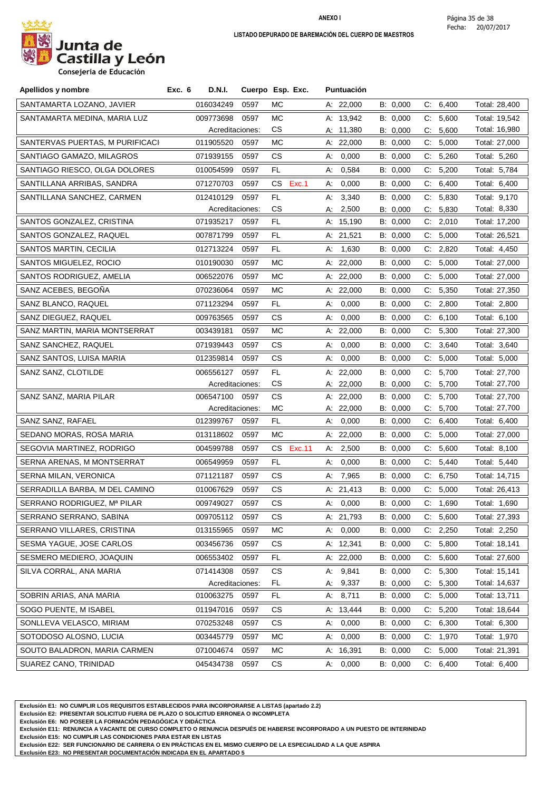

**Consejeria de Educación**

| Apellidos y nombre              | <b>D.N.I.</b><br>Exc. 6 |                 | Cuerpo Esp. Exc. | <b>Puntuación</b> |          |             |               |
|---------------------------------|-------------------------|-----------------|------------------|-------------------|----------|-------------|---------------|
| SANTAMARTA LOZANO, JAVIER       | 016034249               | 0597            | МC               | A: 22,000         | B: 0,000 | C: 6,400    | Total: 28,400 |
| SANTAMARTA MEDINA, MARIA LUZ    | 009773698               | 0597            | МC               | A: 13,942         | B: 0,000 | C: 5,600    | Total: 19,542 |
|                                 |                         | Acreditaciones: | CS.              | A: 11,380         | B: 0,000 | 5,600<br>C: | Total: 16,980 |
| SANTERVAS PUERTAS, M PURIFICACI | 011905520               | 0597            | МC               | A: 22,000         | B: 0,000 | C:<br>5,000 | Total: 27,000 |
| SANTIAGO GAMAZO, MILAGROS       | 071939155               | 0597            | CS.              | 0,000<br>A:       | B: 0,000 | C: 5,260    | Total: 5,260  |
| SANTIAGO RIESCO, OLGA DOLORES   | 010054599               | 0597            | FL.              | 0,584<br>A:       | B: 0,000 | C: 5,200    | Total: 5,784  |
| SANTILLANA ARRIBAS, SANDRA      | 071270703               | 0597            | Exc.1<br>CS.     | 0,000<br>А.       | B: 0,000 | C:<br>6,400 | Total: 6,400  |
| SANTILLANA SANCHEZ, CARMEN      | 012410129               | 0597            | FL               | 3,340<br>А:       | B: 0,000 | 5,830<br>C: | Total: 9,170  |
|                                 |                         | Acreditaciones: | CS.              | 2,500<br>А.       | B: 0,000 | C: 5,830    | Total: 8,330  |
| SANTOS GONZALEZ, CRISTINA       | 071935217               | 0597            | FL               | A: 15,190         | B: 0,000 | 2,010<br>C: | Total: 17,200 |
| SANTOS GONZALEZ, RAQUEL         | 007871799               | 0597            | FL.              | A: 21,521         | B: 0,000 | C: 5,000    | Total: 26,521 |
| SANTOS MARTIN, CECILIA          | 012713224               | 0597            | FL.              | A: 1,630          | B: 0,000 | 2,820<br>C. | Total: 4,450  |
| SANTOS MIGUELEZ, ROCIO          | 010190030               | 0597            | МC               | A: 22,000         | B: 0,000 | C: 5,000    | Total: 27,000 |
| SANTOS RODRIGUEZ, AMELIA        | 006522076               | 0597            | МC               | A: $22,000$       | B: 0,000 | 5,000<br>C. | Total: 27,000 |
| SANZ ACEBES, BEGOÑA             | 070236064               | 0597            | МC               | A: 22,000         | B: 0,000 | C.<br>5,350 | Total: 27,350 |
| SANZ BLANCO, RAQUEL             | 071123294               | 0597            | FL.              | A: 0,000          | B: 0,000 | C: 2,800    | Total: 2,800  |
| SANZ DIEGUEZ, RAQUEL            | 009763565               | 0597            | СS               | 0,000<br>А:       | B: 0,000 | C: 6,100    | Total: 6,100  |
| SANZ MARTIN, MARIA MONTSERRAT   | 003439181               | 0597            | МC               | A: 22,000         | B: 0,000 | C: 5,300    | Total: 27,300 |
| SANZ SANCHEZ, RAQUEL            | 071939443               | 0597            | CS.              | 0,000<br>А:       | B: 0,000 | 3,640<br>C: | Total: 3,640  |
| SANZ SANTOS, LUISA MARIA        | 012359814               | 0597            | <b>CS</b>        | 0,000<br>А:       | B: 0,000 | C: 5,000    | Total: 5,000  |
| SANZ SANZ, CLOTILDE             | 006556127               | 0597            | FL.              | A: 22,000         | B: 0,000 | C: 5,700    | Total: 27,700 |
|                                 |                         | Acreditaciones: | CS.              | A: 22,000         | B: 0,000 | 5,700<br>C. | Total: 27,700 |
| SANZ SANZ, MARIA PILAR          | 006547100               | 0597            | СS               | A: 22,000         | B: 0,000 | C: 5,700    | Total: 27,700 |
|                                 |                         | Acreditaciones: | <b>MC</b>        | A: 22,000         | B: 0,000 | 5,700<br>C. | Total: 27,700 |
| SANZ SANZ, RAFAEL               | 012399767               | 0597            | FL.              | 0,000<br>A:       | B: 0,000 | C: 6,400    | Total: 6,400  |
| SEDANO MORAS, ROSA MARIA        | 013118602               | 0597            | МC               | A: $22,000$       | B: 0,000 | C: 5,000    | Total: 27,000 |
| SEGOVIA MARTINEZ, RODRIGO       | 004599788               | 0597            | CS<br>Exc.11     | 2,500<br>A:       | B: 0,000 | C.<br>5,600 | Total: 8,100  |
| SERNA ARENAS, M MONTSERRAT      | 006549959               | 0597            | FL.              | 0,000<br>A:       | B: 0,000 | C: 5,440    | Total: 5,440  |
| SERNA MILAN, VERONICA           | 071121187               | 0597            | CS.              | A: 7,965          | B: 0,000 | C:<br>6,750 | Total: 14,715 |
| SERRADILLA BARBA, M DEL CAMINO  | 010067629               | 0597            | CS.              | A: 21,413         | B: 0,000 | C: 5,000    | Total: 26,413 |
| SERRANO RODRIGUEZ, Mª PILAR     | 009749027               | 0597            | CS.              | A: 0,000          | B: 0,000 | C: 1,690    | Total: 1,690  |
| SERRANO SERRANO, SABINA         | 009705112               | 0597            | CS.              | A: 21,793         | B: 0,000 | C: 5,600    | Total: 27,393 |
| SERRANO VILLARES, CRISTINA      | 013155965               | 0597            | МC               | A: 0,000          | B: 0,000 | C: 2,250    | Total: 2,250  |
| SESMA YAGUE, JOSE CARLOS        | 003456736               | 0597            | CS.              | A: 12,341         | B: 0,000 | C: 5,800    | Total: 18,141 |
| SESMERO MEDIERO, JOAQUIN        | 006553402               | 0597            | FL.              | A: 22,000         | B: 0,000 | C: 5,600    | Total: 27,600 |
| SILVA CORRAL, ANA MARIA         | 071414308               | 0597            | CS               | A: 9,841          | B: 0,000 | C: 5,300    | Total: 15,141 |
|                                 |                         | Acreditaciones: | FL.              | A: 9,337          | B: 0,000 | 5,300<br>C. | Total: 14,637 |
| SOBRIN ARIAS, ANA MARIA         | 010063275               | 0597            | FL               | A: 8,711          | B: 0,000 | C: 5,000    | Total: 13,711 |
| SOGO PUENTE, M ISABEL           | 011947016               | 0597            | СS               | A: 13,444         | B: 0,000 | C: 5,200    | Total: 18,644 |
| SONLLEVA VELASCO, MIRIAM        | 070253248               | 0597            | CS.              | A: 0,000          | B: 0,000 | C: 6,300    | Total: 6,300  |
| SOTODOSO ALOSNO, LUCIA          | 003445779               | 0597            | МC               | A: 0,000          | B: 0,000 | C: 1,970    | Total: 1,970  |
| SOUTO BALADRON, MARIA CARMEN    | 071004674               | 0597            | МC               | A: 16,391         | B: 0,000 | C: 5,000    | Total: 21,391 |
| SUAREZ CANO, TRINIDAD           | 045434738               | 0597            | СS               | A: 0,000          | B: 0,000 | C: 6,400    | Total: 6,400  |

**Exclusión E1: NO CUMPLIR LOS REQUISITOS ESTABLECIDOS PARA INCORPORARSE A LISTAS (apartado 2.2)**

**Exclusión E2: PRESENTAR SOLICITUD FUERA DE PLAZO O SOLICITUD ERRONEA O INCOMPLETA**

**Exclusión E6: NO POSEER LA FORMACIÓN PEDAGÓGICA Y DIDÁCTICA**

**Exclusión E11: RENUNCIA A VACANTE DE CURSO COMPLETO O RENUNCIA DESPUÉS DE HABERSE INCORPORADO A UN PUESTO DE INTERINIDAD**

**Exclusión E15: NO CUMPLIR LAS CONDICIONES PARA ESTAR EN LISTAS**

**Exclusión E22: SER FUNCIONARIO DE CARRERA O EN PRÁCTICAS EN EL MISMO CUERPO DE LA ESPECIALIDAD A LA QUE ASPIRA**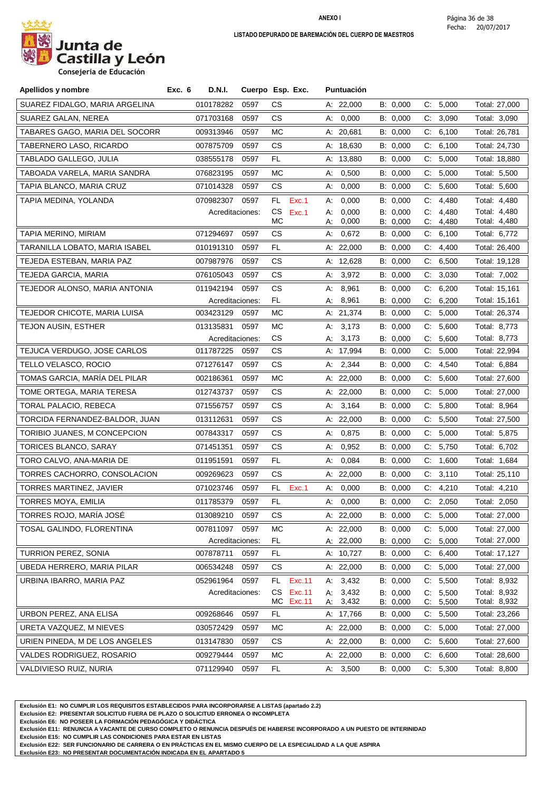

**Consejeria de Educación**

| Apellidos y nombre             | <b>D.N.I.</b><br>Exc. 6 |      | Cuerpo Esp. Exc.             | <b>Puntuación</b>          |                      |                                     |                              |
|--------------------------------|-------------------------|------|------------------------------|----------------------------|----------------------|-------------------------------------|------------------------------|
| SUAREZ FIDALGO, MARIA ARGELINA | 010178282               | 0597 | СS                           | A: 22,000                  | B: 0,000             | C: 5,000                            | Total: 27,000                |
| SUAREZ GALAN, NEREA            | 071703168               | 0597 | СS                           | 0,000<br>А.                | B: 0,000             | 3,090<br>C.                         | Total: 3,090                 |
| TABARES GAGO, MARIA DEL SOCORR | 009313946               | 0597 | МC                           | A: 20,681                  | B: 0,000             | 6,100<br>C.                         | Total: 26,781                |
| TABERNERO LASO, RICARDO        | 007875709               | 0597 | <b>CS</b>                    | A: 18,630                  | B: 0,000             | C: 6,100                            | Total: 24,730                |
| TABLADO GALLEGO, JULIA         | 038555178               | 0597 | FL                           | A: 13,880                  | B: 0,000             | 5,000<br>C.                         | Total: 18,880                |
| TABOADA VARELA, MARIA SANDRA   | 076823195               | 0597 | МC                           | 0,500<br>А.                | B: 0,000             | C: 5,000                            | Total: 5,500                 |
| TAPIA BLANCO, MARIA CRUZ       | 071014328               | 0597 | <b>CS</b>                    | A: 0,000                   | B: 0,000             | C: 5,600                            | Total: 5,600                 |
| TAPIA MEDINA, YOLANDA          | 070982307               | 0597 | FL.<br>Exc.1                 | 0,000<br>А.                | B: 0,000             | C:<br>4,480                         | Total: 4,480                 |
|                                | Acreditaciones:         |      | CS<br>Exc.1                  | 0,000<br>А:                | B: 0.000             | C:<br>4.480                         | Total: 4,480                 |
| TAPIA MERINO, MIRIAM           | 071294697               | 0597 | МC<br>CS                     | 0,000<br>А:<br>0,672<br>А. | B: 0,000<br>B: 0,000 | C.<br>4,480<br>6,100<br>C.          | Total: 4,480<br>Total: 6,772 |
| TARANILLA LOBATO, MARIA ISABEL | 010191310               | 0597 | FL.                          | A: 22,000                  | B: 0,000             | 4,400<br>C:                         | Total: 26,400                |
| TEJEDA ESTEBAN, MARIA PAZ      | 007987976               | 0597 | CS                           | A: 12,628                  | B: 0,000             | 6,500<br>C:                         | Total: 19,128                |
| TEJEDA GARCIA, MARIA           | 076105043               | 0597 | CS                           | 3,972<br>А.                | B: 0,000             | C: 3,030                            | Total: 7,002                 |
| TEJEDOR ALONSO, MARIA ANTONIA  | 011942194               | 0597 | СS                           | 8,961<br>А:                | B: 0,000             | 6,200<br>C:                         | Total: 15,161                |
|                                | Acreditaciones:         |      | FL.                          | 8,961<br>А:                | B: 0,000             | C.<br>6,200                         | Total: 15,161                |
| TEJEDOR CHICOTE, MARIA LUISA   | 003423129               | 0597 | МC                           | A: 21,374                  | B: 0,000             | 5,000<br>C.                         | Total: 26,374                |
| <b>TEJON AUSIN, ESTHER</b>     | 013135831               | 0597 | МC                           | 3,173<br>A:                | B: 0,000             | 5,600<br>C:                         | Total: 8,773                 |
|                                | Acreditaciones:         |      | <b>CS</b>                    | A: 3,173                   | B: 0,000             | 5,600<br>C.                         | Total: 8,773                 |
| TEJUCA VERDUGO, JOSE CARLOS    | 011787225               | 0597 | CS                           | A: 17,994                  | B: 0,000             | C: 5,000                            | Total: 22,994                |
| TELLO VELASCO, ROCIO           | 071276147               | 0597 | СS                           | A: $2,344$                 | B: 0,000             | C: 4,540                            | Total: 6,884                 |
| TOMAS GARCIA, MARÍA DEL PILAR  | 002186361               | 0597 | МC                           | A: $22,000$                | B: 0,000             | C: 5,600                            | Total: 27,600                |
| TOME ORTEGA, MARIA TERESA      | 012743737               | 0597 | CS                           | A: 22,000                  | B: 0,000             | C:<br>5,000                         | Total: 27,000                |
| TORAL PALACIO, REBECA          | 071556757               | 0597 | CS                           | A: 3,164                   | B: 0,000             | C: 5,800                            | Total: 8,964                 |
| TORCIDA FERNANDEZ-BALDOR, JUAN | 013112631               | 0597 | CS                           | A: 22,000                  | B: 0,000             | 5,500<br>C.                         | Total: 27,500                |
| TORIBIO JUANES, M CONCEPCION   | 007843317               | 0597 | CS                           | A: 0,875                   | B: 0,000             | C: 5,000                            | Total: 5,875                 |
| <b>TORICES BLANCO, SARAY</b>   | 071451351               | 0597 | СS                           | 0,952<br>А.                | B: 0,000             | 5,750<br>C.                         | Total: 6,702                 |
| TORO CALVO, ANA-MARIA DE       | 011951591               | 0597 | FL.                          | A: 0,084                   | B: 0,000             | C: 1,600                            | Total: 1,684                 |
| TORRES CACHORRO, CONSOLACION   | 009269623               | 0597 | CS                           | A: $22,000$                | B: 0,000             | C: 3,110                            | Total: 25,110                |
| TORRES MARTINEZ, JAVIER        | 071023746               | 0597 | FL.<br>Exc.1                 | A: 0,000                   | B: 0,000             | C: 4,210                            | Total: 4,210                 |
| TORRES MOYA, EMILIA            | 011785379               | 0597 | FL                           | 0,000<br>А.                | B: 0,000             | C: 2,050                            | Total: 2,050                 |
| TORRES ROJO, MARÍA JOSÉ        | 013089210               | 0597 | CS                           | A: 22,000                  | B: 0,000             | C: 5,000                            | Total: 27,000                |
| TOSAL GALINDO, FLORENTINA      | 007811097               | 0597 | МC                           | A: 22,000                  | B: 0,000             | C: 5,000                            | Total: 27,000                |
|                                | Acreditaciones:         |      | FL.                          | A: 22,000                  | B: 0,000             | C: 5,000                            | Total: 27,000                |
| TURRION PEREZ, SONIA           | 007878711               | 0597 | FL                           | A: 10,727                  | B: 0,000             | C: 6,400                            | Total: 17,127                |
| UBEDA HERRERO, MARIA PILAR     | 006534248               | 0597 | CS                           | A: 22,000                  | B: 0,000             | C: 5,000                            | Total: 27,000                |
| URBINA IBARRO, MARIA PAZ       | 052961964               | 0597 | Exc.11<br>FL.                | A: 3,432                   | B: 0,000             | 5,500<br>C.                         | Total: 8,932                 |
|                                | Acreditaciones:         |      | Exc.11<br>CS<br>МC<br>Exc.11 | A: 3,432<br>A: 3,432       | B: 0,000<br>B: 0,000 | 5,500<br>C.<br>$C_{\cdot}$<br>5,500 | Total: 8,932<br>Total: 8,932 |
| URBON PEREZ, ANA ELISA         | 009268646               | 0597 | FL                           | A: 17,766                  | B: 0,000             | C: 5,500                            | Total: 23,266                |
| URETA VAZQUEZ, M NIEVES        | 030572429               | 0597 | MC                           | A: 22,000                  | B: 0,000             | 5,000<br>C:                         | Total: 27,000                |
| URIEN PINEDA, M DE LOS ANGELES | 013147830               | 0597 | CS                           | A: 22,000                  | B: 0,000             | C: 5,600                            | Total: 27,600                |
| VALDES RODRIGUEZ, ROSARIO      | 009279444               | 0597 | МC                           | A: 22,000                  | B: 0,000             | 6,600<br>C.                         | Total: 28,600                |
| VALDIVIESO RUIZ, NURIA         | 071129940               | 0597 | FL                           | A: 3,500                   | B: 0,000             | C: 5,300                            | Total: 8,800                 |

**Exclusión E1: NO CUMPLIR LOS REQUISITOS ESTABLECIDOS PARA INCORPORARSE A LISTAS (apartado 2.2)**

**Exclusión E2: PRESENTAR SOLICITUD FUERA DE PLAZO O SOLICITUD ERRONEA O INCOMPLETA**

**Exclusión E6: NO POSEER LA FORMACIÓN PEDAGÓGICA Y DIDÁCTICA**

**Exclusión E11: RENUNCIA A VACANTE DE CURSO COMPLETO O RENUNCIA DESPUÉS DE HABERSE INCORPORADO A UN PUESTO DE INTERINIDAD**

**Exclusión E15: NO CUMPLIR LAS CONDICIONES PARA ESTAR EN LISTAS**

**Exclusión E22: SER FUNCIONARIO DE CARRERA O EN PRÁCTICAS EN EL MISMO CUERPO DE LA ESPECIALIDAD A LA QUE ASPIRA**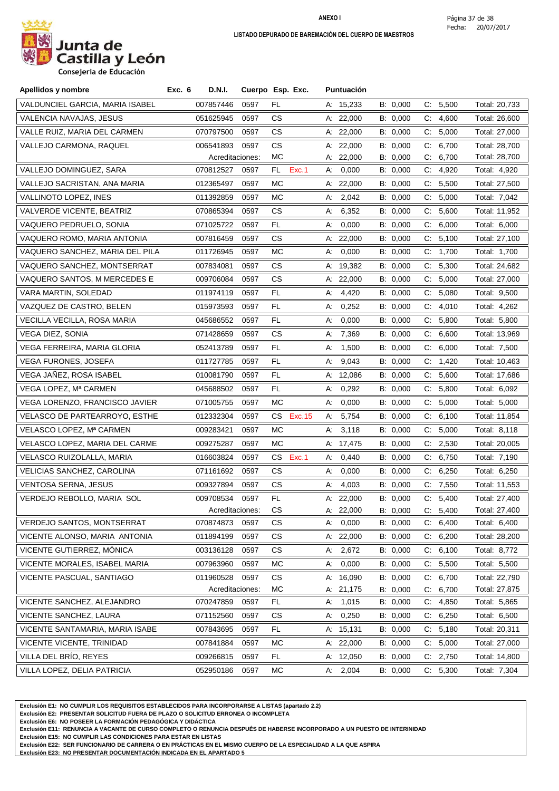

**Consejeria de Educación**

| Apellidos y nombre                | <b>D.N.I.</b><br>Exc. 6 |      | Cuerpo Esp. Exc. | <b>Puntuación</b> |          |                      |               |
|-----------------------------------|-------------------------|------|------------------|-------------------|----------|----------------------|---------------|
| VALDUNCIEL GARCIA, MARIA ISABEL   | 007857446               | 0597 | FL               | A: 15,233         | B: 0,000 | C: 5,500             | Total: 20,733 |
| VALENCIA NAVAJAS, JESUS           | 051625945               | 0597 | CS.              | A: $22,000$       | B: 0,000 | C.<br>4,600          | Total: 26,600 |
| VALLE RUIZ, MARIA DEL CARMEN      | 070797500               | 0597 | CS.              | A: 22,000         | B: 0.000 | C:<br>5,000          | Total: 27,000 |
| VALLEJO CARMONA, RAQUEL           | 006541893               | 0597 | CS.              | A: 22,000         | B: 0,000 | C: 6,700             | Total: 28,700 |
|                                   | Acreditaciones:         |      | МC               | A: 22,000         | B: 0,000 | 6,700<br>C.          | Total: 28,700 |
| VALLEJO DOMINGUEZ, SARA           | 070812527               | 0597 | Exc.1<br>FL.     | A: 0,000          | B: 0,000 | C: 4,920             | Total: 4,920  |
| VALLEJO SACRISTAN, ANA MARIA      | 012365497               | 0597 | МC               | A: 22,000         | B: 0,000 | 5,500<br>C.          | Total: 27,500 |
| VALLINOTO LOPEZ, INES             | 011392859               | 0597 | МC               | 2,042<br>A:       | B: 0,000 | 5,000<br>C.          | Total: 7,042  |
| VALVERDE VICENTE, BEATRIZ         | 070865394               | 0597 | CS.              | 6,352<br>А:       | B: 0,000 | C:<br>5,600          | Total: 11,952 |
| VAQUERO PEDRUELO, SONIA           | 071025722               | 0597 | FL.              | 0,000<br>A:       | B: 0,000 | C: 6,000             | Total: 6,000  |
| VAQUERO ROMO, MARIA ANTONIA       | 007816459               | 0597 | CS.              | A: 22,000         | B: 0,000 | 5,100<br>C.          | Total: 27,100 |
| VAQUERO SANCHEZ, MARIA DEL PILA   | 011726945               | 0597 | МC               | 0,000<br>А.       | B: 0,000 | C: 1,700             | Total: 1,700  |
| VAQUERO SANCHEZ, MONTSERRAT       | 007834081               | 0597 | CS.              | A: 19,382         | B: 0,000 | C: 5,300             | Total: 24,682 |
| VAQUERO SANTOS, M MERCEDES E      | 009706084               | 0597 | CS               | A: 22,000         | B: 0,000 | $C_{\cdot}$<br>5,000 | Total: 27,000 |
| VARA MARTIN, SOLEDAD              | 011974119               | 0597 | FL.              | 4,420<br>A:       | B: 0,000 | 5,080<br>C.          | Total: 9,500  |
| VAZQUEZ DE CASTRO, BELEN          | 015973593               | 0597 | FL               | 0,252<br>А:       | B: 0,000 | 4,010<br>C.          | Total: 4,262  |
| VECILLA VECILLA, ROSA MARIA       | 045686552               | 0597 | FL               | 0,000<br>А:       | B: 0,000 | C: 5,800             | Total: 5,800  |
| <b>VEGA DIEZ, SONIA</b>           | 071428659               | 0597 | CS.              | 7,369<br>А.       | B: 0,000 | 6,600<br>C.          | Total: 13,969 |
| VEGA FERREIRA, MARIA GLORIA       | 052413789               | 0597 | FL.              | 1,500<br>А.       | B: 0,000 | C: 6,000             | Total: 7,500  |
| VEGA FURONES, JOSEFA              | 011727785               | 0597 | FL.              | 9,043<br>A:       | B: 0,000 | C: 1,420             | Total: 10,463 |
| VEGA JAÑEZ, ROSA ISABEL           | 010081790               | 0597 | FL               | A: 12,086         | B: 0,000 | $C_{\cdot}$<br>5,600 | Total: 17,686 |
| VEGA LOPEZ, Mª CARMEN             | 045688502               | 0597 | FL               | 0,292<br>А.       | B: 0,000 | 5,800<br>C.          | Total: 6,092  |
| VEGA LORENZO, FRANCISCO JAVIER    | 071005755               | 0597 | МC               | 0,000<br>А.       | B: 0,000 | C.<br>5,000          | Total: 5,000  |
| VELASCO DE PARTEARROYO, ESTHE     | 012332304               | 0597 | CS Exc.15        | A: 5,754          | B: 0,000 | C: 6,100             | Total: 11,854 |
| VELASCO LOPEZ, Mª CARMEN          | 009283421               | 0597 | МC               | A: 3,118          | B: 0,000 | C:<br>5,000          | Total: 8,118  |
| VELASCO LOPEZ, MARIA DEL CARME    | 009275287               | 0597 | МC               | A: 17,475         | B: 0,000 | C: 2,530             | Total: 20,005 |
| VELASCO RUIZOLALLA, MARIA         | 016603824               | 0597 | CS .<br>Exc.1    | 0,440<br>А.       | B: 0,000 | C: 6,750             | Total: 7,190  |
| VELICIAS SANCHEZ, CAROLINA        | 071161692               | 0597 | CS.              | 0,000<br>А:       | B: 0,000 | $C$ .<br>6,250       | Total: 6,250  |
| <b>VENTOSA SERNA, JESUS</b>       | 009327894               | 0597 | CS.              | 4,003<br>А.       | B: 0,000 | C: 7,550             | Total: 11,553 |
| VERDEJO REBOLLO, MARIA SOL        | 009708534               | 0597 | FL               | A: $22,000$       | B: 0,000 | C: 5,400             | Total: 27,400 |
|                                   | Acreditaciones:         |      | CS               | A: 22,000         | B: 0,000 | 5,400<br>C.          | Total: 27,400 |
| <b>VERDEJO SANTOS, MONTSERRAT</b> | 070874873               | 0597 | CS.              | 0,000<br>А.       | B: 0,000 | C: 6,400             | Total: 6,400  |
| VICENTE ALONSO, MARIA ANTONIA     | 011894199               | 0597 | СS               | A: 22,000         | B: 0,000 | 6,200<br>C:          | Total: 28,200 |
| VICENTE GUTIERREZ, MÓNICA         | 003136128               | 0597 | CS.              | A: 2,672          | B: 0,000 | C: 6,100             | Total: 8,772  |
| VICENTE MORALES, ISABEL MARIA     | 007963960               | 0597 | МC               | 0,000<br>А.       | B: 0,000 | C: 5,500             | Total: 5,500  |
| VICENTE PASCUAL, SANTIAGO         | 011960528               | 0597 | <b>CS</b>        | A: 16,090         | B: 0,000 | 6,700<br>C:          | Total: 22,790 |
|                                   | Acreditaciones:         |      | МC               | A: 21,175         | B: 0,000 | 6,700<br>$C_{\cdot}$ | Total: 27,875 |
| VICENTE SANCHEZ, ALEJANDRO        | 070247859               | 0597 | FL               | A: 1,015          | B: 0,000 | C: 4,850             | Total: 5,865  |
| VICENTE SANCHEZ, LAURA            | 071152560               | 0597 | СS               | 0,250<br>A:       | B: 0,000 | 6,250<br>C.          | Total: 6,500  |
| VICENTE SANTAMARIA, MARIA ISABE   | 007843695               | 0597 | FL.              | A: 15,131         | B: 0,000 | C: 5,180             | Total: 20,311 |
| VICENTE VICENTE, TRINIDAD         | 007841884               | 0597 | МC               | A: 22,000         | B: 0,000 | 5,000<br>C:          | Total: 27,000 |
| VILLA DEL BRÍO, REYES             | 009266815               | 0597 | FL.              | A: 12,050         | B: 0,000 | 2,750<br>C.          | Total: 14,800 |
| VILLA LOPEZ, DELIA PATRICIA       | 052950186               | 0597 | МC               | A: 2,004          | B: 0,000 | C: 5,300             | Total: 7,304  |

**Exclusión E1: NO CUMPLIR LOS REQUISITOS ESTABLECIDOS PARA INCORPORARSE A LISTAS (apartado 2.2)**

**Exclusión E2: PRESENTAR SOLICITUD FUERA DE PLAZO O SOLICITUD ERRONEA O INCOMPLETA**

**Exclusión E6: NO POSEER LA FORMACIÓN PEDAGÓGICA Y DIDÁCTICA**

**Exclusión E11: RENUNCIA A VACANTE DE CURSO COMPLETO O RENUNCIA DESPUÉS DE HABERSE INCORPORADO A UN PUESTO DE INTERINIDAD**

**Exclusión E15: NO CUMPLIR LAS CONDICIONES PARA ESTAR EN LISTAS**

**Exclusión E22: SER FUNCIONARIO DE CARRERA O EN PRÁCTICAS EN EL MISMO CUERPO DE LA ESPECIALIDAD A LA QUE ASPIRA**